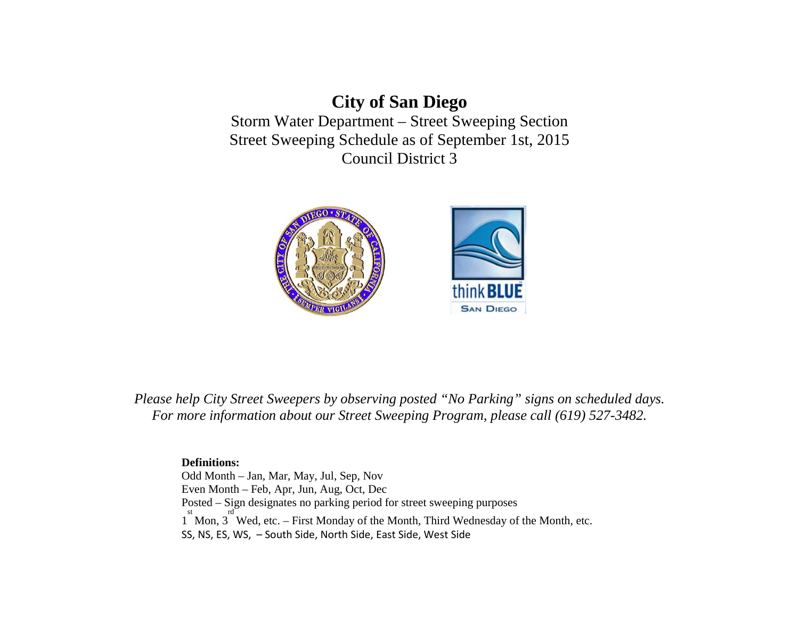# **City of San Diego**  Storm Water Department – Street Sweeping Section Street Sweeping Schedule as of September 1st, 2015 Council District 3



*Please help City Street Sweepers by observing posted "No Parking" signs on scheduled days. For more information about our Street Sweeping Program, please call (619) 527-3482.* 

# **Definitions:**

Odd Month – Jan, Mar, May, Jul, Sep, Nov Even Month – Feb, Apr, Jun, Aug, Oct, Dec Posted – Sign designates no parking period for street sweeping purposes <sup>st</sup> Mon, 3<sup>rd</sup> Wed, etc. – First Monday of the Month, Third Wednesday of the Month, etc. rd SS, NS, ES, WS, – South Side, North Side, East Side, West Side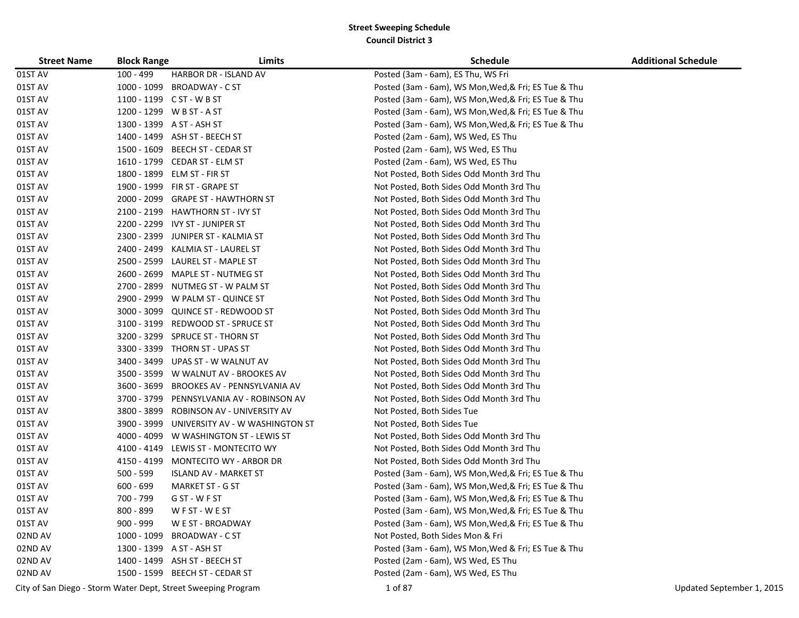| <b>Street Name</b> | <b>Block Range</b> | Limits                                                        | Schedule                                             | <b>Additional Schedule</b> |
|--------------------|--------------------|---------------------------------------------------------------|------------------------------------------------------|----------------------------|
| 01ST AV            | $100 - 499$        | HARBOR DR - ISLAND AV                                         | Posted (3am - 6am), ES Thu, WS Fri                   |                            |
| 01ST AV            | 1000 - 1099        | <b>BROADWAY - C ST</b>                                        | Posted (3am - 6am), WS Mon, Wed, & Fri; ES Tue & Thu |                            |
| 01ST AV            |                    | 1100 - 1199 C ST - W B ST                                     | Posted (3am - 6am), WS Mon, Wed, & Fri; ES Tue & Thu |                            |
| 01ST AV            |                    | 1200 - 1299 WB ST - A ST                                      | Posted (3am - 6am), WS Mon, Wed, & Fri; ES Tue & Thu |                            |
| 01ST AV            |                    | 1300 - 1399 A ST - ASH ST                                     | Posted (3am - 6am), WS Mon, Wed, & Fri; ES Tue & Thu |                            |
| 01ST AV            |                    | 1400 - 1499 ASH ST - BEECH ST                                 | Posted (2am - 6am), WS Wed, ES Thu                   |                            |
| 01ST AV            |                    | 1500 - 1609 BEECH ST - CEDAR ST                               | Posted (2am - 6am), WS Wed, ES Thu                   |                            |
| 01ST AV            |                    | 1610 - 1799 CEDAR ST - ELM ST                                 | Posted (2am - 6am), WS Wed, ES Thu                   |                            |
| 01ST AV            |                    | 1800 - 1899 ELM ST - FIR ST                                   | Not Posted, Both Sides Odd Month 3rd Thu             |                            |
| 01ST AV            |                    | 1900 - 1999 FIR ST - GRAPE ST                                 | Not Posted, Both Sides Odd Month 3rd Thu             |                            |
| 01ST AV            | 2000 - 2099        | <b>GRAPE ST - HAWTHORN ST</b>                                 | Not Posted, Both Sides Odd Month 3rd Thu             |                            |
| 01ST AV            |                    | 2100 - 2199 HAWTHORN ST - IVY ST                              | Not Posted, Both Sides Odd Month 3rd Thu             |                            |
| 01ST AV            |                    | 2200 - 2299 IVY ST - JUNIPER ST                               | Not Posted, Both Sides Odd Month 3rd Thu             |                            |
| 01ST AV            |                    | 2300 - 2399 JUNIPER ST - KALMIA ST                            | Not Posted, Both Sides Odd Month 3rd Thu             |                            |
| 01ST AV            | 2400 - 2499        | KALMIA ST - LAUREL ST                                         | Not Posted, Both Sides Odd Month 3rd Thu             |                            |
| 01ST AV            | 2500 - 2599        | LAUREL ST - MAPLE ST                                          | Not Posted, Both Sides Odd Month 3rd Thu             |                            |
| 01ST AV            | 2600 - 2699        | MAPLE ST - NUTMEG ST                                          | Not Posted, Both Sides Odd Month 3rd Thu             |                            |
| 01ST AV            | 2700 - 2899        | NUTMEG ST - W PALM ST                                         | Not Posted, Both Sides Odd Month 3rd Thu             |                            |
| 01ST AV            | 2900 - 2999        | W PALM ST - QUINCE ST                                         | Not Posted, Both Sides Odd Month 3rd Thu             |                            |
| 01ST AV            | 3000 - 3099        | <b>QUINCE ST - REDWOOD ST</b>                                 | Not Posted, Both Sides Odd Month 3rd Thu             |                            |
| 01ST AV            | 3100 - 3199        | REDWOOD ST - SPRUCE ST                                        | Not Posted, Both Sides Odd Month 3rd Thu             |                            |
| 01ST AV            | 3200 - 3299        | <b>SPRUCE ST - THORN ST</b>                                   | Not Posted, Both Sides Odd Month 3rd Thu             |                            |
| 01ST AV            | 3300 - 3399        | THORN ST - UPAS ST                                            | Not Posted, Both Sides Odd Month 3rd Thu             |                            |
| 01ST AV            | 3400 - 3499        | UPAS ST - W WALNUT AV                                         | Not Posted, Both Sides Odd Month 3rd Thu             |                            |
| 01ST AV            |                    | 3500 - 3599 W WALNUT AV - BROOKES AV                          | Not Posted, Both Sides Odd Month 3rd Thu             |                            |
| 01ST AV            | 3600 - 3699        | BROOKES AV - PENNSYLVANIA AV                                  | Not Posted, Both Sides Odd Month 3rd Thu             |                            |
| 01ST AV            | 3700 - 3799        | PENNSYLVANIA AV - ROBINSON AV                                 | Not Posted, Both Sides Odd Month 3rd Thu             |                            |
| 01ST AV            | 3800 - 3899        | ROBINSON AV - UNIVERSITY AV                                   | Not Posted, Both Sides Tue                           |                            |
| 01ST AV            | 3900 - 3999        | UNIVERSITY AV - W WASHINGTON ST                               | Not Posted, Both Sides Tue                           |                            |
| 01ST AV            | 4000 - 4099        | W WASHINGTON ST - LEWIS ST                                    | Not Posted, Both Sides Odd Month 3rd Thu             |                            |
| 01ST AV            | 4100 - 4149        | LEWIS ST - MONTECITO WY                                       | Not Posted, Both Sides Odd Month 3rd Thu             |                            |
| 01ST AV            | 4150 - 4199        | MONTECITO WY - ARBOR DR                                       | Not Posted, Both Sides Odd Month 3rd Thu             |                            |
| 01ST AV            | 500 - 599          | <b>ISLAND AV - MARKET ST</b>                                  | Posted (3am - 6am), WS Mon, Wed, & Fri; ES Tue & Thu |                            |
| 01ST AV            | $600 - 699$        | MARKET ST - G ST                                              | Posted (3am - 6am), WS Mon, Wed, & Fri; ES Tue & Thu |                            |
| 01ST AV            | 700 - 799          | G ST - W F ST                                                 | Posted (3am - 6am), WS Mon, Wed, & Fri; ES Tue & Thu |                            |
| 01ST AV            | 800 - 899          | WFST-WEST                                                     | Posted (3am - 6am), WS Mon, Wed, & Fri; ES Tue & Thu |                            |
| 01ST AV            | $900 - 999$        | W E ST - BROADWAY                                             | Posted (3am - 6am), WS Mon, Wed, & Fri; ES Tue & Thu |                            |
| 02ND AV            |                    | 1000 - 1099 BROADWAY - C ST                                   | Not Posted, Both Sides Mon & Fri                     |                            |
| 02ND AV            |                    | 1300 - 1399 A ST - ASH ST                                     | Posted (3am - 6am), WS Mon, Wed & Fri; ES Tue & Thu  |                            |
| 02ND AV            |                    | 1400 - 1499 ASH ST - BEECH ST                                 | Posted (2am - 6am), WS Wed, ES Thu                   |                            |
| 02ND AV            |                    | 1500 - 1599 BEECH ST - CEDAR ST                               | Posted (2am - 6am), WS Wed, ES Thu                   |                            |
|                    |                    | City of San Diego - Storm Water Dept, Street Sweeping Program | 1 of 87                                              | Updated September 1, 2015  |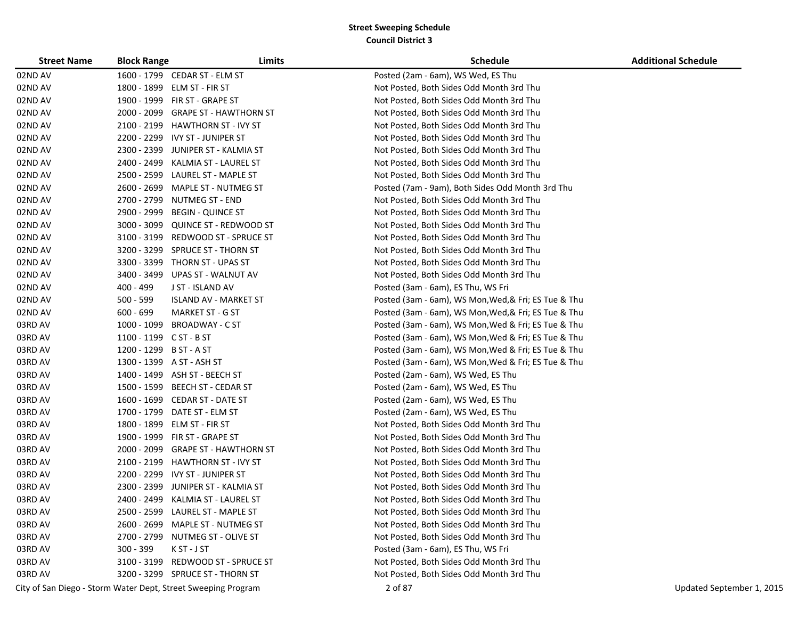| <b>Street Name</b> | <b>Block Range</b>      | Limits                                                        | <b>Schedule</b>                                      | <b>Additional Schedule</b> |
|--------------------|-------------------------|---------------------------------------------------------------|------------------------------------------------------|----------------------------|
| 02ND AV            |                         | 1600 - 1799 CEDAR ST - ELM ST                                 | Posted (2am - 6am), WS Wed, ES Thu                   |                            |
| 02ND AV            | 1800 - 1899             | ELM ST - FIR ST                                               | Not Posted, Both Sides Odd Month 3rd Thu             |                            |
| 02ND AV            |                         | 1900 - 1999 FIR ST - GRAPE ST                                 | Not Posted, Both Sides Odd Month 3rd Thu             |                            |
| 02ND AV            | 2000 - 2099             | <b>GRAPE ST - HAWTHORN ST</b>                                 | Not Posted, Both Sides Odd Month 3rd Thu             |                            |
| 02ND AV            | 2100 - 2199             | <b>HAWTHORN ST - IVY ST</b>                                   | Not Posted, Both Sides Odd Month 3rd Thu             |                            |
| 02ND AV            |                         | 2200 - 2299 IVY ST - JUNIPER ST                               | Not Posted, Both Sides Odd Month 3rd Thu             |                            |
| 02ND AV            |                         | 2300 - 2399 JUNIPER ST - KALMIA ST                            | Not Posted, Both Sides Odd Month 3rd Thu             |                            |
| 02ND AV            | 2400 - 2499             | KALMIA ST - LAUREL ST                                         | Not Posted, Both Sides Odd Month 3rd Thu             |                            |
| 02ND AV            | 2500 - 2599             | LAUREL ST - MAPLE ST                                          | Not Posted, Both Sides Odd Month 3rd Thu             |                            |
| 02ND AV            | 2600 - 2699             | MAPLE ST - NUTMEG ST                                          | Posted (7am - 9am), Both Sides Odd Month 3rd Thu     |                            |
| 02ND AV            | 2700 - 2799             | NUTMEG ST - END                                               | Not Posted, Both Sides Odd Month 3rd Thu             |                            |
| 02ND AV            | 2900 - 2999             | <b>BEGIN - QUINCE ST</b>                                      | Not Posted, Both Sides Odd Month 3rd Thu             |                            |
| 02ND AV            | 3000 - 3099             | QUINCE ST - REDWOOD ST                                        | Not Posted, Both Sides Odd Month 3rd Thu             |                            |
| 02ND AV            | 3100 - 3199             | REDWOOD ST - SPRUCE ST                                        | Not Posted, Both Sides Odd Month 3rd Thu             |                            |
| 02ND AV            | 3200 - 3299             | <b>SPRUCE ST - THORN ST</b>                                   | Not Posted, Both Sides Odd Month 3rd Thu             |                            |
| 02ND AV            |                         | 3300 - 3399 THORN ST - UPAS ST                                | Not Posted, Both Sides Odd Month 3rd Thu             |                            |
| 02ND AV            | 3400 - 3499             | UPAS ST - WALNUT AV                                           | Not Posted, Both Sides Odd Month 3rd Thu             |                            |
| 02ND AV            | 400 - 499               | J ST - ISLAND AV                                              | Posted (3am - 6am), ES Thu, WS Fri                   |                            |
| 02ND AV            | $500 - 599$             | <b>ISLAND AV - MARKET ST</b>                                  | Posted (3am - 6am), WS Mon, Wed, & Fri; ES Tue & Thu |                            |
| 02ND AV            | $600 - 699$             | MARKET ST - G ST                                              | Posted (3am - 6am), WS Mon, Wed, & Fri; ES Tue & Thu |                            |
| 03RD AV            |                         | 1000 - 1099 BROADWAY - C ST                                   | Posted (3am - 6am), WS Mon, Wed & Fri; ES Tue & Thu  |                            |
| 03RD AV            | $1100 - 1199$ CST - BST |                                                               | Posted (3am - 6am), WS Mon, Wed & Fri; ES Tue & Thu  |                            |
| 03RD AV            | 1200 - 1299 B ST - A ST |                                                               | Posted (3am - 6am), WS Mon, Wed & Fri; ES Tue & Thu  |                            |
| 03RD AV            |                         | 1300 - 1399 A ST - ASH ST                                     | Posted (3am - 6am), WS Mon, Wed & Fri; ES Tue & Thu  |                            |
| 03RD AV            |                         | 1400 - 1499 ASH ST - BEECH ST                                 | Posted (2am - 6am), WS Wed, ES Thu                   |                            |
| 03RD AV            |                         | 1500 - 1599 BEECH ST - CEDAR ST                               | Posted (2am - 6am), WS Wed, ES Thu                   |                            |
| 03RD AV            |                         | 1600 - 1699 CEDAR ST - DATE ST                                | Posted (2am - 6am), WS Wed, ES Thu                   |                            |
| 03RD AV            |                         | 1700 - 1799 DATE ST - ELM ST                                  | Posted (2am - 6am), WS Wed, ES Thu                   |                            |
| 03RD AV            | 1800 - 1899             | ELM ST - FIR ST                                               | Not Posted, Both Sides Odd Month 3rd Thu             |                            |
| 03RD AV            | 1900 - 1999             | FIR ST - GRAPE ST                                             | Not Posted, Both Sides Odd Month 3rd Thu             |                            |
| 03RD AV            | 2000 - 2099             | <b>GRAPE ST - HAWTHORN ST</b>                                 | Not Posted, Both Sides Odd Month 3rd Thu             |                            |
| 03RD AV            | 2100 - 2199             | <b>HAWTHORN ST - IVY ST</b>                                   | Not Posted, Both Sides Odd Month 3rd Thu             |                            |
| 03RD AV            | 2200 - 2299             | IVY ST - JUNIPER ST                                           | Not Posted, Both Sides Odd Month 3rd Thu             |                            |
| 03RD AV            | 2300 - 2399             | JUNIPER ST - KALMIA ST                                        | Not Posted, Both Sides Odd Month 3rd Thu             |                            |
| 03RD AV            |                         | 2400 - 2499 KALMIA ST - LAUREL ST                             | Not Posted, Both Sides Odd Month 3rd Thu             |                            |
| 03RD AV            |                         | 2500 - 2599 LAUREL ST - MAPLE ST                              | Not Posted, Both Sides Odd Month 3rd Thu             |                            |
| 03RD AV            |                         | 2600 - 2699 MAPLE ST - NUTMEG ST                              | Not Posted, Both Sides Odd Month 3rd Thu             |                            |
| 03RD AV            |                         | 2700 - 2799 NUTMEG ST - OLIVE ST                              | Not Posted, Both Sides Odd Month 3rd Thu             |                            |
| 03RD AV            | 300 - 399               | K ST - J ST                                                   | Posted (3am - 6am), ES Thu, WS Fri                   |                            |
| 03RD AV            |                         | 3100 - 3199 REDWOOD ST - SPRUCE ST                            | Not Posted, Both Sides Odd Month 3rd Thu             |                            |
| 03RD AV            |                         | 3200 - 3299 SPRUCE ST - THORN ST                              | Not Posted, Both Sides Odd Month 3rd Thu             |                            |
|                    |                         | City of San Diego - Storm Water Dept, Street Sweeping Program | 2 of 87                                              | Updated September 1, 2015  |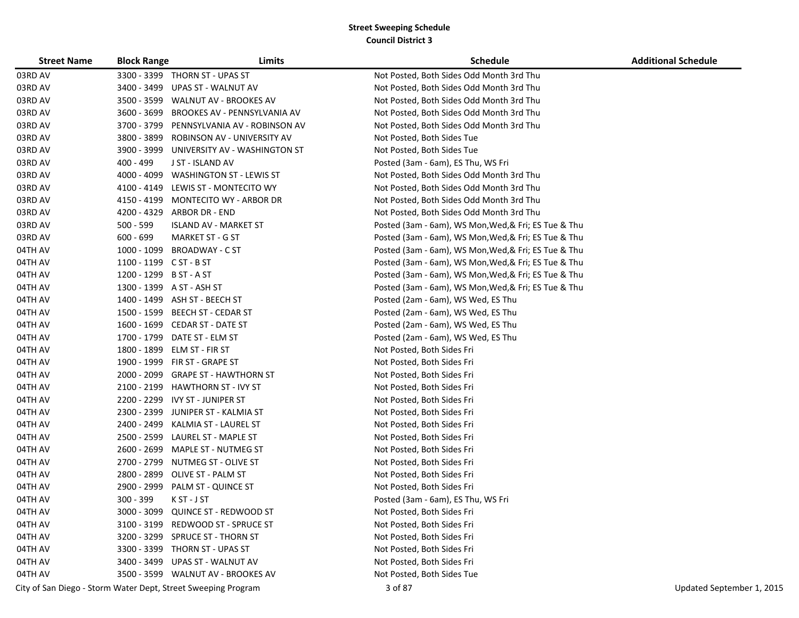| <b>Street Name</b> | <b>Block Range</b>      | Limits                                                        | <b>Schedule</b>                                      | <b>Additional Schedule</b> |
|--------------------|-------------------------|---------------------------------------------------------------|------------------------------------------------------|----------------------------|
| 03RD AV            |                         | 3300 - 3399 THORN ST - UPAS ST                                | Not Posted, Both Sides Odd Month 3rd Thu             |                            |
| 03RD AV            | 3400 - 3499             | UPAS ST - WALNUT AV                                           | Not Posted, Both Sides Odd Month 3rd Thu             |                            |
| 03RD AV            | 3500 - 3599             | WALNUT AV - BROOKES AV                                        | Not Posted, Both Sides Odd Month 3rd Thu             |                            |
| 03RD AV            | 3600 - 3699             | BROOKES AV - PENNSYLVANIA AV                                  | Not Posted, Both Sides Odd Month 3rd Thu             |                            |
| 03RD AV            | 3700 - 3799             | PENNSYLVANIA AV - ROBINSON AV                                 | Not Posted, Both Sides Odd Month 3rd Thu             |                            |
| 03RD AV            | 3800 - 3899             | ROBINSON AV - UNIVERSITY AV                                   | Not Posted, Both Sides Tue                           |                            |
| 03RD AV            |                         | 3900 - 3999 UNIVERSITY AV - WASHINGTON ST                     | Not Posted, Both Sides Tue                           |                            |
| 03RD AV            | 400 - 499               | J ST - ISLAND AV                                              | Posted (3am - 6am), ES Thu, WS Fri                   |                            |
| 03RD AV            |                         | 4000 - 4099 WASHINGTON ST - LEWIS ST                          | Not Posted, Both Sides Odd Month 3rd Thu             |                            |
| 03RD AV            |                         | 4100 - 4149 LEWIS ST - MONTECITO WY                           | Not Posted, Both Sides Odd Month 3rd Thu             |                            |
| 03RD AV            | 4150 - 4199             | MONTECITO WY - ARBOR DR                                       | Not Posted, Both Sides Odd Month 3rd Thu             |                            |
| 03RD AV            |                         | 4200 - 4329 ARBOR DR - END                                    | Not Posted, Both Sides Odd Month 3rd Thu             |                            |
| 03RD AV            | 500 - 599               | ISLAND AV - MARKET ST                                         | Posted (3am - 6am), WS Mon, Wed, & Fri; ES Tue & Thu |                            |
| 03RD AV            | 600 - 699               | <b>MARKET ST - G ST</b>                                       | Posted (3am - 6am), WS Mon, Wed, & Fri; ES Tue & Thu |                            |
| 04TH AV            |                         | 1000 - 1099 BROADWAY - C ST                                   | Posted (3am - 6am), WS Mon, Wed, & Fri; ES Tue & Thu |                            |
| 04TH AV            | 1100 - 1199 C ST - B ST |                                                               | Posted (3am - 6am), WS Mon, Wed, & Fri; ES Tue & Thu |                            |
| 04TH AV            | 1200 - 1299 B ST - A ST |                                                               | Posted (3am - 6am), WS Mon, Wed, & Fri; ES Tue & Thu |                            |
| 04TH AV            |                         | 1300 - 1399 A ST - ASH ST                                     | Posted (3am - 6am), WS Mon, Wed, & Fri; ES Tue & Thu |                            |
| 04TH AV            |                         | 1400 - 1499 ASH ST - BEECH ST                                 | Posted (2am - 6am), WS Wed, ES Thu                   |                            |
| 04TH AV            |                         | 1500 - 1599 BEECH ST - CEDAR ST                               | Posted (2am - 6am), WS Wed, ES Thu                   |                            |
| 04TH AV            |                         | 1600 - 1699 CEDAR ST - DATE ST                                | Posted (2am - 6am), WS Wed, ES Thu                   |                            |
| 04TH AV            |                         | 1700 - 1799 DATE ST - ELM ST                                  | Posted (2am - 6am), WS Wed, ES Thu                   |                            |
| 04TH AV            |                         | 1800 - 1899 ELM ST - FIR ST                                   | Not Posted, Both Sides Fri                           |                            |
| 04TH AV            |                         | 1900 - 1999 FIR ST - GRAPE ST                                 | Not Posted, Both Sides Fri                           |                            |
| 04TH AV            |                         | 2000 - 2099 GRAPE ST - HAWTHORN ST                            | Not Posted, Both Sides Fri                           |                            |
| 04TH AV            |                         | 2100 - 2199 HAWTHORN ST - IVY ST                              | Not Posted, Both Sides Fri                           |                            |
| 04TH AV            |                         | 2200 - 2299 IVY ST - JUNIPER ST                               | Not Posted, Both Sides Fri                           |                            |
| 04TH AV            |                         | 2300 - 2399 JUNIPER ST - KALMIA ST                            | Not Posted, Both Sides Fri                           |                            |
| 04TH AV            |                         | 2400 - 2499 KALMIA ST - LAUREL ST                             | Not Posted, Both Sides Fri                           |                            |
| 04TH AV            | 2500 - 2599             | LAUREL ST - MAPLE ST                                          | Not Posted, Both Sides Fri                           |                            |
| 04TH AV            | 2600 - 2699             | MAPLE ST - NUTMEG ST                                          | Not Posted, Both Sides Fri                           |                            |
| 04TH AV            |                         | 2700 - 2799 NUTMEG ST - OLIVE ST                              | Not Posted, Both Sides Fri                           |                            |
| 04TH AV            |                         | 2800 - 2899 OLIVE ST - PALM ST                                | Not Posted, Both Sides Fri                           |                            |
| 04TH AV            | 2900 - 2999             | PALM ST - QUINCE ST                                           | Not Posted, Both Sides Fri                           |                            |
| 04TH AV            | 300 - 399               | K ST - J ST                                                   | Posted (3am - 6am), ES Thu, WS Fri                   |                            |
| 04TH AV            |                         | 3000 - 3099 QUINCE ST - REDWOOD ST                            | Not Posted, Both Sides Fri                           |                            |
| 04TH AV            |                         | 3100 - 3199 REDWOOD ST - SPRUCE ST                            | Not Posted, Both Sides Fri                           |                            |
| 04TH AV            |                         | 3200 - 3299 SPRUCE ST - THORN ST                              | Not Posted, Both Sides Fri                           |                            |
| 04TH AV            |                         | 3300 - 3399 THORN ST - UPAS ST                                | Not Posted, Both Sides Fri                           |                            |
| 04TH AV            |                         | 3400 - 3499 UPAS ST - WALNUT AV                               | Not Posted, Both Sides Fri                           |                            |
| 04TH AV            |                         | 3500 - 3599 WALNUT AV - BROOKES AV                            | Not Posted, Both Sides Tue                           |                            |
|                    |                         | City of San Diego - Storm Water Dept, Street Sweeping Program | 3 of 87                                              | Updated September 1, 2015  |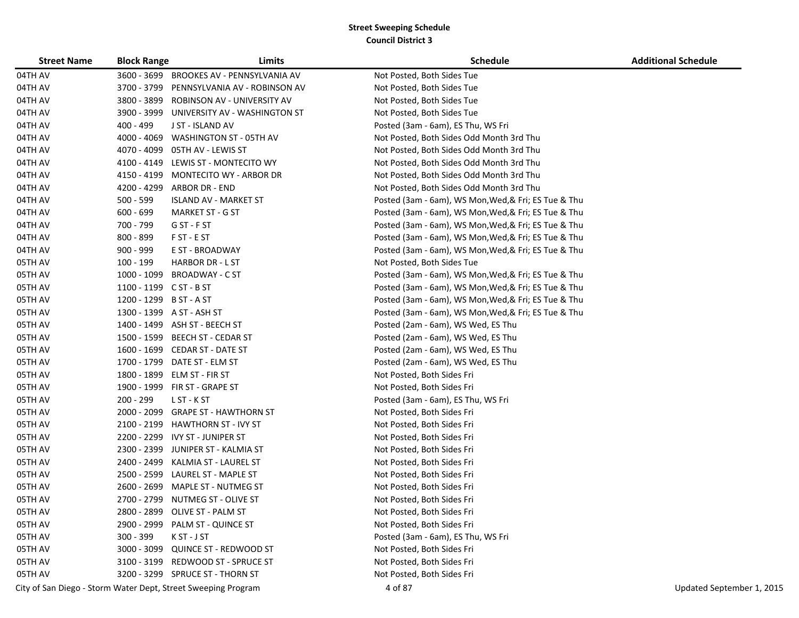| <b>Street Name</b> | <b>Block Range</b>      | Limits                                                        | <b>Schedule</b>                                      | <b>Additional Schedule</b> |
|--------------------|-------------------------|---------------------------------------------------------------|------------------------------------------------------|----------------------------|
| 04TH AV            | 3600 - 3699             | BROOKES AV - PENNSYLVANIA AV                                  | Not Posted, Both Sides Tue                           |                            |
| 04TH AV            | 3700 - 3799             | PENNSYLVANIA AV - ROBINSON AV                                 | Not Posted, Both Sides Tue                           |                            |
| 04TH AV            | 3800 - 3899             | ROBINSON AV - UNIVERSITY AV                                   | Not Posted, Both Sides Tue                           |                            |
| 04TH AV            |                         | 3900 - 3999 UNIVERSITY AV - WASHINGTON ST                     | Not Posted, Both Sides Tue                           |                            |
| 04TH AV            | 400 - 499               | J ST - ISLAND AV                                              | Posted (3am - 6am), ES Thu, WS Fri                   |                            |
| 04TH AV            | 4000 - 4069             | WASHINGTON ST - 05TH AV                                       | Not Posted, Both Sides Odd Month 3rd Thu             |                            |
| 04TH AV            | 4070 - 4099             | 05TH AV - LEWIS ST                                            | Not Posted, Both Sides Odd Month 3rd Thu             |                            |
| 04TH AV            | 4100 - 4149             | LEWIS ST - MONTECITO WY                                       | Not Posted, Both Sides Odd Month 3rd Thu             |                            |
| 04TH AV            | 4150 - 4199             | <b>MONTECITO WY - ARBOR DR</b>                                | Not Posted, Both Sides Odd Month 3rd Thu             |                            |
| 04TH AV            | 4200 - 4299             | ARBOR DR - END                                                | Not Posted, Both Sides Odd Month 3rd Thu             |                            |
| 04TH AV            | $500 - 599$             | ISLAND AV - MARKET ST                                         | Posted (3am - 6am), WS Mon, Wed, & Fri; ES Tue & Thu |                            |
| 04TH AV            | $600 - 699$             | <b>MARKET ST - G ST</b>                                       | Posted (3am - 6am), WS Mon, Wed, & Fri; ES Tue & Thu |                            |
| 04TH AV            | 700 - 799               | G ST - F ST                                                   | Posted (3am - 6am), WS Mon, Wed, & Fri; ES Tue & Thu |                            |
| 04TH AV            | 800 - 899               | F ST - E ST                                                   | Posted (3am - 6am), WS Mon, Wed, & Fri; ES Tue & Thu |                            |
| 04TH AV            | 900 - 999               | E ST - BROADWAY                                               | Posted (3am - 6am), WS Mon, Wed, & Fri; ES Tue & Thu |                            |
| 05TH AV            | 100 - 199               | <b>HARBOR DR - L ST</b>                                       | Not Posted, Both Sides Tue                           |                            |
| 05TH AV            | 1000 - 1099             | BROADWAY - C ST                                               | Posted (3am - 6am), WS Mon, Wed, & Fri; ES Tue & Thu |                            |
| 05TH AV            | 1100 - 1199 C ST - B ST |                                                               | Posted (3am - 6am), WS Mon, Wed, & Fri; ES Tue & Thu |                            |
| 05TH AV            | 1200 - 1299             | B ST - A ST                                                   | Posted (3am - 6am), WS Mon, Wed, & Fri; ES Tue & Thu |                            |
| 05TH AV            |                         | 1300 - 1399 A ST - ASH ST                                     | Posted (3am - 6am), WS Mon, Wed, & Fri; ES Tue & Thu |                            |
| 05TH AV            |                         | 1400 - 1499 ASH ST - BEECH ST                                 | Posted (2am - 6am), WS Wed, ES Thu                   |                            |
| 05TH AV            | 1500 - 1599             | <b>BEECH ST - CEDAR ST</b>                                    | Posted (2am - 6am), WS Wed, ES Thu                   |                            |
| 05TH AV            |                         | 1600 - 1699 CEDAR ST - DATE ST                                | Posted (2am - 6am), WS Wed, ES Thu                   |                            |
| 05TH AV            | 1700 - 1799             | DATE ST - ELM ST                                              | Posted (2am - 6am), WS Wed, ES Thu                   |                            |
| 05TH AV            | 1800 - 1899             | ELM ST - FIR ST                                               | Not Posted, Both Sides Fri                           |                            |
| 05TH AV            | 1900 - 1999             | FIR ST - GRAPE ST                                             | Not Posted, Both Sides Fri                           |                            |
| 05TH AV            | 200 - 299               | L ST - K ST                                                   | Posted (3am - 6am), ES Thu, WS Fri                   |                            |
| 05TH AV            |                         | 2000 - 2099 GRAPE ST - HAWTHORN ST                            | Not Posted, Both Sides Fri                           |                            |
| 05TH AV            | 2100 - 2199             | <b>HAWTHORN ST - IVY ST</b>                                   | Not Posted, Both Sides Fri                           |                            |
| 05TH AV            | 2200 - 2299             | <b>IVY ST - JUNIPER ST</b>                                    | Not Posted, Both Sides Fri                           |                            |
| 05TH AV            | 2300 - 2399             | JUNIPER ST - KALMIA ST                                        | Not Posted, Both Sides Fri                           |                            |
| 05TH AV            | 2400 - 2499             | KALMIA ST - LAUREL ST                                         | Not Posted, Both Sides Fri                           |                            |
| 05TH AV            | 2500 - 2599             | LAUREL ST - MAPLE ST                                          | Not Posted, Both Sides Fri                           |                            |
| 05TH AV            | 2600 - 2699             | MAPLE ST - NUTMEG ST                                          | Not Posted, Both Sides Fri                           |                            |
| 05TH AV            | 2700 - 2799             | NUTMEG ST - OLIVE ST                                          | Not Posted, Both Sides Fri                           |                            |
| 05TH AV            |                         | 2800 - 2899 OLIVE ST - PALM ST                                | Not Posted, Both Sides Fri                           |                            |
| 05TH AV            |                         | 2900 - 2999 PALM ST - QUINCE ST                               | Not Posted, Both Sides Fri                           |                            |
| 05TH AV            | $300 - 399$             | K ST - J ST                                                   | Posted (3am - 6am), ES Thu, WS Fri                   |                            |
| 05TH AV            |                         | 3000 - 3099 QUINCE ST - REDWOOD ST                            | Not Posted, Both Sides Fri                           |                            |
| 05TH AV            | 3100 - 3199             | REDWOOD ST - SPRUCE ST                                        | Not Posted, Both Sides Fri                           |                            |
| 05TH AV            |                         | 3200 - 3299 SPRUCE ST - THORN ST                              | Not Posted, Both Sides Fri                           |                            |
|                    |                         | City of San Diego - Storm Water Dept, Street Sweeping Program | 4 of 87                                              | Updated September 1, 2015  |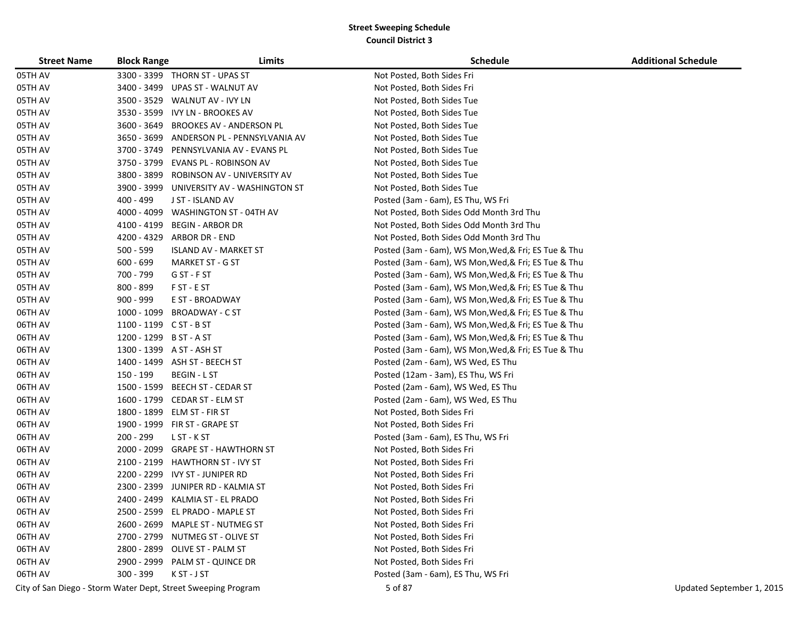| <b>Street Name</b> | <b>Block Range</b>      | Limits                                                        | <b>Schedule</b>                                      | <b>Additional Schedule</b> |
|--------------------|-------------------------|---------------------------------------------------------------|------------------------------------------------------|----------------------------|
| 05TH AV            |                         | 3300 - 3399 THORN ST - UPAS ST                                | Not Posted, Both Sides Fri                           |                            |
| 05TH AV            | 3400 - 3499             | UPAS ST - WALNUT AV                                           | Not Posted, Both Sides Fri                           |                            |
| 05TH AV            | 3500 - 3529             | WALNUT AV - IVY LN                                            | Not Posted, Both Sides Tue                           |                            |
| 05TH AV            | 3530 - 3599             | IVY LN - BROOKES AV                                           | Not Posted, Both Sides Tue                           |                            |
| 05TH AV            | 3600 - 3649             | <b>BROOKES AV - ANDERSON PL</b>                               | Not Posted, Both Sides Tue                           |                            |
| 05TH AV            |                         | 3650 - 3699 ANDERSON PL - PENNSYLVANIA AV                     | Not Posted, Both Sides Tue                           |                            |
| 05TH AV            |                         | 3700 - 3749 PENNSYLVANIA AV - EVANS PL                        | Not Posted, Both Sides Tue                           |                            |
| 05TH AV            | 3750 - 3799             | EVANS PL - ROBINSON AV                                        | Not Posted, Both Sides Tue                           |                            |
| 05TH AV            | 3800 - 3899             | ROBINSON AV - UNIVERSITY AV                                   | Not Posted, Both Sides Tue                           |                            |
| 05TH AV            |                         | 3900 - 3999 UNIVERSITY AV - WASHINGTON ST                     | Not Posted, Both Sides Tue                           |                            |
| 05TH AV            | 400 - 499               | J ST - ISLAND AV                                              | Posted (3am - 6am), ES Thu, WS Fri                   |                            |
| 05TH AV            | 4000 - 4099             | WASHINGTON ST - 04TH AV                                       | Not Posted, Both Sides Odd Month 3rd Thu             |                            |
| 05TH AV            | 4100 - 4199             | <b>BEGIN - ARBOR DR</b>                                       | Not Posted, Both Sides Odd Month 3rd Thu             |                            |
| 05TH AV            | 4200 - 4329             | ARBOR DR - END                                                | Not Posted, Both Sides Odd Month 3rd Thu             |                            |
| 05TH AV            | 500 - 599               | <b>ISLAND AV - MARKET ST</b>                                  | Posted (3am - 6am), WS Mon, Wed, & Fri; ES Tue & Thu |                            |
| 05TH AV            | $600 - 699$             | MARKET ST - G ST                                              | Posted (3am - 6am), WS Mon, Wed, & Fri; ES Tue & Thu |                            |
| 05TH AV            | 700 - 799               | G ST - F ST                                                   | Posted (3am - 6am), WS Mon, Wed, & Fri; ES Tue & Thu |                            |
| 05TH AV            | 800 - 899               | F ST - E ST                                                   | Posted (3am - 6am), WS Mon, Wed, & Fri; ES Tue & Thu |                            |
| 05TH AV            | 900 - 999               | E ST - BROADWAY                                               | Posted (3am - 6am), WS Mon, Wed, & Fri; ES Tue & Thu |                            |
| 06TH AV            | 1000 - 1099             | <b>BROADWAY - C ST</b>                                        | Posted (3am - 6am), WS Mon, Wed, & Fri; ES Tue & Thu |                            |
| 06TH AV            | 1100 - 1199 C ST - B ST |                                                               | Posted (3am - 6am), WS Mon, Wed, & Fri; ES Tue & Thu |                            |
| 06TH AV            | 1200 - 1299 B ST - A ST |                                                               | Posted (3am - 6am), WS Mon, Wed, & Fri; ES Tue & Thu |                            |
| 06TH AV            |                         | 1300 - 1399 A ST - ASH ST                                     | Posted (3am - 6am), WS Mon, Wed, & Fri; ES Tue & Thu |                            |
| 06TH AV            |                         | 1400 - 1499 ASH ST - BEECH ST                                 | Posted (2am - 6am), WS Wed, ES Thu                   |                            |
| 06TH AV            | 150 - 199               | <b>BEGIN - L ST</b>                                           | Posted (12am - 3am), ES Thu, WS Fri                  |                            |
| 06TH AV            | 1500 - 1599             | BEECH ST - CEDAR ST                                           | Posted (2am - 6am), WS Wed, ES Thu                   |                            |
| 06TH AV            |                         | 1600 - 1799 CEDAR ST - ELM ST                                 | Posted (2am - 6am), WS Wed, ES Thu                   |                            |
| 06TH AV            |                         | 1800 - 1899 ELM ST - FIR ST                                   | Not Posted, Both Sides Fri                           |                            |
| 06TH AV            |                         | 1900 - 1999 FIR ST - GRAPE ST                                 | Not Posted, Both Sides Fri                           |                            |
| 06TH AV            | 200 - 299               | L ST - K ST                                                   | Posted (3am - 6am), ES Thu, WS Fri                   |                            |
| 06TH AV            |                         | 2000 - 2099 GRAPE ST - HAWTHORN ST                            | Not Posted, Both Sides Fri                           |                            |
| 06TH AV            |                         | 2100 - 2199 HAWTHORN ST - IVY ST                              | Not Posted, Both Sides Fri                           |                            |
| 06TH AV            |                         | 2200 - 2299 IVY ST - JUNIPER RD                               | Not Posted, Both Sides Fri                           |                            |
| 06TH AV            |                         | 2300 - 2399 JUNIPER RD - KALMIA ST                            | Not Posted, Both Sides Fri                           |                            |
| 06TH AV            |                         | 2400 - 2499 KALMIA ST - EL PRADO                              | Not Posted, Both Sides Fri                           |                            |
| 06TH AV            |                         | 2500 - 2599 EL PRADO - MAPLE ST                               | Not Posted, Both Sides Fri                           |                            |
| 06TH AV            |                         | 2600 - 2699 MAPLE ST - NUTMEG ST                              | Not Posted, Both Sides Fri                           |                            |
| 06TH AV            |                         | 2700 - 2799 NUTMEG ST - OLIVE ST                              | Not Posted, Both Sides Fri                           |                            |
| 06TH AV            |                         | 2800 - 2899 OLIVE ST - PALM ST                                | Not Posted, Both Sides Fri                           |                            |
| 06TH AV            |                         | 2900 - 2999 PALM ST - QUINCE DR                               | Not Posted, Both Sides Fri                           |                            |
| 06TH AV            | 300 - 399               | K ST - J ST                                                   | Posted (3am - 6am), ES Thu, WS Fri                   |                            |
|                    |                         | City of San Diego - Storm Water Dept, Street Sweeping Program | 5 of 87                                              | Updated September 1, 2015  |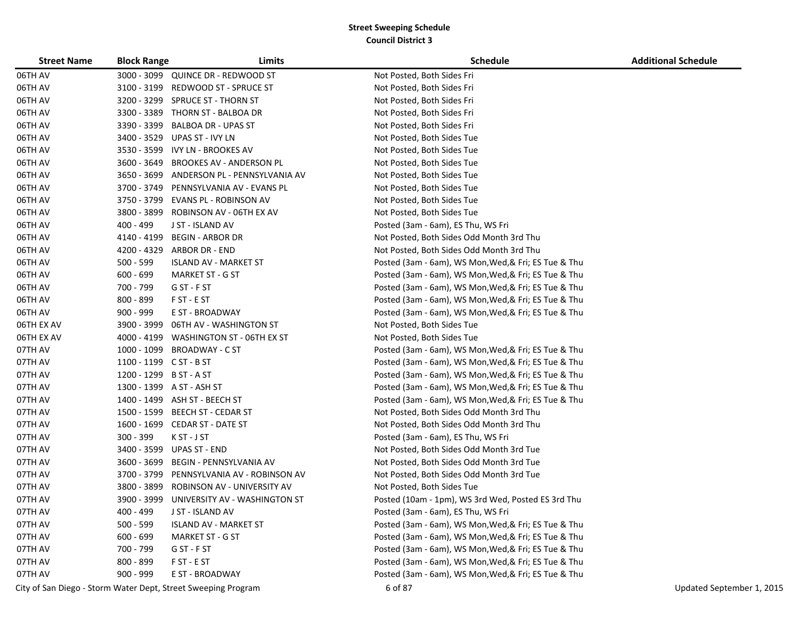| <b>Street Name</b> | <b>Block Range</b>      | Limits                                    | <b>Schedule</b>                                      | <b>Additional Schedule</b> |
|--------------------|-------------------------|-------------------------------------------|------------------------------------------------------|----------------------------|
| 06TH AV            |                         | 3000 - 3099 QUINCE DR - REDWOOD ST        | Not Posted, Both Sides Fri                           |                            |
| 06TH AV            |                         | 3100 - 3199 REDWOOD ST - SPRUCE ST        | Not Posted, Both Sides Fri                           |                            |
| 06TH AV            |                         | 3200 - 3299 SPRUCE ST - THORN ST          | Not Posted, Both Sides Fri                           |                            |
| 06TH AV            |                         | 3300 - 3389 THORN ST - BALBOA DR          | Not Posted, Both Sides Fri                           |                            |
| 06TH AV            |                         | 3390 - 3399 BALBOA DR - UPAS ST           | Not Posted, Both Sides Fri                           |                            |
| 06TH AV            |                         | 3400 - 3529 UPAS ST - IVY LN              | Not Posted, Both Sides Tue                           |                            |
| 06TH AV            |                         | 3530 - 3599 IVY LN - BROOKES AV           | Not Posted, Both Sides Tue                           |                            |
| 06TH AV            |                         | 3600 - 3649 BROOKES AV - ANDERSON PL      | Not Posted, Both Sides Tue                           |                            |
| 06TH AV            |                         | 3650 - 3699 ANDERSON PL - PENNSYLVANIA AV | Not Posted, Both Sides Tue                           |                            |
| 06TH AV            |                         | 3700 - 3749 PENNSYLVANIA AV - EVANS PL    | Not Posted, Both Sides Tue                           |                            |
| 06TH AV            | 3750 - 3799             | EVANS PL - ROBINSON AV                    | Not Posted, Both Sides Tue                           |                            |
| 06TH AV            |                         | 3800 - 3899 ROBINSON AV - 06TH EX AV      | Not Posted, Both Sides Tue                           |                            |
| 06TH AV            | 400 - 499               | J ST - ISLAND AV                          | Posted (3am - 6am), ES Thu, WS Fri                   |                            |
| 06TH AV            | 4140 - 4199             | <b>BEGIN - ARBOR DR</b>                   | Not Posted, Both Sides Odd Month 3rd Thu             |                            |
| 06TH AV            | 4200 - 4329             | ARBOR DR - END                            | Not Posted, Both Sides Odd Month 3rd Thu             |                            |
| 06TH AV            | $500 - 599$             | <b>ISLAND AV - MARKET ST</b>              | Posted (3am - 6am), WS Mon, Wed, & Fri; ES Tue & Thu |                            |
| 06TH AV            | $600 - 699$             | <b>MARKET ST - G ST</b>                   | Posted (3am - 6am), WS Mon, Wed, & Fri; ES Tue & Thu |                            |
| 06TH AV            | 700 - 799               | G ST - F ST                               | Posted (3am - 6am), WS Mon, Wed, & Fri; ES Tue & Thu |                            |
| 06TH AV            | 800 - 899               | F ST - E ST                               | Posted (3am - 6am), WS Mon, Wed, & Fri; ES Tue & Thu |                            |
| 06TH AV            | $900 - 999$             | E ST - BROADWAY                           | Posted (3am - 6am), WS Mon, Wed, & Fri; ES Tue & Thu |                            |
| 06TH EX AV         | 3900 - 3999             | 06TH AV - WASHINGTON ST                   | Not Posted, Both Sides Tue                           |                            |
| 06TH EX AV         | 4000 - 4199             | WASHINGTON ST - 06TH EX ST                | Not Posted, Both Sides Tue                           |                            |
| 07TH AV            |                         | 1000 - 1099 BROADWAY - C ST               | Posted (3am - 6am), WS Mon, Wed, & Fri; ES Tue & Thu |                            |
| 07TH AV            | 1100 - 1199 C ST - B ST |                                           | Posted (3am - 6am), WS Mon, Wed, & Fri; ES Tue & Thu |                            |
| 07TH AV            | 1200 - 1299 B ST - A ST |                                           | Posted (3am - 6am), WS Mon, Wed, & Fri; ES Tue & Thu |                            |
| 07TH AV            |                         | 1300 - 1399 A ST - ASH ST                 | Posted (3am - 6am), WS Mon, Wed, & Fri; ES Tue & Thu |                            |
| 07TH AV            |                         | 1400 - 1499 ASH ST - BEECH ST             | Posted (3am - 6am), WS Mon, Wed, & Fri; ES Tue & Thu |                            |
| 07TH AV            |                         | 1500 - 1599 BEECH ST - CEDAR ST           | Not Posted, Both Sides Odd Month 3rd Thu             |                            |
| 07TH AV            |                         | 1600 - 1699 CEDAR ST - DATE ST            | Not Posted, Both Sides Odd Month 3rd Thu             |                            |
| 07TH AV            | $300 - 399$             | K ST - J ST                               | Posted (3am - 6am), ES Thu, WS Fri                   |                            |
| 07TH AV            | 3400 - 3599             | UPAS ST - END                             | Not Posted, Both Sides Odd Month 3rd Tue             |                            |
| 07TH AV            | 3600 - 3699             | BEGIN - PENNSYLVANIA AV                   | Not Posted, Both Sides Odd Month 3rd Tue             |                            |
| 07TH AV            | 3700 - 3799             | PENNSYLVANIA AV - ROBINSON AV             | Not Posted, Both Sides Odd Month 3rd Tue             |                            |
| 07TH AV            | 3800 - 3899             | ROBINSON AV - UNIVERSITY AV               | Not Posted, Both Sides Tue                           |                            |
| 07TH AV            |                         | 3900 - 3999 UNIVERSITY AV - WASHINGTON ST | Posted (10am - 1pm), WS 3rd Wed, Posted ES 3rd Thu   |                            |
| 07TH AV            | 400 - 499               | J ST - ISLAND AV                          | Posted (3am - 6am), ES Thu, WS Fri                   |                            |
| 07TH AV            | 500 - 599               | <b>ISLAND AV - MARKET ST</b>              | Posted (3am - 6am), WS Mon, Wed, & Fri; ES Tue & Thu |                            |
| 07TH AV            | $600 - 699$             | <b>MARKET ST - G ST</b>                   | Posted (3am - 6am), WS Mon, Wed, & Fri; ES Tue & Thu |                            |
| 07TH AV            | 700 - 799               | G ST - F ST                               | Posted (3am - 6am), WS Mon, Wed, & Fri; ES Tue & Thu |                            |
| 07TH AV            | 800 - 899               | F ST - E ST                               | Posted (3am - 6am), WS Mon, Wed, & Fri; ES Tue & Thu |                            |
| 07TH AV            | 900 - 999               | E ST - BROADWAY                           | Posted (3am - 6am), WS Mon, Wed, & Fri; ES Tue & Thu |                            |

City of San Diego - Storm Water Dept, Street Sweeping Program 6 of 87 City of San Diego - Storm Water Dept, Street Sweeping Program 6 of 87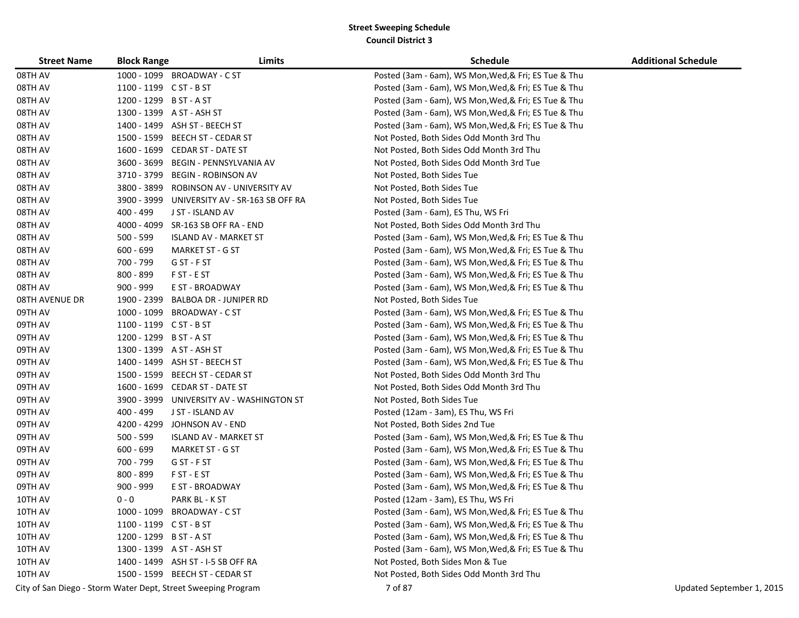| <b>Street Name</b>    | <b>Block Range</b>      | Limits                                                        | <b>Schedule</b>                                      | <b>Additional Schedule</b> |
|-----------------------|-------------------------|---------------------------------------------------------------|------------------------------------------------------|----------------------------|
| 08TH AV               |                         | 1000 - 1099 BROADWAY - C ST                                   | Posted (3am - 6am), WS Mon, Wed, & Fri; ES Tue & Thu |                            |
| 08TH AV               | 1100 - 1199 C ST - B ST |                                                               | Posted (3am - 6am), WS Mon, Wed, & Fri; ES Tue & Thu |                            |
| 08TH AV               | 1200 - 1299 B ST - A ST |                                                               | Posted (3am - 6am), WS Mon, Wed, & Fri; ES Tue & Thu |                            |
| 08TH AV               |                         | 1300 - 1399 A ST - ASH ST                                     | Posted (3am - 6am), WS Mon, Wed, & Fri; ES Tue & Thu |                            |
| 08TH AV               |                         | 1400 - 1499 ASH ST - BEECH ST                                 | Posted (3am - 6am), WS Mon, Wed, & Fri; ES Tue & Thu |                            |
| 08TH AV               |                         | 1500 - 1599 BEECH ST - CEDAR ST                               | Not Posted, Both Sides Odd Month 3rd Thu             |                            |
| 08TH AV               |                         | 1600 - 1699 CEDAR ST - DATE ST                                | Not Posted, Both Sides Odd Month 3rd Thu             |                            |
| 08TH AV               |                         | 3600 - 3699 BEGIN - PENNSYLVANIA AV                           | Not Posted, Both Sides Odd Month 3rd Tue             |                            |
| 08TH AV               |                         | 3710 - 3799 BEGIN - ROBINSON AV                               | Not Posted, Both Sides Tue                           |                            |
| 08TH AV               |                         | 3800 - 3899 ROBINSON AV - UNIVERSITY AV                       | Not Posted, Both Sides Tue                           |                            |
| 08TH AV               |                         | 3900 - 3999 UNIVERSITY AV - SR-163 SB OFF RA                  | Not Posted, Both Sides Tue                           |                            |
| 08TH AV               | 400 - 499               | J ST - ISLAND AV                                              | Posted (3am - 6am), ES Thu, WS Fri                   |                            |
| 08TH AV               |                         | 4000 - 4099 SR-163 SB OFF RA - END                            | Not Posted, Both Sides Odd Month 3rd Thu             |                            |
| 08TH AV               | $500 - 599$             | <b>ISLAND AV - MARKET ST</b>                                  | Posted (3am - 6am), WS Mon, Wed, & Fri; ES Tue & Thu |                            |
| 08TH AV               | $600 - 699$             | <b>MARKET ST - G ST</b>                                       | Posted (3am - 6am), WS Mon, Wed, & Fri; ES Tue & Thu |                            |
| 08TH AV               | 700 - 799               | G ST - F ST                                                   | Posted (3am - 6am), WS Mon, Wed, & Fri; ES Tue & Thu |                            |
| 08TH AV               | 800 - 899               | F ST - E ST                                                   | Posted (3am - 6am), WS Mon, Wed, & Fri; ES Tue & Thu |                            |
| 08TH AV               | 900 - 999               | E ST - BROADWAY                                               | Posted (3am - 6am), WS Mon, Wed, & Fri; ES Tue & Thu |                            |
| <b>08TH AVENUE DR</b> | 1900 - 2399             | <b>BALBOA DR - JUNIPER RD</b>                                 | Not Posted, Both Sides Tue                           |                            |
| 09TH AV               |                         | 1000 - 1099 BROADWAY - C ST                                   | Posted (3am - 6am), WS Mon, Wed, & Fri; ES Tue & Thu |                            |
| 09TH AV               | 1100 - 1199 C ST - B ST |                                                               | Posted (3am - 6am), WS Mon, Wed, & Fri; ES Tue & Thu |                            |
| 09TH AV               | 1200 - 1299 B ST - A ST |                                                               | Posted (3am - 6am), WS Mon, Wed, & Fri; ES Tue & Thu |                            |
| 09TH AV               |                         | 1300 - 1399 A ST - ASH ST                                     | Posted (3am - 6am), WS Mon, Wed, & Fri; ES Tue & Thu |                            |
| 09TH AV               |                         | 1400 - 1499 ASH ST - BEECH ST                                 | Posted (3am - 6am), WS Mon, Wed, & Fri; ES Tue & Thu |                            |
| 09TH AV               |                         | 1500 - 1599 BEECH ST - CEDAR ST                               | Not Posted, Both Sides Odd Month 3rd Thu             |                            |
| 09TH AV               |                         | 1600 - 1699 CEDAR ST - DATE ST                                | Not Posted, Both Sides Odd Month 3rd Thu             |                            |
| 09TH AV               | 3900 - 3999             | UNIVERSITY AV - WASHINGTON ST                                 | Not Posted, Both Sides Tue                           |                            |
| 09TH AV               | 400 - 499               | J ST - ISLAND AV                                              | Posted (12am - 3am), ES Thu, WS Fri                  |                            |
| 09TH AV               | 4200 - 4299             | JOHNSON AV - END                                              | Not Posted, Both Sides 2nd Tue                       |                            |
| 09TH AV               | 500 - 599               | ISLAND AV - MARKET ST                                         | Posted (3am - 6am), WS Mon, Wed, & Fri; ES Tue & Thu |                            |
| 09TH AV               | $600 - 699$             | <b>MARKET ST - G ST</b>                                       | Posted (3am - 6am), WS Mon, Wed, & Fri; ES Tue & Thu |                            |
| 09TH AV               | 700 - 799               | G ST - F ST                                                   | Posted (3am - 6am), WS Mon, Wed, & Fri; ES Tue & Thu |                            |
| 09TH AV               | 800 - 899               | F ST - E ST                                                   | Posted (3am - 6am), WS Mon, Wed, & Fri; ES Tue & Thu |                            |
| 09TH AV               | 900 - 999               | E ST - BROADWAY                                               | Posted (3am - 6am), WS Mon, Wed, & Fri; ES Tue & Thu |                            |
| 10TH AV               | $0 - 0$                 | PARK BL - K ST                                                | Posted (12am - 3am), ES Thu, WS Fri                  |                            |
| 10TH AV               |                         | 1000 - 1099 BROADWAY - C ST                                   | Posted (3am - 6am), WS Mon, Wed, & Fri; ES Tue & Thu |                            |
| 10TH AV               | 1100 - 1199 C ST - B ST |                                                               | Posted (3am - 6am), WS Mon, Wed, & Fri; ES Tue & Thu |                            |
| 10TH AV               | 1200 - 1299 B ST - A ST |                                                               | Posted (3am - 6am), WS Mon, Wed, & Fri; ES Tue & Thu |                            |
| 10TH AV               |                         | 1300 - 1399 A ST - ASH ST                                     | Posted (3am - 6am), WS Mon, Wed, & Fri; ES Tue & Thu |                            |
| 10TH AV               |                         | 1400 - 1499 ASH ST - I-5 SB OFF RA                            | Not Posted, Both Sides Mon & Tue                     |                            |
| 10TH AV               |                         | 1500 - 1599 BEECH ST - CEDAR ST                               | Not Posted, Both Sides Odd Month 3rd Thu             |                            |
|                       |                         | City of San Diego - Storm Water Dept, Street Sweeping Program | 7 of 87                                              | Updated September 1, 2015  |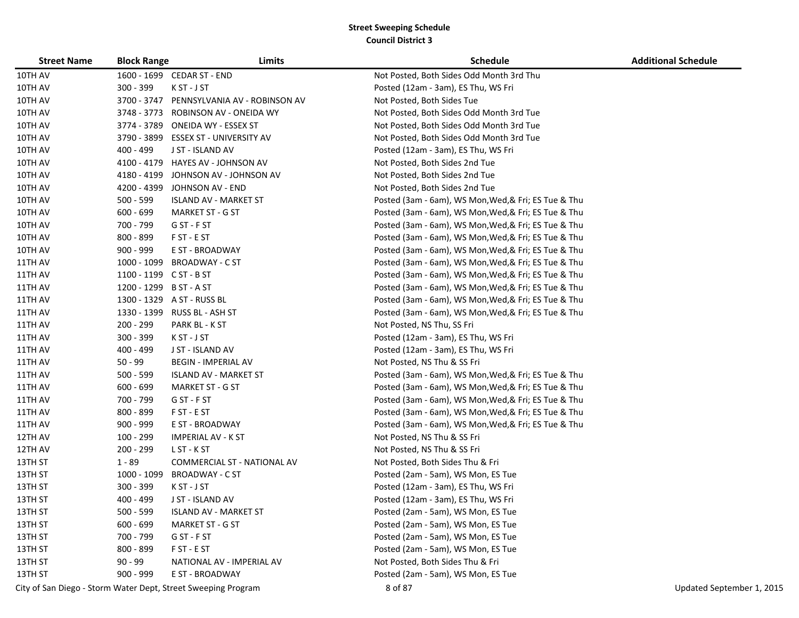| <b>Street Name</b> | <b>Block Range</b>      | Limits                                                        | <b>Schedule</b>                                      | <b>Additional Schedule</b> |
|--------------------|-------------------------|---------------------------------------------------------------|------------------------------------------------------|----------------------------|
| 10TH AV            |                         | 1600 - 1699 CEDAR ST - END                                    | Not Posted, Both Sides Odd Month 3rd Thu             |                            |
| 10TH AV            | 300 - 399               | K ST - J ST                                                   | Posted (12am - 3am), ES Thu, WS Fri                  |                            |
| 10TH AV            | 3700 - 3747             | PENNSYLVANIA AV - ROBINSON AV                                 | Not Posted, Both Sides Tue                           |                            |
| 10TH AV            |                         | 3748 - 3773 ROBINSON AV - ONEIDA WY                           | Not Posted, Both Sides Odd Month 3rd Tue             |                            |
| 10TH AV            |                         | 3774 - 3789 ONEIDA WY - ESSEX ST                              | Not Posted, Both Sides Odd Month 3rd Tue             |                            |
| 10TH AV            |                         | 3790 - 3899 ESSEX ST - UNIVERSITY AV                          | Not Posted, Both Sides Odd Month 3rd Tue             |                            |
| 10TH AV            | 400 - 499               | J ST - ISLAND AV                                              | Posted (12am - 3am), ES Thu, WS Fri                  |                            |
| 10TH AV            |                         | 4100 - 4179 HAYES AV - JOHNSON AV                             | Not Posted, Both Sides 2nd Tue                       |                            |
| 10TH AV            |                         | 4180 - 4199 JOHNSON AV - JOHNSON AV                           | Not Posted, Both Sides 2nd Tue                       |                            |
| 10TH AV            |                         | 4200 - 4399 JOHNSON AV - END                                  | Not Posted, Both Sides 2nd Tue                       |                            |
| 10TH AV            | $500 - 599$             | <b>ISLAND AV - MARKET ST</b>                                  | Posted (3am - 6am), WS Mon, Wed, & Fri; ES Tue & Thu |                            |
| 10TH AV            | $600 - 699$             | <b>MARKET ST - G ST</b>                                       | Posted (3am - 6am), WS Mon, Wed, & Fri; ES Tue & Thu |                            |
| 10TH AV            | 700 - 799               | G ST - F ST                                                   | Posted (3am - 6am), WS Mon, Wed, & Fri; ES Tue & Thu |                            |
| 10TH AV            | 800 - 899               | F ST - E ST                                                   | Posted (3am - 6am), WS Mon, Wed, & Fri; ES Tue & Thu |                            |
| 10TH AV            | 900 - 999               | E ST - BROADWAY                                               | Posted (3am - 6am), WS Mon, Wed, & Fri; ES Tue & Thu |                            |
| 11TH AV            |                         | 1000 - 1099 BROADWAY - C ST                                   | Posted (3am - 6am), WS Mon, Wed, & Fri; ES Tue & Thu |                            |
| 11TH AV            | 1100 - 1199 C ST - B ST |                                                               | Posted (3am - 6am), WS Mon, Wed, & Fri; ES Tue & Thu |                            |
| 11TH AV            | 1200 - 1299 B ST - A ST |                                                               | Posted (3am - 6am), WS Mon, Wed, & Fri; ES Tue & Thu |                            |
| 11TH AV            |                         | 1300 - 1329 A ST - RUSS BL                                    | Posted (3am - 6am), WS Mon, Wed, & Fri; ES Tue & Thu |                            |
| 11TH AV            |                         | 1330 - 1399 RUSS BL - ASH ST                                  | Posted (3am - 6am), WS Mon, Wed, & Fri; ES Tue & Thu |                            |
| 11TH AV            | 200 - 299               | PARK BL - K ST                                                | Not Posted, NS Thu, SS Fri                           |                            |
| 11TH AV            | $300 - 399$             | K ST - J ST                                                   | Posted (12am - 3am), ES Thu, WS Fri                  |                            |
| 11TH AV            | 400 - 499               | J ST - ISLAND AV                                              | Posted (12am - 3am), ES Thu, WS Fri                  |                            |
| 11TH AV            | $50 - 99$               | <b>BEGIN - IMPERIAL AV</b>                                    | Not Posted, NS Thu & SS Fri                          |                            |
| 11TH AV            | 500 - 599               | ISLAND AV - MARKET ST                                         | Posted (3am - 6am), WS Mon, Wed, & Fri; ES Tue & Thu |                            |
| 11TH AV            | $600 - 699$             | <b>MARKET ST - G ST</b>                                       | Posted (3am - 6am), WS Mon, Wed, & Fri; ES Tue & Thu |                            |
| 11TH AV            | 700 - 799               | G ST - F ST                                                   | Posted (3am - 6am), WS Mon, Wed, & Fri; ES Tue & Thu |                            |
| 11TH AV            | 800 - 899               | F ST - E ST                                                   | Posted (3am - 6am), WS Mon, Wed, & Fri; ES Tue & Thu |                            |
| 11TH AV            | 900 - 999               | E ST - BROADWAY                                               | Posted (3am - 6am), WS Mon, Wed, & Fri; ES Tue & Thu |                            |
| 12TH AV            | 100 - 299               | <b>IMPERIAL AV - K ST</b>                                     | Not Posted, NS Thu & SS Fri                          |                            |
| 12TH AV            | 200 - 299               | L ST - K ST                                                   | Not Posted, NS Thu & SS Fri                          |                            |
| 13TH ST            | $1 - 89$                | COMMERCIAL ST - NATIONAL AV                                   | Not Posted, Both Sides Thu & Fri                     |                            |
| 13TH ST            | 1000 - 1099             | <b>BROADWAY - C ST</b>                                        | Posted (2am - 5am), WS Mon, ES Tue                   |                            |
| 13TH ST            | 300 - 399               | K ST - J ST                                                   | Posted (12am - 3am), ES Thu, WS Fri                  |                            |
| 13TH ST            | 400 - 499               | J ST - ISLAND AV                                              | Posted (12am - 3am), ES Thu, WS Fri                  |                            |
| 13TH ST            | 500 - 599               | <b>ISLAND AV - MARKET ST</b>                                  | Posted (2am - 5am), WS Mon, ES Tue                   |                            |
| 13TH ST            | $600 - 699$             | <b>MARKET ST - G ST</b>                                       | Posted (2am - 5am), WS Mon, ES Tue                   |                            |
| 13TH ST            | 700 - 799               | G ST - F ST                                                   | Posted (2am - 5am), WS Mon, ES Tue                   |                            |
| 13TH ST            | $800 - 899$             | F ST - E ST                                                   | Posted (2am - 5am), WS Mon, ES Tue                   |                            |
| 13TH ST            | $90 - 99$               | NATIONAL AV - IMPERIAL AV                                     | Not Posted, Both Sides Thu & Fri                     |                            |
| 13TH ST            | 900 - 999               | E ST - BROADWAY                                               | Posted (2am - 5am), WS Mon, ES Tue                   |                            |
|                    |                         | City of San Diego - Storm Water Dept, Street Sweeping Program | 8 of 87                                              | Updated September 1, 2015  |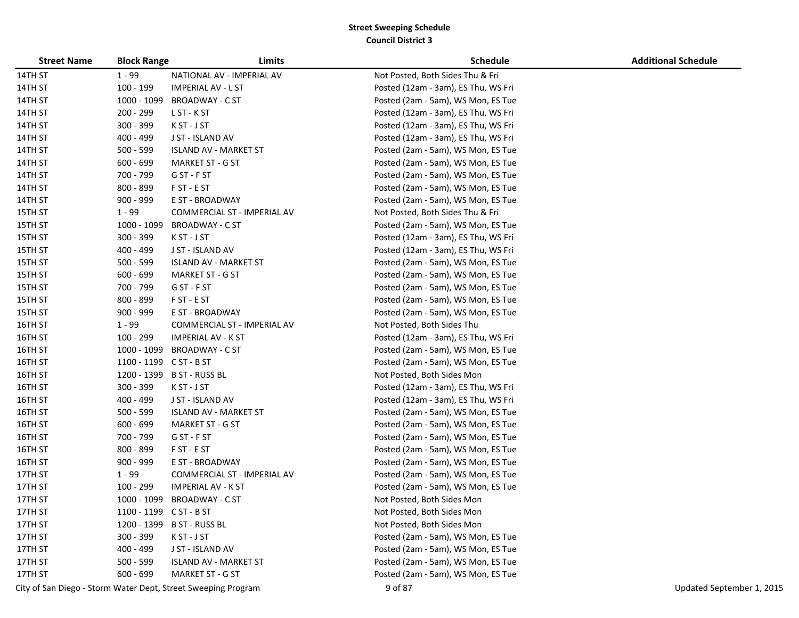| <b>Street Name</b> | <b>Block Range</b>      | Limits                                                        | <b>Schedule</b>                     | <b>Additional Schedule</b> |
|--------------------|-------------------------|---------------------------------------------------------------|-------------------------------------|----------------------------|
| 14TH ST            | $1 - 99$                | NATIONAL AV - IMPERIAL AV                                     | Not Posted, Both Sides Thu & Fri    |                            |
| 14TH ST            | 100 - 199               | <b>IMPERIAL AV - L ST</b>                                     | Posted (12am - 3am), ES Thu, WS Fri |                            |
| 14TH ST            | 1000 - 1099             | <b>BROADWAY - C ST</b>                                        | Posted (2am - 5am), WS Mon, ES Tue  |                            |
| 14TH ST            | 200 - 299               | L ST - K ST                                                   | Posted (12am - 3am), ES Thu, WS Fri |                            |
| 14TH ST            | 300 - 399               | K ST - J ST                                                   | Posted (12am - 3am), ES Thu, WS Fri |                            |
| 14TH ST            | 400 - 499               | J ST - ISLAND AV                                              | Posted (12am - 3am), ES Thu, WS Fri |                            |
| 14TH ST            | 500 - 599               | ISLAND AV - MARKET ST                                         | Posted (2am - 5am), WS Mon, ES Tue  |                            |
| 14TH ST            | $600 - 699$             | MARKET ST - G ST                                              | Posted (2am - 5am), WS Mon, ES Tue  |                            |
| 14TH ST            | 700 - 799               | G ST - F ST                                                   | Posted (2am - 5am), WS Mon, ES Tue  |                            |
| 14TH ST            | 800 - 899               | F ST - E ST                                                   | Posted (2am - 5am), WS Mon, ES Tue  |                            |
| 14TH ST            | 900 - 999               | E ST - BROADWAY                                               | Posted (2am - 5am), WS Mon, ES Tue  |                            |
| 15TH ST            | $1 - 99$                | COMMERCIAL ST - IMPERIAL AV                                   | Not Posted, Both Sides Thu & Fri    |                            |
| 15TH ST            | 1000 - 1099             | <b>BROADWAY - C ST</b>                                        | Posted (2am - 5am), WS Mon, ES Tue  |                            |
| 15TH ST            | 300 - 399               | K ST - J ST                                                   | Posted (12am - 3am), ES Thu, WS Fri |                            |
| 15TH ST            | 400 - 499               | J ST - ISLAND AV                                              | Posted (12am - 3am), ES Thu, WS Fri |                            |
| 15TH ST            | 500 - 599               | <b>ISLAND AV - MARKET ST</b>                                  | Posted (2am - 5am), WS Mon, ES Tue  |                            |
| 15TH ST            | $600 - 699$             | <b>MARKET ST - G ST</b>                                       | Posted (2am - 5am), WS Mon, ES Tue  |                            |
| 15TH ST            | 700 - 799               | G ST - F ST                                                   | Posted (2am - 5am), WS Mon, ES Tue  |                            |
| 15TH ST            | 800 - 899               | F ST - E ST                                                   | Posted (2am - 5am), WS Mon, ES Tue  |                            |
| 15TH ST            | 900 - 999               | E ST - BROADWAY                                               | Posted (2am - 5am), WS Mon, ES Tue  |                            |
| 16TH ST            | $1 - 99$                | COMMERCIAL ST - IMPERIAL AV                                   | Not Posted, Both Sides Thu          |                            |
| 16TH ST            | 100 - 299               | <b>IMPERIAL AV - K ST</b>                                     | Posted (12am - 3am), ES Thu, WS Fri |                            |
| 16TH ST            | 1000 - 1099             | <b>BROADWAY - C ST</b>                                        | Posted (2am - 5am), WS Mon, ES Tue  |                            |
| 16TH ST            | 1100 - 1199 C ST - B ST |                                                               | Posted (2am - 5am), WS Mon, ES Tue  |                            |
| 16TH ST            |                         | 1200 - 1399 B ST - RUSS BL                                    | Not Posted, Both Sides Mon          |                            |
| 16TH ST            | 300 - 399               | K ST - J ST                                                   | Posted (12am - 3am), ES Thu, WS Fri |                            |
| 16TH ST            | 400 - 499               | J ST - ISLAND AV                                              | Posted (12am - 3am), ES Thu, WS Fri |                            |
| 16TH ST            | 500 - 599               | ISLAND AV - MARKET ST                                         | Posted (2am - 5am), WS Mon, ES Tue  |                            |
| 16TH ST            | $600 - 699$             | <b>MARKET ST - G ST</b>                                       | Posted (2am - 5am), WS Mon, ES Tue  |                            |
| 16TH ST            | 700 - 799               | G ST - F ST                                                   | Posted (2am - 5am), WS Mon, ES Tue  |                            |
| 16TH ST            | 800 - 899               | F ST - E ST                                                   | Posted (2am - 5am), WS Mon, ES Tue  |                            |
| 16TH ST            | 900 - 999               | E ST - BROADWAY                                               | Posted (2am - 5am), WS Mon, ES Tue  |                            |
| 17TH ST            | $1 - 99$                | COMMERCIAL ST - IMPERIAL AV                                   | Posted (2am - 5am), WS Mon, ES Tue  |                            |
| 17TH ST            | 100 - 299               | <b>IMPERIAL AV - K ST</b>                                     | Posted (2am - 5am), WS Mon, ES Tue  |                            |
| 17TH ST            | 1000 - 1099             | <b>BROADWAY - C ST</b>                                        | Not Posted, Both Sides Mon          |                            |
| 17TH ST            | 1100 - 1199 C ST - B ST |                                                               | Not Posted, Both Sides Mon          |                            |
| 17TH ST            |                         | 1200 - 1399 B ST - RUSS BL                                    | Not Posted, Both Sides Mon          |                            |
| 17TH ST            | $300 - 399$             | K ST - J ST                                                   | Posted (2am - 5am), WS Mon, ES Tue  |                            |
| 17TH ST            | 400 - 499               | J ST - ISLAND AV                                              | Posted (2am - 5am), WS Mon, ES Tue  |                            |
| 17TH ST            | 500 - 599               | <b>ISLAND AV - MARKET ST</b>                                  | Posted (2am - 5am), WS Mon, ES Tue  |                            |
| 17TH ST            | 600 - 699               | <b>MARKET ST - G ST</b>                                       | Posted (2am - 5am), WS Mon, ES Tue  |                            |
|                    |                         | City of San Diego - Storm Water Dept, Street Sweeping Program | 9 of 87                             | Updated September 1, 2015  |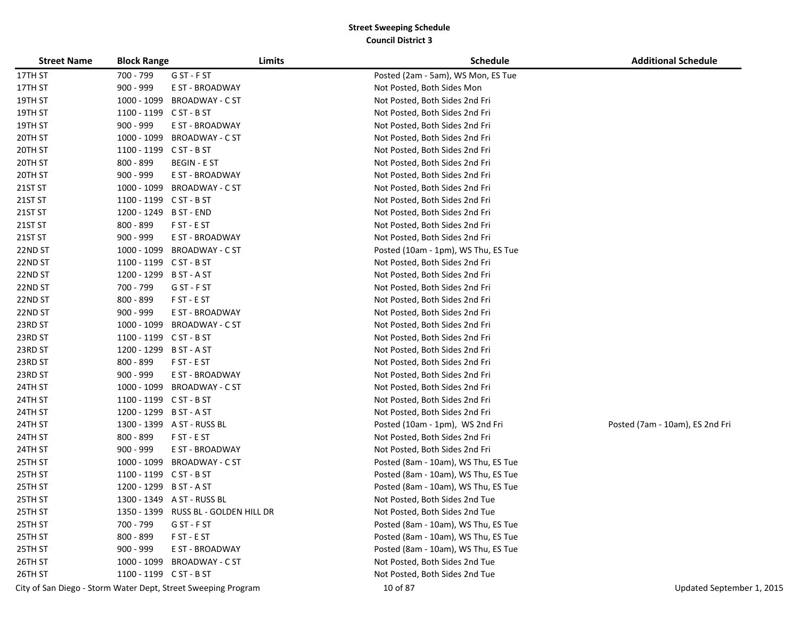| <b>Street Name</b> | <b>Block Range</b>      |                                                               | Limits | <b>Schedule</b>                     | <b>Additional Schedule</b>      |
|--------------------|-------------------------|---------------------------------------------------------------|--------|-------------------------------------|---------------------------------|
| 17TH ST            | 700 - 799               | G ST - F ST                                                   |        | Posted (2am - 5am), WS Mon, ES Tue  |                                 |
| 17TH ST            | 900 - 999               | E ST - BROADWAY                                               |        | Not Posted, Both Sides Mon          |                                 |
| 19TH ST            |                         | 1000 - 1099 BROADWAY - C ST                                   |        | Not Posted, Both Sides 2nd Fri      |                                 |
| 19TH ST            | $1100 - 1199$ CST - BST |                                                               |        | Not Posted, Both Sides 2nd Fri      |                                 |
| 19TH ST            | 900 - 999               | E ST - BROADWAY                                               |        | Not Posted, Both Sides 2nd Fri      |                                 |
| 20TH ST            | 1000 - 1099             | <b>BROADWAY - C ST</b>                                        |        | Not Posted, Both Sides 2nd Fri      |                                 |
| 20TH ST            | 1100 - 1199 C ST - B ST |                                                               |        | Not Posted, Both Sides 2nd Fri      |                                 |
| 20TH ST            | 800 - 899               | <b>BEGIN - E ST</b>                                           |        | Not Posted, Both Sides 2nd Fri      |                                 |
| 20TH ST            | 900 - 999               | E ST - BROADWAY                                               |        | Not Posted, Both Sides 2nd Fri      |                                 |
| 21ST ST            | 1000 - 1099             | <b>BROADWAY - C ST</b>                                        |        | Not Posted, Both Sides 2nd Fri      |                                 |
| 21ST ST            | 1100 - 1199 C ST - B ST |                                                               |        | Not Posted, Both Sides 2nd Fri      |                                 |
| 21ST ST            | 1200 - 1249 B ST - END  |                                                               |        | Not Posted, Both Sides 2nd Fri      |                                 |
| 21ST ST            | 800 - 899               | F ST - E ST                                                   |        | Not Posted, Both Sides 2nd Fri      |                                 |
| 21ST ST            | $900 - 999$             | E ST - BROADWAY                                               |        | Not Posted, Both Sides 2nd Fri      |                                 |
| 22ND ST            | 1000 - 1099             | <b>BROADWAY - C ST</b>                                        |        | Posted (10am - 1pm), WS Thu, ES Tue |                                 |
| 22ND ST            | 1100 - 1199 C ST - B ST |                                                               |        | Not Posted, Both Sides 2nd Fri      |                                 |
| 22ND ST            | 1200 - 1299 B ST - A ST |                                                               |        | Not Posted, Both Sides 2nd Fri      |                                 |
| 22ND ST            | 700 - 799               | G ST - F ST                                                   |        | Not Posted, Both Sides 2nd Fri      |                                 |
| 22ND ST            | 800 - 899               | F ST - E ST                                                   |        | Not Posted, Both Sides 2nd Fri      |                                 |
| 22ND ST            | $900 - 999$             | E ST - BROADWAY                                               |        | Not Posted, Both Sides 2nd Fri      |                                 |
| 23RD ST            |                         | 1000 - 1099 BROADWAY - C ST                                   |        | Not Posted, Both Sides 2nd Fri      |                                 |
| 23RD ST            | 1100 - 1199 C ST - B ST |                                                               |        | Not Posted, Both Sides 2nd Fri      |                                 |
| 23RD ST            | 1200 - 1299 B ST - A ST |                                                               |        | Not Posted, Both Sides 2nd Fri      |                                 |
| 23RD ST            | 800 - 899               | F ST - E ST                                                   |        | Not Posted, Both Sides 2nd Fri      |                                 |
| 23RD ST            | 900 - 999               | E ST - BROADWAY                                               |        | Not Posted, Both Sides 2nd Fri      |                                 |
| 24TH ST            | 1000 - 1099             | <b>BROADWAY - C ST</b>                                        |        | Not Posted, Both Sides 2nd Fri      |                                 |
| 24TH ST            | 1100 - 1199 C ST - B ST |                                                               |        | Not Posted, Both Sides 2nd Fri      |                                 |
| 24TH ST            | 1200 - 1299 B ST - A ST |                                                               |        | Not Posted, Both Sides 2nd Fri      |                                 |
| 24TH ST            |                         | 1300 - 1399 A ST - RUSS BL                                    |        | Posted (10am - 1pm), WS 2nd Fri     | Posted (7am - 10am), ES 2nd Fri |
| 24TH ST            | 800 - 899               | F ST - E ST                                                   |        | Not Posted, Both Sides 2nd Fri      |                                 |
| 24TH ST            | $900 - 999$             | E ST - BROADWAY                                               |        | Not Posted, Both Sides 2nd Fri      |                                 |
| 25TH ST            | 1000 - 1099             | BROADWAY - C ST                                               |        | Posted (8am - 10am), WS Thu, ES Tue |                                 |
| 25TH ST            | 1100 - 1199 C ST - B ST |                                                               |        | Posted (8am - 10am), WS Thu, ES Tue |                                 |
| 25TH ST            | 1200 - 1299             | B ST - A ST                                                   |        | Posted (8am - 10am), WS Thu, ES Tue |                                 |
| 25TH ST            |                         | 1300 - 1349 A ST - RUSS BL                                    |        | Not Posted, Both Sides 2nd Tue      |                                 |
| 25TH ST            |                         | 1350 - 1399 RUSS BL - GOLDEN HILL DR                          |        | Not Posted, Both Sides 2nd Tue      |                                 |
| 25TH ST            | 700 - 799               | G ST - F ST                                                   |        | Posted (8am - 10am), WS Thu, ES Tue |                                 |
| 25TH ST            | 800 - 899               | F ST - E ST                                                   |        | Posted (8am - 10am), WS Thu, ES Tue |                                 |
| 25TH ST            | $900 - 999$             | E ST - BROADWAY                                               |        | Posted (8am - 10am), WS Thu, ES Tue |                                 |
| 26TH ST            |                         | 1000 - 1099 BROADWAY - C ST                                   |        | Not Posted, Both Sides 2nd Tue      |                                 |
| 26TH ST            | 1100 - 1199 C ST - B ST |                                                               |        | Not Posted, Both Sides 2nd Tue      |                                 |
|                    |                         | City of San Diego - Storm Water Dept, Street Sweeping Program |        | 10 of 87                            | Updated September 1, 2015       |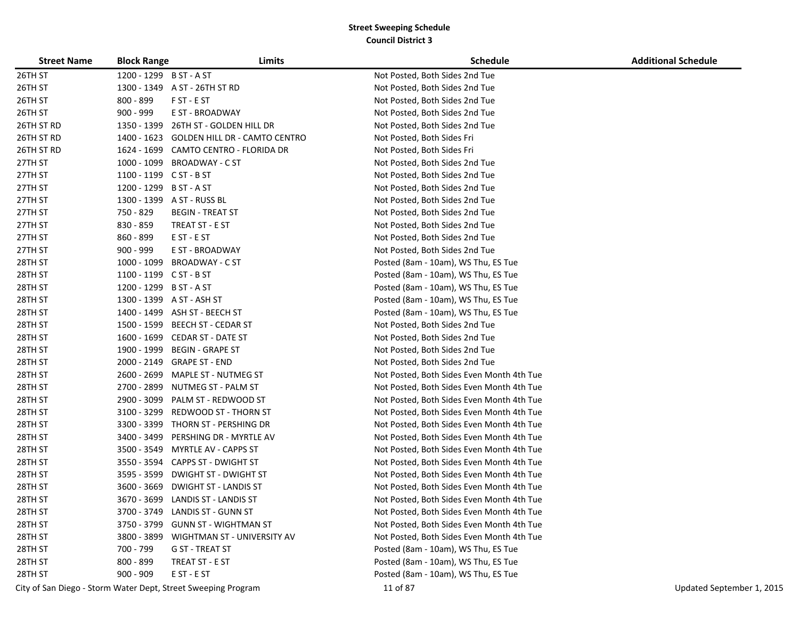| <b>Street Name</b> | <b>Block Range</b>      | Limits                                    | <b>Schedule</b>                           | <b>Additional Schedule</b> |
|--------------------|-------------------------|-------------------------------------------|-------------------------------------------|----------------------------|
| 26TH ST            | 1200 - 1299 B ST - A ST |                                           | Not Posted, Both Sides 2nd Tue            |                            |
| 26TH ST            |                         | 1300 - 1349 A ST - 26TH ST RD             | Not Posted, Both Sides 2nd Tue            |                            |
| 26TH ST            | 800 - 899               | F ST - E ST                               | Not Posted, Both Sides 2nd Tue            |                            |
| 26TH ST            | $900 - 999$             | E ST - BROADWAY                           | Not Posted, Both Sides 2nd Tue            |                            |
| 26TH ST RD         | 1350 - 1399             | 26TH ST - GOLDEN HILL DR                  | Not Posted, Both Sides 2nd Tue            |                            |
| 26TH ST RD         |                         | 1400 - 1623 GOLDEN HILL DR - CAMTO CENTRO | Not Posted, Both Sides Fri                |                            |
| 26TH ST RD         |                         | 1624 - 1699 CAMTO CENTRO - FLORIDA DR     | Not Posted, Both Sides Fri                |                            |
| 27TH ST            |                         | 1000 - 1099 BROADWAY - C ST               | Not Posted, Both Sides 2nd Tue            |                            |
| 27TH ST            | 1100 - 1199 C ST - B ST |                                           | Not Posted, Both Sides 2nd Tue            |                            |
| 27TH ST            | 1200 - 1299 B ST - A ST |                                           | Not Posted, Both Sides 2nd Tue            |                            |
| 27TH ST            |                         | 1300 - 1399 A ST - RUSS BL                | Not Posted, Both Sides 2nd Tue            |                            |
| 27TH ST            | 750 - 829               | <b>BEGIN - TREAT ST</b>                   | Not Posted, Both Sides 2nd Tue            |                            |
| 27TH ST            | 830 - 859               | TREAT ST - E ST                           | Not Posted, Both Sides 2nd Tue            |                            |
| 27TH ST            | 860 - 899               | E ST - E ST                               | Not Posted, Both Sides 2nd Tue            |                            |
| 27TH ST            | $900 - 999$             | E ST - BROADWAY                           | Not Posted, Both Sides 2nd Tue            |                            |
| 28TH ST            | 1000 - 1099             | BROADWAY - C ST                           | Posted (8am - 10am), WS Thu, ES Tue       |                            |
| 28TH ST            | $1100 - 1199$ CST - BST |                                           | Posted (8am - 10am), WS Thu, ES Tue       |                            |
| 28TH ST            | 1200 - 1299 B ST - A ST |                                           | Posted (8am - 10am), WS Thu, ES Tue       |                            |
| 28TH ST            |                         | 1300 - 1399 A ST - ASH ST                 | Posted (8am - 10am), WS Thu, ES Tue       |                            |
| 28TH ST            |                         | 1400 - 1499 ASH ST - BEECH ST             | Posted (8am - 10am), WS Thu, ES Tue       |                            |
| 28TH ST            |                         | 1500 - 1599 BEECH ST - CEDAR ST           | Not Posted, Both Sides 2nd Tue            |                            |
| 28TH ST            |                         | 1600 - 1699 CEDAR ST - DATE ST            | Not Posted, Both Sides 2nd Tue            |                            |
| 28TH ST            | 1900 - 1999             | BEGIN - GRAPE ST                          | Not Posted, Both Sides 2nd Tue            |                            |
| 28TH ST            | 2000 - 2149             | <b>GRAPE ST - END</b>                     | Not Posted, Both Sides 2nd Tue            |                            |
| 28TH ST            |                         | 2600 - 2699 MAPLE ST - NUTMEG ST          | Not Posted, Both Sides Even Month 4th Tue |                            |
| 28TH ST            |                         | 2700 - 2899 NUTMEG ST - PALM ST           | Not Posted, Both Sides Even Month 4th Tue |                            |
| 28TH ST            | 2900 - 3099             | PALM ST - REDWOOD ST                      | Not Posted, Both Sides Even Month 4th Tue |                            |
| 28TH ST            | 3100 - 3299             | REDWOOD ST - THORN ST                     | Not Posted, Both Sides Even Month 4th Tue |                            |
| 28TH ST            | 3300 - 3399             | THORN ST - PERSHING DR                    | Not Posted, Both Sides Even Month 4th Tue |                            |
| 28TH ST            | 3400 - 3499             | PERSHING DR - MYRTLE AV                   | Not Posted, Both Sides Even Month 4th Tue |                            |
| 28TH ST            |                         | 3500 - 3549 MYRTLE AV - CAPPS ST          | Not Posted, Both Sides Even Month 4th Tue |                            |
| 28TH ST            |                         | 3550 - 3594    CAPPS ST - DWIGHT ST       | Not Posted, Both Sides Even Month 4th Tue |                            |
| 28TH ST            | 3595 - 3599             | DWIGHT ST - DWIGHT ST                     | Not Posted, Both Sides Even Month 4th Tue |                            |
| 28TH ST            | 3600 - 3669             | <b>DWIGHT ST - LANDIS ST</b>              | Not Posted, Both Sides Even Month 4th Tue |                            |
| 28TH ST            |                         | 3670 - 3699 LANDIS ST - LANDIS ST         | Not Posted, Both Sides Even Month 4th Tue |                            |
| 28TH ST            |                         | 3700 - 3749 LANDIS ST - GUNN ST           | Not Posted, Both Sides Even Month 4th Tue |                            |
| 28TH ST            | 3750 - 3799             | <b>GUNN ST - WIGHTMAN ST</b>              | Not Posted, Both Sides Even Month 4th Tue |                            |
| 28TH ST            |                         | 3800 - 3899 WIGHTMAN ST - UNIVERSITY AV   | Not Posted, Both Sides Even Month 4th Tue |                            |
| 28TH ST            | 700 - 799               | G ST - TREAT ST                           | Posted (8am - 10am), WS Thu, ES Tue       |                            |
| 28TH ST            | 800 - 899               | TREAT ST - E ST                           | Posted (8am - 10am), WS Thu, ES Tue       |                            |
| 28TH ST            | $900 - 909$             | E ST - E ST                               | Posted (8am - 10am), WS Thu, ES Tue       |                            |

City of San Diego - Storm Water Dept, Street Sweeping Program 11 of 87 Updated September 1, 2015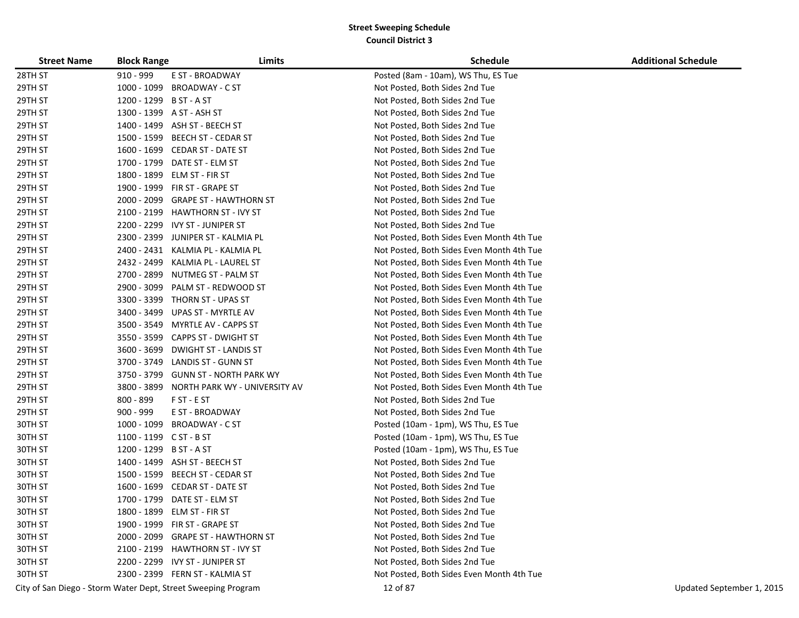| <b>Street Name</b> | <b>Block Range</b>      | Limits                                                        | <b>Schedule</b>                           | <b>Additional Schedule</b> |
|--------------------|-------------------------|---------------------------------------------------------------|-------------------------------------------|----------------------------|
| 28TH ST            | 910 - 999               | E ST - BROADWAY                                               | Posted (8am - 10am), WS Thu, ES Tue       |                            |
| 29TH ST            | 1000 - 1099             | <b>BROADWAY - C ST</b>                                        | Not Posted, Both Sides 2nd Tue            |                            |
| 29TH ST            | 1200 - 1299 B ST - A ST |                                                               | Not Posted, Both Sides 2nd Tue            |                            |
| 29TH ST            |                         | 1300 - 1399 A ST - ASH ST                                     | Not Posted, Both Sides 2nd Tue            |                            |
| 29TH ST            |                         | 1400 - 1499 ASH ST - BEECH ST                                 | Not Posted, Both Sides 2nd Tue            |                            |
| 29TH ST            | 1500 - 1599             | BEECH ST - CEDAR ST                                           | Not Posted, Both Sides 2nd Tue            |                            |
| 29TH ST            | 1600 - 1699             | <b>CEDAR ST - DATE ST</b>                                     | Not Posted, Both Sides 2nd Tue            |                            |
| 29TH ST            | 1700 - 1799             | DATE ST - ELM ST                                              | Not Posted, Both Sides 2nd Tue            |                            |
| 29TH ST            | 1800 - 1899             | ELM ST - FIR ST                                               | Not Posted, Both Sides 2nd Tue            |                            |
| 29TH ST            |                         | 1900 - 1999 FIR ST - GRAPE ST                                 | Not Posted, Both Sides 2nd Tue            |                            |
| 29TH ST            | 2000 - 2099             | <b>GRAPE ST - HAWTHORN ST</b>                                 | Not Posted, Both Sides 2nd Tue            |                            |
| 29TH ST            | 2100 - 2199             | <b>HAWTHORN ST - IVY ST</b>                                   | Not Posted, Both Sides 2nd Tue            |                            |
| 29TH ST            | 2200 - 2299             | IVY ST - JUNIPER ST                                           | Not Posted, Both Sides 2nd Tue            |                            |
| 29TH ST            | 2300 - 2399             | JUNIPER ST - KALMIA PL                                        | Not Posted, Both Sides Even Month 4th Tue |                            |
| 29TH ST            |                         | 2400 - 2431 KALMIA PL - KALMIA PL                             | Not Posted, Both Sides Even Month 4th Tue |                            |
| 29TH ST            | 2432 - 2499             | KALMIA PL - LAUREL ST                                         | Not Posted, Both Sides Even Month 4th Tue |                            |
| 29TH ST            | 2700 - 2899             | NUTMEG ST - PALM ST                                           | Not Posted, Both Sides Even Month 4th Tue |                            |
| 29TH ST            | 2900 - 3099             | PALM ST - REDWOOD ST                                          | Not Posted, Both Sides Even Month 4th Tue |                            |
| 29TH ST            | 3300 - 3399             | THORN ST - UPAS ST                                            | Not Posted, Both Sides Even Month 4th Tue |                            |
| 29TH ST            | 3400 - 3499             | UPAS ST - MYRTLE AV                                           | Not Posted, Both Sides Even Month 4th Tue |                            |
| 29TH ST            |                         | 3500 - 3549 MYRTLE AV - CAPPS ST                              | Not Posted, Both Sides Even Month 4th Tue |                            |
| 29TH ST            | 3550 - 3599             | <b>CAPPS ST - DWIGHT ST</b>                                   | Not Posted, Both Sides Even Month 4th Tue |                            |
| 29TH ST            | 3600 - 3699             | <b>DWIGHT ST - LANDIS ST</b>                                  | Not Posted, Both Sides Even Month 4th Tue |                            |
| 29TH ST            | 3700 - 3749             | LANDIS ST - GUNN ST                                           | Not Posted, Both Sides Even Month 4th Tue |                            |
| 29TH ST            | 3750 - 3799             | <b>GUNN ST - NORTH PARK WY</b>                                | Not Posted, Both Sides Even Month 4th Tue |                            |
| 29TH ST            | 3800 - 3899             | NORTH PARK WY - UNIVERSITY AV                                 | Not Posted, Both Sides Even Month 4th Tue |                            |
| 29TH ST            | 800 - 899               | F ST - E ST                                                   | Not Posted, Both Sides 2nd Tue            |                            |
| 29TH ST            | 900 - 999               | E ST - BROADWAY                                               | Not Posted, Both Sides 2nd Tue            |                            |
| 30TH ST            | 1000 - 1099             | BROADWAY - C ST                                               | Posted (10am - 1pm), WS Thu, ES Tue       |                            |
| 30TH ST            | 1100 - 1199 C ST - B ST |                                                               | Posted (10am - 1pm), WS Thu, ES Tue       |                            |
| 30TH ST            | 1200 - 1299 B ST - A ST |                                                               | Posted (10am - 1pm), WS Thu, ES Tue       |                            |
| 30TH ST            |                         | 1400 - 1499 ASH ST - BEECH ST                                 | Not Posted, Both Sides 2nd Tue            |                            |
| 30TH ST            | 1500 - 1599             | BEECH ST - CEDAR ST                                           | Not Posted, Both Sides 2nd Tue            |                            |
| 30TH ST            | 1600 - 1699             | <b>CEDAR ST - DATE ST</b>                                     | Not Posted, Both Sides 2nd Tue            |                            |
| 30TH ST            | 1700 - 1799             | DATE ST - ELM ST                                              | Not Posted, Both Sides 2nd Tue            |                            |
| 30TH ST            |                         | 1800 - 1899 ELM ST - FIR ST                                   | Not Posted, Both Sides 2nd Tue            |                            |
| 30TH ST            |                         | 1900 - 1999 FIR ST - GRAPE ST                                 | Not Posted, Both Sides 2nd Tue            |                            |
| 30TH ST            |                         | 2000 - 2099 GRAPE ST - HAWTHORN ST                            | Not Posted, Both Sides 2nd Tue            |                            |
| 30TH ST            |                         | 2100 - 2199 HAWTHORN ST - IVY ST                              | Not Posted, Both Sides 2nd Tue            |                            |
| 30TH ST            |                         | 2200 - 2299 IVY ST - JUNIPER ST                               | Not Posted, Both Sides 2nd Tue            |                            |
| 30TH ST            |                         | 2300 - 2399 FERN ST - KALMIA ST                               | Not Posted, Both Sides Even Month 4th Tue |                            |
|                    |                         | City of San Diego - Storm Water Dept, Street Sweeping Program | 12 of 87                                  | Updated September 1, 2015  |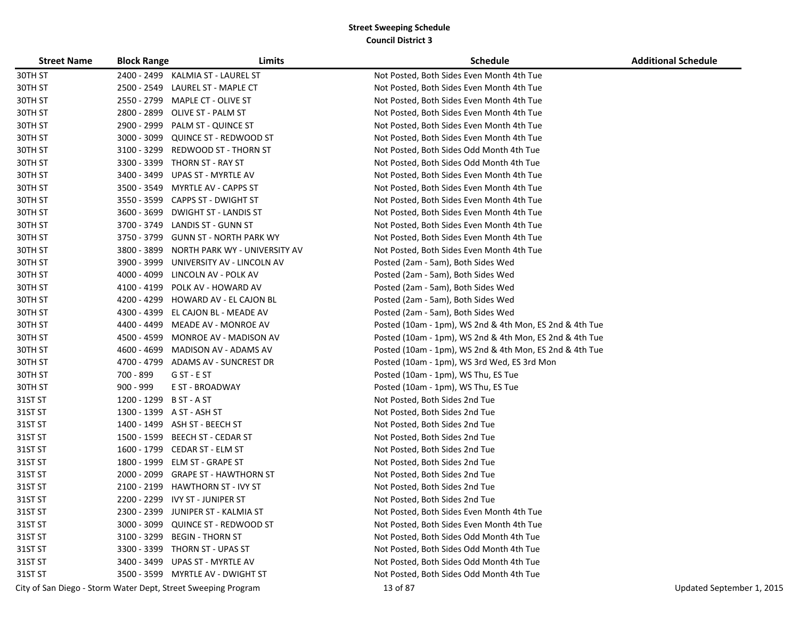| <b>Street Name</b> | <b>Block Range</b> | Limits                                                        | <b>Schedule</b>                                         | <b>Additional Schedule</b> |
|--------------------|--------------------|---------------------------------------------------------------|---------------------------------------------------------|----------------------------|
| 30TH ST            | 2400 - 2499        | KALMIA ST - LAUREL ST                                         | Not Posted, Both Sides Even Month 4th Tue               |                            |
| 30TH ST            | 2500 - 2549        | LAUREL ST - MAPLE CT                                          | Not Posted, Both Sides Even Month 4th Tue               |                            |
| 30TH ST            | 2550 - 2799        | MAPLE CT - OLIVE ST                                           | Not Posted, Both Sides Even Month 4th Tue               |                            |
| 30TH ST            | 2800 - 2899        | OLIVE ST - PALM ST                                            | Not Posted, Both Sides Even Month 4th Tue               |                            |
| 30TH ST            | 2900 - 2999        | PALM ST - QUINCE ST                                           | Not Posted, Both Sides Even Month 4th Tue               |                            |
| 30TH ST            | 3000 - 3099        | <b>QUINCE ST - REDWOOD ST</b>                                 | Not Posted, Both Sides Even Month 4th Tue               |                            |
| 30TH ST            | 3100 - 3299        | REDWOOD ST - THORN ST                                         | Not Posted, Both Sides Odd Month 4th Tue                |                            |
| 30TH ST            | 3300 - 3399        | THORN ST - RAY ST                                             | Not Posted, Both Sides Odd Month 4th Tue                |                            |
| 30TH ST            | 3400 - 3499        | UPAS ST - MYRTLE AV                                           | Not Posted, Both Sides Even Month 4th Tue               |                            |
| 30TH ST            | 3500 - 3549        | <b>MYRTLE AV - CAPPS ST</b>                                   | Not Posted, Both Sides Even Month 4th Tue               |                            |
| 30TH ST            |                    | 3550 - 3599 CAPPS ST - DWIGHT ST                              | Not Posted, Both Sides Even Month 4th Tue               |                            |
| 30TH ST            | 3600 - 3699        | DWIGHT ST - LANDIS ST                                         | Not Posted, Both Sides Even Month 4th Tue               |                            |
| 30TH ST            | 3700 - 3749        | <b>LANDIS ST - GUNN ST</b>                                    | Not Posted, Both Sides Even Month 4th Tue               |                            |
| 30TH ST            | 3750 - 3799        | <b>GUNN ST - NORTH PARK WY</b>                                | Not Posted, Both Sides Even Month 4th Tue               |                            |
| 30TH ST            | 3800 - 3899        | NORTH PARK WY - UNIVERSITY AV                                 | Not Posted, Both Sides Even Month 4th Tue               |                            |
| 30TH ST            | 3900 - 3999        | UNIVERSITY AV - LINCOLN AV                                    | Posted (2am - 5am), Both Sides Wed                      |                            |
| 30TH ST            | 4000 - 4099        | LINCOLN AV - POLK AV                                          | Posted (2am - 5am), Both Sides Wed                      |                            |
| 30TH ST            | 4100 - 4199        | POLK AV - HOWARD AV                                           | Posted (2am - 5am), Both Sides Wed                      |                            |
| 30TH ST            | 4200 - 4299        | HOWARD AV - EL CAJON BL                                       | Posted (2am - 5am), Both Sides Wed                      |                            |
| 30TH ST            | 4300 - 4399        | EL CAJON BL - MEADE AV                                        | Posted (2am - 5am), Both Sides Wed                      |                            |
| 30TH ST            | 4400 - 4499        | MEADE AV - MONROE AV                                          | Posted (10am - 1pm), WS 2nd & 4th Mon, ES 2nd & 4th Tue |                            |
| 30TH ST            | 4500 - 4599        | MONROE AV - MADISON AV                                        | Posted (10am - 1pm), WS 2nd & 4th Mon, ES 2nd & 4th Tue |                            |
| 30TH ST            | 4600 - 4699        | MADISON AV - ADAMS AV                                         | Posted (10am - 1pm), WS 2nd & 4th Mon, ES 2nd & 4th Tue |                            |
| 30TH ST            |                    | 4700 - 4799 ADAMS AV - SUNCREST DR                            | Posted (10am - 1pm), WS 3rd Wed, ES 3rd Mon             |                            |
| 30TH ST            | 700 - 899          | G ST - E ST                                                   | Posted (10am - 1pm), WS Thu, ES Tue                     |                            |
| 30TH ST            | 900 - 999          | E ST - BROADWAY                                               | Posted (10am - 1pm), WS Thu, ES Tue                     |                            |
| 31ST ST            | 1200 - 1299        | B ST - A ST                                                   | Not Posted, Both Sides 2nd Tue                          |                            |
| 31ST ST            |                    | 1300 - 1399 A ST - ASH ST                                     | Not Posted, Both Sides 2nd Tue                          |                            |
| 31ST ST            |                    | 1400 - 1499 ASH ST - BEECH ST                                 | Not Posted, Both Sides 2nd Tue                          |                            |
| 31ST ST            | 1500 - 1599        | BEECH ST - CEDAR ST                                           | Not Posted, Both Sides 2nd Tue                          |                            |
| 31ST ST            |                    | 1600 - 1799 CEDAR ST - ELM ST                                 | Not Posted, Both Sides 2nd Tue                          |                            |
| 31ST ST            | 1800 - 1999        | ELM ST - GRAPE ST                                             | Not Posted, Both Sides 2nd Tue                          |                            |
| 31ST ST            | 2000 - 2099        | <b>GRAPE ST - HAWTHORN ST</b>                                 | Not Posted, Both Sides 2nd Tue                          |                            |
| 31ST ST            | 2100 - 2199        | <b>HAWTHORN ST - IVY ST</b>                                   | Not Posted, Both Sides 2nd Tue                          |                            |
| 31ST ST            |                    | 2200 - 2299 IVY ST - JUNIPER ST                               | Not Posted, Both Sides 2nd Tue                          |                            |
| 31ST ST            |                    | 2300 - 2399 JUNIPER ST - KALMIA ST                            | Not Posted, Both Sides Even Month 4th Tue               |                            |
| 31ST ST            |                    | 3000 - 3099 QUINCE ST - REDWOOD ST                            | Not Posted, Both Sides Even Month 4th Tue               |                            |
| 31ST ST            | 3100 - 3299        | <b>BEGIN - THORN ST</b>                                       | Not Posted, Both Sides Odd Month 4th Tue                |                            |
| 31ST ST            |                    | 3300 - 3399 THORN ST - UPAS ST                                | Not Posted, Both Sides Odd Month 4th Tue                |                            |
| 31ST ST            |                    | 3400 - 3499 UPAS ST - MYRTLE AV                               | Not Posted, Both Sides Odd Month 4th Tue                |                            |
| 31ST ST            |                    | 3500 - 3599 MYRTLE AV - DWIGHT ST                             | Not Posted, Both Sides Odd Month 4th Tue                |                            |
|                    |                    | City of San Diego - Storm Water Dept, Street Sweeping Program | 13 of 87                                                | Updated September 1, 2015  |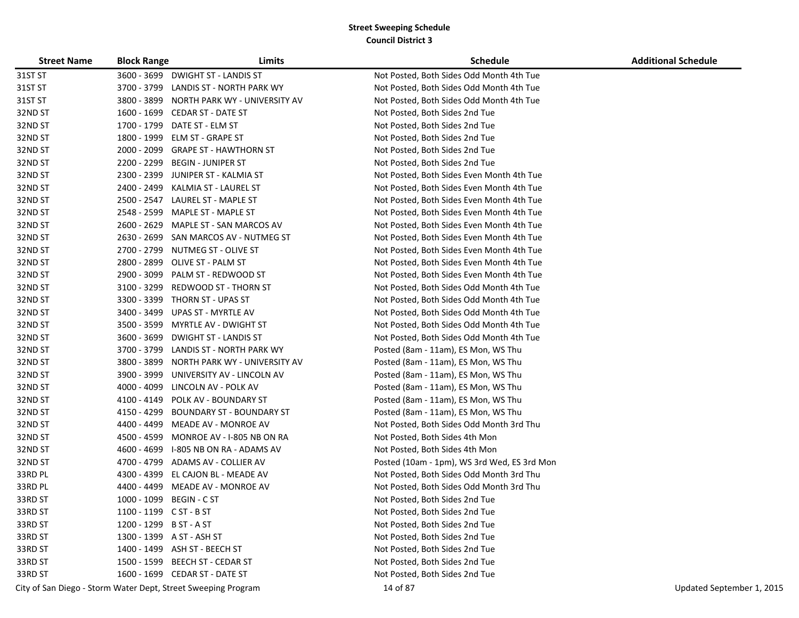| <b>Street Name</b> | <b>Block Range</b>      | Limits                                                        | <b>Schedule</b>                             | <b>Additional Schedule</b> |
|--------------------|-------------------------|---------------------------------------------------------------|---------------------------------------------|----------------------------|
| 31ST ST            |                         | 3600 - 3699 DWIGHT ST - LANDIS ST                             | Not Posted, Both Sides Odd Month 4th Tue    |                            |
| 31ST ST            |                         | 3700 - 3799 LANDIS ST - NORTH PARK WY                         | Not Posted, Both Sides Odd Month 4th Tue    |                            |
| 31ST ST            |                         | 3800 - 3899 NORTH PARK WY - UNIVERSITY AV                     | Not Posted, Both Sides Odd Month 4th Tue    |                            |
| 32ND ST            |                         | 1600 - 1699 CEDAR ST - DATE ST                                | Not Posted, Both Sides 2nd Tue              |                            |
| 32ND ST            |                         | 1700 - 1799 DATE ST - ELM ST                                  | Not Posted, Both Sides 2nd Tue              |                            |
| 32ND ST            |                         | 1800 - 1999 ELM ST - GRAPE ST                                 | Not Posted, Both Sides 2nd Tue              |                            |
| 32ND ST            | 2000 - 2099             | <b>GRAPE ST - HAWTHORN ST</b>                                 | Not Posted, Both Sides 2nd Tue              |                            |
| 32ND ST            | 2200 - 2299             | <b>BEGIN - JUNIPER ST</b>                                     | Not Posted, Both Sides 2nd Tue              |                            |
| 32ND ST            | 2300 - 2399             | JUNIPER ST - KALMIA ST                                        | Not Posted, Both Sides Even Month 4th Tue   |                            |
| 32ND ST            | 2400 - 2499             | KALMIA ST - LAUREL ST                                         | Not Posted, Both Sides Even Month 4th Tue   |                            |
| 32ND ST            | 2500 - 2547             | LAUREL ST - MAPLE ST                                          | Not Posted, Both Sides Even Month 4th Tue   |                            |
| 32ND ST            |                         | 2548 - 2599 MAPLE ST - MAPLE ST                               | Not Posted, Both Sides Even Month 4th Tue   |                            |
| 32ND ST            | 2600 - 2629             | MAPLE ST - SAN MARCOS AV                                      | Not Posted, Both Sides Even Month 4th Tue   |                            |
| 32ND ST            |                         | 2630 - 2699 SAN MARCOS AV - NUTMEG ST                         | Not Posted, Both Sides Even Month 4th Tue   |                            |
| 32ND ST            |                         | 2700 - 2799 NUTMEG ST - OLIVE ST                              | Not Posted, Both Sides Even Month 4th Tue   |                            |
| 32ND ST            | 2800 - 2899             | OLIVE ST - PALM ST                                            | Not Posted, Both Sides Even Month 4th Tue   |                            |
| 32ND ST            | 2900 - 3099             | PALM ST - REDWOOD ST                                          | Not Posted, Both Sides Even Month 4th Tue   |                            |
| 32ND ST            | 3100 - 3299             | <b>REDWOOD ST - THORN ST</b>                                  | Not Posted, Both Sides Odd Month 4th Tue    |                            |
| 32ND ST            | 3300 - 3399             | THORN ST - UPAS ST                                            | Not Posted, Both Sides Odd Month 4th Tue    |                            |
| 32ND ST            | 3400 - 3499             | UPAS ST - MYRTLE AV                                           | Not Posted, Both Sides Odd Month 4th Tue    |                            |
| 32ND ST            |                         | 3500 - 3599 MYRTLE AV - DWIGHT ST                             | Not Posted, Both Sides Odd Month 4th Tue    |                            |
| 32ND ST            | 3600 - 3699             | DWIGHT ST - LANDIS ST                                         | Not Posted, Both Sides Odd Month 4th Tue    |                            |
| 32ND ST            | 3700 - 3799             | LANDIS ST - NORTH PARK WY                                     | Posted (8am - 11am), ES Mon, WS Thu         |                            |
| 32ND ST            | 3800 - 3899             | NORTH PARK WY - UNIVERSITY AV                                 | Posted (8am - 11am), ES Mon, WS Thu         |                            |
| 32ND ST            | 3900 - 3999             | UNIVERSITY AV - LINCOLN AV                                    | Posted (8am - 11am), ES Mon, WS Thu         |                            |
| 32ND ST            | 4000 - 4099             | LINCOLN AV - POLK AV                                          | Posted (8am - 11am), ES Mon, WS Thu         |                            |
| 32ND ST            | 4100 - 4149             | POLK AV - BOUNDARY ST                                         | Posted (8am - 11am), ES Mon, WS Thu         |                            |
| 32ND ST            | 4150 - 4299             | BOUNDARY ST - BOUNDARY ST                                     | Posted (8am - 11am), ES Mon, WS Thu         |                            |
| 32ND ST            |                         | 4400 - 4499 MEADE AV - MONROE AV                              | Not Posted, Both Sides Odd Month 3rd Thu    |                            |
| 32ND ST            | 4500 - 4599             | MONROE AV - I-805 NB ON RA                                    | Not Posted, Both Sides 4th Mon              |                            |
| 32ND ST            | 4600 - 4699             | I-805 NB ON RA - ADAMS AV                                     | Not Posted, Both Sides 4th Mon              |                            |
| 32ND ST            | 4700 - 4799             | ADAMS AV - COLLIER AV                                         | Posted (10am - 1pm), WS 3rd Wed, ES 3rd Mon |                            |
| 33RD PL            | 4300 - 4399             | EL CAJON BL - MEADE AV                                        | Not Posted, Both Sides Odd Month 3rd Thu    |                            |
| 33RD PL            | 4400 - 4499             | MEADE AV - MONROE AV                                          | Not Posted, Both Sides Odd Month 3rd Thu    |                            |
| 33RD ST            | 1000 - 1099             | <b>BEGIN - C ST</b>                                           | Not Posted, Both Sides 2nd Tue              |                            |
| 33RD ST            | $1100 - 1199$ CST - BST |                                                               | Not Posted, Both Sides 2nd Tue              |                            |
| 33RD ST            | 1200 - 1299 B ST - A ST |                                                               | Not Posted, Both Sides 2nd Tue              |                            |
| 33RD ST            |                         | 1300 - 1399 A ST - ASH ST                                     | Not Posted, Both Sides 2nd Tue              |                            |
| 33RD ST            |                         | 1400 - 1499 ASH ST - BEECH ST                                 | Not Posted, Both Sides 2nd Tue              |                            |
| 33RD ST            |                         | 1500 - 1599 BEECH ST - CEDAR ST                               | Not Posted, Both Sides 2nd Tue              |                            |
| 33RD ST            |                         | 1600 - 1699 CEDAR ST - DATE ST                                | Not Posted, Both Sides 2nd Tue              |                            |
|                    |                         | City of San Diego - Storm Water Dept, Street Sweeping Program | 14 of 87                                    | Updated September 1, 2015  |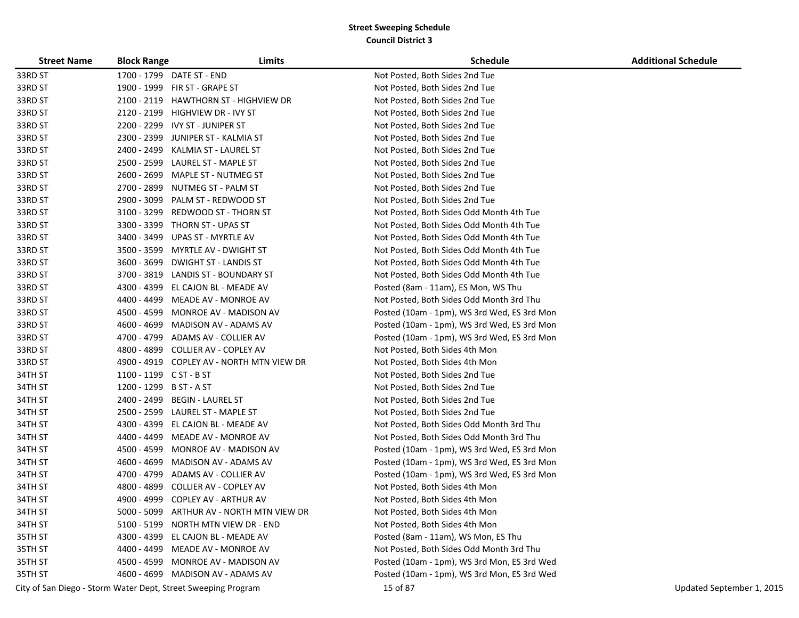| <b>Street Name</b> | <b>Block Range</b>      | Limits                                                        | <b>Schedule</b>                             | <b>Additional Schedule</b> |
|--------------------|-------------------------|---------------------------------------------------------------|---------------------------------------------|----------------------------|
| 33RD ST            |                         | 1700 - 1799 DATE ST - END                                     | Not Posted, Both Sides 2nd Tue              |                            |
| 33RD ST            |                         | 1900 - 1999 FIR ST - GRAPE ST                                 | Not Posted, Both Sides 2nd Tue              |                            |
| 33RD ST            | 2100 - 2119             | <b>HAWTHORN ST - HIGHVIEW DR</b>                              | Not Posted, Both Sides 2nd Tue              |                            |
| 33RD ST            | 2120 - 2199             | HIGHVIEW DR - IVY ST                                          | Not Posted, Both Sides 2nd Tue              |                            |
| 33RD ST            | 2200 - 2299             | IVY ST - JUNIPER ST                                           | Not Posted, Both Sides 2nd Tue              |                            |
| 33RD ST            | 2300 - 2399             | JUNIPER ST - KALMIA ST                                        | Not Posted, Both Sides 2nd Tue              |                            |
| 33RD ST            | 2400 - 2499             | KALMIA ST - LAUREL ST                                         | Not Posted, Both Sides 2nd Tue              |                            |
| 33RD ST            | 2500 - 2599             | LAUREL ST - MAPLE ST                                          | Not Posted, Both Sides 2nd Tue              |                            |
| 33RD ST            | 2600 - 2699             | MAPLE ST - NUTMEG ST                                          | Not Posted, Both Sides 2nd Tue              |                            |
| 33RD ST            | 2700 - 2899             | NUTMEG ST - PALM ST                                           | Not Posted, Both Sides 2nd Tue              |                            |
| 33RD ST            | 2900 - 3099             | PALM ST - REDWOOD ST                                          | Not Posted, Both Sides 2nd Tue              |                            |
| 33RD ST            | 3100 - 3299             | REDWOOD ST - THORN ST                                         | Not Posted, Both Sides Odd Month 4th Tue    |                            |
| 33RD ST            | 3300 - 3399             | THORN ST - UPAS ST                                            | Not Posted, Both Sides Odd Month 4th Tue    |                            |
| 33RD ST            | 3400 - 3499             | UPAS ST - MYRTLE AV                                           | Not Posted, Both Sides Odd Month 4th Tue    |                            |
| 33RD ST            | 3500 - 3599             | MYRTLE AV - DWIGHT ST                                         | Not Posted, Both Sides Odd Month 4th Tue    |                            |
| 33RD ST            | 3600 - 3699             | <b>DWIGHT ST - LANDIS ST</b>                                  | Not Posted, Both Sides Odd Month 4th Tue    |                            |
| 33RD ST            | 3700 - 3819             | <b>LANDIS ST - BOUNDARY ST</b>                                | Not Posted, Both Sides Odd Month 4th Tue    |                            |
| 33RD ST            | 4300 - 4399             | EL CAJON BL - MEADE AV                                        | Posted (8am - 11am), ES Mon, WS Thu         |                            |
| 33RD ST            | 4400 - 4499             | MEADE AV - MONROE AV                                          | Not Posted, Both Sides Odd Month 3rd Thu    |                            |
| 33RD ST            | 4500 - 4599             | MONROE AV - MADISON AV                                        | Posted (10am - 1pm), WS 3rd Wed, ES 3rd Mon |                            |
| 33RD ST            | 4600 - 4699             | MADISON AV - ADAMS AV                                         | Posted (10am - 1pm), WS 3rd Wed, ES 3rd Mon |                            |
| 33RD ST            |                         | 4700 - 4799 ADAMS AV - COLLIER AV                             | Posted (10am - 1pm), WS 3rd Wed, ES 3rd Mon |                            |
| 33RD ST            |                         | 4800 - 4899 COLLIER AV - COPLEY AV                            | Not Posted, Both Sides 4th Mon              |                            |
| 33RD ST            |                         | 4900 - 4919 COPLEY AV - NORTH MTN VIEW DR                     | Not Posted, Both Sides 4th Mon              |                            |
| 34TH ST            | 1100 - 1199 C ST - B ST |                                                               | Not Posted, Both Sides 2nd Tue              |                            |
| 34TH ST            | 1200 - 1299 B ST - A ST |                                                               | Not Posted, Both Sides 2nd Tue              |                            |
| 34TH ST            | 2400 - 2499             | <b>BEGIN - LAUREL ST</b>                                      | Not Posted, Both Sides 2nd Tue              |                            |
| 34TH ST            | 2500 - 2599             | LAUREL ST - MAPLE ST                                          | Not Posted, Both Sides 2nd Tue              |                            |
| 34TH ST            | 4300 - 4399             | EL CAJON BL - MEADE AV                                        | Not Posted, Both Sides Odd Month 3rd Thu    |                            |
| 34TH ST            | 4400 - 4499             | MEADE AV - MONROE AV                                          | Not Posted, Both Sides Odd Month 3rd Thu    |                            |
| 34TH ST            | 4500 - 4599             | MONROE AV - MADISON AV                                        | Posted (10am - 1pm), WS 3rd Wed, ES 3rd Mon |                            |
| 34TH ST            | 4600 - 4699             | MADISON AV - ADAMS AV                                         | Posted (10am - 1pm), WS 3rd Wed, ES 3rd Mon |                            |
| 34TH ST            | 4700 - 4799             | ADAMS AV - COLLIER AV                                         | Posted (10am - 1pm), WS 3rd Wed, ES 3rd Mon |                            |
| 34TH ST            | 4800 - 4899             | COLLIER AV - COPLEY AV                                        | Not Posted, Both Sides 4th Mon              |                            |
| 34TH ST            | 4900 - 4999             | <b>COPLEY AV - ARTHUR AV</b>                                  | Not Posted, Both Sides 4th Mon              |                            |
| 34TH ST            |                         | 5000 - 5099 ARTHUR AV - NORTH MTN VIEW DR                     | Not Posted, Both Sides 4th Mon              |                            |
| 34TH ST            |                         | 5100 - 5199 NORTH MTN VIEW DR - END                           | Not Posted, Both Sides 4th Mon              |                            |
| 35TH ST            |                         | 4300 - 4399 EL CAJON BL - MEADE AV                            | Posted (8am - 11am), WS Mon, ES Thu         |                            |
| 35TH ST            |                         | 4400 - 4499 MEADE AV - MONROE AV                              | Not Posted, Both Sides Odd Month 3rd Thu    |                            |
| 35TH ST            |                         | 4500 - 4599 MONROE AV - MADISON AV                            | Posted (10am - 1pm), WS 3rd Mon, ES 3rd Wed |                            |
| 35TH ST            |                         | 4600 - 4699 MADISON AV - ADAMS AV                             | Posted (10am - 1pm), WS 3rd Mon, ES 3rd Wed |                            |
|                    |                         | City of San Diego - Storm Water Dept, Street Sweeping Program | 15 of 87                                    | Updated September 1, 2015  |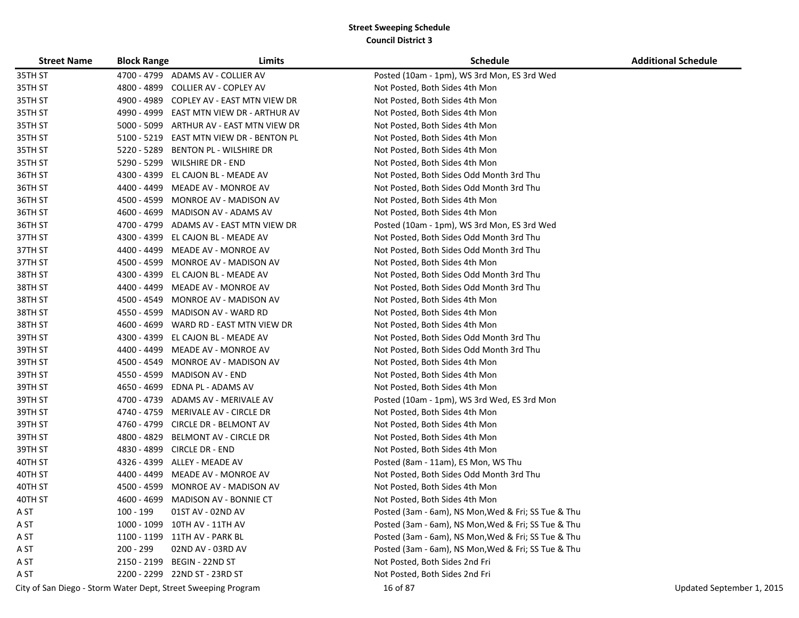| <b>Street Name</b> | <b>Block Range</b> | Limits                                                        | <b>Schedule</b>                                     | <b>Additional Schedule</b> |
|--------------------|--------------------|---------------------------------------------------------------|-----------------------------------------------------|----------------------------|
| 35TH ST            |                    | 4700 - 4799 ADAMS AV - COLLIER AV                             | Posted (10am - 1pm), WS 3rd Mon, ES 3rd Wed         |                            |
| 35TH ST            | 4800 - 4899        | COLLIER AV - COPLEY AV                                        | Not Posted, Both Sides 4th Mon                      |                            |
| 35TH ST            | 4900 - 4989        | COPLEY AV - EAST MTN VIEW DR                                  | Not Posted, Both Sides 4th Mon                      |                            |
| 35TH ST            | 4990 - 4999        | EAST MTN VIEW DR - ARTHUR AV                                  | Not Posted, Both Sides 4th Mon                      |                            |
| 35TH ST            | 5000 - 5099        | ARTHUR AV - EAST MTN VIEW DR                                  | Not Posted, Both Sides 4th Mon                      |                            |
| 35TH ST            | $5100 - 5219$      | EAST MTN VIEW DR - BENTON PL                                  | Not Posted, Both Sides 4th Mon                      |                            |
| 35TH ST            | 5220 - 5289        | BENTON PL - WILSHIRE DR                                       | Not Posted, Both Sides 4th Mon                      |                            |
| 35TH ST            | 5290 - 5299        | <b>WILSHIRE DR - END</b>                                      | Not Posted, Both Sides 4th Mon                      |                            |
| 36TH ST            | 4300 - 4399        | EL CAJON BL - MEADE AV                                        | Not Posted, Both Sides Odd Month 3rd Thu            |                            |
| 36TH ST            | 4400 - 4499        | MEADE AV - MONROE AV                                          | Not Posted, Both Sides Odd Month 3rd Thu            |                            |
| 36TH ST            | 4500 - 4599        | MONROE AV - MADISON AV                                        | Not Posted, Both Sides 4th Mon                      |                            |
| 36TH ST            | 4600 - 4699        | MADISON AV - ADAMS AV                                         | Not Posted, Both Sides 4th Mon                      |                            |
| 36TH ST            | 4700 - 4799        | ADAMS AV - EAST MTN VIEW DR                                   | Posted (10am - 1pm), WS 3rd Mon, ES 3rd Wed         |                            |
| 37TH ST            | 4300 - 4399        | EL CAJON BL - MEADE AV                                        | Not Posted, Both Sides Odd Month 3rd Thu            |                            |
| 37TH ST            | 4400 - 4499        | MEADE AV - MONROE AV                                          | Not Posted, Both Sides Odd Month 3rd Thu            |                            |
| 37TH ST            | 4500 - 4599        | MONROE AV - MADISON AV                                        | Not Posted, Both Sides 4th Mon                      |                            |
| 38TH ST            | 4300 - 4399        | EL CAJON BL - MEADE AV                                        | Not Posted, Both Sides Odd Month 3rd Thu            |                            |
| 38TH ST            | 4400 - 4499        | MEADE AV - MONROE AV                                          | Not Posted, Both Sides Odd Month 3rd Thu            |                            |
| 38TH ST            | 4500 - 4549        | MONROE AV - MADISON AV                                        | Not Posted, Both Sides 4th Mon                      |                            |
| 38TH ST            | 4550 - 4599        | MADISON AV - WARD RD                                          | Not Posted, Both Sides 4th Mon                      |                            |
| 38TH ST            | 4600 - 4699        | WARD RD - EAST MTN VIEW DR                                    | Not Posted, Both Sides 4th Mon                      |                            |
| 39TH ST            |                    | 4300 - 4399 EL CAJON BL - MEADE AV                            | Not Posted, Both Sides Odd Month 3rd Thu            |                            |
| 39TH ST            |                    | 4400 - 4499 MEADE AV - MONROE AV                              | Not Posted, Both Sides Odd Month 3rd Thu            |                            |
| 39TH ST            | 4500 - 4549        | MONROE AV - MADISON AV                                        | Not Posted, Both Sides 4th Mon                      |                            |
| 39TH ST            | 4550 - 4599        | <b>MADISON AV - END</b>                                       | Not Posted, Both Sides 4th Mon                      |                            |
| 39TH ST            | 4650 - 4699        | EDNA PL - ADAMS AV                                            | Not Posted, Both Sides 4th Mon                      |                            |
| 39TH ST            | 4700 - 4739        | ADAMS AV - MERIVALE AV                                        | Posted (10am - 1pm), WS 3rd Wed, ES 3rd Mon         |                            |
| 39TH ST            | 4740 - 4759        | MERIVALE AV - CIRCLE DR                                       | Not Posted, Both Sides 4th Mon                      |                            |
| 39TH ST            | 4760 - 4799        | CIRCLE DR - BELMONT AV                                        | Not Posted, Both Sides 4th Mon                      |                            |
| 39TH ST            | 4800 - 4829        | BELMONT AV - CIRCLE DR                                        | Not Posted, Both Sides 4th Mon                      |                            |
| 39TH ST            | 4830 - 4899        | <b>CIRCLE DR - END</b>                                        | Not Posted, Both Sides 4th Mon                      |                            |
| 40TH ST            | 4326 - 4399        | ALLEY - MEADE AV                                              | Posted (8am - 11am), ES Mon, WS Thu                 |                            |
| 40TH ST            | 4400 - 4499        | MEADE AV - MONROE AV                                          | Not Posted, Both Sides Odd Month 3rd Thu            |                            |
| 40TH ST            | 4500 - 4599        | MONROE AV - MADISON AV                                        | Not Posted, Both Sides 4th Mon                      |                            |
| 40TH ST            | 4600 - 4699        | <b>MADISON AV - BONNIE CT</b>                                 | Not Posted, Both Sides 4th Mon                      |                            |
| A ST               | 100 - 199          | 01ST AV - 02ND AV                                             | Posted (3am - 6am), NS Mon, Wed & Fri; SS Tue & Thu |                            |
| A ST               |                    | 1000 - 1099 10TH AV - 11TH AV                                 | Posted (3am - 6am), NS Mon, Wed & Fri; SS Tue & Thu |                            |
| A ST               |                    | 1100 - 1199 11TH AV - PARK BL                                 | Posted (3am - 6am), NS Mon, Wed & Fri; SS Tue & Thu |                            |
| A ST               | 200 - 299          | 02ND AV - 03RD AV                                             | Posted (3am - 6am), NS Mon, Wed & Fri; SS Tue & Thu |                            |
| A ST               |                    | 2150 - 2199 BEGIN - 22ND ST                                   | Not Posted, Both Sides 2nd Fri                      |                            |
| A ST               |                    | 2200 - 2299 22ND ST - 23RD ST                                 | Not Posted, Both Sides 2nd Fri                      |                            |
|                    |                    | City of San Diego - Storm Water Dept, Street Sweeping Program | 16 of 87                                            | Updated September 1, 2015  |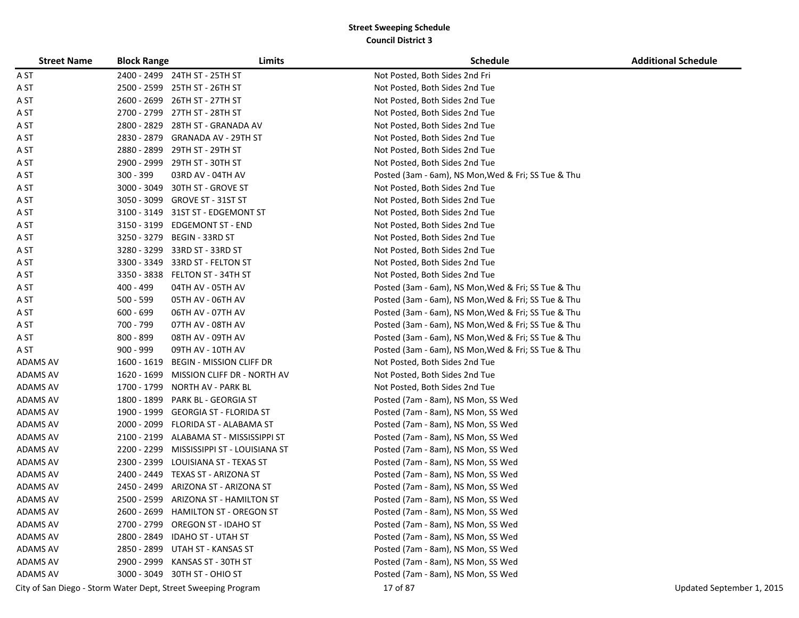| <b>Street Name</b> | <b>Block Range</b> | Limits                                                        | <b>Schedule</b>                                     | <b>Additional Schedule</b> |
|--------------------|--------------------|---------------------------------------------------------------|-----------------------------------------------------|----------------------------|
| A ST               |                    | 2400 - 2499 24TH ST - 25TH ST                                 | Not Posted, Both Sides 2nd Fri                      |                            |
| A ST               | 2500 - 2599        | 25TH ST - 26TH ST                                             | Not Posted, Both Sides 2nd Tue                      |                            |
| A ST               | 2600 - 2699        | 26TH ST - 27TH ST                                             | Not Posted, Both Sides 2nd Tue                      |                            |
| A ST               | 2700 - 2799        | 27TH ST - 28TH ST                                             | Not Posted, Both Sides 2nd Tue                      |                            |
| A ST               | 2800 - 2829        | 28TH ST - GRANADA AV                                          | Not Posted, Both Sides 2nd Tue                      |                            |
| A ST               | 2830 - 2879        | <b>GRANADA AV - 29TH ST</b>                                   | Not Posted, Both Sides 2nd Tue                      |                            |
| A ST               | 2880 - 2899        | 29TH ST - 29TH ST                                             | Not Posted, Both Sides 2nd Tue                      |                            |
| A ST               | 2900 - 2999        | 29TH ST - 30TH ST                                             | Not Posted, Both Sides 2nd Tue                      |                            |
| A ST               | $300 - 399$        | 03RD AV - 04TH AV                                             | Posted (3am - 6am), NS Mon, Wed & Fri; SS Tue & Thu |                            |
| A ST               | 3000 - 3049        | 30TH ST - GROVE ST                                            | Not Posted, Both Sides 2nd Tue                      |                            |
| A ST               | 3050 - 3099        | GROVE ST - 31ST ST                                            | Not Posted, Both Sides 2nd Tue                      |                            |
| A ST               | 3100 - 3149        | 31ST ST - EDGEMONT ST                                         | Not Posted, Both Sides 2nd Tue                      |                            |
| A ST               | 3150 - 3199        | <b>EDGEMONT ST - END</b>                                      | Not Posted, Both Sides 2nd Tue                      |                            |
| A ST               | 3250 - 3279        | BEGIN - 33RD ST                                               | Not Posted, Both Sides 2nd Tue                      |                            |
| A ST               | 3280 - 3299        | 33RD ST - 33RD ST                                             | Not Posted, Both Sides 2nd Tue                      |                            |
| A ST               | 3300 - 3349        | 33RD ST - FELTON ST                                           | Not Posted, Both Sides 2nd Tue                      |                            |
| A ST               | 3350 - 3838        | FELTON ST - 34TH ST                                           | Not Posted, Both Sides 2nd Tue                      |                            |
| A ST               | 400 - 499          | 04TH AV - 05TH AV                                             | Posted (3am - 6am), NS Mon, Wed & Fri; SS Tue & Thu |                            |
| A ST               | $500 - 599$        | 05TH AV - 06TH AV                                             | Posted (3am - 6am), NS Mon, Wed & Fri; SS Tue & Thu |                            |
| A ST               | $600 - 699$        | 06TH AV - 07TH AV                                             | Posted (3am - 6am), NS Mon, Wed & Fri; SS Tue & Thu |                            |
| A ST               | 700 - 799          | 07TH AV - 08TH AV                                             | Posted (3am - 6am), NS Mon, Wed & Fri; SS Tue & Thu |                            |
| A ST               | 800 - 899          | 08TH AV - 09TH AV                                             | Posted (3am - 6am), NS Mon, Wed & Fri; SS Tue & Thu |                            |
| A ST               | $900 - 999$        | 09TH AV - 10TH AV                                             | Posted (3am - 6am), NS Mon, Wed & Fri; SS Tue & Thu |                            |
| <b>ADAMS AV</b>    | 1600 - 1619        | <b>BEGIN - MISSION CLIFF DR</b>                               | Not Posted, Both Sides 2nd Tue                      |                            |
| ADAMS AV           | 1620 - 1699        | MISSION CLIFF DR - NORTH AV                                   | Not Posted, Both Sides 2nd Tue                      |                            |
| ADAMS AV           | 1700 - 1799        | NORTH AV - PARK BL                                            | Not Posted, Both Sides 2nd Tue                      |                            |
| ADAMS AV           | 1800 - 1899        | PARK BL - GEORGIA ST                                          | Posted (7am - 8am), NS Mon, SS Wed                  |                            |
| ADAMS AV           | 1900 - 1999        | <b>GEORGIA ST - FLORIDA ST</b>                                | Posted (7am - 8am), NS Mon, SS Wed                  |                            |
| ADAMS AV           | 2000 - 2099        | FLORIDA ST - ALABAMA ST                                       | Posted (7am - 8am), NS Mon, SS Wed                  |                            |
| ADAMS AV           | 2100 - 2199        | ALABAMA ST - MISSISSIPPI ST                                   | Posted (7am - 8am), NS Mon, SS Wed                  |                            |
| ADAMS AV           | 2200 - 2299        | MISSISSIPPI ST - LOUISIANA ST                                 | Posted (7am - 8am), NS Mon, SS Wed                  |                            |
| ADAMS AV           | 2300 - 2399        | LOUISIANA ST - TEXAS ST                                       | Posted (7am - 8am), NS Mon, SS Wed                  |                            |
| ADAMS AV           |                    | 2400 - 2449 TEXAS ST - ARIZONA ST                             | Posted (7am - 8am), NS Mon, SS Wed                  |                            |
| <b>ADAMS AV</b>    | 2450 - 2499        | ARIZONA ST - ARIZONA ST                                       | Posted (7am - 8am), NS Mon, SS Wed                  |                            |
| ADAMS AV           |                    | 2500 - 2599 ARIZONA ST - HAMILTON ST                          | Posted (7am - 8am), NS Mon, SS Wed                  |                            |
| ADAMS AV           |                    | 2600 - 2699 HAMILTON ST - OREGON ST                           | Posted (7am - 8am), NS Mon, SS Wed                  |                            |
| ADAMS AV           |                    | 2700 - 2799 OREGON ST - IDAHO ST                              | Posted (7am - 8am), NS Mon, SS Wed                  |                            |
| ADAMS AV           |                    | 2800 - 2849 IDAHO ST - UTAH ST                                | Posted (7am - 8am), NS Mon, SS Wed                  |                            |
| ADAMS AV           |                    | 2850 - 2899 UTAH ST - KANSAS ST                               | Posted (7am - 8am), NS Mon, SS Wed                  |                            |
| <b>ADAMS AV</b>    |                    | 2900 - 2999 KANSAS ST - 30TH ST                               | Posted (7am - 8am), NS Mon, SS Wed                  |                            |
| <b>ADAMS AV</b>    |                    | 3000 - 3049 30TH ST - OHIO ST                                 | Posted (7am - 8am), NS Mon, SS Wed                  |                            |
|                    |                    | City of San Diego - Storm Water Dept, Street Sweeping Program | 17 of 87                                            | Updated September 1, 2015  |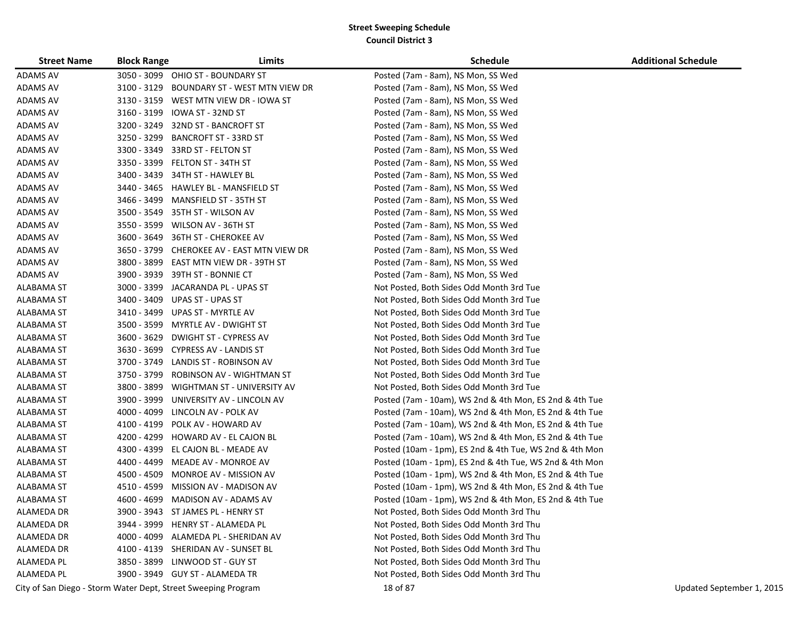| <b>Street Name</b> | <b>Block Range</b> | Limits                                                        | <b>Schedule</b>                                         | <b>Additional Schedule</b> |
|--------------------|--------------------|---------------------------------------------------------------|---------------------------------------------------------|----------------------------|
| ADAMS AV           |                    | 3050 - 3099 OHIO ST - BOUNDARY ST                             | Posted (7am - 8am), NS Mon, SS Wed                      |                            |
| <b>ADAMS AV</b>    |                    | 3100 - 3129 BOUNDARY ST - WEST MTN VIEW DR                    | Posted (7am - 8am), NS Mon, SS Wed                      |                            |
| <b>ADAMS AV</b>    |                    | 3130 - 3159 WEST MTN VIEW DR - IOWA ST                        | Posted (7am - 8am), NS Mon, SS Wed                      |                            |
| ADAMS AV           |                    | 3160 - 3199 IOWA ST - 32ND ST                                 | Posted (7am - 8am), NS Mon, SS Wed                      |                            |
| <b>ADAMS AV</b>    |                    | 3200 - 3249 32ND ST - BANCROFT ST                             | Posted (7am - 8am), NS Mon, SS Wed                      |                            |
| ADAMS AV           |                    | 3250 - 3299 BANCROFT ST - 33RD ST                             | Posted (7am - 8am), NS Mon, SS Wed                      |                            |
| <b>ADAMS AV</b>    |                    | 3300 - 3349 33RD ST - FELTON ST                               | Posted (7am - 8am), NS Mon, SS Wed                      |                            |
| ADAMS AV           |                    | 3350 - 3399 FELTON ST - 34TH ST                               | Posted (7am - 8am), NS Mon, SS Wed                      |                            |
| ADAMS AV           |                    | 3400 - 3439 34TH ST - HAWLEY BL                               | Posted (7am - 8am), NS Mon, SS Wed                      |                            |
| <b>ADAMS AV</b>    |                    | 3440 - 3465 HAWLEY BL - MANSFIELD ST                          | Posted (7am - 8am), NS Mon, SS Wed                      |                            |
| <b>ADAMS AV</b>    |                    | 3466 - 3499 MANSFIELD ST - 35TH ST                            | Posted (7am - 8am), NS Mon, SS Wed                      |                            |
| <b>ADAMS AV</b>    |                    | 3500 - 3549 35TH ST - WILSON AV                               | Posted (7am - 8am), NS Mon, SS Wed                      |                            |
| <b>ADAMS AV</b>    |                    | 3550 - 3599 WILSON AV - 36TH ST                               | Posted (7am - 8am), NS Mon, SS Wed                      |                            |
| <b>ADAMS AV</b>    |                    | 3600 - 3649 36TH ST - CHEROKEE AV                             | Posted (7am - 8am), NS Mon, SS Wed                      |                            |
| <b>ADAMS AV</b>    |                    | 3650 - 3799 CHEROKEE AV - EAST MTN VIEW DR                    | Posted (7am - 8am), NS Mon, SS Wed                      |                            |
| <b>ADAMS AV</b>    | 3800 - 3899        | EAST MTN VIEW DR - 39TH ST                                    | Posted (7am - 8am), NS Mon, SS Wed                      |                            |
| ADAMS AV           | 3900 - 3939        | 39TH ST - BONNIE CT                                           | Posted (7am - 8am), NS Mon, SS Wed                      |                            |
| ALABAMA ST         | 3000 - 3399        | JACARANDA PL - UPAS ST                                        | Not Posted, Both Sides Odd Month 3rd Tue                |                            |
| ALABAMA ST         | 3400 - 3409        | UPAS ST - UPAS ST                                             | Not Posted, Both Sides Odd Month 3rd Tue                |                            |
| ALABAMA ST         |                    | 3410 - 3499 UPAS ST - MYRTLE AV                               | Not Posted, Both Sides Odd Month 3rd Tue                |                            |
| ALABAMA ST         |                    | 3500 - 3599 MYRTLE AV - DWIGHT ST                             | Not Posted, Both Sides Odd Month 3rd Tue                |                            |
| ALABAMA ST         |                    | 3600 - 3629 DWIGHT ST - CYPRESS AV                            | Not Posted, Both Sides Odd Month 3rd Tue                |                            |
| ALABAMA ST         |                    | 3630 - 3699 CYPRESS AV - LANDIS ST                            | Not Posted, Both Sides Odd Month 3rd Tue                |                            |
| <b>ALABAMA ST</b>  |                    | 3700 - 3749 LANDIS ST - ROBINSON AV                           | Not Posted, Both Sides Odd Month 3rd Tue                |                            |
| ALABAMA ST         |                    | 3750 - 3799 ROBINSON AV - WIGHTMAN ST                         | Not Posted, Both Sides Odd Month 3rd Tue                |                            |
| ALABAMA ST         | 3800 - 3899        | WIGHTMAN ST - UNIVERSITY AV                                   | Not Posted, Both Sides Odd Month 3rd Tue                |                            |
| ALABAMA ST         | 3900 - 3999        | UNIVERSITY AV - LINCOLN AV                                    | Posted (7am - 10am), WS 2nd & 4th Mon, ES 2nd & 4th Tue |                            |
| ALABAMA ST         |                    | 4000 - 4099 LINCOLN AV - POLK AV                              | Posted (7am - 10am), WS 2nd & 4th Mon, ES 2nd & 4th Tue |                            |
| ALABAMA ST         |                    | 4100 - 4199 POLK AV - HOWARD AV                               | Posted (7am - 10am), WS 2nd & 4th Mon, ES 2nd & 4th Tue |                            |
| ALABAMA ST         |                    | 4200 - 4299 HOWARD AV - EL CAJON BL                           | Posted (7am - 10am), WS 2nd & 4th Mon, ES 2nd & 4th Tue |                            |
| ALABAMA ST         |                    | 4300 - 4399 EL CAJON BL - MEADE AV                            | Posted (10am - 1pm), ES 2nd & 4th Tue, WS 2nd & 4th Mon |                            |
| ALABAMA ST         |                    | 4400 - 4499 MEADE AV - MONROE AV                              | Posted (10am - 1pm), ES 2nd & 4th Tue, WS 2nd & 4th Mon |                            |
| ALABAMA ST         | 4500 - 4509        | MONROE AV - MISSION AV                                        | Posted (10am - 1pm), WS 2nd & 4th Mon, ES 2nd & 4th Tue |                            |
| ALABAMA ST         |                    | 4510 - 4599 MISSION AV - MADISON AV                           | Posted (10am - 1pm), WS 2nd & 4th Mon, ES 2nd & 4th Tue |                            |
| ALABAMA ST         |                    | 4600 - 4699 MADISON AV - ADAMS AV                             | Posted (10am - 1pm), WS 2nd & 4th Mon, ES 2nd & 4th Tue |                            |
| ALAMEDA DR         |                    | 3900 - 3943 ST JAMES PL - HENRY ST                            | Not Posted, Both Sides Odd Month 3rd Thu                |                            |
| ALAMEDA DR         |                    | 3944 - 3999 HENRY ST - ALAMEDA PL                             | Not Posted, Both Sides Odd Month 3rd Thu                |                            |
| ALAMEDA DR         |                    | 4000 - 4099 ALAMEDA PL - SHERIDAN AV                          | Not Posted, Both Sides Odd Month 3rd Thu                |                            |
| ALAMEDA DR         |                    | 4100 - 4139 SHERIDAN AV - SUNSET BL                           | Not Posted, Both Sides Odd Month 3rd Thu                |                            |
| <b>ALAMEDA PL</b>  |                    | 3850 - 3899 LINWOOD ST - GUY ST                               | Not Posted, Both Sides Odd Month 3rd Thu                |                            |
| ALAMEDA PL         |                    | 3900 - 3949 GUY ST - ALAMEDA TR                               | Not Posted, Both Sides Odd Month 3rd Thu                |                            |
|                    |                    | City of San Diego - Storm Water Dept, Street Sweeping Program | 18 of 87                                                | Updated September 1, 2015  |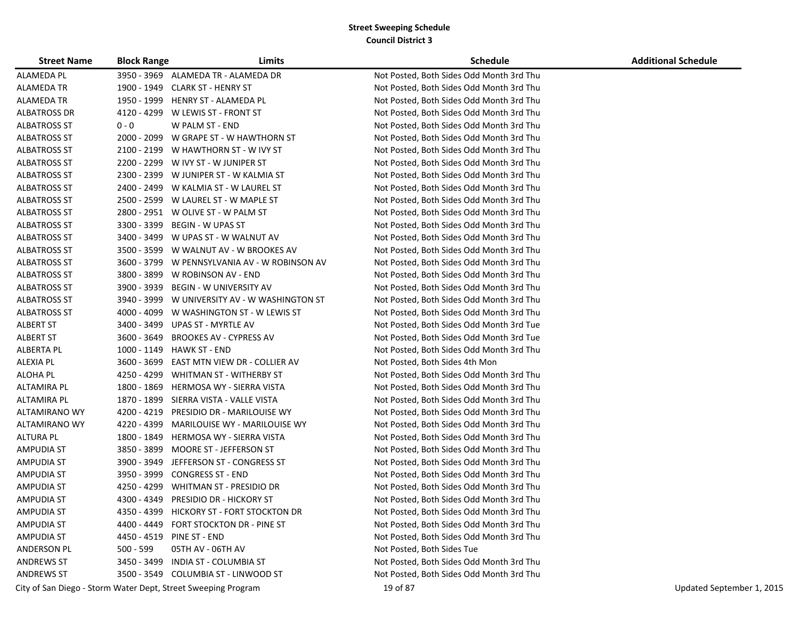| <b>Street Name</b>  | <b>Block Range</b> | Limits                                                        | <b>Schedule</b>                          | <b>Additional Schedule</b> |
|---------------------|--------------------|---------------------------------------------------------------|------------------------------------------|----------------------------|
| ALAMEDA PL          |                    | 3950 - 3969 ALAMEDA TR - ALAMEDA DR                           | Not Posted, Both Sides Odd Month 3rd Thu |                            |
| ALAMEDA TR          |                    | 1900 - 1949 CLARK ST - HENRY ST                               | Not Posted, Both Sides Odd Month 3rd Thu |                            |
| ALAMEDA TR          | 1950 - 1999        | HENRY ST - ALAMEDA PL                                         | Not Posted, Both Sides Odd Month 3rd Thu |                            |
| ALBATROSS DR        |                    | 4120 - 4299 W LEWIS ST - FRONT ST                             | Not Posted, Both Sides Odd Month 3rd Thu |                            |
| ALBATROSS ST        | $0 - 0$            | W PALM ST - END                                               | Not Posted, Both Sides Odd Month 3rd Thu |                            |
| ALBATROSS ST        |                    | 2000 - 2099 W GRAPE ST - W HAWTHORN ST                        | Not Posted, Both Sides Odd Month 3rd Thu |                            |
| ALBATROSS ST        |                    | 2100 - 2199 W HAWTHORN ST - W IVY ST                          | Not Posted, Both Sides Odd Month 3rd Thu |                            |
| ALBATROSS ST        |                    | 2200 - 2299 W IVY ST - W JUNIPER ST                           | Not Posted, Both Sides Odd Month 3rd Thu |                            |
| ALBATROSS ST        |                    | 2300 - 2399 W JUNIPER ST - W KALMIA ST                        | Not Posted, Both Sides Odd Month 3rd Thu |                            |
| ALBATROSS ST        |                    | 2400 - 2499 W KALMIA ST - W LAUREL ST                         | Not Posted, Both Sides Odd Month 3rd Thu |                            |
| ALBATROSS ST        |                    | 2500 - 2599 W LAUREL ST - W MAPLE ST                          | Not Posted, Both Sides Odd Month 3rd Thu |                            |
| ALBATROSS ST        |                    | 2800 - 2951 W OLIVE ST - W PALM ST                            | Not Posted, Both Sides Odd Month 3rd Thu |                            |
| ALBATROSS ST        |                    | 3300 - 3399 BEGIN - W UPAS ST                                 | Not Posted, Both Sides Odd Month 3rd Thu |                            |
| ALBATROSS ST        |                    | 3400 - 3499 W UPAS ST - W WALNUT AV                           | Not Posted, Both Sides Odd Month 3rd Thu |                            |
| <b>ALBATROSS ST</b> |                    | 3500 - 3599 W WALNUT AV - W BROOKES AV                        | Not Posted, Both Sides Odd Month 3rd Thu |                            |
| <b>ALBATROSS ST</b> |                    | 3600 - 3799 W PENNSYLVANIA AV - W ROBINSON AV                 | Not Posted, Both Sides Odd Month 3rd Thu |                            |
| <b>ALBATROSS ST</b> | 3800 - 3899        | W ROBINSON AV - END                                           | Not Posted, Both Sides Odd Month 3rd Thu |                            |
| ALBATROSS ST        | 3900 - 3939        | BEGIN - W UNIVERSITY AV                                       | Not Posted, Both Sides Odd Month 3rd Thu |                            |
| ALBATROSS ST        |                    | 3940 - 3999 W UNIVERSITY AV - W WASHINGTON ST                 | Not Posted, Both Sides Odd Month 3rd Thu |                            |
| <b>ALBATROSS ST</b> |                    | 4000 - 4099 W WASHINGTON ST - W LEWIS ST                      | Not Posted, Both Sides Odd Month 3rd Thu |                            |
| <b>ALBERT ST</b>    |                    | 3400 - 3499 UPAS ST - MYRTLE AV                               | Not Posted, Both Sides Odd Month 3rd Tue |                            |
| <b>ALBERT ST</b>    | 3600 - 3649        | BROOKES AV - CYPRESS AV                                       | Not Posted, Both Sides Odd Month 3rd Tue |                            |
| <b>ALBERTA PL</b>   | 1000 - 1149        | HAWK ST - END                                                 | Not Posted, Both Sides Odd Month 3rd Thu |                            |
| <b>ALEXIA PL</b>    | 3600 - 3699        | EAST MTN VIEW DR - COLLIER AV                                 | Not Posted, Both Sides 4th Mon           |                            |
| <b>ALOHA PL</b>     | 4250 - 4299        | WHITMAN ST - WITHERBY ST                                      | Not Posted, Both Sides Odd Month 3rd Thu |                            |
| ALTAMIRA PL         | 1800 - 1869        | HERMOSA WY - SIERRA VISTA                                     | Not Posted, Both Sides Odd Month 3rd Thu |                            |
| ALTAMIRA PL         | 1870 - 1899        | SIERRA VISTA - VALLE VISTA                                    | Not Posted, Both Sides Odd Month 3rd Thu |                            |
| ALTAMIRANO WY       | 4200 - 4219        | PRESIDIO DR - MARILOUISE WY                                   | Not Posted, Both Sides Odd Month 3rd Thu |                            |
| ALTAMIRANO WY       | 4220 - 4399        | MARILOUISE WY - MARILOUISE WY                                 | Not Posted, Both Sides Odd Month 3rd Thu |                            |
| <b>ALTURA PL</b>    | 1800 - 1849        | HERMOSA WY - SIERRA VISTA                                     | Not Posted, Both Sides Odd Month 3rd Thu |                            |
| AMPUDIA ST          | 3850 - 3899        | MOORE ST - JEFFERSON ST                                       | Not Posted, Both Sides Odd Month 3rd Thu |                            |
| AMPUDIA ST          | 3900 - 3949        | JEFFERSON ST - CONGRESS ST                                    | Not Posted, Both Sides Odd Month 3rd Thu |                            |
| <b>AMPUDIA ST</b>   | 3950 - 3999        | <b>CONGRESS ST - END</b>                                      | Not Posted, Both Sides Odd Month 3rd Thu |                            |
| AMPUDIA ST          | 4250 - 4299        | <b>WHITMAN ST - PRESIDIO DR</b>                               | Not Posted, Both Sides Odd Month 3rd Thu |                            |
| AMPUDIA ST          | 4300 - 4349        | <b>PRESIDIO DR - HICKORY ST</b>                               | Not Posted, Both Sides Odd Month 3rd Thu |                            |
| <b>AMPUDIA ST</b>   |                    | 4350 - 4399 HICKORY ST - FORT STOCKTON DR                     | Not Posted, Both Sides Odd Month 3rd Thu |                            |
| <b>AMPUDIA ST</b>   |                    | 4400 - 4449 FORT STOCKTON DR - PINE ST                        | Not Posted, Both Sides Odd Month 3rd Thu |                            |
| <b>AMPUDIA ST</b>   |                    | 4450 - 4519 PINE ST - END                                     | Not Posted, Both Sides Odd Month 3rd Thu |                            |
| <b>ANDERSON PL</b>  | $500 - 599$        | 05TH AV - 06TH AV                                             | Not Posted, Both Sides Tue               |                            |
| <b>ANDREWS ST</b>   | 3450 - 3499        | INDIA ST - COLUMBIA ST                                        | Not Posted, Both Sides Odd Month 3rd Thu |                            |
| <b>ANDREWS ST</b>   |                    | 3500 - 3549 COLUMBIA ST - LINWOOD ST                          | Not Posted, Both Sides Odd Month 3rd Thu |                            |
|                     |                    | City of San Diego - Storm Water Dept, Street Sweeping Program | 19 of 87                                 | Updated September 1, 2015  |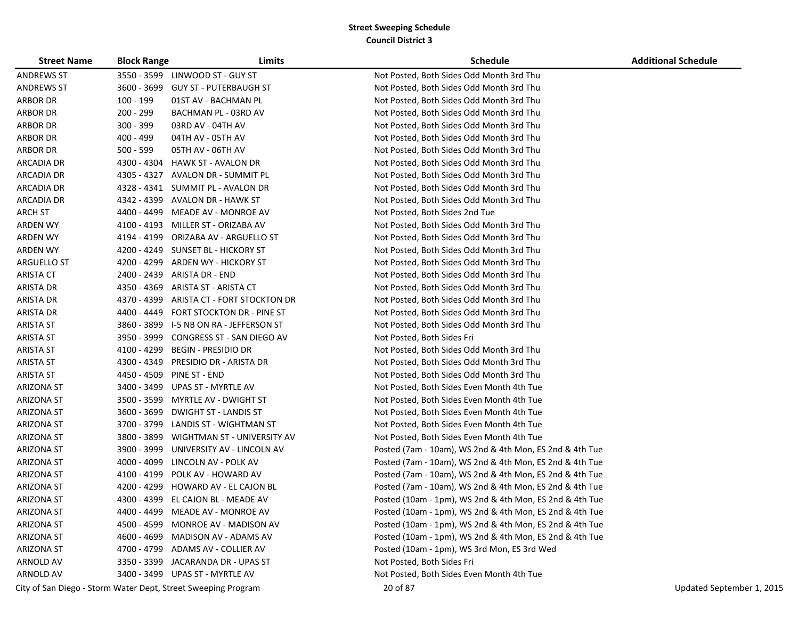| <b>Street Name</b> | <b>Block Range</b> | Limits                                                        | <b>Schedule</b>                                         | <b>Additional Schedule</b> |
|--------------------|--------------------|---------------------------------------------------------------|---------------------------------------------------------|----------------------------|
| <b>ANDREWS ST</b>  |                    | 3550 - 3599 LINWOOD ST - GUY ST                               | Not Posted, Both Sides Odd Month 3rd Thu                |                            |
| <b>ANDREWS ST</b>  | 3600 - 3699        | <b>GUY ST - PUTERBAUGH ST</b>                                 | Not Posted, Both Sides Odd Month 3rd Thu                |                            |
| <b>ARBOR DR</b>    | 100 - 199          | 01ST AV - BACHMAN PL                                          | Not Posted, Both Sides Odd Month 3rd Thu                |                            |
| <b>ARBOR DR</b>    | 200 - 299          | BACHMAN PL - 03RD AV                                          | Not Posted, Both Sides Odd Month 3rd Thu                |                            |
| <b>ARBOR DR</b>    | 300 - 399          | 03RD AV - 04TH AV                                             | Not Posted, Both Sides Odd Month 3rd Thu                |                            |
| <b>ARBOR DR</b>    | 400 - 499          | 04TH AV - 05TH AV                                             | Not Posted, Both Sides Odd Month 3rd Thu                |                            |
| <b>ARBOR DR</b>    | 500 - 599          | 05TH AV - 06TH AV                                             | Not Posted, Both Sides Odd Month 3rd Thu                |                            |
| <b>ARCADIA DR</b>  |                    | 4300 - 4304 HAWK ST - AVALON DR                               | Not Posted, Both Sides Odd Month 3rd Thu                |                            |
| <b>ARCADIA DR</b>  | 4305 - 4327        | AVALON DR - SUMMIT PL                                         | Not Posted, Both Sides Odd Month 3rd Thu                |                            |
| ARCADIA DR         |                    | 4328 - 4341 SUMMIT PL - AVALON DR                             | Not Posted, Both Sides Odd Month 3rd Thu                |                            |
| ARCADIA DR         |                    | 4342 - 4399 AVALON DR - HAWK ST                               | Not Posted, Both Sides Odd Month 3rd Thu                |                            |
| <b>ARCH ST</b>     | 4400 - 4499        | MEADE AV - MONROE AV                                          | Not Posted, Both Sides 2nd Tue                          |                            |
| <b>ARDEN WY</b>    |                    | 4100 - 4193 MILLER ST - ORIZABA AV                            | Not Posted, Both Sides Odd Month 3rd Thu                |                            |
| <b>ARDEN WY</b>    |                    | 4194 - 4199 ORIZABA AV - ARGUELLO ST                          | Not Posted, Both Sides Odd Month 3rd Thu                |                            |
| ARDEN WY           |                    | 4200 - 4249 SUNSET BL - HICKORY ST                            | Not Posted, Both Sides Odd Month 3rd Thu                |                            |
| ARGUELLO ST        |                    | 4200 - 4299 ARDEN WY - HICKORY ST                             | Not Posted, Both Sides Odd Month 3rd Thu                |                            |
| <b>ARISTA CT</b>   |                    | 2400 - 2439 ARISTA DR - END                                   | Not Posted, Both Sides Odd Month 3rd Thu                |                            |
| ARISTA DR          | 4350 - 4369        | ARISTA ST - ARISTA CT                                         | Not Posted, Both Sides Odd Month 3rd Thu                |                            |
| ARISTA DR          | 4370 - 4399        | ARISTA CT - FORT STOCKTON DR                                  | Not Posted, Both Sides Odd Month 3rd Thu                |                            |
| ARISTA DR          | 4400 - 4449        | FORT STOCKTON DR - PINE ST                                    | Not Posted, Both Sides Odd Month 3rd Thu                |                            |
| <b>ARISTA ST</b>   |                    | 3860 - 3899 I-5 NB ON RA - JEFFERSON ST                       | Not Posted, Both Sides Odd Month 3rd Thu                |                            |
| <b>ARISTA ST</b>   |                    | 3950 - 3999 CONGRESS ST - SAN DIEGO AV                        | Not Posted, Both Sides Fri                              |                            |
| <b>ARISTA ST</b>   |                    | 4100 - 4299 BEGIN - PRESIDIO DR                               | Not Posted, Both Sides Odd Month 3rd Thu                |                            |
| <b>ARISTA ST</b>   |                    | 4300 - 4349 PRESIDIO DR - ARISTA DR                           | Not Posted, Both Sides Odd Month 3rd Thu                |                            |
| <b>ARISTA ST</b>   |                    | 4450 - 4509 PINE ST - END                                     | Not Posted, Both Sides Odd Month 3rd Thu                |                            |
| <b>ARIZONA ST</b>  |                    | 3400 - 3499 UPAS ST - MYRTLE AV                               | Not Posted, Both Sides Even Month 4th Tue               |                            |
| <b>ARIZONA ST</b>  | 3500 - 3599        | MYRTLE AV - DWIGHT ST                                         | Not Posted, Both Sides Even Month 4th Tue               |                            |
| ARIZONA ST         |                    | 3600 - 3699 DWIGHT ST - LANDIS ST                             | Not Posted, Both Sides Even Month 4th Tue               |                            |
| <b>ARIZONA ST</b>  | 3700 - 3799        | LANDIS ST - WIGHTMAN ST                                       | Not Posted, Both Sides Even Month 4th Tue               |                            |
| <b>ARIZONA ST</b>  | 3800 - 3899        | WIGHTMAN ST - UNIVERSITY AV                                   | Not Posted, Both Sides Even Month 4th Tue               |                            |
| <b>ARIZONA ST</b>  | 3900 - 3999        | UNIVERSITY AV - LINCOLN AV                                    | Posted (7am - 10am), WS 2nd & 4th Mon, ES 2nd & 4th Tue |                            |
| <b>ARIZONA ST</b>  |                    | 4000 - 4099 LINCOLN AV - POLK AV                              | Posted (7am - 10am), WS 2nd & 4th Mon, ES 2nd & 4th Tue |                            |
| <b>ARIZONA ST</b>  |                    | 4100 - 4199 POLK AV - HOWARD AV                               | Posted (7am - 10am), WS 2nd & 4th Mon, ES 2nd & 4th Tue |                            |
| <b>ARIZONA ST</b>  |                    | 4200 - 4299 HOWARD AV - EL CAJON BL                           | Posted (7am - 10am), WS 2nd & 4th Mon, ES 2nd & 4th Tue |                            |
| <b>ARIZONA ST</b>  |                    | 4300 - 4399 EL CAJON BL - MEADE AV                            | Posted (10am - 1pm), WS 2nd & 4th Mon, ES 2nd & 4th Tue |                            |
| <b>ARIZONA ST</b>  |                    | 4400 - 4499 MEADE AV - MONROE AV                              | Posted (10am - 1pm), WS 2nd & 4th Mon, ES 2nd & 4th Tue |                            |
| <b>ARIZONA ST</b>  |                    | 4500 - 4599 MONROE AV - MADISON AV                            | Posted (10am - 1pm), WS 2nd & 4th Mon, ES 2nd & 4th Tue |                            |
| <b>ARIZONA ST</b>  |                    | 4600 - 4699 MADISON AV - ADAMS AV                             | Posted (10am - 1pm), WS 2nd & 4th Mon, ES 2nd & 4th Tue |                            |
| <b>ARIZONA ST</b>  |                    | 4700 - 4799 ADAMS AV - COLLIER AV                             | Posted (10am - 1pm), WS 3rd Mon, ES 3rd Wed             |                            |
| <b>ARNOLD AV</b>   |                    | 3350 - 3399 JACARANDA DR - UPAS ST                            | Not Posted, Both Sides Fri                              |                            |
| ARNOLD AV          |                    | 3400 - 3499 UPAS ST - MYRTLE AV                               | Not Posted, Both Sides Even Month 4th Tue               |                            |
|                    |                    | City of San Diego - Storm Water Dept, Street Sweeping Program | 20 of 87                                                | Updated September 1, 2015  |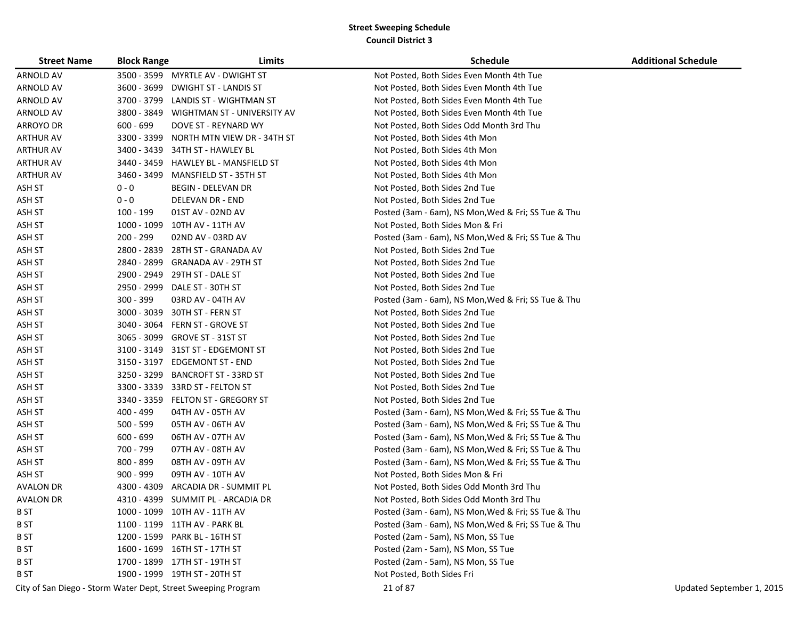| <b>Street Name</b> | <b>Block Range</b> | Limits                                                        | <b>Schedule</b>                                     | <b>Additional Schedule</b> |
|--------------------|--------------------|---------------------------------------------------------------|-----------------------------------------------------|----------------------------|
| <b>ARNOLD AV</b>   | 3500 - 3599        | MYRTLE AV - DWIGHT ST                                         | Not Posted, Both Sides Even Month 4th Tue           |                            |
| <b>ARNOLD AV</b>   | 3600 - 3699        | <b>DWIGHT ST - LANDIS ST</b>                                  | Not Posted, Both Sides Even Month 4th Tue           |                            |
| ARNOLD AV          | 3700 - 3799        | LANDIS ST - WIGHTMAN ST                                       | Not Posted, Both Sides Even Month 4th Tue           |                            |
| ARNOLD AV          |                    | 3800 - 3849 WIGHTMAN ST - UNIVERSITY AV                       | Not Posted, Both Sides Even Month 4th Tue           |                            |
| ARROYO DR          | $600 - 699$        | DOVE ST - REYNARD WY                                          | Not Posted, Both Sides Odd Month 3rd Thu            |                            |
| <b>ARTHUR AV</b>   | 3300 - 3399        | NORTH MTN VIEW DR - 34TH ST                                   | Not Posted, Both Sides 4th Mon                      |                            |
| <b>ARTHUR AV</b>   | 3400 - 3439        | 34TH ST - HAWLEY BL                                           | Not Posted, Both Sides 4th Mon                      |                            |
| <b>ARTHUR AV</b>   | 3440 - 3459        | <b>HAWLEY BL - MANSFIELD ST</b>                               | Not Posted, Both Sides 4th Mon                      |                            |
| <b>ARTHUR AV</b>   | 3460 - 3499        | MANSFIELD ST - 35TH ST                                        | Not Posted, Both Sides 4th Mon                      |                            |
| ASH ST             | $0 - 0$            | <b>BEGIN - DELEVAN DR</b>                                     | Not Posted, Both Sides 2nd Tue                      |                            |
| ASH ST             | $0 - 0$            | DELEVAN DR - END                                              | Not Posted, Both Sides 2nd Tue                      |                            |
| ASH ST             | 100 - 199          | 01ST AV - 02ND AV                                             | Posted (3am - 6am), NS Mon, Wed & Fri; SS Tue & Thu |                            |
| ASH ST             | 1000 - 1099        | 10TH AV - 11TH AV                                             | Not Posted, Both Sides Mon & Fri                    |                            |
| ASH ST             | 200 - 299          | 02ND AV - 03RD AV                                             | Posted (3am - 6am), NS Mon, Wed & Fri; SS Tue & Thu |                            |
| ASH ST             | 2800 - 2839        | 28TH ST - GRANADA AV                                          | Not Posted, Both Sides 2nd Tue                      |                            |
| ASH ST             | 2840 - 2899        | GRANADA AV - 29TH ST                                          | Not Posted, Both Sides 2nd Tue                      |                            |
| ASH ST             | 2900 - 2949        | 29TH ST - DALE ST                                             | Not Posted, Both Sides 2nd Tue                      |                            |
| ASH ST             | 2950 - 2999        | DALE ST - 30TH ST                                             | Not Posted, Both Sides 2nd Tue                      |                            |
| ASH ST             | $300 - 399$        | 03RD AV - 04TH AV                                             | Posted (3am - 6am), NS Mon, Wed & Fri; SS Tue & Thu |                            |
| ASH ST             |                    | 3000 - 3039 30TH ST - FERN ST                                 | Not Posted, Both Sides 2nd Tue                      |                            |
| ASH ST             | 3040 - 3064        | FERN ST - GROVE ST                                            | Not Posted, Both Sides 2nd Tue                      |                            |
| ASH ST             | 3065 - 3099        | <b>GROVE ST - 31ST ST</b>                                     | Not Posted, Both Sides 2nd Tue                      |                            |
| ASH ST             | 3100 - 3149        | 31ST ST - EDGEMONT ST                                         | Not Posted, Both Sides 2nd Tue                      |                            |
| ASH ST             | 3150 - 3197        | <b>EDGEMONT ST - END</b>                                      | Not Posted, Both Sides 2nd Tue                      |                            |
| ASH ST             | 3250 - 3299        | BANCROFT ST - 33RD ST                                         | Not Posted, Both Sides 2nd Tue                      |                            |
| ASH ST             | 3300 - 3339        | 33RD ST - FELTON ST                                           | Not Posted, Both Sides 2nd Tue                      |                            |
| ASH ST             | 3340 - 3359        | FELTON ST - GREGORY ST                                        | Not Posted, Both Sides 2nd Tue                      |                            |
| ASH ST             | 400 - 499          | 04TH AV - 05TH AV                                             | Posted (3am - 6am), NS Mon, Wed & Fri; SS Tue & Thu |                            |
| ASH ST             | 500 - 599          | 05TH AV - 06TH AV                                             | Posted (3am - 6am), NS Mon, Wed & Fri; SS Tue & Thu |                            |
| ASH ST             | 600 - 699          | 06TH AV - 07TH AV                                             | Posted (3am - 6am), NS Mon, Wed & Fri; SS Tue & Thu |                            |
| ASH ST             | 700 - 799          | 07TH AV - 08TH AV                                             | Posted (3am - 6am), NS Mon, Wed & Fri; SS Tue & Thu |                            |
| ASH ST             | 800 - 899          | 08TH AV - 09TH AV                                             | Posted (3am - 6am), NS Mon, Wed & Fri; SS Tue & Thu |                            |
| ASH ST             | $900 - 999$        | 09TH AV - 10TH AV                                             | Not Posted, Both Sides Mon & Fri                    |                            |
| <b>AVALON DR</b>   | 4300 - 4309        | ARCADIA DR - SUMMIT PL                                        | Not Posted, Both Sides Odd Month 3rd Thu            |                            |
| <b>AVALON DR</b>   | 4310 - 4399        | SUMMIT PL - ARCADIA DR                                        | Not Posted, Both Sides Odd Month 3rd Thu            |                            |
| <b>BST</b>         |                    | 1000 - 1099 10TH AV - 11TH AV                                 | Posted (3am - 6am), NS Mon, Wed & Fri; SS Tue & Thu |                            |
| B ST               |                    | 1100 - 1199 11TH AV - PARK BL                                 | Posted (3am - 6am), NS Mon, Wed & Fri; SS Tue & Thu |                            |
| B ST               |                    | 1200 - 1599 PARK BL - 16TH ST                                 | Posted (2am - 5am), NS Mon, SS Tue                  |                            |
| B ST               |                    | 1600 - 1699 16TH ST - 17TH ST                                 | Posted (2am - 5am), NS Mon, SS Tue                  |                            |
| B ST               |                    | 1700 - 1899 17TH ST - 19TH ST                                 | Posted (2am - 5am), NS Mon, SS Tue                  |                            |
| B ST               |                    | 1900 - 1999 19TH ST - 20TH ST                                 | Not Posted, Both Sides Fri                          |                            |
|                    |                    | City of San Diego - Storm Water Dept, Street Sweeping Program | 21 of 87                                            | Updated September 1, 2015  |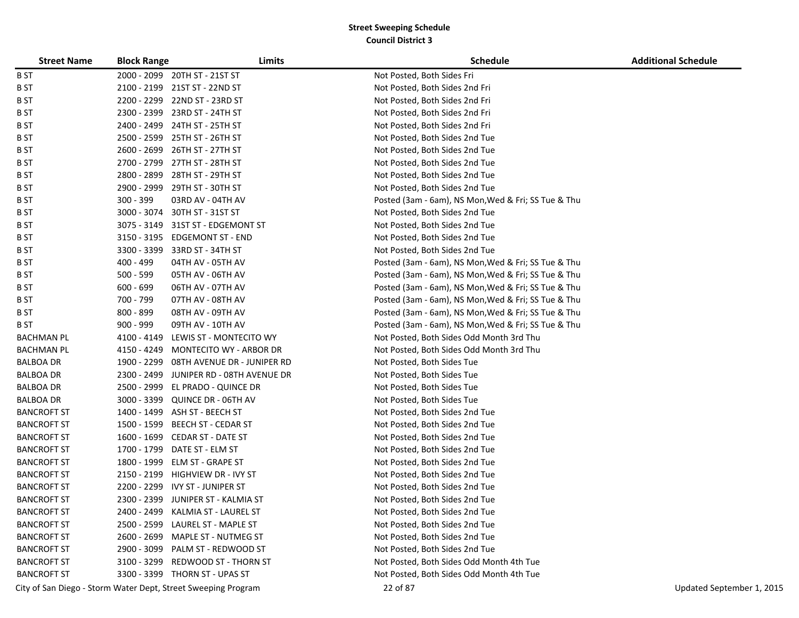| <b>Street Name</b> | <b>Block Range</b> | Limits                                                        | <b>Schedule</b>                                     | <b>Additional Schedule</b> |
|--------------------|--------------------|---------------------------------------------------------------|-----------------------------------------------------|----------------------------|
| <b>BST</b>         |                    | 2000 - 2099 20TH ST - 21ST ST                                 | Not Posted, Both Sides Fri                          |                            |
| B ST               |                    | 2100 - 2199 21ST ST - 22ND ST                                 | Not Posted, Both Sides 2nd Fri                      |                            |
| B ST               | 2200 - 2299        | 22ND ST - 23RD ST                                             | Not Posted, Both Sides 2nd Fri                      |                            |
| B ST               | 2300 - 2399        | 23RD ST - 24TH ST                                             | Not Posted, Both Sides 2nd Fri                      |                            |
| B ST               |                    | 2400 - 2499 24TH ST - 25TH ST                                 | Not Posted, Both Sides 2nd Fri                      |                            |
| <b>BST</b>         | 2500 - 2599        | 25TH ST - 26TH ST                                             | Not Posted, Both Sides 2nd Tue                      |                            |
| <b>BST</b>         |                    | 2600 - 2699 26TH ST - 27TH ST                                 | Not Posted, Both Sides 2nd Tue                      |                            |
| B ST               |                    | 2700 - 2799 27TH ST - 28TH ST                                 | Not Posted, Both Sides 2nd Tue                      |                            |
| <b>BST</b>         |                    | 2800 - 2899 28TH ST - 29TH ST                                 | Not Posted, Both Sides 2nd Tue                      |                            |
| <b>BST</b>         |                    | 2900 - 2999 29TH ST - 30TH ST                                 | Not Posted, Both Sides 2nd Tue                      |                            |
| B ST               | 300 - 399          | 03RD AV - 04TH AV                                             | Posted (3am - 6am), NS Mon, Wed & Fri; SS Tue & Thu |                            |
| B ST               | 3000 - 3074        | 30TH ST - 31ST ST                                             | Not Posted, Both Sides 2nd Tue                      |                            |
| <b>BST</b>         |                    | 3075 - 3149 31ST ST - EDGEMONT ST                             | Not Posted, Both Sides 2nd Tue                      |                            |
| B ST               |                    | 3150 - 3195 EDGEMONT ST - END                                 | Not Posted, Both Sides 2nd Tue                      |                            |
| B ST               | 3300 - 3399        | 33RD ST - 34TH ST                                             | Not Posted, Both Sides 2nd Tue                      |                            |
| B ST               | 400 - 499          | 04TH AV - 05TH AV                                             | Posted (3am - 6am), NS Mon, Wed & Fri; SS Tue & Thu |                            |
| B ST               | $500 - 599$        | 05TH AV - 06TH AV                                             | Posted (3am - 6am), NS Mon, Wed & Fri; SS Tue & Thu |                            |
| <b>BST</b>         | $600 - 699$        | 06TH AV - 07TH AV                                             | Posted (3am - 6am), NS Mon, Wed & Fri; SS Tue & Thu |                            |
| B ST               | 700 - 799          | 07TH AV - 08TH AV                                             | Posted (3am - 6am), NS Mon, Wed & Fri; SS Tue & Thu |                            |
| B ST               | 800 - 899          | 08TH AV - 09TH AV                                             | Posted (3am - 6am), NS Mon, Wed & Fri; SS Tue & Thu |                            |
| B ST               | $900 - 999$        | 09TH AV - 10TH AV                                             | Posted (3am - 6am), NS Mon, Wed & Fri; SS Tue & Thu |                            |
| <b>BACHMAN PL</b>  |                    | 4100 - 4149 LEWIS ST - MONTECITO WY                           | Not Posted, Both Sides Odd Month 3rd Thu            |                            |
| <b>BACHMAN PL</b>  |                    | 4150 - 4249 MONTECITO WY - ARBOR DR                           | Not Posted, Both Sides Odd Month 3rd Thu            |                            |
| <b>BALBOA DR</b>   | 1900 - 2299        | 08TH AVENUE DR - JUNIPER RD                                   | Not Posted, Both Sides Tue                          |                            |
| <b>BALBOA DR</b>   |                    | 2300 - 2499 JUNIPER RD - 08TH AVENUE DR                       | Not Posted, Both Sides Tue                          |                            |
| <b>BALBOA DR</b>   | 2500 - 2999        | EL PRADO - QUINCE DR                                          | Not Posted, Both Sides Tue                          |                            |
| <b>BALBOA DR</b>   |                    | 3000 - 3399 QUINCE DR - 06TH AV                               | Not Posted, Both Sides Tue                          |                            |
| <b>BANCROFT ST</b> |                    | 1400 - 1499 ASH ST - BEECH ST                                 | Not Posted, Both Sides 2nd Tue                      |                            |
| <b>BANCROFT ST</b> | 1500 - 1599        | BEECH ST - CEDAR ST                                           | Not Posted, Both Sides 2nd Tue                      |                            |
| <b>BANCROFT ST</b> |                    | 1600 - 1699 CEDAR ST - DATE ST                                | Not Posted, Both Sides 2nd Tue                      |                            |
| <b>BANCROFT ST</b> | 1700 - 1799        | DATE ST - ELM ST                                              | Not Posted, Both Sides 2nd Tue                      |                            |
| <b>BANCROFT ST</b> |                    | 1800 - 1999 ELM ST - GRAPE ST                                 | Not Posted, Both Sides 2nd Tue                      |                            |
| <b>BANCROFT ST</b> |                    | 2150 - 2199 HIGHVIEW DR - IVY ST                              | Not Posted, Both Sides 2nd Tue                      |                            |
| <b>BANCROFT ST</b> |                    | 2200 - 2299 IVY ST - JUNIPER ST                               | Not Posted, Both Sides 2nd Tue                      |                            |
| <b>BANCROFT ST</b> |                    | 2300 - 2399 JUNIPER ST - KALMIA ST                            | Not Posted, Both Sides 2nd Tue                      |                            |
| <b>BANCROFT ST</b> |                    | 2400 - 2499 KALMIA ST - LAUREL ST                             | Not Posted, Both Sides 2nd Tue                      |                            |
| <b>BANCROFT ST</b> |                    | 2500 - 2599 LAUREL ST - MAPLE ST                              | Not Posted, Both Sides 2nd Tue                      |                            |
| <b>BANCROFT ST</b> |                    | 2600 - 2699 MAPLE ST - NUTMEG ST                              | Not Posted, Both Sides 2nd Tue                      |                            |
| <b>BANCROFT ST</b> |                    | 2900 - 3099 PALM ST - REDWOOD ST                              | Not Posted, Both Sides 2nd Tue                      |                            |
| <b>BANCROFT ST</b> |                    | 3100 - 3299 REDWOOD ST - THORN ST                             | Not Posted, Both Sides Odd Month 4th Tue            |                            |
| <b>BANCROFT ST</b> |                    | 3300 - 3399 THORN ST - UPAS ST                                | Not Posted, Both Sides Odd Month 4th Tue            |                            |
|                    |                    | City of San Diego - Storm Water Dept, Street Sweeping Program | 22 of 87                                            | Updated September 1, 2015  |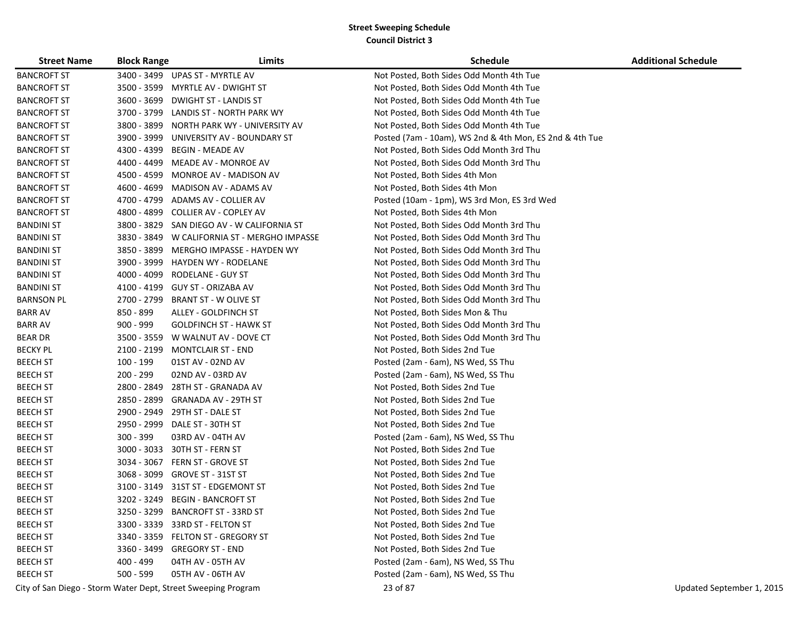| <b>Street Name</b> | <b>Block Range</b> | Limits                                                        | <b>Schedule</b>                                         | <b>Additional Schedule</b> |
|--------------------|--------------------|---------------------------------------------------------------|---------------------------------------------------------|----------------------------|
| <b>BANCROFT ST</b> |                    | 3400 - 3499 UPAS ST - MYRTLE AV                               | Not Posted, Both Sides Odd Month 4th Tue                |                            |
| <b>BANCROFT ST</b> | 3500 - 3599        | MYRTLE AV - DWIGHT ST                                         | Not Posted, Both Sides Odd Month 4th Tue                |                            |
| <b>BANCROFT ST</b> | 3600 - 3699        | <b>DWIGHT ST - LANDIS ST</b>                                  | Not Posted, Both Sides Odd Month 4th Tue                |                            |
| <b>BANCROFT ST</b> | 3700 - 3799        | LANDIS ST - NORTH PARK WY                                     | Not Posted, Both Sides Odd Month 4th Tue                |                            |
| <b>BANCROFT ST</b> | 3800 - 3899        | NORTH PARK WY - UNIVERSITY AV                                 | Not Posted, Both Sides Odd Month 4th Tue                |                            |
| <b>BANCROFT ST</b> | 3900 - 3999        | UNIVERSITY AV - BOUNDARY ST                                   | Posted (7am - 10am), WS 2nd & 4th Mon, ES 2nd & 4th Tue |                            |
| <b>BANCROFT ST</b> | 4300 - 4399        | <b>BEGIN - MEADE AV</b>                                       | Not Posted, Both Sides Odd Month 3rd Thu                |                            |
| <b>BANCROFT ST</b> | 4400 - 4499        | MEADE AV - MONROE AV                                          | Not Posted, Both Sides Odd Month 3rd Thu                |                            |
| <b>BANCROFT ST</b> | 4500 - 4599        | MONROE AV - MADISON AV                                        | Not Posted, Both Sides 4th Mon                          |                            |
| <b>BANCROFT ST</b> | 4600 - 4699        | MADISON AV - ADAMS AV                                         | Not Posted, Both Sides 4th Mon                          |                            |
| <b>BANCROFT ST</b> | 4700 - 4799        | ADAMS AV - COLLIER AV                                         | Posted (10am - 1pm), WS 3rd Mon, ES 3rd Wed             |                            |
| <b>BANCROFT ST</b> | 4800 - 4899        | COLLIER AV - COPLEY AV                                        | Not Posted, Both Sides 4th Mon                          |                            |
| <b>BANDINI ST</b>  | 3800 - 3829        | SAN DIEGO AV - W CALIFORNIA ST                                | Not Posted, Both Sides Odd Month 3rd Thu                |                            |
| <b>BANDINI ST</b>  | 3830 - 3849        | W CALIFORNIA ST - MERGHO IMPASSE                              | Not Posted, Both Sides Odd Month 3rd Thu                |                            |
| <b>BANDINI ST</b>  | 3850 - 3899        | MERGHO IMPASSE - HAYDEN WY                                    | Not Posted, Both Sides Odd Month 3rd Thu                |                            |
| <b>BANDINI ST</b>  | 3900 - 3999        | HAYDEN WY - RODELANE                                          | Not Posted, Both Sides Odd Month 3rd Thu                |                            |
| <b>BANDINI ST</b>  | 4000 - 4099        | RODELANE - GUY ST                                             | Not Posted, Both Sides Odd Month 3rd Thu                |                            |
| <b>BANDINI ST</b>  | 4100 - 4199        | GUY ST - ORIZABA AV                                           | Not Posted, Both Sides Odd Month 3rd Thu                |                            |
| <b>BARNSON PL</b>  | 2700 - 2799        | <b>BRANT ST - W OLIVE ST</b>                                  | Not Posted, Both Sides Odd Month 3rd Thu                |                            |
| <b>BARR AV</b>     | 850 - 899          | ALLEY - GOLDFINCH ST                                          | Not Posted, Both Sides Mon & Thu                        |                            |
| <b>BARR AV</b>     | $900 - 999$        | <b>GOLDFINCH ST - HAWK ST</b>                                 | Not Posted, Both Sides Odd Month 3rd Thu                |                            |
| <b>BEAR DR</b>     |                    | 3500 - 3559 W WALNUT AV - DOVE CT                             | Not Posted, Both Sides Odd Month 3rd Thu                |                            |
| <b>BECKY PL</b>    |                    | 2100 - 2199 MONTCLAIR ST - END                                | Not Posted, Both Sides 2nd Tue                          |                            |
| <b>BEECH ST</b>    | 100 - 199          | 01ST AV - 02ND AV                                             | Posted (2am - 6am), NS Wed, SS Thu                      |                            |
| <b>BEECH ST</b>    | 200 - 299          | 02ND AV - 03RD AV                                             | Posted (2am - 6am), NS Wed, SS Thu                      |                            |
| <b>BEECH ST</b>    | 2800 - 2849        | 28TH ST - GRANADA AV                                          | Not Posted, Both Sides 2nd Tue                          |                            |
| <b>BEECH ST</b>    | 2850 - 2899        | <b>GRANADA AV - 29TH ST</b>                                   | Not Posted, Both Sides 2nd Tue                          |                            |
| <b>BEECH ST</b>    | 2900 - 2949        | 29TH ST - DALE ST                                             | Not Posted, Both Sides 2nd Tue                          |                            |
| <b>BEECH ST</b>    | 2950 - 2999        | DALE ST - 30TH ST                                             | Not Posted, Both Sides 2nd Tue                          |                            |
| <b>BEECH ST</b>    | $300 - 399$        | 03RD AV - 04TH AV                                             | Posted (2am - 6am), NS Wed, SS Thu                      |                            |
| <b>BEECH ST</b>    | $3000 - 3033$      | 30TH ST - FERN ST                                             | Not Posted, Both Sides 2nd Tue                          |                            |
| <b>BEECH ST</b>    | 3034 - 3067        | FERN ST - GROVE ST                                            | Not Posted, Both Sides 2nd Tue                          |                            |
| <b>BEECH ST</b>    | 3068 - 3099        | <b>GROVE ST - 31ST ST</b>                                     | Not Posted, Both Sides 2nd Tue                          |                            |
| <b>BEECH ST</b>    | 3100 - 3149        | 31ST ST - EDGEMONT ST                                         | Not Posted, Both Sides 2nd Tue                          |                            |
| <b>BEECH ST</b>    |                    | 3202 - 3249 BEGIN - BANCROFT ST                               | Not Posted, Both Sides 2nd Tue                          |                            |
| <b>BEECH ST</b>    | 3250 - 3299        | <b>BANCROFT ST - 33RD ST</b>                                  | Not Posted, Both Sides 2nd Tue                          |                            |
| <b>BEECH ST</b>    |                    | 3300 - 3339 33RD ST - FELTON ST                               | Not Posted, Both Sides 2nd Tue                          |                            |
| <b>BEECH ST</b>    |                    | 3340 - 3359 FELTON ST - GREGORY ST                            | Not Posted, Both Sides 2nd Tue                          |                            |
| <b>BEECH ST</b>    |                    | 3360 - 3499 GREGORY ST - END                                  | Not Posted, Both Sides 2nd Tue                          |                            |
| <b>BEECH ST</b>    | 400 - 499          | 04TH AV - 05TH AV                                             | Posted (2am - 6am), NS Wed, SS Thu                      |                            |
| <b>BEECH ST</b>    | $500 - 599$        | 05TH AV - 06TH AV                                             | Posted (2am - 6am), NS Wed, SS Thu                      |                            |
|                    |                    | City of San Diego - Storm Water Dept, Street Sweeping Program | 23 of 87                                                | Updated September 1, 2015  |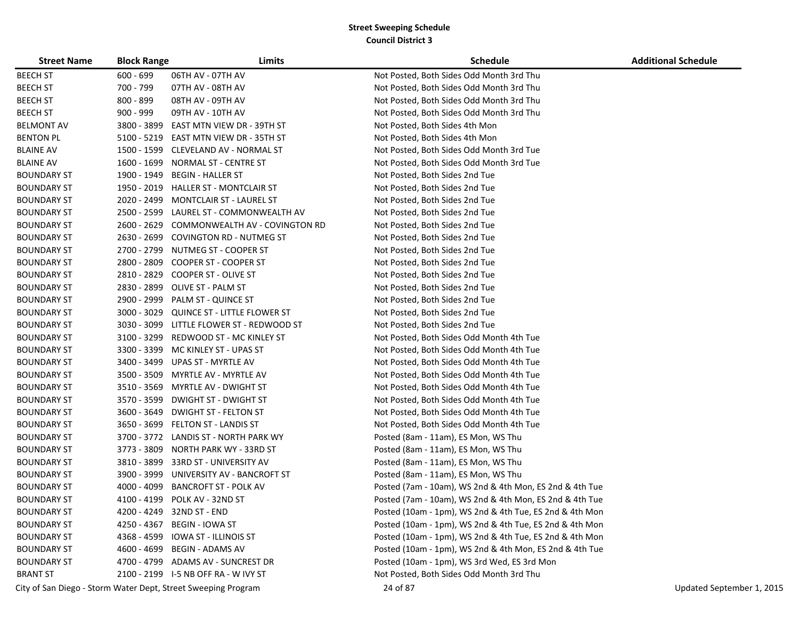| <b>Street Name</b> | <b>Block Range</b> | Limits                                                        | <b>Schedule</b>                                         | <b>Additional Schedule</b> |
|--------------------|--------------------|---------------------------------------------------------------|---------------------------------------------------------|----------------------------|
| <b>BEECH ST</b>    | $600 - 699$        | 06TH AV - 07TH AV                                             | Not Posted, Both Sides Odd Month 3rd Thu                |                            |
| <b>BEECH ST</b>    | 700 - 799          | 07TH AV - 08TH AV                                             | Not Posted, Both Sides Odd Month 3rd Thu                |                            |
| <b>BEECH ST</b>    | 800 - 899          | 08TH AV - 09TH AV                                             | Not Posted, Both Sides Odd Month 3rd Thu                |                            |
| <b>BEECH ST</b>    | $900 - 999$        | 09TH AV - 10TH AV                                             | Not Posted, Both Sides Odd Month 3rd Thu                |                            |
| <b>BELMONT AV</b>  | 3800 - 3899        | EAST MTN VIEW DR - 39TH ST                                    | Not Posted, Both Sides 4th Mon                          |                            |
| <b>BENTON PL</b>   |                    | 5100 - 5219 EAST MTN VIEW DR - 35TH ST                        | Not Posted, Both Sides 4th Mon                          |                            |
| <b>BLAINE AV</b>   | 1500 - 1599        | CLEVELAND AV - NORMAL ST                                      | Not Posted, Both Sides Odd Month 3rd Tue                |                            |
| <b>BLAINE AV</b>   | 1600 - 1699        | NORMAL ST - CENTRE ST                                         | Not Posted, Both Sides Odd Month 3rd Tue                |                            |
| <b>BOUNDARY ST</b> | 1900 - 1949        | <b>BEGIN - HALLER ST</b>                                      | Not Posted, Both Sides 2nd Tue                          |                            |
| <b>BOUNDARY ST</b> | 1950 - 2019        | HALLER ST - MONTCLAIR ST                                      | Not Posted, Both Sides 2nd Tue                          |                            |
| <b>BOUNDARY ST</b> | 2020 - 2499        | MONTCLAIR ST - LAUREL ST                                      | Not Posted, Both Sides 2nd Tue                          |                            |
| <b>BOUNDARY ST</b> | 2500 - 2599        | LAUREL ST - COMMONWEALTH AV                                   | Not Posted, Both Sides 2nd Tue                          |                            |
| <b>BOUNDARY ST</b> | 2600 - 2629        | COMMONWEALTH AV - COVINGTON RD                                | Not Posted, Both Sides 2nd Tue                          |                            |
| <b>BOUNDARY ST</b> | 2630 - 2699        | <b>COVINGTON RD - NUTMEG ST</b>                               | Not Posted, Both Sides 2nd Tue                          |                            |
| <b>BOUNDARY ST</b> | 2700 - 2799        | NUTMEG ST - COOPER ST                                         | Not Posted, Both Sides 2nd Tue                          |                            |
| <b>BOUNDARY ST</b> | 2800 - 2809        | COOPER ST - COOPER ST                                         | Not Posted, Both Sides 2nd Tue                          |                            |
| <b>BOUNDARY ST</b> | 2810 - 2829        | <b>COOPER ST - OLIVE ST</b>                                   | Not Posted, Both Sides 2nd Tue                          |                            |
| <b>BOUNDARY ST</b> | 2830 - 2899        | <b>OLIVE ST - PALM ST</b>                                     | Not Posted, Both Sides 2nd Tue                          |                            |
| <b>BOUNDARY ST</b> | 2900 - 2999        | PALM ST - QUINCE ST                                           | Not Posted, Both Sides 2nd Tue                          |                            |
| <b>BOUNDARY ST</b> | $3000 - 3029$      | QUINCE ST - LITTLE FLOWER ST                                  | Not Posted, Both Sides 2nd Tue                          |                            |
| <b>BOUNDARY ST</b> |                    | 3030 - 3099 LITTLE FLOWER ST - REDWOOD ST                     | Not Posted, Both Sides 2nd Tue                          |                            |
| <b>BOUNDARY ST</b> | 3100 - 3299        | REDWOOD ST - MC KINLEY ST                                     | Not Posted, Both Sides Odd Month 4th Tue                |                            |
| <b>BOUNDARY ST</b> | 3300 - 3399        | MC KINLEY ST - UPAS ST                                        | Not Posted, Both Sides Odd Month 4th Tue                |                            |
| <b>BOUNDARY ST</b> | 3400 - 3499        | UPAS ST - MYRTLE AV                                           | Not Posted, Both Sides Odd Month 4th Tue                |                            |
| <b>BOUNDARY ST</b> | 3500 - 3509        | MYRTLE AV - MYRTLE AV                                         | Not Posted, Both Sides Odd Month 4th Tue                |                            |
| <b>BOUNDARY ST</b> | 3510 - 3569        | MYRTLE AV - DWIGHT ST                                         | Not Posted, Both Sides Odd Month 4th Tue                |                            |
| <b>BOUNDARY ST</b> | 3570 - 3599        | <b>DWIGHT ST - DWIGHT ST</b>                                  | Not Posted, Both Sides Odd Month 4th Tue                |                            |
| <b>BOUNDARY ST</b> | 3600 - 3649        | DWIGHT ST - FELTON ST                                         | Not Posted, Both Sides Odd Month 4th Tue                |                            |
| <b>BOUNDARY ST</b> | 3650 - 3699        | FELTON ST - LANDIS ST                                         | Not Posted, Both Sides Odd Month 4th Tue                |                            |
| <b>BOUNDARY ST</b> |                    | 3700 - 3772 LANDIS ST - NORTH PARK WY                         | Posted (8am - 11am), ES Mon, WS Thu                     |                            |
| <b>BOUNDARY ST</b> | 3773 - 3809        | NORTH PARK WY - 33RD ST                                       | Posted (8am - 11am), ES Mon, WS Thu                     |                            |
| <b>BOUNDARY ST</b> | 3810 - 3899        | 33RD ST - UNIVERSITY AV                                       | Posted (8am - 11am), ES Mon, WS Thu                     |                            |
| <b>BOUNDARY ST</b> | 3900 - 3999        | UNIVERSITY AV - BANCROFT ST                                   | Posted (8am - 11am), ES Mon, WS Thu                     |                            |
| <b>BOUNDARY ST</b> | 4000 - 4099        | <b>BANCROFT ST - POLK AV</b>                                  | Posted (7am - 10am), WS 2nd & 4th Mon, ES 2nd & 4th Tue |                            |
| <b>BOUNDARY ST</b> | 4100 - 4199        | POLK AV - 32ND ST                                             | Posted (7am - 10am), WS 2nd & 4th Mon, ES 2nd & 4th Tue |                            |
| <b>BOUNDARY ST</b> |                    | 4200 - 4249 32ND ST - END                                     | Posted (10am - 1pm), WS 2nd & 4th Tue, ES 2nd & 4th Mon |                            |
| <b>BOUNDARY ST</b> |                    | 4250 - 4367 BEGIN - IOWA ST                                   | Posted (10am - 1pm), WS 2nd & 4th Tue, ES 2nd & 4th Mon |                            |
| <b>BOUNDARY ST</b> |                    | 4368 - 4599 IOWA ST - ILLINOIS ST                             | Posted (10am - 1pm), WS 2nd & 4th Tue, ES 2nd & 4th Mon |                            |
| <b>BOUNDARY ST</b> |                    | 4600 - 4699 BEGIN - ADAMS AV                                  | Posted (10am - 1pm), WS 2nd & 4th Mon, ES 2nd & 4th Tue |                            |
| <b>BOUNDARY ST</b> |                    | 4700 - 4799 ADAMS AV - SUNCREST DR                            | Posted (10am - 1pm), WS 3rd Wed, ES 3rd Mon             |                            |
| <b>BRANT ST</b>    |                    | 2100 - 2199    I-5 NB OFF RA - W IVY ST                       | Not Posted, Both Sides Odd Month 3rd Thu                |                            |
|                    |                    | City of San Diego - Storm Water Dept, Street Sweeping Program | 24 of 87                                                | Updated September 1, 2015  |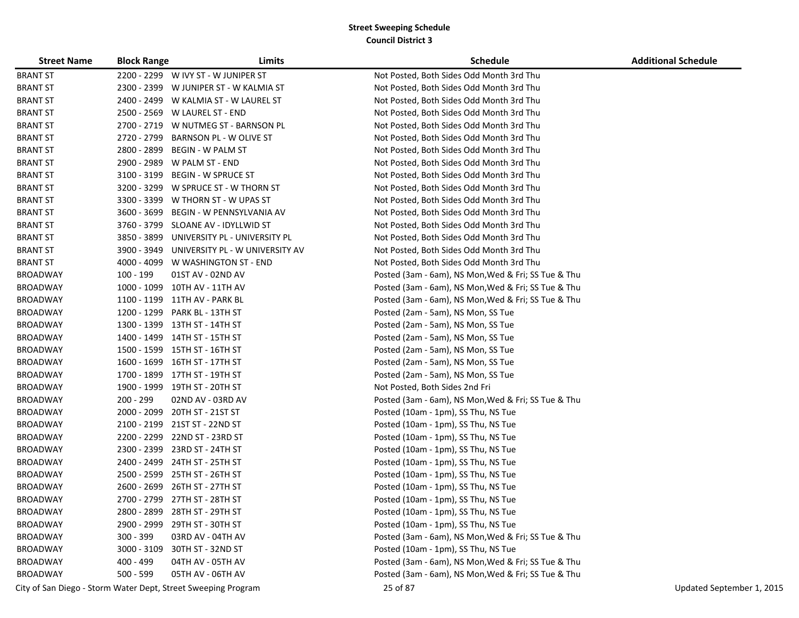| <b>Street Name</b> | <b>Block Range</b> | Limits                                      | <b>Schedule</b>                                     | <b>Additional Schedule</b> |
|--------------------|--------------------|---------------------------------------------|-----------------------------------------------------|----------------------------|
| <b>BRANT ST</b>    |                    | 2200 - 2299 W IVY ST - W JUNIPER ST         | Not Posted, Both Sides Odd Month 3rd Thu            |                            |
| <b>BRANT ST</b>    |                    | 2300 - 2399 W JUNIPER ST - W KALMIA ST      | Not Posted, Both Sides Odd Month 3rd Thu            |                            |
| <b>BRANT ST</b>    |                    | 2400 - 2499 W KALMIA ST - W LAUREL ST       | Not Posted, Both Sides Odd Month 3rd Thu            |                            |
| <b>BRANT ST</b>    |                    | 2500 - 2569 W LAUREL ST - END               | Not Posted, Both Sides Odd Month 3rd Thu            |                            |
| <b>BRANT ST</b>    |                    | 2700 - 2719 W NUTMEG ST - BARNSON PL        | Not Posted, Both Sides Odd Month 3rd Thu            |                            |
| <b>BRANT ST</b>    |                    | 2720 - 2799 BARNSON PL - W OLIVE ST         | Not Posted, Both Sides Odd Month 3rd Thu            |                            |
| <b>BRANT ST</b>    |                    | 2800 - 2899 BEGIN - W PALM ST               | Not Posted, Both Sides Odd Month 3rd Thu            |                            |
| <b>BRANT ST</b>    |                    | 2900 - 2989 W PALM ST - END                 | Not Posted, Both Sides Odd Month 3rd Thu            |                            |
| <b>BRANT ST</b>    |                    | 3100 - 3199 BEGIN - W SPRUCE ST             | Not Posted, Both Sides Odd Month 3rd Thu            |                            |
| <b>BRANT ST</b>    |                    | 3200 - 3299 W SPRUCE ST - W THORN ST        | Not Posted, Both Sides Odd Month 3rd Thu            |                            |
| <b>BRANT ST</b>    |                    | 3300 - 3399 W THORN ST - W UPAS ST          | Not Posted, Both Sides Odd Month 3rd Thu            |                            |
| <b>BRANT ST</b>    |                    | 3600 - 3699 BEGIN - W PENNSYLVANIA AV       | Not Posted, Both Sides Odd Month 3rd Thu            |                            |
| <b>BRANT ST</b>    |                    | 3760 - 3799 SLOANE AV - IDYLLWID ST         | Not Posted, Both Sides Odd Month 3rd Thu            |                            |
| <b>BRANT ST</b>    |                    | 3850 - 3899 UNIVERSITY PL - UNIVERSITY PL   | Not Posted, Both Sides Odd Month 3rd Thu            |                            |
| <b>BRANT ST</b>    |                    | 3900 - 3949 UNIVERSITY PL - W UNIVERSITY AV | Not Posted, Both Sides Odd Month 3rd Thu            |                            |
| <b>BRANT ST</b>    |                    | 4000 - 4099 W WASHINGTON ST - END           | Not Posted, Both Sides Odd Month 3rd Thu            |                            |
| <b>BROADWAY</b>    | 100 - 199          | 01ST AV - 02ND AV                           | Posted (3am - 6am), NS Mon, Wed & Fri; SS Tue & Thu |                            |
| <b>BROADWAY</b>    |                    | 1000 - 1099 10TH AV - 11TH AV               | Posted (3am - 6am), NS Mon, Wed & Fri; SS Tue & Thu |                            |
| <b>BROADWAY</b>    |                    | 1100 - 1199 11TH AV - PARK BL               | Posted (3am - 6am), NS Mon, Wed & Fri; SS Tue & Thu |                            |
| <b>BROADWAY</b>    |                    | 1200 - 1299 PARK BL - 13TH ST               | Posted (2am - 5am), NS Mon, SS Tue                  |                            |
| <b>BROADWAY</b>    |                    | 1300 - 1399 13TH ST - 14TH ST               | Posted (2am - 5am), NS Mon, SS Tue                  |                            |
| <b>BROADWAY</b>    |                    | 1400 - 1499 14TH ST - 15TH ST               | Posted (2am - 5am), NS Mon, SS Tue                  |                            |
| <b>BROADWAY</b>    |                    | 1500 - 1599 15TH ST - 16TH ST               | Posted (2am - 5am), NS Mon, SS Tue                  |                            |
| <b>BROADWAY</b>    |                    | 1600 - 1699 16TH ST - 17TH ST               | Posted (2am - 5am), NS Mon, SS Tue                  |                            |
| <b>BROADWAY</b>    |                    | 1700 - 1899 17TH ST - 19TH ST               | Posted (2am - 5am), NS Mon, SS Tue                  |                            |
| <b>BROADWAY</b>    |                    | 1900 - 1999 19TH ST - 20TH ST               | Not Posted, Both Sides 2nd Fri                      |                            |
| <b>BROADWAY</b>    | 200 - 299          | 02ND AV - 03RD AV                           | Posted (3am - 6am), NS Mon, Wed & Fri; SS Tue & Thu |                            |
| <b>BROADWAY</b>    |                    | 2000 - 2099 20TH ST - 21ST ST               | Posted (10am - 1pm), SS Thu, NS Tue                 |                            |
| <b>BROADWAY</b>    |                    | 2100 - 2199 21ST ST - 22ND ST               | Posted (10am - 1pm), SS Thu, NS Tue                 |                            |
| <b>BROADWAY</b>    |                    | 2200 - 2299 22ND ST - 23RD ST               | Posted (10am - 1pm), SS Thu, NS Tue                 |                            |
| <b>BROADWAY</b>    |                    | 2300 - 2399 23RD ST - 24TH ST               | Posted (10am - 1pm), SS Thu, NS Tue                 |                            |
| <b>BROADWAY</b>    |                    | 2400 - 2499 24TH ST - 25TH ST               | Posted (10am - 1pm), SS Thu, NS Tue                 |                            |
| <b>BROADWAY</b>    |                    | 2500 - 2599 25TH ST - 26TH ST               | Posted (10am - 1pm), SS Thu, NS Tue                 |                            |
| <b>BROADWAY</b>    |                    | 2600 - 2699 26TH ST - 27TH ST               | Posted (10am - 1pm), SS Thu, NS Tue                 |                            |
| <b>BROADWAY</b>    |                    | 2700 - 2799 27TH ST - 28TH ST               | Posted (10am - 1pm), SS Thu, NS Tue                 |                            |
| <b>BROADWAY</b>    | 2800 - 2899        | 28TH ST - 29TH ST                           | Posted (10am - 1pm), SS Thu, NS Tue                 |                            |
| <b>BROADWAY</b>    |                    | 2900 - 2999 29TH ST - 30TH ST               | Posted (10am - 1pm), SS Thu, NS Tue                 |                            |
| <b>BROADWAY</b>    | 300 - 399          | 03RD AV - 04TH AV                           | Posted (3am - 6am), NS Mon, Wed & Fri; SS Tue & Thu |                            |
| <b>BROADWAY</b>    |                    | 3000 - 3109 30TH ST - 32ND ST               | Posted (10am - 1pm), SS Thu, NS Tue                 |                            |
| <b>BROADWAY</b>    | 400 - 499          | 04TH AV - 05TH AV                           | Posted (3am - 6am), NS Mon, Wed & Fri; SS Tue & Thu |                            |
| <b>BROADWAY</b>    | 500 - 599          | 05TH AV - 06TH AV                           | Posted (3am - 6am), NS Mon, Wed & Fri; SS Tue & Thu |                            |

City of San Diego - Storm Water Dept, Street Sweeping Program 25 of 87 Updated September 1, 2015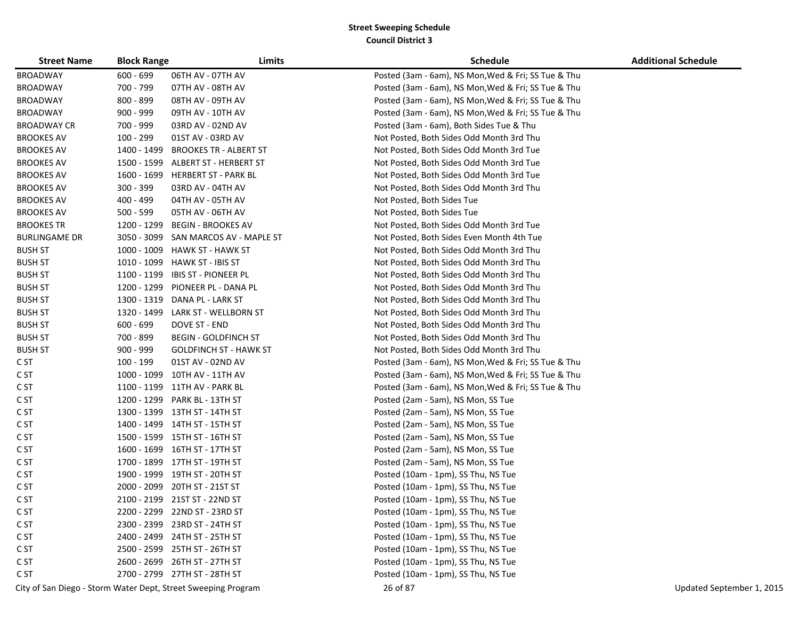| <b>Street Name</b>   | <b>Block Range</b> | Limits                                                        | <b>Schedule</b>                                     | <b>Additional Schedule</b> |
|----------------------|--------------------|---------------------------------------------------------------|-----------------------------------------------------|----------------------------|
| <b>BROADWAY</b>      | $600 - 699$        | 06TH AV - 07TH AV                                             | Posted (3am - 6am), NS Mon, Wed & Fri; SS Tue & Thu |                            |
| <b>BROADWAY</b>      | 700 - 799          | 07TH AV - 08TH AV                                             | Posted (3am - 6am), NS Mon, Wed & Fri; SS Tue & Thu |                            |
| <b>BROADWAY</b>      | 800 - 899          | 08TH AV - 09TH AV                                             | Posted (3am - 6am), NS Mon, Wed & Fri; SS Tue & Thu |                            |
| <b>BROADWAY</b>      | $900 - 999$        | 09TH AV - 10TH AV                                             | Posted (3am - 6am), NS Mon, Wed & Fri; SS Tue & Thu |                            |
| <b>BROADWAY CR</b>   | 700 - 999          | 03RD AV - 02ND AV                                             | Posted (3am - 6am), Both Sides Tue & Thu            |                            |
| <b>BROOKES AV</b>    | 100 - 299          | 01ST AV - 03RD AV                                             | Not Posted, Both Sides Odd Month 3rd Thu            |                            |
| <b>BROOKES AV</b>    | 1400 - 1499        | <b>BROOKES TR - ALBERT ST</b>                                 | Not Posted, Both Sides Odd Month 3rd Tue            |                            |
| <b>BROOKES AV</b>    | 1500 - 1599        | ALBERT ST - HERBERT ST                                        | Not Posted, Both Sides Odd Month 3rd Tue            |                            |
| <b>BROOKES AV</b>    | 1600 - 1699        | <b>HERBERT ST - PARK BL</b>                                   | Not Posted, Both Sides Odd Month 3rd Tue            |                            |
| <b>BROOKES AV</b>    | 300 - 399          | 03RD AV - 04TH AV                                             | Not Posted, Both Sides Odd Month 3rd Thu            |                            |
| <b>BROOKES AV</b>    | 400 - 499          | 04TH AV - 05TH AV                                             | Not Posted, Both Sides Tue                          |                            |
| <b>BROOKES AV</b>    | $500 - 599$        | 05TH AV - 06TH AV                                             | Not Posted, Both Sides Tue                          |                            |
| <b>BROOKES TR</b>    | 1200 - 1299        | <b>BEGIN - BROOKES AV</b>                                     | Not Posted, Both Sides Odd Month 3rd Tue            |                            |
| <b>BURLINGAME DR</b> | 3050 - 3099        | SAN MARCOS AV - MAPLE ST                                      | Not Posted, Both Sides Even Month 4th Tue           |                            |
| <b>BUSH ST</b>       | 1000 - 1009        | HAWK ST - HAWK ST                                             | Not Posted, Both Sides Odd Month 3rd Thu            |                            |
| <b>BUSH ST</b>       | 1010 - 1099        | <b>HAWK ST - IBIS ST</b>                                      | Not Posted, Both Sides Odd Month 3rd Thu            |                            |
| <b>BUSH ST</b>       | 1100 - 1199        | <b>IBIS ST - PIONEER PL</b>                                   | Not Posted, Both Sides Odd Month 3rd Thu            |                            |
| <b>BUSH ST</b>       | 1200 - 1299        | PIONEER PL - DANA PL                                          | Not Posted, Both Sides Odd Month 3rd Thu            |                            |
| <b>BUSH ST</b>       | 1300 - 1319        | DANA PL - LARK ST                                             | Not Posted, Both Sides Odd Month 3rd Thu            |                            |
| <b>BUSH ST</b>       | 1320 - 1499        | LARK ST - WELLBORN ST                                         | Not Posted, Both Sides Odd Month 3rd Thu            |                            |
| <b>BUSH ST</b>       | $600 - 699$        | DOVE ST - END                                                 | Not Posted, Both Sides Odd Month 3rd Thu            |                            |
| <b>BUSH ST</b>       | 700 - 899          | <b>BEGIN - GOLDFINCH ST</b>                                   | Not Posted, Both Sides Odd Month 3rd Thu            |                            |
| <b>BUSH ST</b>       | 900 - 999          | <b>GOLDFINCH ST - HAWK ST</b>                                 | Not Posted, Both Sides Odd Month 3rd Thu            |                            |
| C ST                 | 100 - 199          | 01ST AV - 02ND AV                                             | Posted (3am - 6am), NS Mon, Wed & Fri; SS Tue & Thu |                            |
| C ST                 |                    | 1000 - 1099 10TH AV - 11TH AV                                 | Posted (3am - 6am), NS Mon, Wed & Fri; SS Tue & Thu |                            |
| C <sub>ST</sub>      |                    | 1100 - 1199 11TH AV - PARK BL                                 | Posted (3am - 6am), NS Mon, Wed & Fri; SS Tue & Thu |                            |
| C ST                 |                    | 1200 - 1299 PARK BL - 13TH ST                                 | Posted (2am - 5am), NS Mon, SS Tue                  |                            |
| C ST                 |                    | 1300 - 1399 13TH ST - 14TH ST                                 | Posted (2am - 5am), NS Mon, SS Tue                  |                            |
| C ST                 |                    | 1400 - 1499 14TH ST - 15TH ST                                 | Posted (2am - 5am), NS Mon, SS Tue                  |                            |
| C ST                 |                    | 1500 - 1599 15TH ST - 16TH ST                                 | Posted (2am - 5am), NS Mon, SS Tue                  |                            |
| C ST                 |                    | 1600 - 1699 16TH ST - 17TH ST                                 | Posted (2am - 5am), NS Mon, SS Tue                  |                            |
| C ST                 |                    | 1700 - 1899 17TH ST - 19TH ST                                 | Posted (2am - 5am), NS Mon, SS Tue                  |                            |
| C ST                 |                    | 1900 - 1999 19TH ST - 20TH ST                                 | Posted (10am - 1pm), SS Thu, NS Tue                 |                            |
| C ST                 | 2000 - 2099        | 20TH ST - 21ST ST                                             | Posted (10am - 1pm), SS Thu, NS Tue                 |                            |
| C ST                 |                    | 2100 - 2199 21ST ST - 22ND ST                                 | Posted (10am - 1pm), SS Thu, NS Tue                 |                            |
| C ST                 |                    | 2200 - 2299 22ND ST - 23RD ST                                 | Posted (10am - 1pm), SS Thu, NS Tue                 |                            |
| C ST                 |                    | 2300 - 2399 23RD ST - 24TH ST                                 | Posted (10am - 1pm), SS Thu, NS Tue                 |                            |
| C ST                 |                    | 2400 - 2499 24TH ST - 25TH ST                                 | Posted (10am - 1pm), SS Thu, NS Tue                 |                            |
| C ST                 |                    | 2500 - 2599 25TH ST - 26TH ST                                 | Posted (10am - 1pm), SS Thu, NS Tue                 |                            |
| C ST                 |                    | 2600 - 2699 26TH ST - 27TH ST                                 | Posted (10am - 1pm), SS Thu, NS Tue                 |                            |
| C ST                 |                    | 2700 - 2799 27TH ST - 28TH ST                                 | Posted (10am - 1pm), SS Thu, NS Tue                 |                            |
|                      |                    | City of San Diego - Storm Water Dept, Street Sweeping Program | 26 of 87                                            | Updated September 1, 2015  |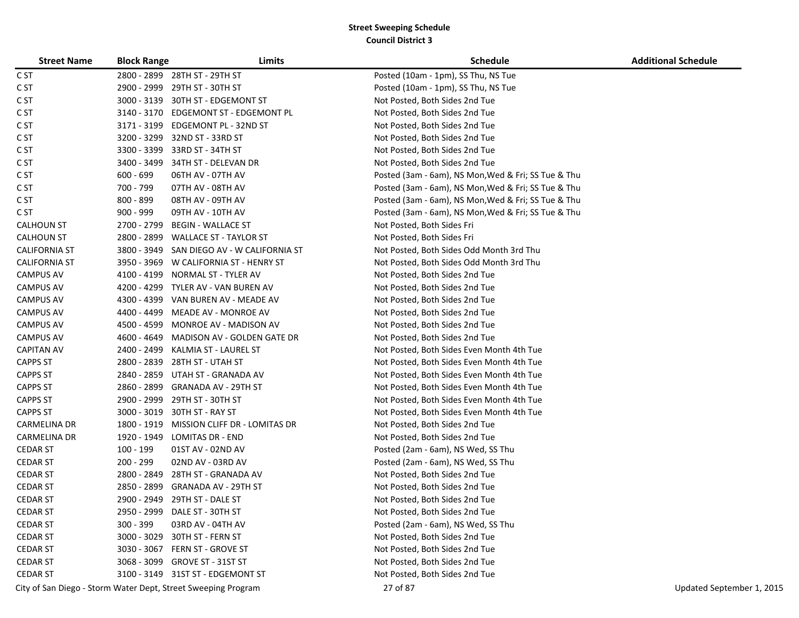| <b>Street Name</b>   | <b>Block Range</b> | Limits                                                        | <b>Schedule</b>                                     | <b>Additional Schedule</b> |
|----------------------|--------------------|---------------------------------------------------------------|-----------------------------------------------------|----------------------------|
| C ST                 |                    | 2800 - 2899 28TH ST - 29TH ST                                 | Posted (10am - 1pm), SS Thu, NS Tue                 |                            |
| C ST                 | 2900 - 2999        | 29TH ST - 30TH ST                                             | Posted (10am - 1pm), SS Thu, NS Tue                 |                            |
| C ST                 | 3000 - 3139        | 30TH ST - EDGEMONT ST                                         | Not Posted, Both Sides 2nd Tue                      |                            |
| C ST                 | 3140 - 3170        | EDGEMONT ST - EDGEMONT PL                                     | Not Posted, Both Sides 2nd Tue                      |                            |
| C ST                 | 3171 - 3199        | EDGEMONT PL - 32ND ST                                         | Not Posted, Both Sides 2nd Tue                      |                            |
| C ST                 | 3200 - 3299        | 32ND ST - 33RD ST                                             | Not Posted, Both Sides 2nd Tue                      |                            |
| C ST                 |                    | 3300 - 3399 33RD ST - 34TH ST                                 | Not Posted, Both Sides 2nd Tue                      |                            |
| C ST                 |                    | 3400 - 3499 34TH ST - DELEVAN DR                              | Not Posted, Both Sides 2nd Tue                      |                            |
| C ST                 | $600 - 699$        | 06TH AV - 07TH AV                                             | Posted (3am - 6am), NS Mon, Wed & Fri; SS Tue & Thu |                            |
| C ST                 | 700 - 799          | 07TH AV - 08TH AV                                             | Posted (3am - 6am), NS Mon, Wed & Fri; SS Tue & Thu |                            |
| C ST                 | 800 - 899          | 08TH AV - 09TH AV                                             | Posted (3am - 6am), NS Mon, Wed & Fri; SS Tue & Thu |                            |
| C ST                 | 900 - 999          | 09TH AV - 10TH AV                                             | Posted (3am - 6am), NS Mon, Wed & Fri; SS Tue & Thu |                            |
| <b>CALHOUN ST</b>    | 2700 - 2799        | <b>BEGIN - WALLACE ST</b>                                     | Not Posted, Both Sides Fri                          |                            |
| <b>CALHOUN ST</b>    | 2800 - 2899        | <b>WALLACE ST - TAYLOR ST</b>                                 | Not Posted, Both Sides Fri                          |                            |
| <b>CALIFORNIA ST</b> | 3800 - 3949        | SAN DIEGO AV - W CALIFORNIA ST                                | Not Posted, Both Sides Odd Month 3rd Thu            |                            |
| <b>CALIFORNIA ST</b> |                    | 3950 - 3969 W CALIFORNIA ST - HENRY ST                        | Not Posted, Both Sides Odd Month 3rd Thu            |                            |
| <b>CAMPUS AV</b>     | 4100 - 4199        | NORMAL ST - TYLER AV                                          | Not Posted, Both Sides 2nd Tue                      |                            |
| <b>CAMPUS AV</b>     | 4200 - 4299        | TYLER AV - VAN BUREN AV                                       | Not Posted, Both Sides 2nd Tue                      |                            |
| <b>CAMPUS AV</b>     | 4300 - 4399        | VAN BUREN AV - MEADE AV                                       | Not Posted, Both Sides 2nd Tue                      |                            |
| CAMPUS AV            | 4400 - 4499        | MEADE AV - MONROE AV                                          | Not Posted, Both Sides 2nd Tue                      |                            |
| <b>CAMPUS AV</b>     | 4500 - 4599        | MONROE AV - MADISON AV                                        | Not Posted, Both Sides 2nd Tue                      |                            |
| <b>CAMPUS AV</b>     |                    | 4600 - 4649 MADISON AV - GOLDEN GATE DR                       | Not Posted, Both Sides 2nd Tue                      |                            |
| <b>CAPITAN AV</b>    |                    | 2400 - 2499 KALMIA ST - LAUREL ST                             | Not Posted, Both Sides Even Month 4th Tue           |                            |
| <b>CAPPS ST</b>      |                    | 2800 - 2839 28TH ST - UTAH ST                                 | Not Posted, Both Sides Even Month 4th Tue           |                            |
| <b>CAPPS ST</b>      |                    | 2840 - 2859 UTAH ST - GRANADA AV                              | Not Posted, Both Sides Even Month 4th Tue           |                            |
| <b>CAPPS ST</b>      | 2860 - 2899        | <b>GRANADA AV - 29TH ST</b>                                   | Not Posted, Both Sides Even Month 4th Tue           |                            |
| <b>CAPPS ST</b>      | 2900 - 2999        | 29TH ST - 30TH ST                                             | Not Posted, Both Sides Even Month 4th Tue           |                            |
| <b>CAPPS ST</b>      |                    | 3000 - 3019 30TH ST - RAY ST                                  | Not Posted, Both Sides Even Month 4th Tue           |                            |
| <b>CARMELINA DR</b>  |                    | 1800 - 1919 MISSION CLIFF DR - LOMITAS DR                     | Not Posted, Both Sides 2nd Tue                      |                            |
| <b>CARMELINA DR</b>  | 1920 - 1949        | LOMITAS DR - END                                              | Not Posted, Both Sides 2nd Tue                      |                            |
| <b>CEDAR ST</b>      | 100 - 199          | 01ST AV - 02ND AV                                             | Posted (2am - 6am), NS Wed, SS Thu                  |                            |
| <b>CEDAR ST</b>      | 200 - 299          | 02ND AV - 03RD AV                                             | Posted (2am - 6am), NS Wed, SS Thu                  |                            |
| <b>CEDAR ST</b>      | 2800 - 2849        | 28TH ST - GRANADA AV                                          | Not Posted, Both Sides 2nd Tue                      |                            |
| <b>CEDAR ST</b>      | 2850 - 2899        | <b>GRANADA AV - 29TH ST</b>                                   | Not Posted, Both Sides 2nd Tue                      |                            |
| <b>CEDAR ST</b>      | 2900 - 2949        | 29TH ST - DALE ST                                             | Not Posted, Both Sides 2nd Tue                      |                            |
| <b>CEDAR ST</b>      |                    | 2950 - 2999 DALE ST - 30TH ST                                 | Not Posted, Both Sides 2nd Tue                      |                            |
| <b>CEDAR ST</b>      | $300 - 399$        | 03RD AV - 04TH AV                                             | Posted (2am - 6am), NS Wed, SS Thu                  |                            |
| <b>CEDAR ST</b>      |                    | 3000 - 3029 30TH ST - FERN ST                                 | Not Posted, Both Sides 2nd Tue                      |                            |
| <b>CEDAR ST</b>      |                    | 3030 - 3067 FERN ST - GROVE ST                                | Not Posted, Both Sides 2nd Tue                      |                            |
| <b>CEDAR ST</b>      |                    | 3068 - 3099 GROVE ST - 31ST ST                                | Not Posted, Both Sides 2nd Tue                      |                            |
| <b>CEDAR ST</b>      |                    | 3100 - 3149 31ST ST - EDGEMONT ST                             | Not Posted, Both Sides 2nd Tue                      |                            |
|                      |                    | City of San Diego - Storm Water Dept, Street Sweeping Program | 27 of 87                                            | Updated September 1, 2015  |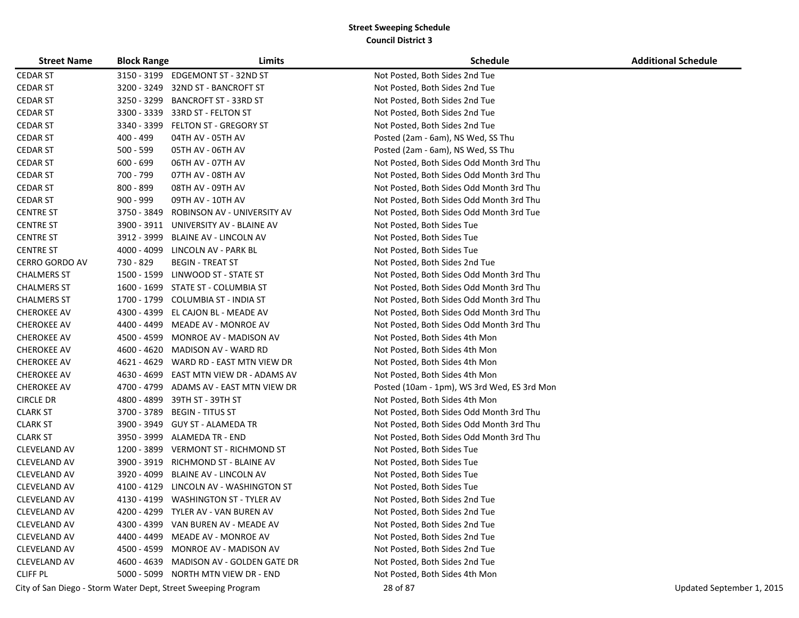| <b>Street Name</b>    | <b>Block Range</b> | Limits                                  | <b>Schedule</b>                             | <b>Additional Schedule</b> |
|-----------------------|--------------------|-----------------------------------------|---------------------------------------------|----------------------------|
| <b>CEDAR ST</b>       |                    | 3150 - 3199 EDGEMONT ST - 32ND ST       | Not Posted, Both Sides 2nd Tue              |                            |
| <b>CEDAR ST</b>       |                    | 3200 - 3249 32ND ST - BANCROFT ST       | Not Posted, Both Sides 2nd Tue              |                            |
| <b>CEDAR ST</b>       |                    | 3250 - 3299 BANCROFT ST - 33RD ST       | Not Posted, Both Sides 2nd Tue              |                            |
| <b>CEDAR ST</b>       |                    | 3300 - 3339 33RD ST - FELTON ST         | Not Posted, Both Sides 2nd Tue              |                            |
| <b>CEDAR ST</b>       |                    | 3340 - 3399 FELTON ST - GREGORY ST      | Not Posted, Both Sides 2nd Tue              |                            |
| <b>CEDAR ST</b>       | 400 - 499          | 04TH AV - 05TH AV                       | Posted (2am - 6am), NS Wed, SS Thu          |                            |
| <b>CEDAR ST</b>       | $500 - 599$        | 05TH AV - 06TH AV                       | Posted (2am - 6am), NS Wed, SS Thu          |                            |
| <b>CEDAR ST</b>       | $600 - 699$        | 06TH AV - 07TH AV                       | Not Posted, Both Sides Odd Month 3rd Thu    |                            |
| <b>CEDAR ST</b>       | 700 - 799          | 07TH AV - 08TH AV                       | Not Posted, Both Sides Odd Month 3rd Thu    |                            |
| <b>CEDAR ST</b>       | 800 - 899          | 08TH AV - 09TH AV                       | Not Posted, Both Sides Odd Month 3rd Thu    |                            |
| <b>CEDAR ST</b>       | $900 - 999$        | 09TH AV - 10TH AV                       | Not Posted, Both Sides Odd Month 3rd Thu    |                            |
| <b>CENTRE ST</b>      | 3750 - 3849        | ROBINSON AV - UNIVERSITY AV             | Not Posted, Both Sides Odd Month 3rd Tue    |                            |
| <b>CENTRE ST</b>      |                    | 3900 - 3911 UNIVERSITY AV - BLAINE AV   | Not Posted, Both Sides Tue                  |                            |
| <b>CENTRE ST</b>      | 3912 - 3999        | <b>BLAINE AV - LINCOLN AV</b>           | Not Posted, Both Sides Tue                  |                            |
| <b>CENTRE ST</b>      |                    | 4000 - 4099 LINCOLN AV - PARK BL        | Not Posted, Both Sides Tue                  |                            |
| <b>CERRO GORDO AV</b> | 730 - 829          | <b>BEGIN - TREAT ST</b>                 | Not Posted, Both Sides 2nd Tue              |                            |
| <b>CHALMERS ST</b>    |                    | 1500 - 1599 LINWOOD ST - STATE ST       | Not Posted, Both Sides Odd Month 3rd Thu    |                            |
| <b>CHALMERS ST</b>    |                    | 1600 - 1699 STATE ST - COLUMBIA ST      | Not Posted, Both Sides Odd Month 3rd Thu    |                            |
| <b>CHALMERS ST</b>    |                    | 1700 - 1799 COLUMBIA ST - INDIA ST      | Not Posted, Both Sides Odd Month 3rd Thu    |                            |
| <b>CHEROKEE AV</b>    |                    | 4300 - 4399 EL CAJON BL - MEADE AV      | Not Posted, Both Sides Odd Month 3rd Thu    |                            |
| <b>CHEROKEE AV</b>    |                    | 4400 - 4499 MEADE AV - MONROE AV        | Not Posted, Both Sides Odd Month 3rd Thu    |                            |
| <b>CHEROKEE AV</b>    |                    | 4500 - 4599 MONROE AV - MADISON AV      | Not Posted, Both Sides 4th Mon              |                            |
| <b>CHEROKEE AV</b>    |                    | 4600 - 4620 MADISON AV - WARD RD        | Not Posted, Both Sides 4th Mon              |                            |
| <b>CHEROKEE AV</b>    |                    | 4621 - 4629 WARD RD - EAST MTN VIEW DR  | Not Posted, Both Sides 4th Mon              |                            |
| <b>CHEROKEE AV</b>    |                    | 4630 - 4699 EAST MTN VIEW DR - ADAMS AV | Not Posted, Both Sides 4th Mon              |                            |
| <b>CHEROKEE AV</b>    |                    | 4700 - 4799 ADAMS AV - EAST MTN VIEW DR | Posted (10am - 1pm), WS 3rd Wed, ES 3rd Mon |                            |
| <b>CIRCLE DR</b>      | 4800 - 4899        | 39TH ST - 39TH ST                       | Not Posted, Both Sides 4th Mon              |                            |
| <b>CLARK ST</b>       | 3700 - 3789        | <b>BEGIN - TITUS ST</b>                 | Not Posted, Both Sides Odd Month 3rd Thu    |                            |
| <b>CLARK ST</b>       |                    | 3900 - 3949 GUY ST - ALAMEDA TR         | Not Posted, Both Sides Odd Month 3rd Thu    |                            |
| <b>CLARK ST</b>       |                    | 3950 - 3999 ALAMEDA TR - END            | Not Posted, Both Sides Odd Month 3rd Thu    |                            |
| <b>CLEVELAND AV</b>   |                    | 1200 - 3899 VERMONT ST - RICHMOND ST    | Not Posted, Both Sides Tue                  |                            |
| <b>CLEVELAND AV</b>   |                    | 3900 - 3919 RICHMOND ST - BLAINE AV     | Not Posted, Both Sides Tue                  |                            |
| CLEVELAND AV          |                    | 3920 - 4099 BLAINE AV - LINCOLN AV      | Not Posted, Both Sides Tue                  |                            |
| CLEVELAND AV          |                    | 4100 - 4129 LINCOLN AV - WASHINGTON ST  | Not Posted, Both Sides Tue                  |                            |
| CLEVELAND AV          |                    | 4130 - 4199 WASHINGTON ST - TYLER AV    | Not Posted, Both Sides 2nd Tue              |                            |
| <b>CLEVELAND AV</b>   |                    | 4200 - 4299 TYLER AV - VAN BUREN AV     | Not Posted, Both Sides 2nd Tue              |                            |
| <b>CLEVELAND AV</b>   |                    | 4300 - 4399 VAN BUREN AV - MEADE AV     | Not Posted, Both Sides 2nd Tue              |                            |
| <b>CLEVELAND AV</b>   |                    | 4400 - 4499 MEADE AV - MONROE AV        | Not Posted, Both Sides 2nd Tue              |                            |
| CLEVELAND AV          |                    | 4500 - 4599 MONROE AV - MADISON AV      | Not Posted, Both Sides 2nd Tue              |                            |
| CLEVELAND AV          |                    | 4600 - 4639 MADISON AV - GOLDEN GATE DR | Not Posted, Both Sides 2nd Tue              |                            |
| <b>CLIFF PL</b>       |                    | 5000 - 5099 NORTH MTN VIEW DR - END     | Not Posted, Both Sides 4th Mon              |                            |

City of San Diego - Storm Water Dept, Street Sweeping Program 28 of 87 Updated September 1, 2015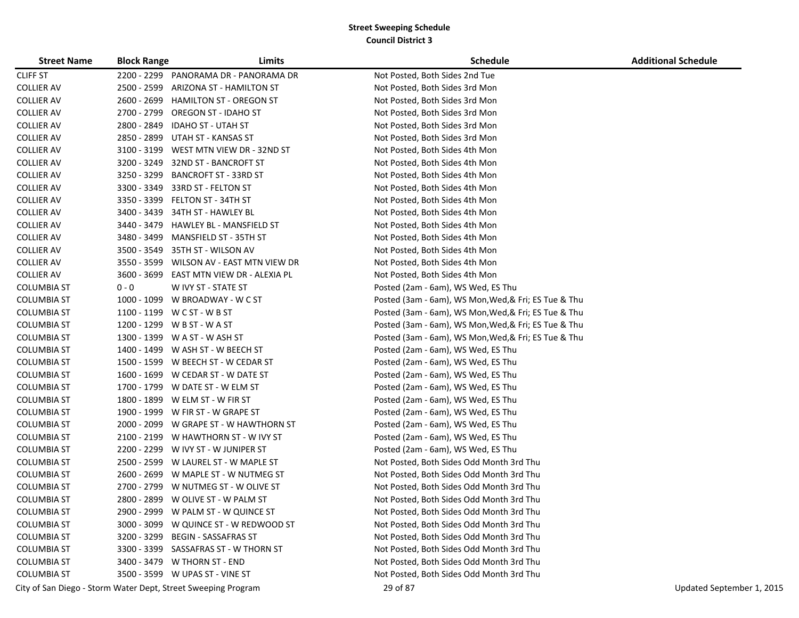| <b>Street Name</b> | <b>Block Range</b> | Limits                                                        | <b>Schedule</b>                                      | <b>Additional Schedule</b> |
|--------------------|--------------------|---------------------------------------------------------------|------------------------------------------------------|----------------------------|
| <b>CLIFF ST</b>    | 2200 - 2299        | PANORAMA DR - PANORAMA DR                                     | Not Posted, Both Sides 2nd Tue                       |                            |
| <b>COLLIER AV</b>  | 2500 - 2599        | ARIZONA ST - HAMILTON ST                                      | Not Posted, Both Sides 3rd Mon                       |                            |
| <b>COLLIER AV</b>  | 2600 - 2699        | <b>HAMILTON ST - OREGON ST</b>                                | Not Posted, Both Sides 3rd Mon                       |                            |
| <b>COLLIER AV</b>  | 2700 - 2799        | OREGON ST - IDAHO ST                                          | Not Posted, Both Sides 3rd Mon                       |                            |
| <b>COLLIER AV</b>  | 2800 - 2849        | <b>IDAHO ST - UTAH ST</b>                                     | Not Posted, Both Sides 3rd Mon                       |                            |
| <b>COLLIER AV</b>  | 2850 - 2899        | UTAH ST - KANSAS ST                                           | Not Posted, Both Sides 3rd Mon                       |                            |
| <b>COLLIER AV</b>  | 3100 - 3199        | WEST MTN VIEW DR - 32ND ST                                    | Not Posted, Both Sides 4th Mon                       |                            |
| <b>COLLIER AV</b>  | 3200 - 3249        | 32ND ST - BANCROFT ST                                         | Not Posted, Both Sides 4th Mon                       |                            |
| <b>COLLIER AV</b>  | 3250 - 3299        | <b>BANCROFT ST - 33RD ST</b>                                  | Not Posted, Both Sides 4th Mon                       |                            |
| <b>COLLIER AV</b>  | 3300 - 3349        | 33RD ST - FELTON ST                                           | Not Posted, Both Sides 4th Mon                       |                            |
| <b>COLLIER AV</b>  | 3350 - 3399        | FELTON ST - 34TH ST                                           | Not Posted, Both Sides 4th Mon                       |                            |
| <b>COLLIER AV</b>  | 3400 - 3439        | 34TH ST - HAWLEY BL                                           | Not Posted, Both Sides 4th Mon                       |                            |
| <b>COLLIER AV</b>  | 3440 - 3479        | HAWLEY BL - MANSFIELD ST                                      | Not Posted, Both Sides 4th Mon                       |                            |
| <b>COLLIER AV</b>  | 3480 - 3499        | MANSFIELD ST - 35TH ST                                        | Not Posted, Both Sides 4th Mon                       |                            |
| <b>COLLIER AV</b>  |                    | 3500 - 3549 35TH ST - WILSON AV                               | Not Posted, Both Sides 4th Mon                       |                            |
| <b>COLLIER AV</b>  | 3550 - 3599        | WILSON AV - EAST MTN VIEW DR                                  | Not Posted, Both Sides 4th Mon                       |                            |
| <b>COLLIER AV</b>  | 3600 - 3699        | EAST MTN VIEW DR - ALEXIA PL                                  | Not Posted, Both Sides 4th Mon                       |                            |
| <b>COLUMBIA ST</b> | $0 - 0$            | W IVY ST - STATE ST                                           | Posted (2am - 6am), WS Wed, ES Thu                   |                            |
| <b>COLUMBIA ST</b> |                    | 1000 - 1099 W BROADWAY - W C ST                               | Posted (3am - 6am), WS Mon, Wed, & Fri; ES Tue & Thu |                            |
| COLUMBIA ST        |                    | 1100 - 1199 W C ST - W B ST                                   | Posted (3am - 6am), WS Mon, Wed, & Fri; ES Tue & Thu |                            |
| COLUMBIA ST        |                    | 1200 - 1299 W B ST - W A ST                                   | Posted (3am - 6am), WS Mon, Wed, & Fri; ES Tue & Thu |                            |
| <b>COLUMBIA ST</b> |                    | 1300 - 1399 W A ST - W ASH ST                                 | Posted (3am - 6am), WS Mon, Wed, & Fri; ES Tue & Thu |                            |
| COLUMBIA ST        |                    | 1400 - 1499 W ASH ST - W BEECH ST                             | Posted (2am - 6am), WS Wed, ES Thu                   |                            |
| COLUMBIA ST        |                    | 1500 - 1599 W BEECH ST - W CEDAR ST                           | Posted (2am - 6am), WS Wed, ES Thu                   |                            |
| COLUMBIA ST        |                    | 1600 - 1699 W CEDAR ST - W DATE ST                            | Posted (2am - 6am), WS Wed, ES Thu                   |                            |
| <b>COLUMBIA ST</b> |                    | 1700 - 1799 W DATE ST - W ELM ST                              | Posted (2am - 6am), WS Wed, ES Thu                   |                            |
| COLUMBIA ST        |                    | 1800 - 1899 W ELM ST - W FIR ST                               | Posted (2am - 6am), WS Wed, ES Thu                   |                            |
| <b>COLUMBIA ST</b> |                    | 1900 - 1999 W FIR ST - W GRAPE ST                             | Posted (2am - 6am), WS Wed, ES Thu                   |                            |
| COLUMBIA ST        |                    | 2000 - 2099 W GRAPE ST - W HAWTHORN ST                        | Posted (2am - 6am), WS Wed, ES Thu                   |                            |
| COLUMBIA ST        |                    | 2100 - 2199 W HAWTHORN ST - W IVY ST                          | Posted (2am - 6am), WS Wed, ES Thu                   |                            |
| COLUMBIA ST        |                    | 2200 - 2299 W IVY ST - W JUNIPER ST                           | Posted (2am - 6am), WS Wed, ES Thu                   |                            |
| COLUMBIA ST        |                    | 2500 - 2599 W LAUREL ST - W MAPLE ST                          | Not Posted, Both Sides Odd Month 3rd Thu             |                            |
| <b>COLUMBIA ST</b> |                    | 2600 - 2699 W MAPLE ST - W NUTMEG ST                          | Not Posted, Both Sides Odd Month 3rd Thu             |                            |
| <b>COLUMBIA ST</b> |                    | 2700 - 2799 W NUTMEG ST - W OLIVE ST                          | Not Posted, Both Sides Odd Month 3rd Thu             |                            |
| <b>COLUMBIA ST</b> |                    | 2800 - 2899 W OLIVE ST - W PALM ST                            | Not Posted, Both Sides Odd Month 3rd Thu             |                            |
| <b>COLUMBIA ST</b> |                    | 2900 - 2999 W PALM ST - W QUINCE ST                           | Not Posted, Both Sides Odd Month 3rd Thu             |                            |
| <b>COLUMBIA ST</b> |                    | 3000 - 3099 W QUINCE ST - W REDWOOD ST                        | Not Posted, Both Sides Odd Month 3rd Thu             |                            |
| <b>COLUMBIA ST</b> | 3200 - 3299        | BEGIN - SASSAFRAS ST                                          | Not Posted, Both Sides Odd Month 3rd Thu             |                            |
| <b>COLUMBIA ST</b> |                    | 3300 - 3399 SASSAFRAS ST - W THORN ST                         | Not Posted, Both Sides Odd Month 3rd Thu             |                            |
| <b>COLUMBIA ST</b> |                    | 3400 - 3479 W THORN ST - END                                  | Not Posted, Both Sides Odd Month 3rd Thu             |                            |
| <b>COLUMBIA ST</b> |                    | 3500 - 3599 W UPAS ST - VINE ST                               | Not Posted, Both Sides Odd Month 3rd Thu             |                            |
|                    |                    | City of San Diego - Storm Water Dept, Street Sweeping Program | 29 of 87                                             | Updated September 1, 2015  |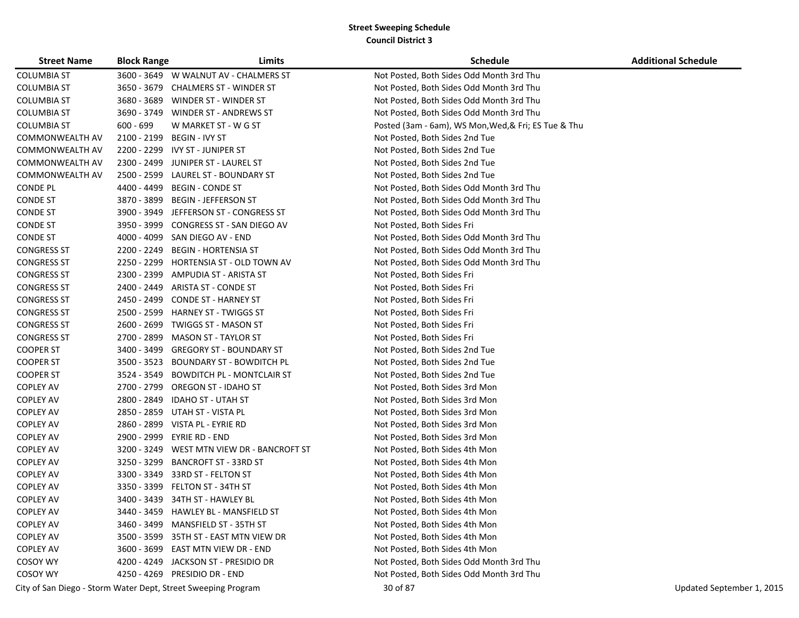| <b>Street Name</b>                                            | <b>Block Range</b> | Limits                                  | <b>Schedule</b>                                      | <b>Additional Schedule</b> |
|---------------------------------------------------------------|--------------------|-----------------------------------------|------------------------------------------------------|----------------------------|
| <b>COLUMBIA ST</b>                                            |                    | 3600 - 3649 W WALNUT AV - CHALMERS ST   | Not Posted, Both Sides Odd Month 3rd Thu             |                            |
| <b>COLUMBIA ST</b>                                            | 3650 - 3679        | <b>CHALMERS ST - WINDER ST</b>          | Not Posted, Both Sides Odd Month 3rd Thu             |                            |
| COLUMBIA ST                                                   | 3680 - 3689        | WINDER ST - WINDER ST                   | Not Posted, Both Sides Odd Month 3rd Thu             |                            |
| COLUMBIA ST                                                   | 3690 - 3749        | WINDER ST - ANDREWS ST                  | Not Posted, Both Sides Odd Month 3rd Thu             |                            |
| COLUMBIA ST                                                   | $600 - 699$        | W MARKET ST - W G ST                    | Posted (3am - 6am), WS Mon, Wed, & Fri; ES Tue & Thu |                            |
| COMMONWEALTH AV                                               |                    | 2100 - 2199 BEGIN - IVY ST              | Not Posted, Both Sides 2nd Tue                       |                            |
| COMMONWEALTH AV                                               |                    | 2200 - 2299 IVY ST - JUNIPER ST         | Not Posted, Both Sides 2nd Tue                       |                            |
| COMMONWEALTH AV                                               | 2300 - 2499        | JUNIPER ST - LAUREL ST                  | Not Posted, Both Sides 2nd Tue                       |                            |
| COMMONWEALTH AV                                               | 2500 - 2599        | LAUREL ST - BOUNDARY ST                 | Not Posted, Both Sides 2nd Tue                       |                            |
| <b>CONDE PL</b>                                               | 4400 - 4499        | <b>BEGIN - CONDE ST</b>                 | Not Posted, Both Sides Odd Month 3rd Thu             |                            |
| <b>CONDE ST</b>                                               | 3870 - 3899        | <b>BEGIN - JEFFERSON ST</b>             | Not Posted, Both Sides Odd Month 3rd Thu             |                            |
| <b>CONDE ST</b>                                               | 3900 - 3949        | JEFFERSON ST - CONGRESS ST              | Not Posted, Both Sides Odd Month 3rd Thu             |                            |
| <b>CONDE ST</b>                                               | 3950 - 3999        | CONGRESS ST - SAN DIEGO AV              | Not Posted, Both Sides Fri                           |                            |
| <b>CONDE ST</b>                                               | 4000 - 4099        | SAN DIEGO AV - END                      | Not Posted, Both Sides Odd Month 3rd Thu             |                            |
| <b>CONGRESS ST</b>                                            | 2200 - 2249        | <b>BEGIN - HORTENSIA ST</b>             | Not Posted, Both Sides Odd Month 3rd Thu             |                            |
| <b>CONGRESS ST</b>                                            | 2250 - 2299        | HORTENSIA ST - OLD TOWN AV              | Not Posted, Both Sides Odd Month 3rd Thu             |                            |
| <b>CONGRESS ST</b>                                            | 2300 - 2399        | AMPUDIA ST - ARISTA ST                  | Not Posted, Both Sides Fri                           |                            |
| <b>CONGRESS ST</b>                                            | 2400 - 2449        | ARISTA ST - CONDE ST                    | Not Posted, Both Sides Fri                           |                            |
| <b>CONGRESS ST</b>                                            | 2450 - 2499        | <b>CONDE ST - HARNEY ST</b>             | Not Posted, Both Sides Fri                           |                            |
| <b>CONGRESS ST</b>                                            | 2500 - 2599        | <b>HARNEY ST - TWIGGS ST</b>            | Not Posted, Both Sides Fri                           |                            |
| <b>CONGRESS ST</b>                                            |                    | 2600 - 2699 TWIGGS ST - MASON ST        | Not Posted, Both Sides Fri                           |                            |
| <b>CONGRESS ST</b>                                            |                    | 2700 - 2899 MASON ST - TAYLOR ST        | Not Posted, Both Sides Fri                           |                            |
| <b>COOPER ST</b>                                              | 3400 - 3499        | <b>GREGORY ST - BOUNDARY ST</b>         | Not Posted, Both Sides 2nd Tue                       |                            |
| <b>COOPER ST</b>                                              | 3500 - 3523        | <b>BOUNDARY ST - BOWDITCH PL</b>        | Not Posted, Both Sides 2nd Tue                       |                            |
| <b>COOPER ST</b>                                              | 3524 - 3549        | <b>BOWDITCH PL - MONTCLAIR ST</b>       | Not Posted, Both Sides 2nd Tue                       |                            |
| <b>COPLEY AV</b>                                              | 2700 - 2799        | <b>OREGON ST - IDAHO ST</b>             | Not Posted, Both Sides 3rd Mon                       |                            |
| <b>COPLEY AV</b>                                              | 2800 - 2849        | <b>IDAHO ST - UTAH ST</b>               | Not Posted, Both Sides 3rd Mon                       |                            |
| <b>COPLEY AV</b>                                              | 2850 - 2859        | UTAH ST - VISTA PL                      | Not Posted, Both Sides 3rd Mon                       |                            |
| <b>COPLEY AV</b>                                              | 2860 - 2899        | VISTA PL - EYRIE RD                     | Not Posted, Both Sides 3rd Mon                       |                            |
| <b>COPLEY AV</b>                                              | 2900 - 2999        | EYRIE RD - END                          | Not Posted, Both Sides 3rd Mon                       |                            |
| <b>COPLEY AV</b>                                              | 3200 - 3249        | WEST MTN VIEW DR - BANCROFT ST          | Not Posted, Both Sides 4th Mon                       |                            |
| <b>COPLEY AV</b>                                              | 3250 - 3299        | <b>BANCROFT ST - 33RD ST</b>            | Not Posted, Both Sides 4th Mon                       |                            |
| <b>COPLEY AV</b>                                              | 3300 - 3349        | 33RD ST - FELTON ST                     | Not Posted, Both Sides 4th Mon                       |                            |
| <b>COPLEY AV</b>                                              | 3350 - 3399        | FELTON ST - 34TH ST                     | Not Posted, Both Sides 4th Mon                       |                            |
| <b>COPLEY AV</b>                                              |                    | 3400 - 3439 34TH ST - HAWLEY BL         | Not Posted, Both Sides 4th Mon                       |                            |
| <b>COPLEY AV</b>                                              |                    | 3440 - 3459    HAWLEY BL - MANSFIELD ST | Not Posted, Both Sides 4th Mon                       |                            |
| <b>COPLEY AV</b>                                              |                    | 3460 - 3499 MANSFIELD ST - 35TH ST      | Not Posted, Both Sides 4th Mon                       |                            |
| <b>COPLEY AV</b>                                              |                    | 3500 - 3599 35TH ST - EAST MTN VIEW DR  | Not Posted, Both Sides 4th Mon                       |                            |
| <b>COPLEY AV</b>                                              |                    | 3600 - 3699 EAST MTN VIEW DR - END      | Not Posted, Both Sides 4th Mon                       |                            |
| COSOY WY                                                      |                    | 4200 - 4249 JACKSON ST - PRESIDIO DR    | Not Posted, Both Sides Odd Month 3rd Thu             |                            |
| COSOY WY                                                      |                    | 4250 - 4269 PRESIDIO DR - END           | Not Posted, Both Sides Odd Month 3rd Thu             |                            |
| City of San Diego - Storm Water Dept, Street Sweeping Program |                    |                                         | 30 of 87                                             | Updated September 1, 2015  |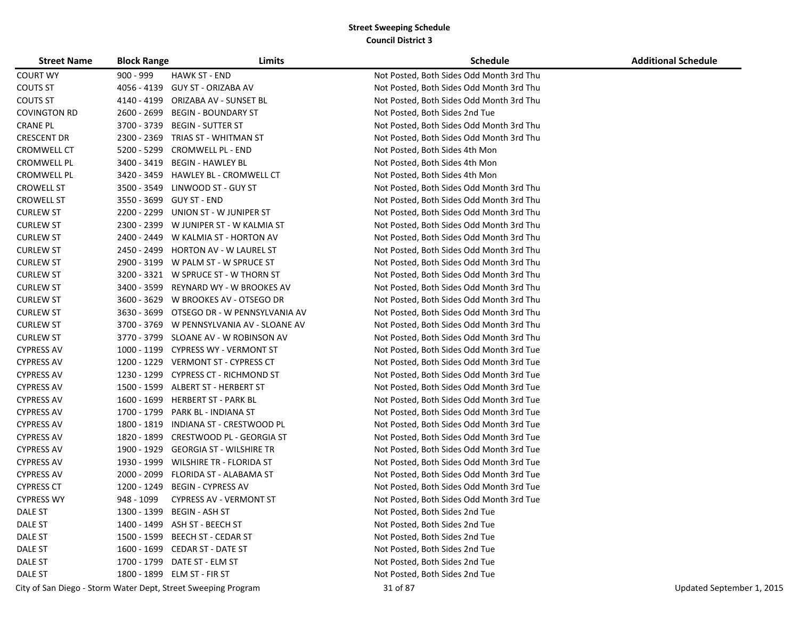| <b>Street Name</b>  | <b>Block Range</b> | Limits                                                        | <b>Schedule</b>                          | <b>Additional Schedule</b> |
|---------------------|--------------------|---------------------------------------------------------------|------------------------------------------|----------------------------|
| <b>COURT WY</b>     | $900 - 999$        | <b>HAWK ST - END</b>                                          | Not Posted, Both Sides Odd Month 3rd Thu |                            |
| COUTS ST            | 4056 - 4139        | GUY ST - ORIZABA AV                                           | Not Posted, Both Sides Odd Month 3rd Thu |                            |
| COUTS ST            | 4140 - 4199        | ORIZABA AV - SUNSET BL                                        | Not Posted, Both Sides Odd Month 3rd Thu |                            |
| <b>COVINGTON RD</b> | 2600 - 2699        | <b>BEGIN - BOUNDARY ST</b>                                    | Not Posted, Both Sides 2nd Tue           |                            |
| <b>CRANE PL</b>     | 3700 - 3739        | BEGIN - SUTTER ST                                             | Not Posted, Both Sides Odd Month 3rd Thu |                            |
| <b>CRESCENT DR</b>  | 2300 - 2369        | TRIAS ST - WHITMAN ST                                         | Not Posted, Both Sides Odd Month 3rd Thu |                            |
| CROMWELL CT         | 5200 - 5299        | <b>CROMWELL PL - END</b>                                      | Not Posted, Both Sides 4th Mon           |                            |
| <b>CROMWELL PL</b>  | 3400 - 3419        | <b>BEGIN - HAWLEY BL</b>                                      | Not Posted, Both Sides 4th Mon           |                            |
| CROMWELL PL         | 3420 - 3459        | <b>HAWLEY BL - CROMWELL CT</b>                                | Not Posted, Both Sides 4th Mon           |                            |
| <b>CROWELL ST</b>   | 3500 - 3549        | LINWOOD ST - GUY ST                                           | Not Posted, Both Sides Odd Month 3rd Thu |                            |
| <b>CROWELL ST</b>   | 3550 - 3699        | GUY ST - END                                                  | Not Posted, Both Sides Odd Month 3rd Thu |                            |
| <b>CURLEW ST</b>    | 2200 - 2299        | UNION ST - W JUNIPER ST                                       | Not Posted, Both Sides Odd Month 3rd Thu |                            |
| <b>CURLEW ST</b>    |                    | 2300 - 2399 W JUNIPER ST - W KALMIA ST                        | Not Posted, Both Sides Odd Month 3rd Thu |                            |
| <b>CURLEW ST</b>    |                    | 2400 - 2449 W KALMIA ST - HORTON AV                           | Not Posted, Both Sides Odd Month 3rd Thu |                            |
| <b>CURLEW ST</b>    | 2450 - 2499        | <b>HORTON AV - W LAUREL ST</b>                                | Not Posted, Both Sides Odd Month 3rd Thu |                            |
| <b>CURLEW ST</b>    | 2900 - 3199        | W PALM ST - W SPRUCE ST                                       | Not Posted, Both Sides Odd Month 3rd Thu |                            |
| <b>CURLEW ST</b>    |                    | 3200 - 3321 W SPRUCE ST - W THORN ST                          | Not Posted, Both Sides Odd Month 3rd Thu |                            |
| <b>CURLEW ST</b>    | 3400 - 3599        | REYNARD WY - W BROOKES AV                                     | Not Posted, Both Sides Odd Month 3rd Thu |                            |
| <b>CURLEW ST</b>    | 3600 - 3629        | W BROOKES AV - OTSEGO DR                                      | Not Posted, Both Sides Odd Month 3rd Thu |                            |
| <b>CURLEW ST</b>    |                    | 3630 - 3699 OTSEGO DR - W PENNSYLVANIA AV                     | Not Posted, Both Sides Odd Month 3rd Thu |                            |
| <b>CURLEW ST</b>    |                    | 3700 - 3769 W PENNSYLVANIA AV - SLOANE AV                     | Not Posted, Both Sides Odd Month 3rd Thu |                            |
| <b>CURLEW ST</b>    |                    | 3770 - 3799 SLOANE AV - W ROBINSON AV                         | Not Posted, Both Sides Odd Month 3rd Thu |                            |
| <b>CYPRESS AV</b>   |                    | 1000 - 1199 CYPRESS WY - VERMONT ST                           | Not Posted, Both Sides Odd Month 3rd Tue |                            |
| <b>CYPRESS AV</b>   |                    | 1200 - 1229 VERMONT ST - CYPRESS CT                           | Not Posted, Both Sides Odd Month 3rd Tue |                            |
| <b>CYPRESS AV</b>   | 1230 - 1299        | <b>CYPRESS CT - RICHMOND ST</b>                               | Not Posted, Both Sides Odd Month 3rd Tue |                            |
| <b>CYPRESS AV</b>   | 1500 - 1599        | ALBERT ST - HERBERT ST                                        | Not Posted, Both Sides Odd Month 3rd Tue |                            |
| <b>CYPRESS AV</b>   | 1600 - 1699        | <b>HERBERT ST - PARK BL</b>                                   | Not Posted, Both Sides Odd Month 3rd Tue |                            |
| <b>CYPRESS AV</b>   | 1700 - 1799        | PARK BL - INDIANA ST                                          | Not Posted, Both Sides Odd Month 3rd Tue |                            |
| <b>CYPRESS AV</b>   | 1800 - 1819        | INDIANA ST - CRESTWOOD PL                                     | Not Posted, Both Sides Odd Month 3rd Tue |                            |
| <b>CYPRESS AV</b>   | 1820 - 1899        | CRESTWOOD PL - GEORGIA ST                                     | Not Posted, Both Sides Odd Month 3rd Tue |                            |
| <b>CYPRESS AV</b>   | 1900 - 1929        | <b>GEORGIA ST - WILSHIRE TR</b>                               | Not Posted, Both Sides Odd Month 3rd Tue |                            |
| <b>CYPRESS AV</b>   | 1930 - 1999        | <b>WILSHIRE TR - FLORIDA ST</b>                               | Not Posted, Both Sides Odd Month 3rd Tue |                            |
| <b>CYPRESS AV</b>   | 2000 - 2099        | FLORIDA ST - ALABAMA ST                                       | Not Posted, Both Sides Odd Month 3rd Tue |                            |
| <b>CYPRESS CT</b>   | 1200 - 1249        | <b>BEGIN - CYPRESS AV</b>                                     | Not Posted, Both Sides Odd Month 3rd Tue |                            |
| <b>CYPRESS WY</b>   | 948 - 1099         | <b>CYPRESS AV - VERMONT ST</b>                                | Not Posted, Both Sides Odd Month 3rd Tue |                            |
| DALE ST             |                    | 1300 - 1399 BEGIN - ASH ST                                    | Not Posted, Both Sides 2nd Tue           |                            |
| DALE ST             |                    | 1400 - 1499 ASH ST - BEECH ST                                 | Not Posted, Both Sides 2nd Tue           |                            |
| DALE ST             |                    | 1500 - 1599 BEECH ST - CEDAR ST                               | Not Posted, Both Sides 2nd Tue           |                            |
| DALE ST             |                    | 1600 - 1699 CEDAR ST - DATE ST                                | Not Posted, Both Sides 2nd Tue           |                            |
| DALE ST             |                    | 1700 - 1799 DATE ST - ELM ST                                  | Not Posted, Both Sides 2nd Tue           |                            |
| DALE ST             |                    | 1800 - 1899 ELM ST - FIR ST                                   | Not Posted, Both Sides 2nd Tue           |                            |
|                     |                    | City of San Diego - Storm Water Dept, Street Sweeping Program | 31 of 87                                 | Updated September 1, 2015  |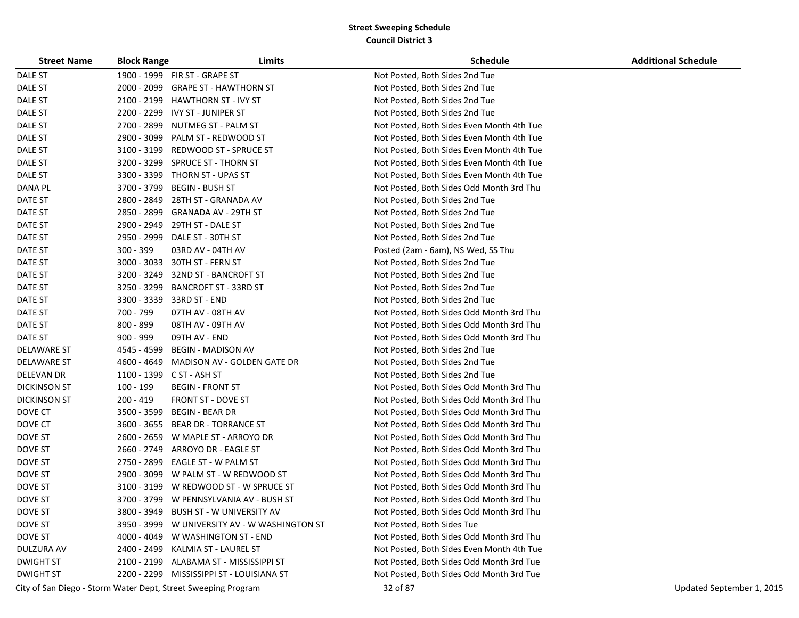| <b>Street Name</b>  | <b>Block Range</b> | Limits                                    | <b>Schedule</b>                           | <b>Additional Schedule</b> |
|---------------------|--------------------|-------------------------------------------|-------------------------------------------|----------------------------|
| DALE ST             |                    | 1900 - 1999 FIR ST - GRAPE ST             | Not Posted, Both Sides 2nd Tue            |                            |
| DALE ST             | 2000 - 2099        | <b>GRAPE ST - HAWTHORN ST</b>             | Not Posted, Both Sides 2nd Tue            |                            |
| DALE ST             | 2100 - 2199        | <b>HAWTHORN ST - IVY ST</b>               | Not Posted, Both Sides 2nd Tue            |                            |
| DALE ST             | 2200 - 2299        | IVY ST - JUNIPER ST                       | Not Posted, Both Sides 2nd Tue            |                            |
| DALE ST             | 2700 - 2899        | NUTMEG ST - PALM ST                       | Not Posted, Both Sides Even Month 4th Tue |                            |
| DALE ST             | 2900 - 3099        | PALM ST - REDWOOD ST                      | Not Posted, Both Sides Even Month 4th Tue |                            |
| DALE ST             | 3100 - 3199        | REDWOOD ST - SPRUCE ST                    | Not Posted, Both Sides Even Month 4th Tue |                            |
| DALE ST             |                    | 3200 - 3299 SPRUCE ST - THORN ST          | Not Posted, Both Sides Even Month 4th Tue |                            |
| DALE ST             |                    | 3300 - 3399 THORN ST - UPAS ST            | Not Posted, Both Sides Even Month 4th Tue |                            |
| DANA PL             | 3700 - 3799        | BEGIN - BUSH ST                           | Not Posted, Both Sides Odd Month 3rd Thu  |                            |
| DATE ST             | 2800 - 2849        | 28TH ST - GRANADA AV                      | Not Posted, Both Sides 2nd Tue            |                            |
| DATE ST             | 2850 - 2899        | <b>GRANADA AV - 29TH ST</b>               | Not Posted, Both Sides 2nd Tue            |                            |
| DATE ST             | 2900 - 2949        | 29TH ST - DALE ST                         | Not Posted, Both Sides 2nd Tue            |                            |
| DATE ST             | 2950 - 2999        | DALE ST - 30TH ST                         | Not Posted, Both Sides 2nd Tue            |                            |
| DATE ST             | 300 - 399          | 03RD AV - 04TH AV                         | Posted (2am - 6am), NS Wed, SS Thu        |                            |
| DATE ST             | $3000 - 3033$      | 30TH ST - FERN ST                         | Not Posted, Both Sides 2nd Tue            |                            |
| DATE ST             | 3200 - 3249        | 32ND ST - BANCROFT ST                     | Not Posted, Both Sides 2nd Tue            |                            |
| DATE ST             | 3250 - 3299        | <b>BANCROFT ST - 33RD ST</b>              | Not Posted, Both Sides 2nd Tue            |                            |
| DATE ST             | 3300 - 3339        | 33RD ST - END                             | Not Posted, Both Sides 2nd Tue            |                            |
| DATE ST             | 700 - 799          | 07TH AV - 08TH AV                         | Not Posted, Both Sides Odd Month 3rd Thu  |                            |
| DATE ST             | 800 - 899          | 08TH AV - 09TH AV                         | Not Posted, Both Sides Odd Month 3rd Thu  |                            |
| DATE ST             | 900 - 999          | 09TH AV - END                             | Not Posted, Both Sides Odd Month 3rd Thu  |                            |
| DELAWARE ST         | 4545 - 4599        | BEGIN - MADISON AV                        | Not Posted, Both Sides 2nd Tue            |                            |
| <b>DELAWARE ST</b>  | 4600 - 4649        | MADISON AV - GOLDEN GATE DR               | Not Posted, Both Sides 2nd Tue            |                            |
| DELEVAN DR          | 1100 - 1399        | C ST - ASH ST                             | Not Posted, Both Sides 2nd Tue            |                            |
| <b>DICKINSON ST</b> | 100 - 199          | BEGIN - FRONT ST                          | Not Posted, Both Sides Odd Month 3rd Thu  |                            |
| <b>DICKINSON ST</b> | $200 - 419$        | FRONT ST - DOVE ST                        | Not Posted, Both Sides Odd Month 3rd Thu  |                            |
| DOVE CT             | 3500 - 3599        | <b>BEGIN - BEAR DR</b>                    | Not Posted, Both Sides Odd Month 3rd Thu  |                            |
| DOVE CT             | 3600 - 3655        | BEAR DR - TORRANCE ST                     | Not Posted, Both Sides Odd Month 3rd Thu  |                            |
| DOVE ST             | 2600 - 2659        | W MAPLE ST - ARROYO DR                    | Not Posted, Both Sides Odd Month 3rd Thu  |                            |
| DOVE ST             | 2660 - 2749        | ARROYO DR - EAGLE ST                      | Not Posted, Both Sides Odd Month 3rd Thu  |                            |
| DOVE ST             | 2750 - 2899        | EAGLE ST - W PALM ST                      | Not Posted, Both Sides Odd Month 3rd Thu  |                            |
| DOVE ST             |                    | 2900 - 3099 W PALM ST - W REDWOOD ST      | Not Posted, Both Sides Odd Month 3rd Thu  |                            |
| DOVE ST             |                    | 3100 - 3199 W REDWOOD ST - W SPRUCE ST    | Not Posted, Both Sides Odd Month 3rd Thu  |                            |
| DOVE ST             |                    | 3700 - 3799 W PENNSYLVANIA AV - BUSH ST   | Not Posted, Both Sides Odd Month 3rd Thu  |                            |
| DOVE ST             | 3800 - 3949        | <b>BUSH ST - W UNIVERSITY AV</b>          | Not Posted, Both Sides Odd Month 3rd Thu  |                            |
| DOVE ST             | 3950 - 3999        | W UNIVERSITY AV - W WASHINGTON ST         | Not Posted, Both Sides Tue                |                            |
| DOVE ST             |                    | 4000 - 4049 W WASHINGTON ST - END         | Not Posted, Both Sides Odd Month 3rd Thu  |                            |
| DULZURA AV          | 2400 - 2499        | KALMIA ST - LAUREL ST                     | Not Posted, Both Sides Even Month 4th Tue |                            |
| <b>DWIGHT ST</b>    | 2100 - 2199        | ALABAMA ST - MISSISSIPPI ST               | Not Posted, Both Sides Odd Month 3rd Tue  |                            |
| <b>DWIGHT ST</b>    |                    | 2200 - 2299 MISSISSIPPI ST - LOUISIANA ST | Not Posted, Both Sides Odd Month 3rd Tue  |                            |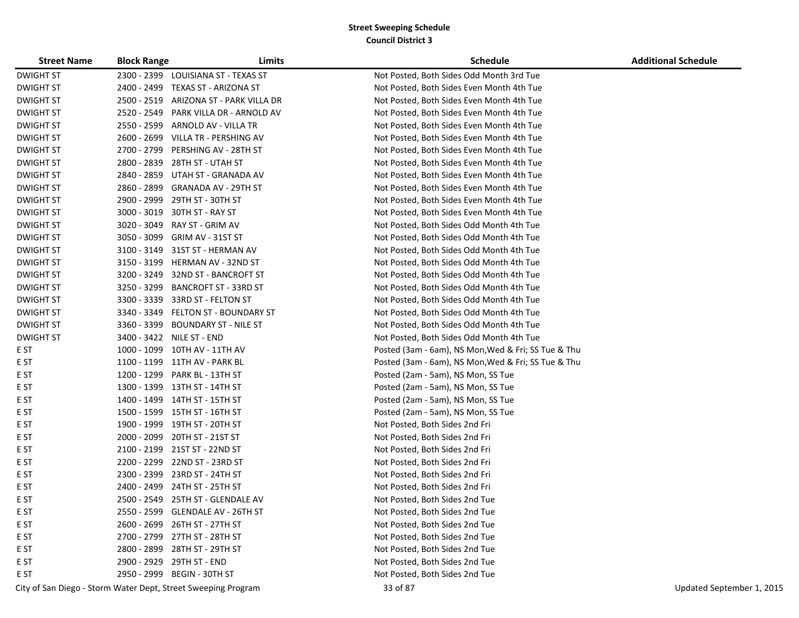| <b>Street Name</b> | <b>Block Range</b> | Limits                                                        | <b>Schedule</b>                                     | <b>Additional Schedule</b> |
|--------------------|--------------------|---------------------------------------------------------------|-----------------------------------------------------|----------------------------|
| <b>DWIGHT ST</b>   | 2300 - 2399        | LOUISIANA ST - TEXAS ST                                       | Not Posted, Both Sides Odd Month 3rd Tue            |                            |
| <b>DWIGHT ST</b>   | 2400 - 2499        | TEXAS ST - ARIZONA ST                                         | Not Posted, Both Sides Even Month 4th Tue           |                            |
| <b>DWIGHT ST</b>   | 2500 - 2519        | ARIZONA ST - PARK VILLA DR                                    | Not Posted, Both Sides Even Month 4th Tue           |                            |
| <b>DWIGHT ST</b>   | 2520 - 2549        | PARK VILLA DR - ARNOLD AV                                     | Not Posted, Both Sides Even Month 4th Tue           |                            |
| <b>DWIGHT ST</b>   | 2550 - 2599        | ARNOLD AV - VILLA TR                                          | Not Posted, Both Sides Even Month 4th Tue           |                            |
| <b>DWIGHT ST</b>   | 2600 - 2699        | VILLA TR - PERSHING AV                                        | Not Posted, Both Sides Even Month 4th Tue           |                            |
| <b>DWIGHT ST</b>   | 2700 - 2799        | PERSHING AV - 28TH ST                                         | Not Posted, Both Sides Even Month 4th Tue           |                            |
| <b>DWIGHT ST</b>   | 2800 - 2839        | 28TH ST - UTAH ST                                             | Not Posted, Both Sides Even Month 4th Tue           |                            |
| <b>DWIGHT ST</b>   | 2840 - 2859        | UTAH ST - GRANADA AV                                          | Not Posted, Both Sides Even Month 4th Tue           |                            |
| <b>DWIGHT ST</b>   | 2860 - 2899        | <b>GRANADA AV - 29TH ST</b>                                   | Not Posted, Both Sides Even Month 4th Tue           |                            |
| <b>DWIGHT ST</b>   | 2900 - 2999        | 29TH ST - 30TH ST                                             | Not Posted, Both Sides Even Month 4th Tue           |                            |
| <b>DWIGHT ST</b>   | 3000 - 3019        | 30TH ST - RAY ST                                              | Not Posted, Both Sides Even Month 4th Tue           |                            |
| <b>DWIGHT ST</b>   | 3020 - 3049        | RAY ST - GRIM AV                                              | Not Posted, Both Sides Odd Month 4th Tue            |                            |
| <b>DWIGHT ST</b>   | 3050 - 3099        | GRIM AV - 31ST ST                                             | Not Posted, Both Sides Odd Month 4th Tue            |                            |
| <b>DWIGHT ST</b>   | 3100 - 3149        | 31ST ST - HERMAN AV                                           | Not Posted, Both Sides Odd Month 4th Tue            |                            |
| <b>DWIGHT ST</b>   | 3150 - 3199        | HERMAN AV - 32ND ST                                           | Not Posted, Both Sides Odd Month 4th Tue            |                            |
| <b>DWIGHT ST</b>   | 3200 - 3249        | 32ND ST - BANCROFT ST                                         | Not Posted, Both Sides Odd Month 4th Tue            |                            |
| <b>DWIGHT ST</b>   | 3250 - 3299        | <b>BANCROFT ST - 33RD ST</b>                                  | Not Posted, Both Sides Odd Month 4th Tue            |                            |
| <b>DWIGHT ST</b>   | 3300 - 3339        | 33RD ST - FELTON ST                                           | Not Posted, Both Sides Odd Month 4th Tue            |                            |
| <b>DWIGHT ST</b>   | 3340 - 3349        | FELTON ST - BOUNDARY ST                                       | Not Posted, Both Sides Odd Month 4th Tue            |                            |
| <b>DWIGHT ST</b>   | 3360 - 3399        | <b>BOUNDARY ST - NILE ST</b>                                  | Not Posted, Both Sides Odd Month 4th Tue            |                            |
| <b>DWIGHT ST</b>   |                    | 3400 - 3422 NILE ST - END                                     | Not Posted, Both Sides Odd Month 4th Tue            |                            |
| E ST               |                    | 1000 - 1099 10TH AV - 11TH AV                                 | Posted (3am - 6am), NS Mon, Wed & Fri; SS Tue & Thu |                            |
| E ST               |                    | 1100 - 1199 11TH AV - PARK BL                                 | Posted (3am - 6am), NS Mon, Wed & Fri; SS Tue & Thu |                            |
| E ST               | 1200 - 1299        | PARK BL - 13TH ST                                             | Posted (2am - 5am), NS Mon, SS Tue                  |                            |
| E ST               |                    | 1300 - 1399 13TH ST - 14TH ST                                 | Posted (2am - 5am), NS Mon, SS Tue                  |                            |
| E ST               |                    | 1400 - 1499 14TH ST - 15TH ST                                 | Posted (2am - 5am), NS Mon, SS Tue                  |                            |
| E ST               |                    | 1500 - 1599 15TH ST - 16TH ST                                 | Posted (2am - 5am), NS Mon, SS Tue                  |                            |
| E ST               |                    | 1900 - 1999 19TH ST - 20TH ST                                 | Not Posted, Both Sides 2nd Fri                      |                            |
| E ST               | 2000 - 2099        | 20TH ST - 21ST ST                                             | Not Posted, Both Sides 2nd Fri                      |                            |
| E ST               |                    | 2100 - 2199 21ST ST - 22ND ST                                 | Not Posted, Both Sides 2nd Fri                      |                            |
| E ST               | 2200 - 2299        | 22ND ST - 23RD ST                                             | Not Posted, Both Sides 2nd Fri                      |                            |
| E ST               | 2300 - 2399        | 23RD ST - 24TH ST                                             | Not Posted, Both Sides 2nd Fri                      |                            |
| E ST               | 2400 - 2499        | 24TH ST - 25TH ST                                             | Not Posted, Both Sides 2nd Fri                      |                            |
| E ST               | 2500 - 2549        | 25TH ST - GLENDALE AV                                         | Not Posted, Both Sides 2nd Tue                      |                            |
| E ST               |                    | 2550 - 2599 GLENDALE AV - 26TH ST                             | Not Posted, Both Sides 2nd Tue                      |                            |
| E ST               |                    | 2600 - 2699 26TH ST - 27TH ST                                 | Not Posted, Both Sides 2nd Tue                      |                            |
| E ST               |                    | 2700 - 2799 27TH ST - 28TH ST                                 | Not Posted, Both Sides 2nd Tue                      |                            |
| E ST               |                    | 2800 - 2899 28TH ST - 29TH ST                                 | Not Posted, Both Sides 2nd Tue                      |                            |
| E ST               |                    | 2900 - 2929 29TH ST - END                                     | Not Posted, Both Sides 2nd Tue                      |                            |
| E ST               |                    | 2950 - 2999 BEGIN - 30TH ST                                   | Not Posted, Both Sides 2nd Tue                      |                            |
|                    |                    | City of San Diego - Storm Water Dept, Street Sweeping Program | 33 of 87                                            | Updated September 1, 2015  |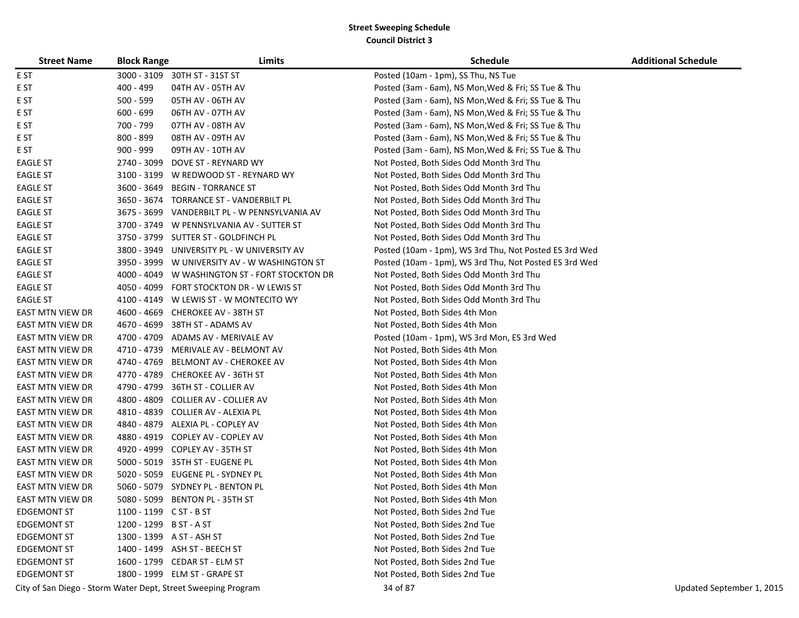| <b>Street Name</b> | <b>Block Range</b>      | Limits                                                        | <b>Schedule</b>                                        | <b>Additional Schedule</b> |
|--------------------|-------------------------|---------------------------------------------------------------|--------------------------------------------------------|----------------------------|
| E ST               |                         | 3000 - 3109 30TH ST - 31ST ST                                 | Posted (10am - 1pm), SS Thu, NS Tue                    |                            |
| E ST               | 400 - 499               | 04TH AV - 05TH AV                                             | Posted (3am - 6am), NS Mon, Wed & Fri; SS Tue & Thu    |                            |
| E ST               | $500 - 599$             | 05TH AV - 06TH AV                                             | Posted (3am - 6am), NS Mon, Wed & Fri; SS Tue & Thu    |                            |
| E ST               | $600 - 699$             | 06TH AV - 07TH AV                                             | Posted (3am - 6am), NS Mon, Wed & Fri; SS Tue & Thu    |                            |
| E ST               | 700 - 799               | 07TH AV - 08TH AV                                             | Posted (3am - 6am), NS Mon, Wed & Fri; SS Tue & Thu    |                            |
| E ST               | 800 - 899               | 08TH AV - 09TH AV                                             | Posted (3am - 6am), NS Mon, Wed & Fri; SS Tue & Thu    |                            |
| E ST               | $900 - 999$             | 09TH AV - 10TH AV                                             | Posted (3am - 6am), NS Mon, Wed & Fri; SS Tue & Thu    |                            |
| <b>EAGLE ST</b>    |                         | 2740 - 3099 DOVE ST - REYNARD WY                              | Not Posted, Both Sides Odd Month 3rd Thu               |                            |
| <b>EAGLE ST</b>    |                         | 3100 - 3199 W REDWOOD ST - REYNARD WY                         | Not Posted, Both Sides Odd Month 3rd Thu               |                            |
| <b>EAGLE ST</b>    | 3600 - 3649             | <b>BEGIN - TORRANCE ST</b>                                    | Not Posted, Both Sides Odd Month 3rd Thu               |                            |
| <b>EAGLE ST</b>    | 3650 - 3674             | TORRANCE ST - VANDERBILT PL                                   | Not Posted, Both Sides Odd Month 3rd Thu               |                            |
| <b>EAGLE ST</b>    | 3675 - 3699             | VANDERBILT PL - W PENNSYLVANIA AV                             | Not Posted, Both Sides Odd Month 3rd Thu               |                            |
| <b>EAGLE ST</b>    | 3700 - 3749             | W PENNSYLVANIA AV - SUTTER ST                                 | Not Posted, Both Sides Odd Month 3rd Thu               |                            |
| <b>EAGLE ST</b>    |                         | 3750 - 3799 SUTTER ST - GOLDFINCH PL                          | Not Posted, Both Sides Odd Month 3rd Thu               |                            |
| <b>EAGLE ST</b>    | 3800 - 3949             | UNIVERSITY PL - W UNIVERSITY AV                               | Posted (10am - 1pm), WS 3rd Thu, Not Posted ES 3rd Wed |                            |
| <b>EAGLE ST</b>    |                         | 3950 - 3999 W UNIVERSITY AV - W WASHINGTON ST                 | Posted (10am - 1pm), WS 3rd Thu, Not Posted ES 3rd Wed |                            |
| <b>EAGLE ST</b>    |                         | 4000 - 4049 W WASHINGTON ST - FORT STOCKTON DR                | Not Posted, Both Sides Odd Month 3rd Thu               |                            |
| <b>EAGLE ST</b>    |                         | 4050 - 4099 FORT STOCKTON DR - W LEWIS ST                     | Not Posted, Both Sides Odd Month 3rd Thu               |                            |
| <b>EAGLE ST</b>    | 4100 - 4149             | W LEWIS ST - W MONTECITO WY                                   | Not Posted, Both Sides Odd Month 3rd Thu               |                            |
| EAST MTN VIEW DR   | 4600 - 4669             | <b>CHEROKEE AV - 38TH ST</b>                                  | Not Posted, Both Sides 4th Mon                         |                            |
| EAST MTN VIEW DR   | 4670 - 4699             | 38TH ST - ADAMS AV                                            | Not Posted, Both Sides 4th Mon                         |                            |
| EAST MTN VIEW DR   | 4700 - 4709             | ADAMS AV - MERIVALE AV                                        | Posted (10am - 1pm), WS 3rd Mon, ES 3rd Wed            |                            |
| EAST MTN VIEW DR   |                         | 4710 - 4739 MERIVALE AV - BELMONT AV                          | Not Posted, Both Sides 4th Mon                         |                            |
| EAST MTN VIEW DR   |                         | 4740 - 4769 BELMONT AV - CHEROKEE AV                          | Not Posted, Both Sides 4th Mon                         |                            |
| EAST MTN VIEW DR   |                         | 4770 - 4789 CHEROKEE AV - 36TH ST                             | Not Posted, Both Sides 4th Mon                         |                            |
| EAST MTN VIEW DR   |                         | 4790 - 4799 36TH ST - COLLIER AV                              | Not Posted, Both Sides 4th Mon                         |                            |
| EAST MTN VIEW DR   | 4800 - 4809             | COLLIER AV - COLLIER AV                                       | Not Posted, Both Sides 4th Mon                         |                            |
| EAST MTN VIEW DR   |                         | 4810 - 4839 COLLIER AV - ALEXIA PL                            | Not Posted, Both Sides 4th Mon                         |                            |
| EAST MTN VIEW DR   |                         | 4840 - 4879 ALEXIA PL - COPLEY AV                             | Not Posted, Both Sides 4th Mon                         |                            |
| EAST MTN VIEW DR   | 4880 - 4919             | COPLEY AV - COPLEY AV                                         | Not Posted, Both Sides 4th Mon                         |                            |
| EAST MTN VIEW DR   |                         | 4920 - 4999 COPLEY AV - 35TH ST                               | Not Posted, Both Sides 4th Mon                         |                            |
| EAST MTN VIEW DR   |                         | 5000 - 5019 35TH ST - EUGENE PL                               | Not Posted, Both Sides 4th Mon                         |                            |
| EAST MTN VIEW DR   |                         | 5020 - 5059 EUGENE PL - SYDNEY PL                             | Not Posted, Both Sides 4th Mon                         |                            |
| EAST MTN VIEW DR   |                         | 5060 - 5079 SYDNEY PL - BENTON PL                             | Not Posted, Both Sides 4th Mon                         |                            |
| EAST MTN VIEW DR   |                         | 5080 - 5099 BENTON PL - 35TH ST                               | Not Posted, Both Sides 4th Mon                         |                            |
| <b>EDGEMONT ST</b> | 1100 - 1199 C ST - B ST |                                                               | Not Posted, Both Sides 2nd Tue                         |                            |
| <b>EDGEMONT ST</b> | 1200 - 1299 B ST - A ST |                                                               | Not Posted, Both Sides 2nd Tue                         |                            |
| <b>EDGEMONT ST</b> |                         | 1300 - 1399 A ST - ASH ST                                     | Not Posted, Both Sides 2nd Tue                         |                            |
| <b>EDGEMONT ST</b> |                         | 1400 - 1499 ASH ST - BEECH ST                                 | Not Posted, Both Sides 2nd Tue                         |                            |
| <b>EDGEMONT ST</b> |                         | 1600 - 1799 CEDAR ST - ELM ST                                 | Not Posted, Both Sides 2nd Tue                         |                            |
| <b>EDGEMONT ST</b> |                         | 1800 - 1999 ELM ST - GRAPE ST                                 | Not Posted, Both Sides 2nd Tue                         |                            |
|                    |                         | City of San Diego - Storm Water Dept, Street Sweeping Program | 34 of 87                                               | Updated September 1, 2015  |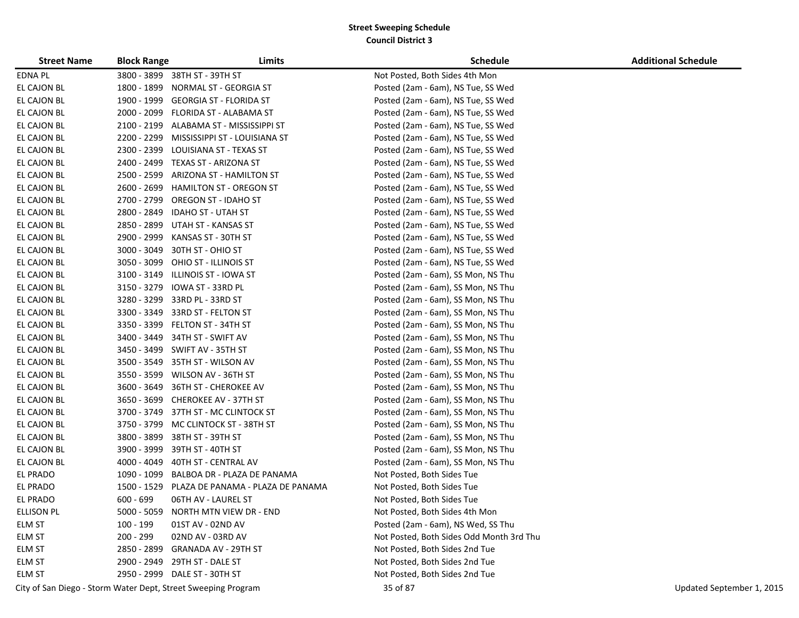| <b>Street Name</b> | <b>Block Range</b> | Limits                                                        | <b>Schedule</b>                          | <b>Additional Schedule</b> |
|--------------------|--------------------|---------------------------------------------------------------|------------------------------------------|----------------------------|
| EDNA PL            |                    | 3800 - 3899 38TH ST - 39TH ST                                 | Not Posted, Both Sides 4th Mon           |                            |
| EL CAJON BL        | 1800 - 1899        | NORMAL ST - GEORGIA ST                                        | Posted (2am - 6am), NS Tue, SS Wed       |                            |
| EL CAJON BL        | 1900 - 1999        | GEORGIA ST - FLORIDA ST                                       | Posted (2am - 6am), NS Tue, SS Wed       |                            |
| EL CAJON BL        | 2000 - 2099        | FLORIDA ST - ALABAMA ST                                       | Posted (2am - 6am), NS Tue, SS Wed       |                            |
| EL CAJON BL        | 2100 - 2199        | ALABAMA ST - MISSISSIPPI ST                                   | Posted (2am - 6am), NS Tue, SS Wed       |                            |
| EL CAJON BL        | 2200 - 2299        | MISSISSIPPI ST - LOUISIANA ST                                 | Posted (2am - 6am), NS Tue, SS Wed       |                            |
| EL CAJON BL        | 2300 - 2399        | LOUISIANA ST - TEXAS ST                                       | Posted (2am - 6am), NS Tue, SS Wed       |                            |
| EL CAJON BL        | 2400 - 2499        | TEXAS ST - ARIZONA ST                                         | Posted (2am - 6am), NS Tue, SS Wed       |                            |
| EL CAJON BL        | 2500 - 2599        | ARIZONA ST - HAMILTON ST                                      | Posted (2am - 6am), NS Tue, SS Wed       |                            |
| EL CAJON BL        | 2600 - 2699        | <b>HAMILTON ST - OREGON ST</b>                                | Posted (2am - 6am), NS Tue, SS Wed       |                            |
| EL CAJON BL        | 2700 - 2799        | <b>OREGON ST - IDAHO ST</b>                                   | Posted (2am - 6am), NS Tue, SS Wed       |                            |
| EL CAJON BL        | 2800 - 2849        | <b>IDAHO ST - UTAH ST</b>                                     | Posted (2am - 6am), NS Tue, SS Wed       |                            |
| EL CAJON BL        | 2850 - 2899        | UTAH ST - KANSAS ST                                           | Posted (2am - 6am), NS Tue, SS Wed       |                            |
| EL CAJON BL        | 2900 - 2999        | KANSAS ST - 30TH ST                                           | Posted (2am - 6am), NS Tue, SS Wed       |                            |
| EL CAJON BL        | $3000 - 3049$      | 30TH ST - OHIO ST                                             | Posted (2am - 6am), NS Tue, SS Wed       |                            |
| EL CAJON BL        | 3050 - 3099        | OHIO ST - ILLINOIS ST                                         | Posted (2am - 6am), NS Tue, SS Wed       |                            |
| EL CAJON BL        | 3100 - 3149        | <b>ILLINOIS ST - IOWA ST</b>                                  | Posted (2am - 6am), SS Mon, NS Thu       |                            |
| EL CAJON BL        | 3150 - 3279        | IOWA ST - 33RD PL                                             | Posted (2am - 6am), SS Mon, NS Thu       |                            |
| EL CAJON BL        | 3280 - 3299        | 33RD PL - 33RD ST                                             | Posted (2am - 6am), SS Mon, NS Thu       |                            |
| EL CAJON BL        | 3300 - 3349        | 33RD ST - FELTON ST                                           | Posted (2am - 6am), SS Mon, NS Thu       |                            |
| EL CAJON BL        | 3350 - 3399        | FELTON ST - 34TH ST                                           | Posted (2am - 6am), SS Mon, NS Thu       |                            |
| EL CAJON BL        | 3400 - 3449        | 34TH ST - SWIFT AV                                            | Posted (2am - 6am), SS Mon, NS Thu       |                            |
| EL CAJON BL        |                    | 3450 - 3499 SWIFT AV - 35TH ST                                | Posted (2am - 6am), SS Mon, NS Thu       |                            |
| EL CAJON BL        | 3500 - 3549        | 35TH ST - WILSON AV                                           | Posted (2am - 6am), SS Mon, NS Thu       |                            |
| EL CAJON BL        | 3550 - 3599        | WILSON AV - 36TH ST                                           | Posted (2am - 6am), SS Mon, NS Thu       |                            |
| EL CAJON BL        | 3600 - 3649        | 36TH ST - CHEROKEE AV                                         | Posted (2am - 6am), SS Mon, NS Thu       |                            |
| EL CAJON BL        | 3650 - 3699        | <b>CHEROKEE AV - 37TH ST</b>                                  | Posted (2am - 6am), SS Mon, NS Thu       |                            |
| EL CAJON BL        | 3700 - 3749        | 37TH ST - MC CLINTOCK ST                                      | Posted (2am - 6am), SS Mon, NS Thu       |                            |
| EL CAJON BL        | 3750 - 3799        | MC CLINTOCK ST - 38TH ST                                      | Posted (2am - 6am), SS Mon, NS Thu       |                            |
| EL CAJON BL        | 3800 - 3899        | 38TH ST - 39TH ST                                             | Posted (2am - 6am), SS Mon, NS Thu       |                            |
| EL CAJON BL        | 3900 - 3999        | 39TH ST - 40TH ST                                             | Posted (2am - 6am), SS Mon, NS Thu       |                            |
| EL CAJON BL        | 4000 - 4049        | 40TH ST - CENTRAL AV                                          | Posted (2am - 6am), SS Mon, NS Thu       |                            |
| EL PRADO           | 1090 - 1099        | BALBOA DR - PLAZA DE PANAMA                                   | Not Posted, Both Sides Tue               |                            |
| EL PRADO           | 1500 - 1529        | PLAZA DE PANAMA - PLAZA DE PANAMA                             | Not Posted, Both Sides Tue               |                            |
| EL PRADO           | $600 - 699$        | 06TH AV - LAUREL ST                                           | Not Posted, Both Sides Tue               |                            |
| ELLISON PL         | 5000 - 5059        | NORTH MTN VIEW DR - END                                       | Not Posted, Both Sides 4th Mon           |                            |
| ELM ST             | 100 - 199          | 01ST AV - 02ND AV                                             | Posted (2am - 6am), NS Wed, SS Thu       |                            |
| ELM ST             | 200 - 299          | 02ND AV - 03RD AV                                             | Not Posted, Both Sides Odd Month 3rd Thu |                            |
| ELM ST             | 2850 - 2899        | GRANADA AV - 29TH ST                                          | Not Posted, Both Sides 2nd Tue           |                            |
| ELM ST             |                    | 2900 - 2949 29TH ST - DALE ST                                 | Not Posted, Both Sides 2nd Tue           |                            |
| ELM ST             |                    | 2950 - 2999 DALE ST - 30TH ST                                 | Not Posted, Both Sides 2nd Tue           |                            |
|                    |                    | City of San Diego - Storm Water Dept, Street Sweeping Program | 35 of 87                                 | Updated September 1, 2015  |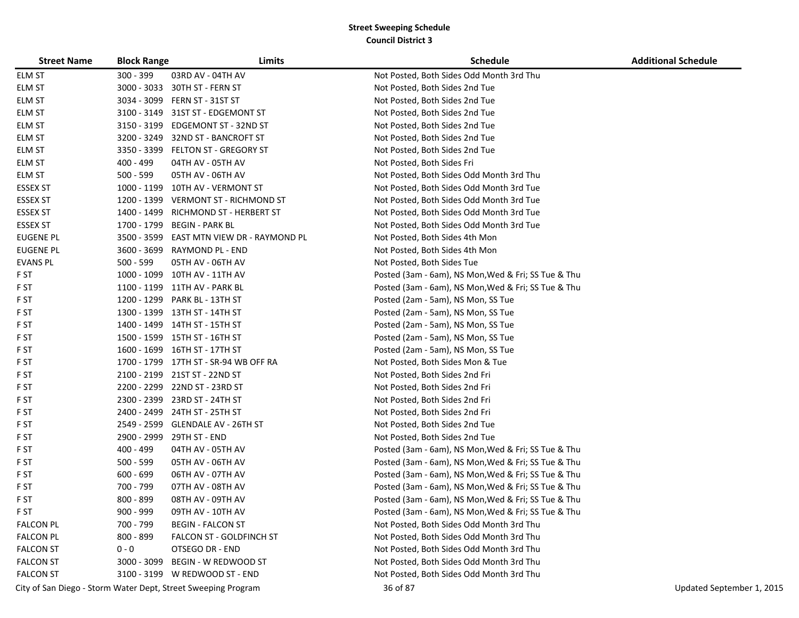| <b>Street Name</b> | <b>Block Range</b> | Limits                                                        | <b>Schedule</b>                                     | <b>Additional Schedule</b> |
|--------------------|--------------------|---------------------------------------------------------------|-----------------------------------------------------|----------------------------|
| ELM ST             | 300 - 399          | 03RD AV - 04TH AV                                             | Not Posted, Both Sides Odd Month 3rd Thu            |                            |
| ELM ST             | $3000 - 3033$      | 30TH ST - FERN ST                                             | Not Posted, Both Sides 2nd Tue                      |                            |
| ELM ST             |                    | 3034 - 3099 FERN ST - 31ST ST                                 | Not Posted, Both Sides 2nd Tue                      |                            |
| ELM ST             | 3100 - 3149        | 31ST ST - EDGEMONT ST                                         | Not Posted, Both Sides 2nd Tue                      |                            |
| ELM ST             | 3150 - 3199        | <b>EDGEMONT ST - 32ND ST</b>                                  | Not Posted, Both Sides 2nd Tue                      |                            |
| ELM ST             |                    | 3200 - 3249 32ND ST - BANCROFT ST                             | Not Posted, Both Sides 2nd Tue                      |                            |
| <b>ELM ST</b>      |                    | 3350 - 3399 FELTON ST - GREGORY ST                            | Not Posted, Both Sides 2nd Tue                      |                            |
| ELM ST             | 400 - 499          | 04TH AV - 05TH AV                                             | Not Posted, Both Sides Fri                          |                            |
| ELM ST             | 500 - 599          | 05TH AV - 06TH AV                                             | Not Posted, Both Sides Odd Month 3rd Thu            |                            |
| <b>ESSEX ST</b>    |                    | 1000 - 1199 10TH AV - VERMONT ST                              | Not Posted, Both Sides Odd Month 3rd Tue            |                            |
| <b>ESSEX ST</b>    |                    | 1200 - 1399 VERMONT ST - RICHMOND ST                          | Not Posted, Both Sides Odd Month 3rd Tue            |                            |
| <b>ESSEX ST</b>    | 1400 - 1499        | RICHMOND ST - HERBERT ST                                      | Not Posted, Both Sides Odd Month 3rd Tue            |                            |
| <b>ESSEX ST</b>    | 1700 - 1799        | <b>BEGIN - PARK BL</b>                                        | Not Posted, Both Sides Odd Month 3rd Tue            |                            |
| <b>EUGENE PL</b>   |                    | 3500 - 3599 EAST MTN VIEW DR - RAYMOND PL                     | Not Posted, Both Sides 4th Mon                      |                            |
| EUGENE PL          | 3600 - 3699        | RAYMOND PL - END                                              | Not Posted, Both Sides 4th Mon                      |                            |
| <b>EVANS PL</b>    | $500 - 599$        | 05TH AV - 06TH AV                                             | Not Posted, Both Sides Tue                          |                            |
| F ST               |                    | 1000 - 1099 10TH AV - 11TH AV                                 | Posted (3am - 6am), NS Mon, Wed & Fri; SS Tue & Thu |                            |
| F ST               |                    | 1100 - 1199 11TH AV - PARK BL                                 | Posted (3am - 6am), NS Mon, Wed & Fri; SS Tue & Thu |                            |
| F ST               |                    | 1200 - 1299 PARK BL - 13TH ST                                 | Posted (2am - 5am), NS Mon, SS Tue                  |                            |
| F ST               |                    | 1300 - 1399 13TH ST - 14TH ST                                 | Posted (2am - 5am), NS Mon, SS Tue                  |                            |
| F ST               |                    | 1400 - 1499 14TH ST - 15TH ST                                 | Posted (2am - 5am), NS Mon, SS Tue                  |                            |
| F ST               |                    | 1500 - 1599 15TH ST - 16TH ST                                 | Posted (2am - 5am), NS Mon, SS Tue                  |                            |
| F ST               |                    | 1600 - 1699 16TH ST - 17TH ST                                 | Posted (2am - 5am), NS Mon, SS Tue                  |                            |
| F ST               |                    | 1700 - 1799 17TH ST - SR-94 WB OFF RA                         | Not Posted, Both Sides Mon & Tue                    |                            |
| F ST               |                    | 2100 - 2199 21ST ST - 22ND ST                                 | Not Posted, Both Sides 2nd Fri                      |                            |
| F ST               |                    | 2200 - 2299 22ND ST - 23RD ST                                 | Not Posted, Both Sides 2nd Fri                      |                            |
| F ST               |                    | 2300 - 2399 23RD ST - 24TH ST                                 | Not Posted, Both Sides 2nd Fri                      |                            |
| F ST               | 2400 - 2499        | 24TH ST - 25TH ST                                             | Not Posted, Both Sides 2nd Fri                      |                            |
| F ST               |                    | 2549 - 2599 GLENDALE AV - 26TH ST                             | Not Posted, Both Sides 2nd Tue                      |                            |
| F ST               | 2900 - 2999        | 29TH ST - END                                                 | Not Posted, Both Sides 2nd Tue                      |                            |
| F ST               | 400 - 499          | 04TH AV - 05TH AV                                             | Posted (3am - 6am), NS Mon, Wed & Fri; SS Tue & Thu |                            |
| F ST               | $500 - 599$        | 05TH AV - 06TH AV                                             | Posted (3am - 6am), NS Mon, Wed & Fri; SS Tue & Thu |                            |
| F ST               | $600 - 699$        | 06TH AV - 07TH AV                                             | Posted (3am - 6am), NS Mon, Wed & Fri; SS Tue & Thu |                            |
| F ST               | 700 - 799          | 07TH AV - 08TH AV                                             | Posted (3am - 6am), NS Mon, Wed & Fri; SS Tue & Thu |                            |
| F ST               | 800 - 899          | 08TH AV - 09TH AV                                             | Posted (3am - 6am), NS Mon, Wed & Fri; SS Tue & Thu |                            |
| F ST               | 900 - 999          | 09TH AV - 10TH AV                                             | Posted (3am - 6am), NS Mon, Wed & Fri; SS Tue & Thu |                            |
| <b>FALCON PL</b>   | 700 - 799          | <b>BEGIN - FALCON ST</b>                                      | Not Posted, Both Sides Odd Month 3rd Thu            |                            |
| <b>FALCON PL</b>   | $800 - 899$        | FALCON ST - GOLDFINCH ST                                      | Not Posted, Both Sides Odd Month 3rd Thu            |                            |
| <b>FALCON ST</b>   | $0 - 0$            | OTSEGO DR - END                                               | Not Posted, Both Sides Odd Month 3rd Thu            |                            |
| <b>FALCON ST</b>   | 3000 - 3099        | BEGIN - W REDWOOD ST                                          | Not Posted, Both Sides Odd Month 3rd Thu            |                            |
| <b>FALCON ST</b>   |                    | 3100 - 3199 W REDWOOD ST - END                                | Not Posted, Both Sides Odd Month 3rd Thu            |                            |
|                    |                    | City of San Diego - Storm Water Dept, Street Sweeping Program | 36 of 87                                            | Updated September 1, 2015  |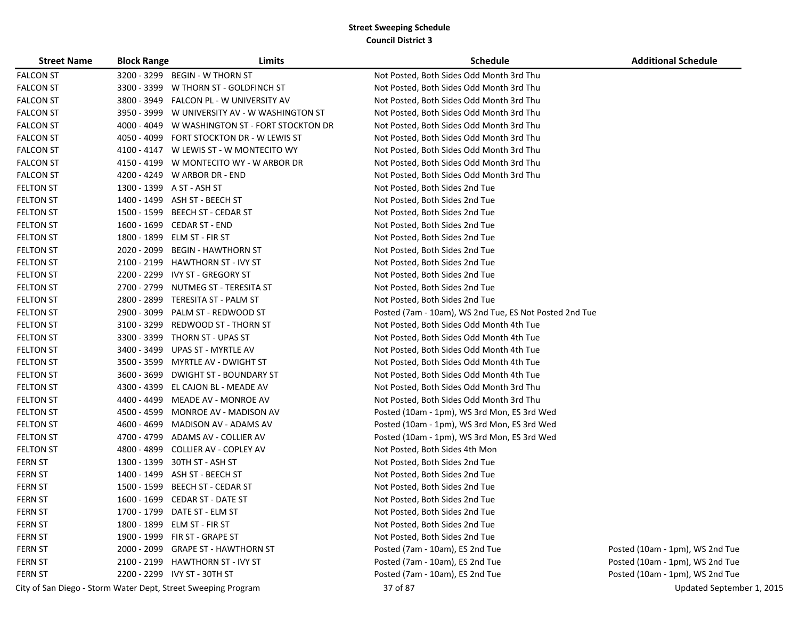| <b>Street Name</b> | <b>Block Range</b> | Limits                                                        | <b>Schedule</b>                                        | <b>Additional Schedule</b>      |
|--------------------|--------------------|---------------------------------------------------------------|--------------------------------------------------------|---------------------------------|
| <b>FALCON ST</b>   | 3200 - 3299        | <b>BEGIN - W THORN ST</b>                                     | Not Posted, Both Sides Odd Month 3rd Thu               |                                 |
| <b>FALCON ST</b>   |                    | 3300 - 3399 W THORN ST - GOLDFINCH ST                         | Not Posted, Both Sides Odd Month 3rd Thu               |                                 |
| <b>FALCON ST</b>   |                    | 3800 - 3949 FALCON PL - W UNIVERSITY AV                       | Not Posted, Both Sides Odd Month 3rd Thu               |                                 |
| <b>FALCON ST</b>   |                    | 3950 - 3999 W UNIVERSITY AV - W WASHINGTON ST                 | Not Posted, Both Sides Odd Month 3rd Thu               |                                 |
| <b>FALCON ST</b>   |                    | 4000 - 4049 W WASHINGTON ST - FORT STOCKTON DR                | Not Posted, Both Sides Odd Month 3rd Thu               |                                 |
| <b>FALCON ST</b>   |                    | 4050 - 4099 FORT STOCKTON DR - W LEWIS ST                     | Not Posted, Both Sides Odd Month 3rd Thu               |                                 |
| <b>FALCON ST</b>   |                    | 4100 - 4147 W LEWIS ST - W MONTECITO WY                       | Not Posted, Both Sides Odd Month 3rd Thu               |                                 |
| <b>FALCON ST</b>   |                    | 4150 - 4199 W MONTECITO WY - W ARBOR DR                       | Not Posted, Both Sides Odd Month 3rd Thu               |                                 |
| <b>FALCON ST</b>   |                    | 4200 - 4249 W ARBOR DR - END                                  | Not Posted, Both Sides Odd Month 3rd Thu               |                                 |
| <b>FELTON ST</b>   |                    | 1300 - 1399 A ST - ASH ST                                     | Not Posted, Both Sides 2nd Tue                         |                                 |
| <b>FELTON ST</b>   |                    | 1400 - 1499 ASH ST - BEECH ST                                 | Not Posted, Both Sides 2nd Tue                         |                                 |
| <b>FELTON ST</b>   |                    | 1500 - 1599 BEECH ST - CEDAR ST                               | Not Posted, Both Sides 2nd Tue                         |                                 |
| <b>FELTON ST</b>   |                    | 1600 - 1699 CEDAR ST - END                                    | Not Posted, Both Sides 2nd Tue                         |                                 |
| <b>FELTON ST</b>   |                    | 1800 - 1899 ELM ST - FIR ST                                   | Not Posted, Both Sides 2nd Tue                         |                                 |
| <b>FELTON ST</b>   | 2020 - 2099        | <b>BEGIN - HAWTHORN ST</b>                                    | Not Posted, Both Sides 2nd Tue                         |                                 |
| <b>FELTON ST</b>   |                    | 2100 - 2199 HAWTHORN ST - IVY ST                              | Not Posted, Both Sides 2nd Tue                         |                                 |
| <b>FELTON ST</b>   |                    | 2200 - 2299 IVY ST - GREGORY ST                               | Not Posted, Both Sides 2nd Tue                         |                                 |
| <b>FELTON ST</b>   | 2700 - 2799        | NUTMEG ST - TERESITA ST                                       | Not Posted, Both Sides 2nd Tue                         |                                 |
| <b>FELTON ST</b>   | 2800 - 2899        | TERESITA ST - PALM ST                                         | Not Posted, Both Sides 2nd Tue                         |                                 |
| <b>FELTON ST</b>   | 2900 - 3099        | PALM ST - REDWOOD ST                                          | Posted (7am - 10am), WS 2nd Tue, ES Not Posted 2nd Tue |                                 |
| <b>FELTON ST</b>   | 3100 - 3299        | <b>REDWOOD ST - THORN ST</b>                                  | Not Posted, Both Sides Odd Month 4th Tue               |                                 |
| <b>FELTON ST</b>   |                    | 3300 - 3399 THORN ST - UPAS ST                                | Not Posted, Both Sides Odd Month 4th Tue               |                                 |
| <b>FELTON ST</b>   |                    | 3400 - 3499 UPAS ST - MYRTLE AV                               | Not Posted, Both Sides Odd Month 4th Tue               |                                 |
| <b>FELTON ST</b>   |                    | 3500 - 3599 MYRTLE AV - DWIGHT ST                             | Not Posted, Both Sides Odd Month 4th Tue               |                                 |
| <b>FELTON ST</b>   | 3600 - 3699        | <b>DWIGHT ST - BOUNDARY ST</b>                                | Not Posted, Both Sides Odd Month 4th Tue               |                                 |
| <b>FELTON ST</b>   | 4300 - 4399        | EL CAJON BL - MEADE AV                                        | Not Posted, Both Sides Odd Month 3rd Thu               |                                 |
| <b>FELTON ST</b>   | 4400 - 4499        | MEADE AV - MONROE AV                                          | Not Posted, Both Sides Odd Month 3rd Thu               |                                 |
| <b>FELTON ST</b>   | 4500 - 4599        | MONROE AV - MADISON AV                                        | Posted (10am - 1pm), WS 3rd Mon, ES 3rd Wed            |                                 |
| <b>FELTON ST</b>   | 4600 - 4699        | MADISON AV - ADAMS AV                                         | Posted (10am - 1pm), WS 3rd Mon, ES 3rd Wed            |                                 |
| <b>FELTON ST</b>   | 4700 - 4799        | ADAMS AV - COLLIER AV                                         | Posted (10am - 1pm), WS 3rd Mon, ES 3rd Wed            |                                 |
| <b>FELTON ST</b>   |                    | 4800 - 4899 COLLIER AV - COPLEY AV                            | Not Posted, Both Sides 4th Mon                         |                                 |
| <b>FERN ST</b>     | 1300 - 1399        | 30TH ST - ASH ST                                              | Not Posted, Both Sides 2nd Tue                         |                                 |
| <b>FERN ST</b>     |                    | 1400 - 1499 ASH ST - BEECH ST                                 | Not Posted, Both Sides 2nd Tue                         |                                 |
| <b>FERN ST</b>     | 1500 - 1599        | <b>BEECH ST - CEDAR ST</b>                                    | Not Posted, Both Sides 2nd Tue                         |                                 |
| <b>FERN ST</b>     |                    | 1600 - 1699 CEDAR ST - DATE ST                                | Not Posted, Both Sides 2nd Tue                         |                                 |
| <b>FERN ST</b>     |                    | 1700 - 1799 DATE ST - ELM ST                                  | Not Posted, Both Sides 2nd Tue                         |                                 |
| <b>FERN ST</b>     |                    | 1800 - 1899 ELM ST - FIR ST                                   | Not Posted, Both Sides 2nd Tue                         |                                 |
| <b>FERN ST</b>     |                    | 1900 - 1999 FIR ST - GRAPE ST                                 | Not Posted, Both Sides 2nd Tue                         |                                 |
| <b>FERN ST</b>     |                    | 2000 - 2099 GRAPE ST - HAWTHORN ST                            | Posted (7am - 10am), ES 2nd Tue                        | Posted (10am - 1pm), WS 2nd Tue |
| <b>FERN ST</b>     |                    | 2100 - 2199 HAWTHORN ST - IVY ST                              | Posted (7am - 10am), ES 2nd Tue                        | Posted (10am - 1pm), WS 2nd Tue |
| <b>FERN ST</b>     |                    | 2200 - 2299 IVY ST - 30TH ST                                  | Posted (7am - 10am), ES 2nd Tue                        | Posted (10am - 1pm), WS 2nd Tue |
|                    |                    | City of San Diego - Storm Water Dept, Street Sweeping Program | 37 of 87                                               | Updated September 1, 2015       |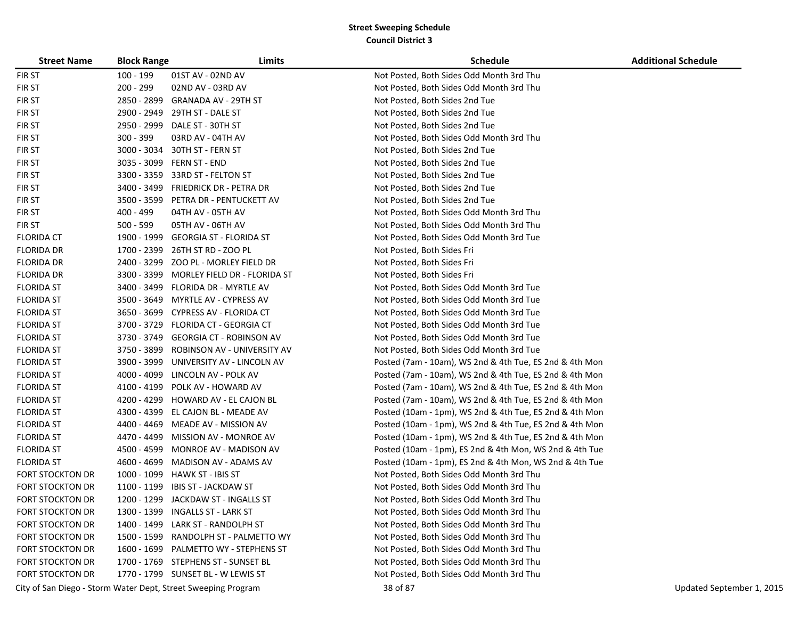| <b>Street Name</b>      | <b>Block Range</b> | Limits                                                        | <b>Schedule</b>                                         | <b>Additional Schedule</b> |
|-------------------------|--------------------|---------------------------------------------------------------|---------------------------------------------------------|----------------------------|
| <b>FIRST</b>            | 100 - 199          | 01ST AV - 02ND AV                                             | Not Posted, Both Sides Odd Month 3rd Thu                |                            |
| <b>FIRST</b>            | 200 - 299          | 02ND AV - 03RD AV                                             | Not Posted, Both Sides Odd Month 3rd Thu                |                            |
| <b>FIRST</b>            |                    | 2850 - 2899 GRANADA AV - 29TH ST                              | Not Posted, Both Sides 2nd Tue                          |                            |
| <b>FIRST</b>            |                    | 2900 - 2949    29TH ST - DALE ST                              | Not Posted, Both Sides 2nd Tue                          |                            |
| <b>FIRST</b>            | 2950 - 2999        | DALE ST - 30TH ST                                             | Not Posted, Both Sides 2nd Tue                          |                            |
| <b>FIRST</b>            | 300 - 399          | 03RD AV - 04TH AV                                             | Not Posted, Both Sides Odd Month 3rd Thu                |                            |
| <b>FIRST</b>            | 3000 - 3034        | 30TH ST - FERN ST                                             | Not Posted, Both Sides 2nd Tue                          |                            |
| <b>FIRST</b>            |                    | 3035 - 3099 FERN ST - END                                     | Not Posted, Both Sides 2nd Tue                          |                            |
| <b>FIRST</b>            | 3300 - 3359        | 33RD ST - FELTON ST                                           | Not Posted, Both Sides 2nd Tue                          |                            |
| <b>FIRST</b>            |                    | 3400 - 3499 FRIEDRICK DR - PETRA DR                           | Not Posted, Both Sides 2nd Tue                          |                            |
| <b>FIRST</b>            |                    | 3500 - 3599 PETRA DR - PENTUCKETT AV                          | Not Posted, Both Sides 2nd Tue                          |                            |
| <b>FIRST</b>            | 400 - 499          | 04TH AV - 05TH AV                                             | Not Posted, Both Sides Odd Month 3rd Thu                |                            |
| <b>FIRST</b>            | $500 - 599$        | 05TH AV - 06TH AV                                             | Not Posted, Both Sides Odd Month 3rd Thu                |                            |
| <b>FLORIDA CT</b>       |                    | 1900 - 1999 GEORGIA ST - FLORIDA ST                           | Not Posted, Both Sides Odd Month 3rd Tue                |                            |
| <b>FLORIDA DR</b>       |                    | 1700 - 2399 26TH ST RD - ZOO PL                               | Not Posted, Both Sides Fri                              |                            |
| <b>FLORIDA DR</b>       | 2400 - 3299        | ZOO PL - MORLEY FIELD DR                                      | Not Posted, Both Sides Fri                              |                            |
| <b>FLORIDA DR</b>       | 3300 - 3399        | MORLEY FIELD DR - FLORIDA ST                                  | Not Posted, Both Sides Fri                              |                            |
| <b>FLORIDA ST</b>       |                    | 3400 - 3499 FLORIDA DR - MYRTLE AV                            | Not Posted, Both Sides Odd Month 3rd Tue                |                            |
| <b>FLORIDA ST</b>       |                    | 3500 - 3649 MYRTLE AV - CYPRESS AV                            | Not Posted, Both Sides Odd Month 3rd Tue                |                            |
| <b>FLORIDA ST</b>       |                    | 3650 - 3699 CYPRESS AV - FLORIDA CT                           | Not Posted, Both Sides Odd Month 3rd Tue                |                            |
| <b>FLORIDA ST</b>       |                    | 3700 - 3729 FLORIDA CT - GEORGIA CT                           | Not Posted, Both Sides Odd Month 3rd Tue                |                            |
| <b>FLORIDA ST</b>       |                    | 3730 - 3749 GEORGIA CT - ROBINSON AV                          | Not Posted, Both Sides Odd Month 3rd Tue                |                            |
| <b>FLORIDA ST</b>       |                    | 3750 - 3899 ROBINSON AV - UNIVERSITY AV                       | Not Posted, Both Sides Odd Month 3rd Tue                |                            |
| <b>FLORIDA ST</b>       | 3900 - 3999        | UNIVERSITY AV - LINCOLN AV                                    | Posted (7am - 10am), WS 2nd & 4th Tue, ES 2nd & 4th Mon |                            |
| <b>FLORIDA ST</b>       | 4000 - 4099        | LINCOLN AV - POLK AV                                          | Posted (7am - 10am), WS 2nd & 4th Tue, ES 2nd & 4th Mon |                            |
| <b>FLORIDA ST</b>       | 4100 - 4199        | POLK AV - HOWARD AV                                           | Posted (7am - 10am), WS 2nd & 4th Tue, ES 2nd & 4th Mon |                            |
| <b>FLORIDA ST</b>       |                    | 4200 - 4299 HOWARD AV - EL CAJON BL                           | Posted (7am - 10am), WS 2nd & 4th Tue, ES 2nd & 4th Mon |                            |
| <b>FLORIDA ST</b>       |                    | 4300 - 4399 EL CAJON BL - MEADE AV                            | Posted (10am - 1pm), WS 2nd & 4th Tue, ES 2nd & 4th Mon |                            |
| <b>FLORIDA ST</b>       |                    | 4400 - 4469 MEADE AV - MISSION AV                             | Posted (10am - 1pm), WS 2nd & 4th Tue, ES 2nd & 4th Mon |                            |
| <b>FLORIDA ST</b>       |                    | 4470 - 4499 MISSION AV - MONROE AV                            | Posted (10am - 1pm), WS 2nd & 4th Tue, ES 2nd & 4th Mon |                            |
| <b>FLORIDA ST</b>       |                    | 4500 - 4599 MONROE AV - MADISON AV                            | Posted (10am - 1pm), ES 2nd & 4th Mon, WS 2nd & 4th Tue |                            |
| <b>FLORIDA ST</b>       | 4600 - 4699        | MADISON AV - ADAMS AV                                         | Posted (10am - 1pm), ES 2nd & 4th Mon, WS 2nd & 4th Tue |                            |
| <b>FORT STOCKTON DR</b> | 1000 - 1099        | HAWK ST - IBIS ST                                             | Not Posted, Both Sides Odd Month 3rd Thu                |                            |
| FORT STOCKTON DR        | 1100 - 1199        | IBIS ST - JACKDAW ST                                          | Not Posted, Both Sides Odd Month 3rd Thu                |                            |
| <b>FORT STOCKTON DR</b> |                    | 1200 - 1299 JACKDAW ST - INGALLS ST                           | Not Posted, Both Sides Odd Month 3rd Thu                |                            |
| <b>FORT STOCKTON DR</b> |                    | 1300 - 1399 INGALLS ST - LARK ST                              | Not Posted, Both Sides Odd Month 3rd Thu                |                            |
| <b>FORT STOCKTON DR</b> |                    | 1400 - 1499 LARK ST - RANDOLPH ST                             | Not Posted, Both Sides Odd Month 3rd Thu                |                            |
| <b>FORT STOCKTON DR</b> |                    | 1500 - 1599 RANDOLPH ST - PALMETTO WY                         | Not Posted, Both Sides Odd Month 3rd Thu                |                            |
| <b>FORT STOCKTON DR</b> |                    | 1600 - 1699 PALMETTO WY - STEPHENS ST                         | Not Posted, Both Sides Odd Month 3rd Thu                |                            |
| <b>FORT STOCKTON DR</b> |                    | 1700 - 1769 STEPHENS ST - SUNSET BL                           | Not Posted, Both Sides Odd Month 3rd Thu                |                            |
| <b>FORT STOCKTON DR</b> |                    | 1770 - 1799 SUNSET BL - W LEWIS ST                            | Not Posted, Both Sides Odd Month 3rd Thu                |                            |
|                         |                    | City of San Diego - Storm Water Dept, Street Sweeping Program | 38 of 87                                                | Updated September 1, 2015  |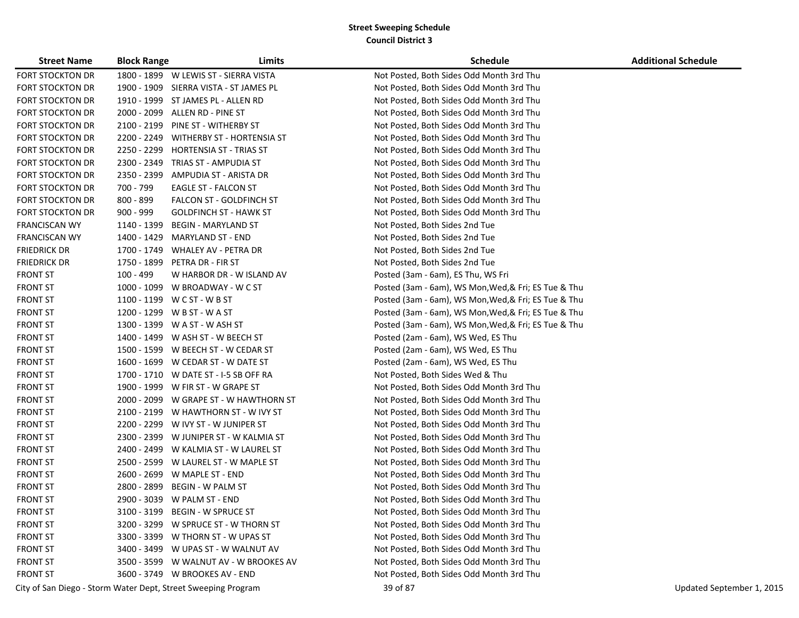| <b>Street Name</b>      | <b>Block Range</b> | Limits                                                        | Schedule                                             | <b>Additional Schedule</b> |
|-------------------------|--------------------|---------------------------------------------------------------|------------------------------------------------------|----------------------------|
| <b>FORT STOCKTON DR</b> |                    | 1800 - 1899 W LEWIS ST - SIERRA VISTA                         | Not Posted, Both Sides Odd Month 3rd Thu             |                            |
| <b>FORT STOCKTON DR</b> |                    | 1900 - 1909 SIERRA VISTA - ST JAMES PL                        | Not Posted, Both Sides Odd Month 3rd Thu             |                            |
| <b>FORT STOCKTON DR</b> |                    | 1910 - 1999 ST JAMES PL - ALLEN RD                            | Not Posted, Both Sides Odd Month 3rd Thu             |                            |
| <b>FORT STOCKTON DR</b> |                    | 2000 - 2099 ALLEN RD - PINE ST                                | Not Posted, Both Sides Odd Month 3rd Thu             |                            |
| <b>FORT STOCKTON DR</b> |                    | 2100 - 2199 PINE ST - WITHERBY ST                             | Not Posted, Both Sides Odd Month 3rd Thu             |                            |
| FORT STOCKTON DR        |                    | 2200 - 2249 WITHERBY ST - HORTENSIA ST                        | Not Posted, Both Sides Odd Month 3rd Thu             |                            |
| FORT STOCKTON DR        |                    | 2250 - 2299 HORTENSIA ST - TRIAS ST                           | Not Posted, Both Sides Odd Month 3rd Thu             |                            |
| <b>FORT STOCKTON DR</b> |                    | 2300 - 2349 TRIAS ST - AMPUDIA ST                             | Not Posted, Both Sides Odd Month 3rd Thu             |                            |
| FORT STOCKTON DR        | 2350 - 2399        | AMPUDIA ST - ARISTA DR                                        | Not Posted, Both Sides Odd Month 3rd Thu             |                            |
| FORT STOCKTON DR        | 700 - 799          | EAGLE ST - FALCON ST                                          | Not Posted, Both Sides Odd Month 3rd Thu             |                            |
| <b>FORT STOCKTON DR</b> | 800 - 899          | FALCON ST - GOLDFINCH ST                                      | Not Posted, Both Sides Odd Month 3rd Thu             |                            |
| <b>FORT STOCKTON DR</b> | 900 - 999          | <b>GOLDFINCH ST - HAWK ST</b>                                 | Not Posted, Both Sides Odd Month 3rd Thu             |                            |
| <b>FRANCISCAN WY</b>    | 1140 - 1399        | <b>BEGIN - MARYLAND ST</b>                                    | Not Posted, Both Sides 2nd Tue                       |                            |
| <b>FRANCISCAN WY</b>    |                    | 1400 - 1429 MARYLAND ST - END                                 | Not Posted, Both Sides 2nd Tue                       |                            |
| <b>FRIEDRICK DR</b>     |                    | 1700 - 1749 WHALEY AV - PETRA DR                              | Not Posted, Both Sides 2nd Tue                       |                            |
| <b>FRIEDRICK DR</b>     |                    | 1750 - 1899 PETRA DR - FIR ST                                 | Not Posted, Both Sides 2nd Tue                       |                            |
| <b>FRONT ST</b>         | $100 - 499$        | W HARBOR DR - W ISLAND AV                                     | Posted (3am - 6am), ES Thu, WS Fri                   |                            |
| <b>FRONT ST</b>         |                    | 1000 - 1099 W BROADWAY - W C ST                               | Posted (3am - 6am), WS Mon, Wed, & Fri; ES Tue & Thu |                            |
| <b>FRONT ST</b>         |                    | 1100 - 1199 W C ST - W B ST                                   | Posted (3am - 6am), WS Mon, Wed, & Fri; ES Tue & Thu |                            |
| <b>FRONT ST</b>         |                    | 1200 - 1299 W B ST - W A ST                                   | Posted (3am - 6am), WS Mon, Wed, & Fri; ES Tue & Thu |                            |
| <b>FRONT ST</b>         |                    | 1300 - 1399 W A ST - W ASH ST                                 | Posted (3am - 6am), WS Mon, Wed, & Fri; ES Tue & Thu |                            |
| <b>FRONT ST</b>         |                    | 1400 - 1499 W ASH ST - W BEECH ST                             | Posted (2am - 6am), WS Wed, ES Thu                   |                            |
| <b>FRONT ST</b>         |                    | 1500 - 1599 W BEECH ST - W CEDAR ST                           | Posted (2am - 6am), WS Wed, ES Thu                   |                            |
| <b>FRONT ST</b>         |                    | 1600 - 1699 W CEDAR ST - W DATE ST                            | Posted (2am - 6am), WS Wed, ES Thu                   |                            |
| <b>FRONT ST</b>         |                    | 1700 - 1710 W DATE ST - I-5 SB OFF RA                         | Not Posted, Both Sides Wed & Thu                     |                            |
| <b>FRONT ST</b>         |                    | 1900 - 1999 W FIR ST - W GRAPE ST                             | Not Posted, Both Sides Odd Month 3rd Thu             |                            |
| <b>FRONT ST</b>         |                    | 2000 - 2099 W GRAPE ST - W HAWTHORN ST                        | Not Posted, Both Sides Odd Month 3rd Thu             |                            |
| <b>FRONT ST</b>         |                    | 2100 - 2199 W HAWTHORN ST - W IVY ST                          | Not Posted, Both Sides Odd Month 3rd Thu             |                            |
| <b>FRONT ST</b>         |                    | 2200 - 2299 W IVY ST - W JUNIPER ST                           | Not Posted, Both Sides Odd Month 3rd Thu             |                            |
| <b>FRONT ST</b>         |                    | 2300 - 2399 W JUNIPER ST - W KALMIA ST                        | Not Posted, Both Sides Odd Month 3rd Thu             |                            |
| <b>FRONT ST</b>         |                    | 2400 - 2499 W KALMIA ST - W LAUREL ST                         | Not Posted, Both Sides Odd Month 3rd Thu             |                            |
| <b>FRONT ST</b>         |                    | 2500 - 2599 W LAUREL ST - W MAPLE ST                          | Not Posted, Both Sides Odd Month 3rd Thu             |                            |
| <b>FRONT ST</b>         |                    | 2600 - 2699 W MAPLE ST - END                                  | Not Posted, Both Sides Odd Month 3rd Thu             |                            |
| <b>FRONT ST</b>         | 2800 - 2899        | <b>BEGIN - W PALM ST</b>                                      | Not Posted, Both Sides Odd Month 3rd Thu             |                            |
| <b>FRONT ST</b>         |                    | 2900 - 3039 W PALM ST - END                                   | Not Posted, Both Sides Odd Month 3rd Thu             |                            |
| <b>FRONT ST</b>         |                    | 3100 - 3199 BEGIN - W SPRUCE ST                               | Not Posted, Both Sides Odd Month 3rd Thu             |                            |
| <b>FRONT ST</b>         |                    | 3200 - 3299 W SPRUCE ST - W THORN ST                          | Not Posted, Both Sides Odd Month 3rd Thu             |                            |
| <b>FRONT ST</b>         |                    | 3300 - 3399 W THORN ST - W UPAS ST                            | Not Posted, Both Sides Odd Month 3rd Thu             |                            |
| <b>FRONT ST</b>         |                    | 3400 - 3499 W UPAS ST - W WALNUT AV                           | Not Posted, Both Sides Odd Month 3rd Thu             |                            |
| <b>FRONT ST</b>         |                    | 3500 - 3599 W WALNUT AV - W BROOKES AV                        | Not Posted, Both Sides Odd Month 3rd Thu             |                            |
| <b>FRONT ST</b>         |                    | 3600 - 3749 W BROOKES AV - END                                | Not Posted, Both Sides Odd Month 3rd Thu             |                            |
|                         |                    | City of San Diego - Storm Water Dept, Street Sweeping Program | 39 of 87                                             | Updated September 1, 2015  |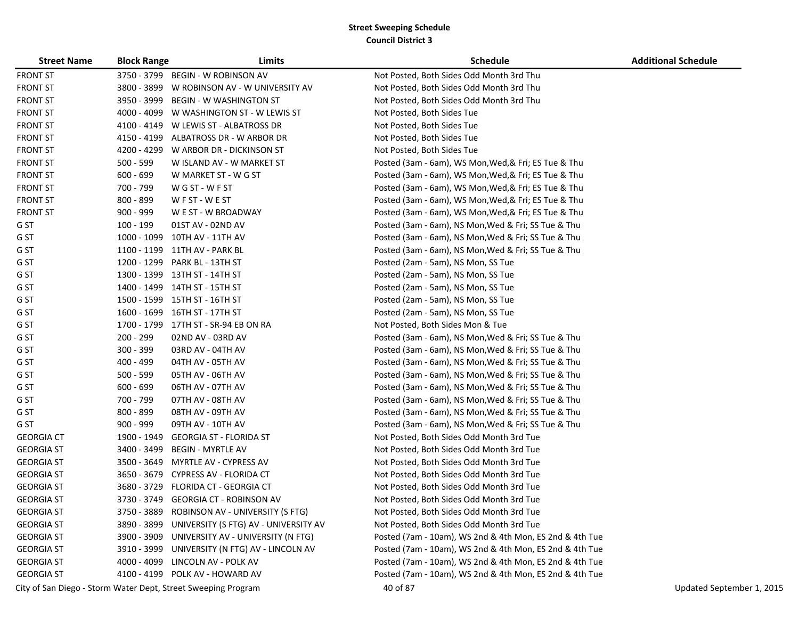| <b>Street Name</b> | <b>Block Range</b> | Limits                                                        | <b>Schedule</b>                                         | <b>Additional Schedule</b> |
|--------------------|--------------------|---------------------------------------------------------------|---------------------------------------------------------|----------------------------|
| <b>FRONT ST</b>    |                    | 3750 - 3799 BEGIN - W ROBINSON AV                             | Not Posted, Both Sides Odd Month 3rd Thu                |                            |
| <b>FRONT ST</b>    |                    | 3800 - 3899 W ROBINSON AV - W UNIVERSITY AV                   | Not Posted, Both Sides Odd Month 3rd Thu                |                            |
| <b>FRONT ST</b>    |                    | 3950 - 3999 BEGIN - W WASHINGTON ST                           | Not Posted, Both Sides Odd Month 3rd Thu                |                            |
| <b>FRONT ST</b>    |                    | 4000 - 4099 W WASHINGTON ST - W LEWIS ST                      | Not Posted, Both Sides Tue                              |                            |
| <b>FRONT ST</b>    |                    | 4100 - 4149 W LEWIS ST - ALBATROSS DR                         | Not Posted, Both Sides Tue                              |                            |
| <b>FRONT ST</b>    |                    | 4150 - 4199 ALBATROSS DR - W ARBOR DR                         | Not Posted, Both Sides Tue                              |                            |
| <b>FRONT ST</b>    |                    | 4200 - 4299 W ARBOR DR - DICKINSON ST                         | Not Posted, Both Sides Tue                              |                            |
| <b>FRONT ST</b>    | $500 - 599$        | W ISLAND AV - W MARKET ST                                     | Posted (3am - 6am), WS Mon, Wed, & Fri; ES Tue & Thu    |                            |
| <b>FRONT ST</b>    | $600 - 699$        | W MARKET ST - W G ST                                          | Posted (3am - 6am), WS Mon, Wed, & Fri; ES Tue & Thu    |                            |
| <b>FRONT ST</b>    | 700 - 799          | WGST-WFST                                                     | Posted (3am - 6am), WS Mon, Wed, & Fri; ES Tue & Thu    |                            |
| <b>FRONT ST</b>    | 800 - 899          | WFST-WEST                                                     | Posted (3am - 6am), WS Mon, Wed, & Fri; ES Tue & Thu    |                            |
| <b>FRONT ST</b>    | $900 - 999$        | W E ST - W BROADWAY                                           | Posted (3am - 6am), WS Mon, Wed, & Fri; ES Tue & Thu    |                            |
| G ST               | 100 - 199          | 01ST AV - 02ND AV                                             | Posted (3am - 6am), NS Mon, Wed & Fri; SS Tue & Thu     |                            |
| G ST               |                    | 1000 - 1099 10TH AV - 11TH AV                                 | Posted (3am - 6am), NS Mon, Wed & Fri; SS Tue & Thu     |                            |
| G ST               |                    | 1100 - 1199 11TH AV - PARK BL                                 | Posted (3am - 6am), NS Mon, Wed & Fri; SS Tue & Thu     |                            |
| G ST               |                    | 1200 - 1299 PARK BL - 13TH ST                                 | Posted (2am - 5am), NS Mon, SS Tue                      |                            |
| G ST               |                    | 1300 - 1399 13TH ST - 14TH ST                                 | Posted (2am - 5am), NS Mon, SS Tue                      |                            |
| G ST               |                    | 1400 - 1499 14TH ST - 15TH ST                                 | Posted (2am - 5am), NS Mon, SS Tue                      |                            |
| G ST               |                    | 1500 - 1599 15TH ST - 16TH ST                                 | Posted (2am - 5am), NS Mon, SS Tue                      |                            |
| G ST               |                    | 1600 - 1699 16TH ST - 17TH ST                                 | Posted (2am - 5am), NS Mon, SS Tue                      |                            |
| G ST               |                    | 1700 - 1799 17TH ST - SR-94 EB ON RA                          | Not Posted, Both Sides Mon & Tue                        |                            |
| G ST               | 200 - 299          | 02ND AV - 03RD AV                                             | Posted (3am - 6am), NS Mon, Wed & Fri; SS Tue & Thu     |                            |
| G ST               | 300 - 399          | 03RD AV - 04TH AV                                             | Posted (3am - 6am), NS Mon, Wed & Fri; SS Tue & Thu     |                            |
| G ST               | 400 - 499          | 04TH AV - 05TH AV                                             | Posted (3am - 6am), NS Mon, Wed & Fri; SS Tue & Thu     |                            |
| G ST               | $500 - 599$        | 05TH AV - 06TH AV                                             | Posted (3am - 6am), NS Mon, Wed & Fri; SS Tue & Thu     |                            |
| G ST               | $600 - 699$        | 06TH AV - 07TH AV                                             | Posted (3am - 6am), NS Mon, Wed & Fri; SS Tue & Thu     |                            |
| G ST               | 700 - 799          | 07TH AV - 08TH AV                                             | Posted (3am - 6am), NS Mon, Wed & Fri; SS Tue & Thu     |                            |
| G ST               | 800 - 899          | 08TH AV - 09TH AV                                             | Posted (3am - 6am), NS Mon, Wed & Fri; SS Tue & Thu     |                            |
| G ST               | $900 - 999$        | 09TH AV - 10TH AV                                             | Posted (3am - 6am), NS Mon, Wed & Fri; SS Tue & Thu     |                            |
| <b>GEORGIA CT</b>  | 1900 - 1949        | <b>GEORGIA ST - FLORIDA ST</b>                                | Not Posted, Both Sides Odd Month 3rd Tue                |                            |
| <b>GEORGIA ST</b>  | 3400 - 3499        | <b>BEGIN - MYRTLE AV</b>                                      | Not Posted, Both Sides Odd Month 3rd Tue                |                            |
| <b>GEORGIA ST</b>  |                    | 3500 - 3649 MYRTLE AV - CYPRESS AV                            | Not Posted, Both Sides Odd Month 3rd Tue                |                            |
| <b>GEORGIA ST</b>  |                    | 3650 - 3679 CYPRESS AV - FLORIDA CT                           | Not Posted, Both Sides Odd Month 3rd Tue                |                            |
| <b>GEORGIA ST</b>  |                    | 3680 - 3729 FLORIDA CT - GEORGIA CT                           | Not Posted, Both Sides Odd Month 3rd Tue                |                            |
| <b>GEORGIA ST</b>  |                    | 3730 - 3749 GEORGIA CT - ROBINSON AV                          | Not Posted, Both Sides Odd Month 3rd Tue                |                            |
| <b>GEORGIA ST</b>  |                    | 3750 - 3889 ROBINSON AV - UNIVERSITY (S FTG)                  | Not Posted, Both Sides Odd Month 3rd Tue                |                            |
| <b>GEORGIA ST</b>  |                    | 3890 - 3899 UNIVERSITY (S FTG) AV - UNIVERSITY AV             | Not Posted, Both Sides Odd Month 3rd Tue                |                            |
| <b>GEORGIA ST</b>  |                    | 3900 - 3909 UNIVERSITY AV - UNIVERSITY (N FTG)                | Posted (7am - 10am), WS 2nd & 4th Mon, ES 2nd & 4th Tue |                            |
| <b>GEORGIA ST</b>  |                    | 3910 - 3999 UNIVERSITY (N FTG) AV - LINCOLN AV                | Posted (7am - 10am), WS 2nd & 4th Mon, ES 2nd & 4th Tue |                            |
| <b>GEORGIA ST</b>  |                    | 4000 - 4099 LINCOLN AV - POLK AV                              | Posted (7am - 10am), WS 2nd & 4th Mon, ES 2nd & 4th Tue |                            |
| <b>GEORGIA ST</b>  |                    | 4100 - 4199 POLK AV - HOWARD AV                               | Posted (7am - 10am), WS 2nd & 4th Mon, ES 2nd & 4th Tue |                            |
|                    |                    | City of San Diego - Storm Water Dept, Street Sweeping Program | 40 of 87                                                | Updated September 1, 2015  |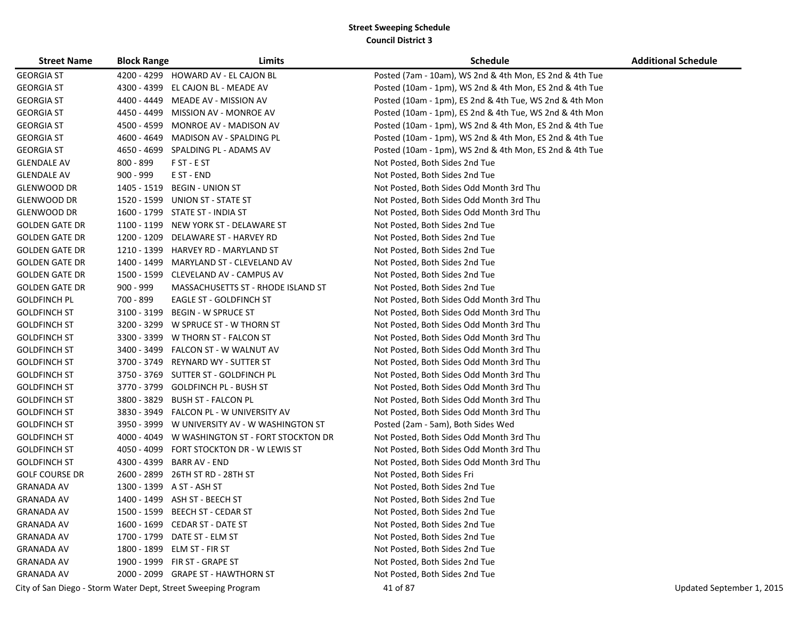| <b>Street Name</b>    | <b>Block Range</b> | Limits                                                        | <b>Schedule</b>                                         | <b>Additional Schedule</b> |
|-----------------------|--------------------|---------------------------------------------------------------|---------------------------------------------------------|----------------------------|
| <b>GEORGIA ST</b>     |                    | 4200 - 4299 HOWARD AV - EL CAJON BL                           | Posted (7am - 10am), WS 2nd & 4th Mon, ES 2nd & 4th Tue |                            |
| <b>GEORGIA ST</b>     |                    | 4300 - 4399 EL CAJON BL - MEADE AV                            | Posted (10am - 1pm), WS 2nd & 4th Mon, ES 2nd & 4th Tue |                            |
| <b>GEORGIA ST</b>     |                    | 4400 - 4449 MEADE AV - MISSION AV                             | Posted (10am - 1pm), ES 2nd & 4th Tue, WS 2nd & 4th Mon |                            |
| <b>GEORGIA ST</b>     |                    | 4450 - 4499 MISSION AV - MONROE AV                            | Posted (10am - 1pm), ES 2nd & 4th Tue, WS 2nd & 4th Mon |                            |
| <b>GEORGIA ST</b>     |                    | 4500 - 4599 MONROE AV - MADISON AV                            | Posted (10am - 1pm), WS 2nd & 4th Mon, ES 2nd & 4th Tue |                            |
| <b>GEORGIA ST</b>     |                    | 4600 - 4649 MADISON AV - SPALDING PL                          | Posted (10am - 1pm), WS 2nd & 4th Mon, ES 2nd & 4th Tue |                            |
| <b>GEORGIA ST</b>     |                    | 4650 - 4699 SPALDING PL - ADAMS AV                            | Posted (10am - 1pm), WS 2nd & 4th Mon, ES 2nd & 4th Tue |                            |
| <b>GLENDALE AV</b>    | 800 - 899          | F ST - E ST                                                   | Not Posted, Both Sides 2nd Tue                          |                            |
| <b>GLENDALE AV</b>    | $900 - 999$        | E ST - END                                                    | Not Posted, Both Sides 2nd Tue                          |                            |
| GLENWOOD DR           |                    | 1405 - 1519 BEGIN - UNION ST                                  | Not Posted, Both Sides Odd Month 3rd Thu                |                            |
| GLENWOOD DR           |                    | 1520 - 1599 UNION ST - STATE ST                               | Not Posted, Both Sides Odd Month 3rd Thu                |                            |
| <b>GLENWOOD DR</b>    |                    | 1600 - 1799 STATE ST - INDIA ST                               | Not Posted, Both Sides Odd Month 3rd Thu                |                            |
| <b>GOLDEN GATE DR</b> |                    | 1100 - 1199 NEW YORK ST - DELAWARE ST                         | Not Posted, Both Sides 2nd Tue                          |                            |
| <b>GOLDEN GATE DR</b> | 1200 - 1209        | DELAWARE ST - HARVEY RD                                       | Not Posted, Both Sides 2nd Tue                          |                            |
| <b>GOLDEN GATE DR</b> |                    | 1210 - 1399 HARVEY RD - MARYLAND ST                           | Not Posted, Both Sides 2nd Tue                          |                            |
| <b>GOLDEN GATE DR</b> |                    | 1400 - 1499 MARYLAND ST - CLEVELAND AV                        | Not Posted, Both Sides 2nd Tue                          |                            |
| <b>GOLDEN GATE DR</b> |                    | 1500 - 1599 CLEVELAND AV - CAMPUS AV                          | Not Posted, Both Sides 2nd Tue                          |                            |
| <b>GOLDEN GATE DR</b> | $900 - 999$        | MASSACHUSETTS ST - RHODE ISLAND ST                            | Not Posted, Both Sides 2nd Tue                          |                            |
| <b>GOLDFINCH PL</b>   | 700 - 899          | EAGLE ST - GOLDFINCH ST                                       | Not Posted, Both Sides Odd Month 3rd Thu                |                            |
| <b>GOLDFINCH ST</b>   | 3100 - 3199        | <b>BEGIN - W SPRUCE ST</b>                                    | Not Posted, Both Sides Odd Month 3rd Thu                |                            |
| <b>GOLDFINCH ST</b>   |                    | 3200 - 3299 W SPRUCE ST - W THORN ST                          | Not Posted, Both Sides Odd Month 3rd Thu                |                            |
| <b>GOLDFINCH ST</b>   | 3300 - 3399        | W THORN ST - FALCON ST                                        | Not Posted, Both Sides Odd Month 3rd Thu                |                            |
| <b>GOLDFINCH ST</b>   |                    | 3400 - 3499 FALCON ST - W WALNUT AV                           | Not Posted, Both Sides Odd Month 3rd Thu                |                            |
| <b>GOLDFINCH ST</b>   |                    | 3700 - 3749 REYNARD WY - SUTTER ST                            | Not Posted, Both Sides Odd Month 3rd Thu                |                            |
| <b>GOLDFINCH ST</b>   |                    | 3750 - 3769 SUTTER ST - GOLDFINCH PL                          | Not Posted, Both Sides Odd Month 3rd Thu                |                            |
| <b>GOLDFINCH ST</b>   |                    | 3770 - 3799 GOLDFINCH PL - BUSH ST                            | Not Posted, Both Sides Odd Month 3rd Thu                |                            |
| <b>GOLDFINCH ST</b>   | 3800 - 3829        | BUSH ST - FALCON PL                                           | Not Posted, Both Sides Odd Month 3rd Thu                |                            |
| <b>GOLDFINCH ST</b>   |                    | 3830 - 3949 FALCON PL - W UNIVERSITY AV                       | Not Posted, Both Sides Odd Month 3rd Thu                |                            |
| <b>GOLDFINCH ST</b>   |                    | 3950 - 3999 W UNIVERSITY AV - W WASHINGTON ST                 | Posted (2am - 5am), Both Sides Wed                      |                            |
| <b>GOLDFINCH ST</b>   |                    | 4000 - 4049 W WASHINGTON ST - FORT STOCKTON DR                | Not Posted, Both Sides Odd Month 3rd Thu                |                            |
| <b>GOLDFINCH ST</b>   |                    | 4050 - 4099 FORT STOCKTON DR - W LEWIS ST                     | Not Posted, Both Sides Odd Month 3rd Thu                |                            |
| <b>GOLDFINCH ST</b>   |                    | 4300 - 4399 BARR AV - END                                     | Not Posted, Both Sides Odd Month 3rd Thu                |                            |
| <b>GOLF COURSE DR</b> |                    | 2600 - 2899 26TH ST RD - 28TH ST                              | Not Posted, Both Sides Fri                              |                            |
| <b>GRANADA AV</b>     |                    | 1300 - 1399 A ST - ASH ST                                     | Not Posted, Both Sides 2nd Tue                          |                            |
| <b>GRANADA AV</b>     |                    | 1400 - 1499 ASH ST - BEECH ST                                 | Not Posted, Both Sides 2nd Tue                          |                            |
| <b>GRANADA AV</b>     |                    | 1500 - 1599 BEECH ST - CEDAR ST                               | Not Posted, Both Sides 2nd Tue                          |                            |
| <b>GRANADA AV</b>     |                    | 1600 - 1699 CEDAR ST - DATE ST                                | Not Posted, Both Sides 2nd Tue                          |                            |
| <b>GRANADA AV</b>     |                    | 1700 - 1799 DATE ST - ELM ST                                  | Not Posted, Both Sides 2nd Tue                          |                            |
| <b>GRANADA AV</b>     |                    | 1800 - 1899 ELM ST - FIR ST                                   | Not Posted, Both Sides 2nd Tue                          |                            |
| <b>GRANADA AV</b>     |                    | 1900 - 1999 FIR ST - GRAPE ST                                 | Not Posted, Both Sides 2nd Tue                          |                            |
| <b>GRANADA AV</b>     |                    | 2000 - 2099 GRAPE ST - HAWTHORN ST                            | Not Posted, Both Sides 2nd Tue                          |                            |
|                       |                    | City of San Diego - Storm Water Dept, Street Sweeping Program | 41 of 87                                                | Updated September 1, 2015  |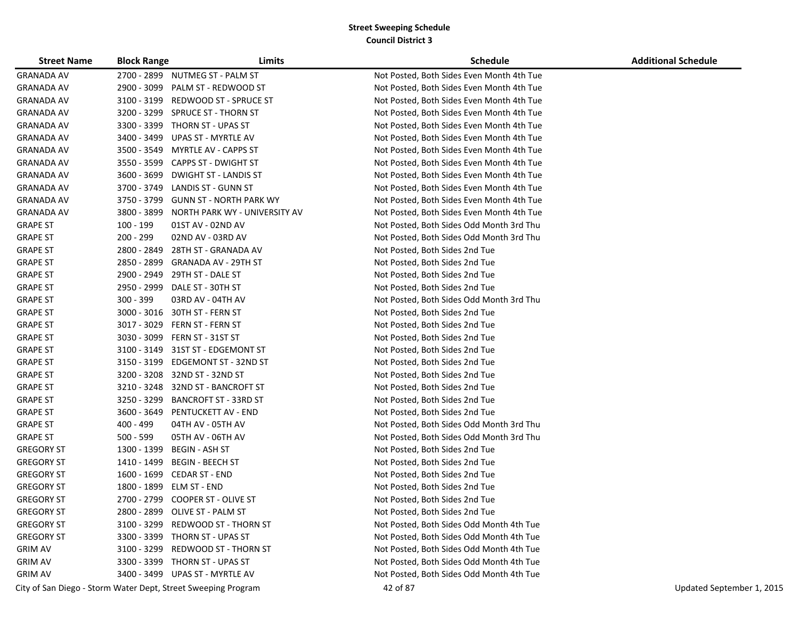| <b>Street Name</b> | <b>Block Range</b> | Limits                                                        | <b>Schedule</b>                           | <b>Additional Schedule</b> |
|--------------------|--------------------|---------------------------------------------------------------|-------------------------------------------|----------------------------|
| <b>GRANADA AV</b>  |                    | 2700 - 2899 NUTMEG ST - PALM ST                               | Not Posted, Both Sides Even Month 4th Tue |                            |
| <b>GRANADA AV</b>  | 2900 - 3099        | PALM ST - REDWOOD ST                                          | Not Posted, Both Sides Even Month 4th Tue |                            |
| GRANADA AV         | 3100 - 3199        | REDWOOD ST - SPRUCE ST                                        | Not Posted, Both Sides Even Month 4th Tue |                            |
| GRANADA AV         | 3200 - 3299        | SPRUCE ST - THORN ST                                          | Not Posted, Both Sides Even Month 4th Tue |                            |
| GRANADA AV         |                    | 3300 - 3399 THORN ST - UPAS ST                                | Not Posted, Both Sides Even Month 4th Tue |                            |
| GRANADA AV         | 3400 - 3499        | UPAS ST - MYRTLE AV                                           | Not Posted, Both Sides Even Month 4th Tue |                            |
| GRANADA AV         | 3500 - 3549        | <b>MYRTLE AV - CAPPS ST</b>                                   | Not Posted, Both Sides Even Month 4th Tue |                            |
| <b>GRANADA AV</b>  | 3550 - 3599        | <b>CAPPS ST - DWIGHT ST</b>                                   | Not Posted, Both Sides Even Month 4th Tue |                            |
| GRANADA AV         | 3600 - 3699        | <b>DWIGHT ST - LANDIS ST</b>                                  | Not Posted, Both Sides Even Month 4th Tue |                            |
| <b>GRANADA AV</b>  | 3700 - 3749        | LANDIS ST - GUNN ST                                           | Not Posted, Both Sides Even Month 4th Tue |                            |
| GRANADA AV         | 3750 - 3799        | <b>GUNN ST - NORTH PARK WY</b>                                | Not Posted, Both Sides Even Month 4th Tue |                            |
| GRANADA AV         | 3800 - 3899        | NORTH PARK WY - UNIVERSITY AV                                 | Not Posted, Both Sides Even Month 4th Tue |                            |
| <b>GRAPE ST</b>    | 100 - 199          | 01ST AV - 02ND AV                                             | Not Posted, Both Sides Odd Month 3rd Thu  |                            |
| <b>GRAPE ST</b>    | 200 - 299          | 02ND AV - 03RD AV                                             | Not Posted, Both Sides Odd Month 3rd Thu  |                            |
| <b>GRAPE ST</b>    | 2800 - 2849        | 28TH ST - GRANADA AV                                          | Not Posted, Both Sides 2nd Tue            |                            |
| <b>GRAPE ST</b>    | 2850 - 2899        | <b>GRANADA AV - 29TH ST</b>                                   | Not Posted, Both Sides 2nd Tue            |                            |
| <b>GRAPE ST</b>    | 2900 - 2949        | 29TH ST - DALE ST                                             | Not Posted, Both Sides 2nd Tue            |                            |
| <b>GRAPE ST</b>    | 2950 - 2999        | DALE ST - 30TH ST                                             | Not Posted, Both Sides 2nd Tue            |                            |
| <b>GRAPE ST</b>    | $300 - 399$        | 03RD AV - 04TH AV                                             | Not Posted, Both Sides Odd Month 3rd Thu  |                            |
| <b>GRAPE ST</b>    | 3000 - 3016        | 30TH ST - FERN ST                                             | Not Posted, Both Sides 2nd Tue            |                            |
| <b>GRAPE ST</b>    | 3017 - 3029        | FERN ST - FERN ST                                             | Not Posted, Both Sides 2nd Tue            |                            |
| <b>GRAPE ST</b>    | 3030 - 3099        | FERN ST - 31ST ST                                             | Not Posted, Both Sides 2nd Tue            |                            |
| <b>GRAPE ST</b>    |                    | 3100 - 3149 31ST ST - EDGEMONT ST                             | Not Posted, Both Sides 2nd Tue            |                            |
| <b>GRAPE ST</b>    | 3150 - 3199        | EDGEMONT ST - 32ND ST                                         | Not Posted, Both Sides 2nd Tue            |                            |
| <b>GRAPE ST</b>    | 3200 - 3208        | 32ND ST - 32ND ST                                             | Not Posted, Both Sides 2nd Tue            |                            |
| <b>GRAPE ST</b>    |                    | 3210 - 3248 32ND ST - BANCROFT ST                             | Not Posted, Both Sides 2nd Tue            |                            |
| <b>GRAPE ST</b>    | 3250 - 3299        | <b>BANCROFT ST - 33RD ST</b>                                  | Not Posted, Both Sides 2nd Tue            |                            |
| <b>GRAPE ST</b>    | 3600 - 3649        | PENTUCKETT AV - END                                           | Not Posted, Both Sides 2nd Tue            |                            |
| <b>GRAPE ST</b>    | 400 - 499          | 04TH AV - 05TH AV                                             | Not Posted, Both Sides Odd Month 3rd Thu  |                            |
| <b>GRAPE ST</b>    | 500 - 599          | 05TH AV - 06TH AV                                             | Not Posted, Both Sides Odd Month 3rd Thu  |                            |
| <b>GREGORY ST</b>  | 1300 - 1399        | BEGIN - ASH ST                                                | Not Posted, Both Sides 2nd Tue            |                            |
| <b>GREGORY ST</b>  | 1410 - 1499        | <b>BEGIN - BEECH ST</b>                                       | Not Posted, Both Sides 2nd Tue            |                            |
| <b>GREGORY ST</b>  | 1600 - 1699        | CEDAR ST - END                                                | Not Posted, Both Sides 2nd Tue            |                            |
| <b>GREGORY ST</b>  | 1800 - 1899        | ELM ST - END                                                  | Not Posted, Both Sides 2nd Tue            |                            |
| <b>GREGORY ST</b>  | 2700 - 2799        | <b>COOPER ST - OLIVE ST</b>                                   | Not Posted, Both Sides 2nd Tue            |                            |
| <b>GREGORY ST</b>  |                    | 2800 - 2899 OLIVE ST - PALM ST                                | Not Posted, Both Sides 2nd Tue            |                            |
| <b>GREGORY ST</b>  |                    | 3100 - 3299 REDWOOD ST - THORN ST                             | Not Posted, Both Sides Odd Month 4th Tue  |                            |
| <b>GREGORY ST</b>  |                    | 3300 - 3399 THORN ST - UPAS ST                                | Not Posted, Both Sides Odd Month 4th Tue  |                            |
| <b>GRIM AV</b>     |                    | 3100 - 3299 REDWOOD ST - THORN ST                             | Not Posted, Both Sides Odd Month 4th Tue  |                            |
| <b>GRIM AV</b>     |                    | 3300 - 3399 THORN ST - UPAS ST                                | Not Posted, Both Sides Odd Month 4th Tue  |                            |
| <b>GRIM AV</b>     |                    | 3400 - 3499 UPAS ST - MYRTLE AV                               | Not Posted, Both Sides Odd Month 4th Tue  |                            |
|                    |                    | City of San Diego - Storm Water Dept, Street Sweeping Program | 42 of 87                                  | Updated September 1, 2015  |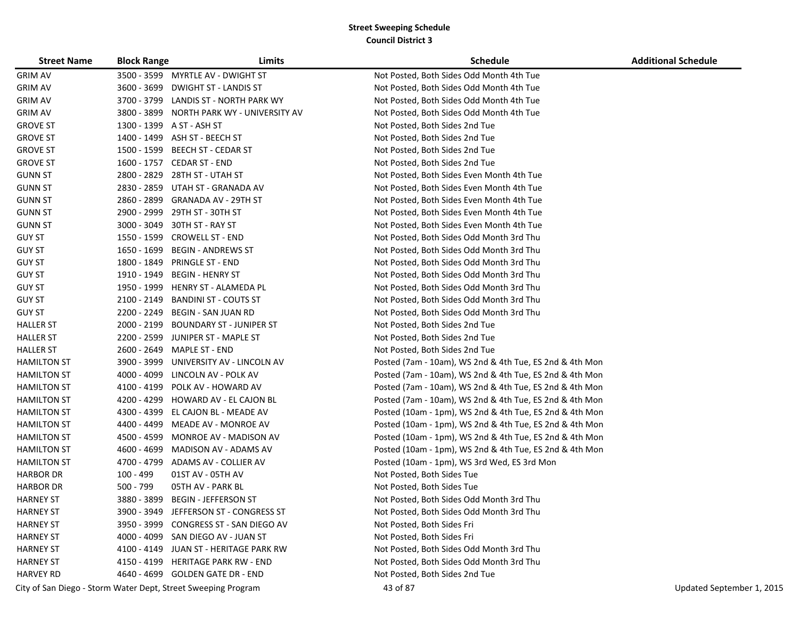| <b>Street Name</b> | <b>Block Range</b> | Limits                                                        | <b>Schedule</b>                                         | <b>Additional Schedule</b> |
|--------------------|--------------------|---------------------------------------------------------------|---------------------------------------------------------|----------------------------|
| <b>GRIM AV</b>     |                    | 3500 - 3599 MYRTLE AV - DWIGHT ST                             | Not Posted, Both Sides Odd Month 4th Tue                |                            |
| <b>GRIM AV</b>     |                    | 3600 - 3699 DWIGHT ST - LANDIS ST                             | Not Posted, Both Sides Odd Month 4th Tue                |                            |
| <b>GRIM AV</b>     |                    | 3700 - 3799 LANDIS ST - NORTH PARK WY                         | Not Posted, Both Sides Odd Month 4th Tue                |                            |
| <b>GRIM AV</b>     |                    | 3800 - 3899 NORTH PARK WY - UNIVERSITY AV                     | Not Posted, Both Sides Odd Month 4th Tue                |                            |
| <b>GROVE ST</b>    |                    | 1300 - 1399 A ST - ASH ST                                     | Not Posted, Both Sides 2nd Tue                          |                            |
| <b>GROVE ST</b>    |                    | 1400 - 1499 ASH ST - BEECH ST                                 | Not Posted, Both Sides 2nd Tue                          |                            |
| <b>GROVE ST</b>    |                    | 1500 - 1599 BEECH ST - CEDAR ST                               | Not Posted, Both Sides 2nd Tue                          |                            |
| <b>GROVE ST</b>    |                    | 1600 - 1757 CEDAR ST - END                                    | Not Posted, Both Sides 2nd Tue                          |                            |
| <b>GUNN ST</b>     |                    | 2800 - 2829 28TH ST - UTAH ST                                 | Not Posted, Both Sides Even Month 4th Tue               |                            |
| <b>GUNN ST</b>     |                    | 2830 - 2859 UTAH ST - GRANADA AV                              | Not Posted, Both Sides Even Month 4th Tue               |                            |
| <b>GUNN ST</b>     |                    | 2860 - 2899 GRANADA AV - 29TH ST                              | Not Posted, Both Sides Even Month 4th Tue               |                            |
| <b>GUNN ST</b>     |                    | 2900 - 2999 29TH ST - 30TH ST                                 | Not Posted, Both Sides Even Month 4th Tue               |                            |
| <b>GUNN ST</b>     |                    | 3000 - 3049 30TH ST - RAY ST                                  | Not Posted, Both Sides Even Month 4th Tue               |                            |
| <b>GUY ST</b>      |                    | 1550 - 1599 CROWELL ST - END                                  | Not Posted, Both Sides Odd Month 3rd Thu                |                            |
| <b>GUY ST</b>      | 1650 - 1699        | <b>BEGIN - ANDREWS ST</b>                                     | Not Posted, Both Sides Odd Month 3rd Thu                |                            |
| <b>GUY ST</b>      | 1800 - 1849        | <b>PRINGLE ST - END</b>                                       | Not Posted, Both Sides Odd Month 3rd Thu                |                            |
| <b>GUY ST</b>      | 1910 - 1949        | <b>BEGIN - HENRY ST</b>                                       | Not Posted, Both Sides Odd Month 3rd Thu                |                            |
| <b>GUY ST</b>      | 1950 - 1999        | <b>HENRY ST - ALAMEDA PL</b>                                  | Not Posted, Both Sides Odd Month 3rd Thu                |                            |
| <b>GUY ST</b>      | 2100 - 2149        | BANDINI ST - COUTS ST                                         | Not Posted, Both Sides Odd Month 3rd Thu                |                            |
| <b>GUY ST</b>      | 2200 - 2249        | <b>BEGIN - SAN JUAN RD</b>                                    | Not Posted, Both Sides Odd Month 3rd Thu                |                            |
| <b>HALLER ST</b>   |                    | 2000 - 2199 BOUNDARY ST - JUNIPER ST                          | Not Posted, Both Sides 2nd Tue                          |                            |
| <b>HALLER ST</b>   |                    | 2200 - 2599 JUNIPER ST - MAPLE ST                             | Not Posted, Both Sides 2nd Tue                          |                            |
| <b>HALLER ST</b>   |                    | 2600 - 2649 MAPLE ST - END                                    | Not Posted, Both Sides 2nd Tue                          |                            |
| <b>HAMILTON ST</b> |                    | 3900 - 3999 UNIVERSITY AV - LINCOLN AV                        | Posted (7am - 10am), WS 2nd & 4th Tue, ES 2nd & 4th Mon |                            |
| <b>HAMILTON ST</b> |                    | 4000 - 4099 LINCOLN AV - POLK AV                              | Posted (7am - 10am), WS 2nd & 4th Tue, ES 2nd & 4th Mon |                            |
| <b>HAMILTON ST</b> |                    | 4100 - 4199 POLK AV - HOWARD AV                               | Posted (7am - 10am), WS 2nd & 4th Tue, ES 2nd & 4th Mon |                            |
| <b>HAMILTON ST</b> |                    | 4200 - 4299 HOWARD AV - EL CAJON BL                           | Posted (7am - 10am), WS 2nd & 4th Tue, ES 2nd & 4th Mon |                            |
| <b>HAMILTON ST</b> |                    | 4300 - 4399 EL CAJON BL - MEADE AV                            | Posted (10am - 1pm), WS 2nd & 4th Tue, ES 2nd & 4th Mon |                            |
| <b>HAMILTON ST</b> |                    | 4400 - 4499 MEADE AV - MONROE AV                              | Posted (10am - 1pm), WS 2nd & 4th Tue, ES 2nd & 4th Mon |                            |
| <b>HAMILTON ST</b> |                    | 4500 - 4599 MONROE AV - MADISON AV                            | Posted (10am - 1pm), WS 2nd & 4th Tue, ES 2nd & 4th Mon |                            |
| <b>HAMILTON ST</b> |                    | 4600 - 4699 MADISON AV - ADAMS AV                             | Posted (10am - 1pm), WS 2nd & 4th Tue, ES 2nd & 4th Mon |                            |
| <b>HAMILTON ST</b> |                    | 4700 - 4799 ADAMS AV - COLLIER AV                             | Posted (10am - 1pm), WS 3rd Wed, ES 3rd Mon             |                            |
| <b>HARBOR DR</b>   | 100 - 499          | 01ST AV - 05TH AV                                             | Not Posted, Both Sides Tue                              |                            |
| <b>HARBOR DR</b>   | 500 - 799          | 05TH AV - PARK BL                                             | Not Posted, Both Sides Tue                              |                            |
| <b>HARNEY ST</b>   | 3880 - 3899        | <b>BEGIN - JEFFERSON ST</b>                                   | Not Posted, Both Sides Odd Month 3rd Thu                |                            |
| <b>HARNEY ST</b>   |                    | 3900 - 3949 JEFFERSON ST - CONGRESS ST                        | Not Posted, Both Sides Odd Month 3rd Thu                |                            |
| <b>HARNEY ST</b>   |                    | 3950 - 3999 CONGRESS ST - SAN DIEGO AV                        | Not Posted, Both Sides Fri                              |                            |
| <b>HARNEY ST</b>   |                    | 4000 - 4099 SAN DIEGO AV - JUAN ST                            | Not Posted, Both Sides Fri                              |                            |
| <b>HARNEY ST</b>   |                    | 4100 - 4149 JUAN ST - HERITAGE PARK RW                        | Not Posted, Both Sides Odd Month 3rd Thu                |                            |
| <b>HARNEY ST</b>   |                    | 4150 - 4199 HERITAGE PARK RW - END                            | Not Posted, Both Sides Odd Month 3rd Thu                |                            |
| <b>HARVEY RD</b>   |                    | 4640 - 4699 GOLDEN GATE DR - END                              | Not Posted, Both Sides 2nd Tue                          |                            |
|                    |                    | City of San Diego - Storm Water Dept, Street Sweeping Program | 43 of 87                                                | Updated September 1, 2015  |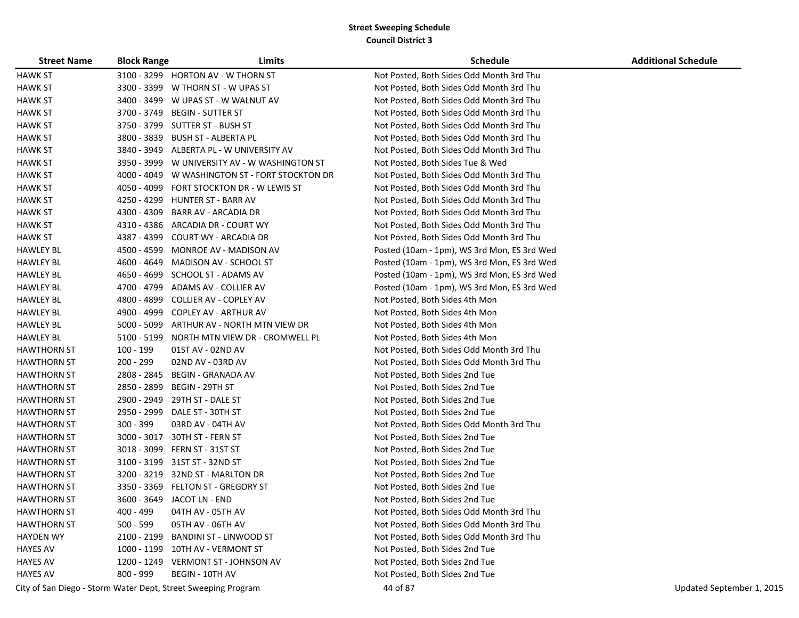| <b>Street Name</b> | <b>Block Range</b> | Limits                                                        | <b>Schedule</b>                             | <b>Additional Schedule</b> |
|--------------------|--------------------|---------------------------------------------------------------|---------------------------------------------|----------------------------|
| <b>HAWK ST</b>     |                    | 3100 - 3299 HORTON AV - W THORN ST                            | Not Posted, Both Sides Odd Month 3rd Thu    |                            |
| HAWK ST            |                    | 3300 - 3399 W THORN ST - W UPAS ST                            | Not Posted, Both Sides Odd Month 3rd Thu    |                            |
| <b>HAWK ST</b>     |                    | 3400 - 3499 W UPAS ST - W WALNUT AV                           | Not Posted, Both Sides Odd Month 3rd Thu    |                            |
| <b>HAWK ST</b>     |                    | 3700 - 3749 BEGIN - SUTTER ST                                 | Not Posted, Both Sides Odd Month 3rd Thu    |                            |
| <b>HAWK ST</b>     |                    | 3750 - 3799 SUTTER ST - BUSH ST                               | Not Posted, Both Sides Odd Month 3rd Thu    |                            |
| <b>HAWK ST</b>     |                    | 3800 - 3839 BUSH ST - ALBERTA PL                              | Not Posted, Both Sides Odd Month 3rd Thu    |                            |
| <b>HAWK ST</b>     |                    | 3840 - 3949 ALBERTA PL - W UNIVERSITY AV                      | Not Posted, Both Sides Odd Month 3rd Thu    |                            |
| <b>HAWK ST</b>     |                    | 3950 - 3999 W UNIVERSITY AV - W WASHINGTON ST                 | Not Posted, Both Sides Tue & Wed            |                            |
| <b>HAWK ST</b>     |                    | 4000 - 4049 W WASHINGTON ST - FORT STOCKTON DR                | Not Posted, Both Sides Odd Month 3rd Thu    |                            |
| <b>HAWK ST</b>     |                    | 4050 - 4099 FORT STOCKTON DR - W LEWIS ST                     | Not Posted, Both Sides Odd Month 3rd Thu    |                            |
| <b>HAWK ST</b>     |                    | 4250 - 4299 HUNTER ST - BARR AV                               | Not Posted, Both Sides Odd Month 3rd Thu    |                            |
| <b>HAWK ST</b>     | 4300 - 4309        | BARR AV - ARCADIA DR                                          | Not Posted, Both Sides Odd Month 3rd Thu    |                            |
| <b>HAWK ST</b>     | 4310 - 4386        | ARCADIA DR - COURT WY                                         | Not Posted, Both Sides Odd Month 3rd Thu    |                            |
| <b>HAWK ST</b>     |                    | 4387 - 4399 COURT WY - ARCADIA DR                             | Not Posted, Both Sides Odd Month 3rd Thu    |                            |
| <b>HAWLEY BL</b>   | 4500 - 4599        | MONROE AV - MADISON AV                                        | Posted (10am - 1pm), WS 3rd Mon, ES 3rd Wed |                            |
| <b>HAWLEY BL</b>   | 4600 - 4649        | MADISON AV - SCHOOL ST                                        | Posted (10am - 1pm), WS 3rd Mon, ES 3rd Wed |                            |
| <b>HAWLEY BL</b>   |                    | 4650 - 4699 SCHOOL ST - ADAMS AV                              | Posted (10am - 1pm), WS 3rd Mon, ES 3rd Wed |                            |
| <b>HAWLEY BL</b>   | 4700 - 4799        | ADAMS AV - COLLIER AV                                         | Posted (10am - 1pm), WS 3rd Mon, ES 3rd Wed |                            |
| <b>HAWLEY BL</b>   | 4800 - 4899        | <b>COLLIER AV - COPLEY AV</b>                                 | Not Posted, Both Sides 4th Mon              |                            |
| <b>HAWLEY BL</b>   |                    | 4900 - 4999 COPLEY AV - ARTHUR AV                             | Not Posted, Both Sides 4th Mon              |                            |
| <b>HAWLEY BL</b>   |                    | 5000 - 5099 ARTHUR AV - NORTH MTN VIEW DR                     | Not Posted, Both Sides 4th Mon              |                            |
| <b>HAWLEY BL</b>   |                    | 5100 - 5199 NORTH MTN VIEW DR - CROMWELL PL                   | Not Posted, Both Sides 4th Mon              |                            |
| <b>HAWTHORN ST</b> | 100 - 199          | 01ST AV - 02ND AV                                             | Not Posted, Both Sides Odd Month 3rd Thu    |                            |
| <b>HAWTHORN ST</b> | 200 - 299          | 02ND AV - 03RD AV                                             | Not Posted, Both Sides Odd Month 3rd Thu    |                            |
| <b>HAWTHORN ST</b> | 2808 - 2845        | <b>BEGIN - GRANADA AV</b>                                     | Not Posted, Both Sides 2nd Tue              |                            |
| <b>HAWTHORN ST</b> | 2850 - 2899        | BEGIN - 29TH ST                                               | Not Posted, Both Sides 2nd Tue              |                            |
| <b>HAWTHORN ST</b> | 2900 - 2949        | 29TH ST - DALE ST                                             | Not Posted, Both Sides 2nd Tue              |                            |
| <b>HAWTHORN ST</b> | 2950 - 2999        | DALE ST - 30TH ST                                             | Not Posted, Both Sides 2nd Tue              |                            |
| <b>HAWTHORN ST</b> | 300 - 399          | 03RD AV - 04TH AV                                             | Not Posted, Both Sides Odd Month 3rd Thu    |                            |
| <b>HAWTHORN ST</b> | 3000 - 3017        | 30TH ST - FERN ST                                             | Not Posted, Both Sides 2nd Tue              |                            |
| <b>HAWTHORN ST</b> |                    | 3018 - 3099 FERN ST - 31ST ST                                 | Not Posted, Both Sides 2nd Tue              |                            |
| <b>HAWTHORN ST</b> |                    | 3100 - 3199 31ST ST - 32ND ST                                 | Not Posted, Both Sides 2nd Tue              |                            |
| <b>HAWTHORN ST</b> |                    | 3200 - 3219 32ND ST - MARLTON DR                              | Not Posted, Both Sides 2nd Tue              |                            |
| <b>HAWTHORN ST</b> |                    | 3350 - 3369 FELTON ST - GREGORY ST                            | Not Posted, Both Sides 2nd Tue              |                            |
| <b>HAWTHORN ST</b> |                    | 3600 - 3649 JACOT LN - END                                    | Not Posted, Both Sides 2nd Tue              |                            |
| <b>HAWTHORN ST</b> | 400 - 499          | 04TH AV - 05TH AV                                             | Not Posted, Both Sides Odd Month 3rd Thu    |                            |
| <b>HAWTHORN ST</b> | $500 - 599$        | 05TH AV - 06TH AV                                             | Not Posted, Both Sides Odd Month 3rd Thu    |                            |
| <b>HAYDEN WY</b>   | 2100 - 2199        | <b>BANDINI ST - LINWOOD ST</b>                                | Not Posted, Both Sides Odd Month 3rd Thu    |                            |
| <b>HAYES AV</b>    |                    | 1000 - 1199 10TH AV - VERMONT ST                              | Not Posted, Both Sides 2nd Tue              |                            |
| <b>HAYES AV</b>    |                    | 1200 - 1249 VERMONT ST - JOHNSON AV                           | Not Posted, Both Sides 2nd Tue              |                            |
| <b>HAYES AV</b>    | 800 - 999          | <b>BEGIN - 10TH AV</b>                                        | Not Posted, Both Sides 2nd Tue              |                            |
|                    |                    | City of San Diego - Storm Water Dept, Street Sweeping Program | 44 of 87                                    | Updated September 1, 2015  |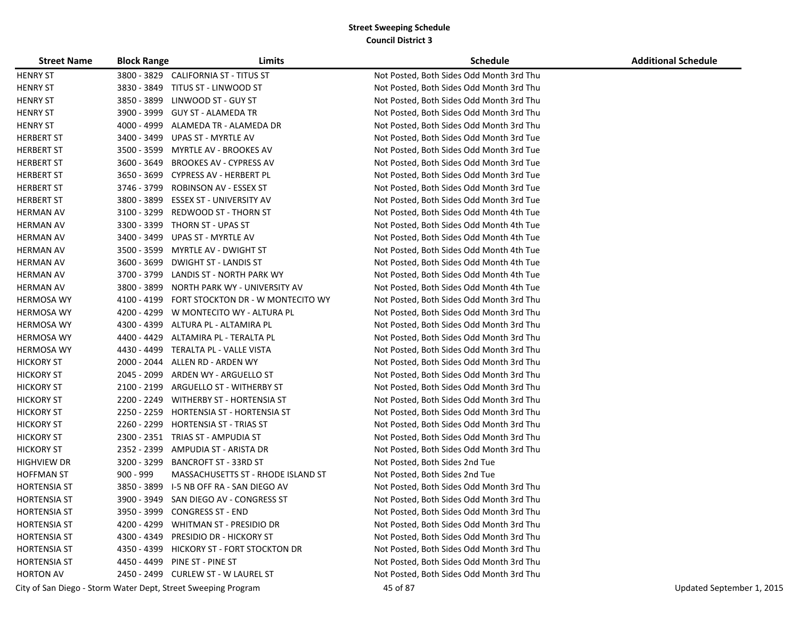| <b>Street Name</b>  | <b>Block Range</b> | Limits                                                        | <b>Schedule</b>                          | <b>Additional Schedule</b> |
|---------------------|--------------------|---------------------------------------------------------------|------------------------------------------|----------------------------|
| <b>HENRY ST</b>     |                    | 3800 - 3829 CALIFORNIA ST - TITUS ST                          | Not Posted, Both Sides Odd Month 3rd Thu |                            |
| <b>HENRY ST</b>     |                    | 3830 - 3849 TITUS ST - LINWOOD ST                             | Not Posted, Both Sides Odd Month 3rd Thu |                            |
| <b>HENRY ST</b>     |                    | 3850 - 3899 LINWOOD ST - GUY ST                               | Not Posted, Both Sides Odd Month 3rd Thu |                            |
| <b>HENRY ST</b>     |                    | 3900 - 3999 GUY ST - ALAMEDA TR                               | Not Posted, Both Sides Odd Month 3rd Thu |                            |
| <b>HENRY ST</b>     |                    | 4000 - 4999 ALAMEDA TR - ALAMEDA DR                           | Not Posted, Both Sides Odd Month 3rd Thu |                            |
| <b>HERBERT ST</b>   |                    | 3400 - 3499 UPAS ST - MYRTLE AV                               | Not Posted, Both Sides Odd Month 3rd Tue |                            |
| <b>HERBERT ST</b>   | 3500 - 3599        | MYRTLE AV - BROOKES AV                                        | Not Posted, Both Sides Odd Month 3rd Tue |                            |
| <b>HERBERT ST</b>   | 3600 - 3649        | BROOKES AV - CYPRESS AV                                       | Not Posted, Both Sides Odd Month 3rd Tue |                            |
| <b>HERBERT ST</b>   | 3650 - 3699        | CYPRESS AV - HERBERT PL                                       | Not Posted, Both Sides Odd Month 3rd Tue |                            |
| <b>HERBERT ST</b>   | 3746 - 3799        | <b>ROBINSON AV - ESSEX ST</b>                                 | Not Posted, Both Sides Odd Month 3rd Tue |                            |
| <b>HERBERT ST</b>   | 3800 - 3899        | ESSEX ST - UNIVERSITY AV                                      | Not Posted, Both Sides Odd Month 3rd Tue |                            |
| <b>HERMAN AV</b>    | 3100 - 3299        | REDWOOD ST - THORN ST                                         | Not Posted, Both Sides Odd Month 4th Tue |                            |
| <b>HERMAN AV</b>    |                    | 3300 - 3399 THORN ST - UPAS ST                                | Not Posted, Both Sides Odd Month 4th Tue |                            |
| <b>HERMAN AV</b>    |                    | 3400 - 3499 UPAS ST - MYRTLE AV                               | Not Posted, Both Sides Odd Month 4th Tue |                            |
| <b>HERMAN AV</b>    | 3500 - 3599        | MYRTLE AV - DWIGHT ST                                         | Not Posted, Both Sides Odd Month 4th Tue |                            |
| <b>HERMAN AV</b>    | 3600 - 3699        | <b>DWIGHT ST - LANDIS ST</b>                                  | Not Posted, Both Sides Odd Month 4th Tue |                            |
| <b>HERMAN AV</b>    | 3700 - 3799        | LANDIS ST - NORTH PARK WY                                     | Not Posted, Both Sides Odd Month 4th Tue |                            |
| <b>HERMAN AV</b>    |                    | 3800 - 3899 NORTH PARK WY - UNIVERSITY AV                     | Not Posted, Both Sides Odd Month 4th Tue |                            |
| <b>HERMOSA WY</b>   |                    | 4100 - 4199 FORT STOCKTON DR - W MONTECITO WY                 | Not Posted, Both Sides Odd Month 3rd Thu |                            |
| <b>HERMOSA WY</b>   |                    | 4200 - 4299 W MONTECITO WY - ALTURA PL                        | Not Posted, Both Sides Odd Month 3rd Thu |                            |
| <b>HERMOSA WY</b>   |                    | 4300 - 4399 ALTURA PL - ALTAMIRA PL                           | Not Posted, Both Sides Odd Month 3rd Thu |                            |
| <b>HERMOSA WY</b>   |                    | 4400 - 4429 ALTAMIRA PL - TERALTA PL                          | Not Posted, Both Sides Odd Month 3rd Thu |                            |
| <b>HERMOSA WY</b>   |                    | 4430 - 4499 TERALTA PL - VALLE VISTA                          | Not Posted, Both Sides Odd Month 3rd Thu |                            |
| <b>HICKORY ST</b>   |                    | 2000 - 2044 ALLEN RD - ARDEN WY                               | Not Posted, Both Sides Odd Month 3rd Thu |                            |
| <b>HICKORY ST</b>   | 2045 - 2099        | ARDEN WY - ARGUELLO ST                                        | Not Posted, Both Sides Odd Month 3rd Thu |                            |
| <b>HICKORY ST</b>   | 2100 - 2199        | ARGUELLO ST - WITHERBY ST                                     | Not Posted, Both Sides Odd Month 3rd Thu |                            |
| <b>HICKORY ST</b>   |                    | 2200 - 2249 WITHERBY ST - HORTENSIA ST                        | Not Posted, Both Sides Odd Month 3rd Thu |                            |
| <b>HICKORY ST</b>   |                    | 2250 - 2259 HORTENSIA ST - HORTENSIA ST                       | Not Posted, Both Sides Odd Month 3rd Thu |                            |
| <b>HICKORY ST</b>   |                    | 2260 - 2299 HORTENSIA ST - TRIAS ST                           | Not Posted, Both Sides Odd Month 3rd Thu |                            |
| <b>HICKORY ST</b>   |                    | 2300 - 2351 TRIAS ST - AMPUDIA ST                             | Not Posted, Both Sides Odd Month 3rd Thu |                            |
| <b>HICKORY ST</b>   |                    | 2352 - 2399 AMPUDIA ST - ARISTA DR                            | Not Posted, Both Sides Odd Month 3rd Thu |                            |
| <b>HIGHVIEW DR</b>  | 3200 - 3299        | <b>BANCROFT ST - 33RD ST</b>                                  | Not Posted, Both Sides 2nd Tue           |                            |
| <b>HOFFMAN ST</b>   | 900 - 999          | MASSACHUSETTS ST - RHODE ISLAND ST                            | Not Posted, Both Sides 2nd Tue           |                            |
| <b>HORTENSIA ST</b> | 3850 - 3899        | I-5 NB OFF RA - SAN DIEGO AV                                  | Not Posted, Both Sides Odd Month 3rd Thu |                            |
| <b>HORTENSIA ST</b> |                    | 3900 - 3949 SAN DIEGO AV - CONGRESS ST                        | Not Posted, Both Sides Odd Month 3rd Thu |                            |
| <b>HORTENSIA ST</b> |                    | 3950 - 3999 CONGRESS ST - END                                 | Not Posted, Both Sides Odd Month 3rd Thu |                            |
| <b>HORTENSIA ST</b> |                    | 4200 - 4299 WHITMAN ST - PRESIDIO DR                          | Not Posted, Both Sides Odd Month 3rd Thu |                            |
| <b>HORTENSIA ST</b> |                    | 4300 - 4349 PRESIDIO DR - HICKORY ST                          | Not Posted, Both Sides Odd Month 3rd Thu |                            |
| <b>HORTENSIA ST</b> |                    | 4350 - 4399 HICKORY ST - FORT STOCKTON DR                     | Not Posted, Both Sides Odd Month 3rd Thu |                            |
| <b>HORTENSIA ST</b> |                    | 4450 - 4499 PINE ST - PINE ST                                 | Not Posted, Both Sides Odd Month 3rd Thu |                            |
| <b>HORTON AV</b>    |                    | 2450 - 2499 CURLEW ST - W LAUREL ST                           | Not Posted, Both Sides Odd Month 3rd Thu |                            |
|                     |                    | City of San Diego - Storm Water Dept, Street Sweeping Program | 45 of 87                                 | Updated September 1, 2015  |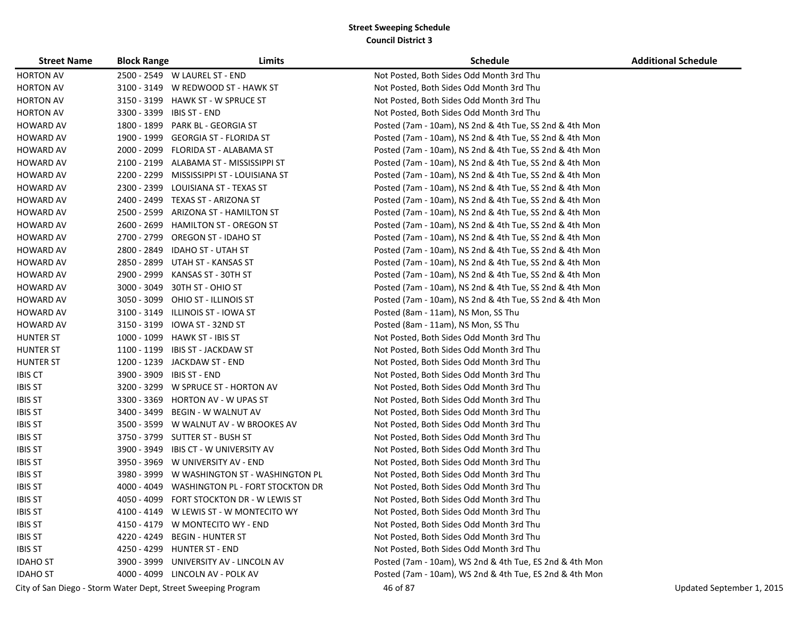| <b>Street Name</b>                                            | <b>Block Range</b> | Limits                                       | <b>Schedule</b>                                         | <b>Additional Schedule</b> |
|---------------------------------------------------------------|--------------------|----------------------------------------------|---------------------------------------------------------|----------------------------|
| <b>HORTON AV</b>                                              |                    | 2500 - 2549 W LAUREL ST - END                | Not Posted, Both Sides Odd Month 3rd Thu                |                            |
| <b>HORTON AV</b>                                              |                    | 3100 - 3149 W REDWOOD ST - HAWK ST           | Not Posted, Both Sides Odd Month 3rd Thu                |                            |
| <b>HORTON AV</b>                                              |                    | 3150 - 3199 HAWK ST - W SPRUCE ST            | Not Posted, Both Sides Odd Month 3rd Thu                |                            |
| <b>HORTON AV</b>                                              |                    | 3300 - 3399 IBIS ST - END                    | Not Posted, Both Sides Odd Month 3rd Thu                |                            |
| <b>HOWARD AV</b>                                              |                    | 1800 - 1899 PARK BL - GEORGIA ST             | Posted (7am - 10am), NS 2nd & 4th Tue, SS 2nd & 4th Mon |                            |
| <b>HOWARD AV</b>                                              |                    | 1900 - 1999 GEORGIA ST - FLORIDA ST          | Posted (7am - 10am), NS 2nd & 4th Tue, SS 2nd & 4th Mon |                            |
| <b>HOWARD AV</b>                                              |                    | 2000 - 2099 FLORIDA ST - ALABAMA ST          | Posted (7am - 10am), NS 2nd & 4th Tue, SS 2nd & 4th Mon |                            |
| <b>HOWARD AV</b>                                              |                    | 2100 - 2199 ALABAMA ST - MISSISSIPPI ST      | Posted (7am - 10am), NS 2nd & 4th Tue, SS 2nd & 4th Mon |                            |
| <b>HOWARD AV</b>                                              |                    | 2200 - 2299 MISSISSIPPI ST - LOUISIANA ST    | Posted (7am - 10am), NS 2nd & 4th Tue, SS 2nd & 4th Mon |                            |
| <b>HOWARD AV</b>                                              |                    | 2300 - 2399 LOUISIANA ST - TEXAS ST          | Posted (7am - 10am), NS 2nd & 4th Tue, SS 2nd & 4th Mon |                            |
| <b>HOWARD AV</b>                                              |                    | 2400 - 2499 TEXAS ST - ARIZONA ST            | Posted (7am - 10am), NS 2nd & 4th Tue, SS 2nd & 4th Mon |                            |
| <b>HOWARD AV</b>                                              |                    | 2500 - 2599 ARIZONA ST - HAMILTON ST         | Posted (7am - 10am), NS 2nd & 4th Tue, SS 2nd & 4th Mon |                            |
| <b>HOWARD AV</b>                                              | 2600 - 2699        | <b>HAMILTON ST - OREGON ST</b>               | Posted (7am - 10am), NS 2nd & 4th Tue, SS 2nd & 4th Mon |                            |
| <b>HOWARD AV</b>                                              |                    | 2700 - 2799 OREGON ST - IDAHO ST             | Posted (7am - 10am), NS 2nd & 4th Tue, SS 2nd & 4th Mon |                            |
| <b>HOWARD AV</b>                                              |                    | 2800 - 2849 IDAHO ST - UTAH ST               | Posted (7am - 10am), NS 2nd & 4th Tue, SS 2nd & 4th Mon |                            |
| <b>HOWARD AV</b>                                              |                    | 2850 - 2899 UTAH ST - KANSAS ST              | Posted (7am - 10am), NS 2nd & 4th Tue, SS 2nd & 4th Mon |                            |
| <b>HOWARD AV</b>                                              | 2900 - 2999        | KANSAS ST - 30TH ST                          | Posted (7am - 10am), NS 2nd & 4th Tue, SS 2nd & 4th Mon |                            |
| <b>HOWARD AV</b>                                              | 3000 - 3049        | 30TH ST - OHIO ST                            | Posted (7am - 10am), NS 2nd & 4th Tue, SS 2nd & 4th Mon |                            |
| <b>HOWARD AV</b>                                              | 3050 - 3099        | OHIO ST - ILLINOIS ST                        | Posted (7am - 10am), NS 2nd & 4th Tue, SS 2nd & 4th Mon |                            |
| <b>HOWARD AV</b>                                              |                    | 3100 - 3149 ILLINOIS ST - IOWA ST            | Posted (8am - 11am), NS Mon, SS Thu                     |                            |
| <b>HOWARD AV</b>                                              | 3150 - 3199        | IOWA ST - 32ND ST                            | Posted (8am - 11am), NS Mon, SS Thu                     |                            |
| <b>HUNTER ST</b>                                              |                    | 1000 - 1099 HAWK ST - IBIS ST                | Not Posted, Both Sides Odd Month 3rd Thu                |                            |
| <b>HUNTER ST</b>                                              |                    | 1100 - 1199 IBIS ST - JACKDAW ST             | Not Posted, Both Sides Odd Month 3rd Thu                |                            |
| <b>HUNTER ST</b>                                              |                    | 1200 - 1239 JACKDAW ST - END                 | Not Posted, Both Sides Odd Month 3rd Thu                |                            |
| <b>IBIS CT</b>                                                | 3900 - 3909        | <b>IBIS ST - END</b>                         | Not Posted, Both Sides Odd Month 3rd Thu                |                            |
| <b>IBIS ST</b>                                                |                    | 3200 - 3299 W SPRUCE ST - HORTON AV          | Not Posted, Both Sides Odd Month 3rd Thu                |                            |
| <b>IBIS ST</b>                                                |                    | 3300 - 3369 HORTON AV - W UPAS ST            | Not Posted, Both Sides Odd Month 3rd Thu                |                            |
| <b>IBIS ST</b>                                                | 3400 - 3499        | BEGIN - W WALNUT AV                          | Not Posted, Both Sides Odd Month 3rd Thu                |                            |
| <b>IBIS ST</b>                                                |                    | 3500 - 3599 W WALNUT AV - W BROOKES AV       | Not Posted, Both Sides Odd Month 3rd Thu                |                            |
| <b>IBIS ST</b>                                                |                    | 3750 - 3799    SUTTER ST - BUSH ST           | Not Posted, Both Sides Odd Month 3rd Thu                |                            |
| <b>IBIS ST</b>                                                | 3900 - 3949        | IBIS CT - W UNIVERSITY AV                    | Not Posted, Both Sides Odd Month 3rd Thu                |                            |
| <b>IBIS ST</b>                                                |                    | 3950 - 3969 W UNIVERSITY AV - END            | Not Posted, Both Sides Odd Month 3rd Thu                |                            |
| <b>IBIS ST</b>                                                |                    | 3980 - 3999 W WASHINGTON ST - WASHINGTON PL  | Not Posted, Both Sides Odd Month 3rd Thu                |                            |
| <b>IBIS ST</b>                                                |                    | 4000 - 4049 WASHINGTON PL - FORT STOCKTON DR | Not Posted, Both Sides Odd Month 3rd Thu                |                            |
| <b>IBIS ST</b>                                                |                    | 4050 - 4099 FORT STOCKTON DR - W LEWIS ST    | Not Posted, Both Sides Odd Month 3rd Thu                |                            |
| <b>IBIS ST</b>                                                |                    | 4100 - 4149 W LEWIS ST - W MONTECITO WY      | Not Posted, Both Sides Odd Month 3rd Thu                |                            |
| <b>IBIS ST</b>                                                |                    | 4150 - 4179 W MONTECITO WY - END             | Not Posted, Both Sides Odd Month 3rd Thu                |                            |
| <b>IBIS ST</b>                                                |                    | 4220 - 4249 BEGIN - HUNTER ST                | Not Posted, Both Sides Odd Month 3rd Thu                |                            |
| <b>IBIS ST</b>                                                |                    | 4250 - 4299 HUNTER ST - END                  | Not Posted, Both Sides Odd Month 3rd Thu                |                            |
| <b>IDAHO ST</b>                                               |                    | 3900 - 3999 UNIVERSITY AV - LINCOLN AV       | Posted (7am - 10am), WS 2nd & 4th Tue, ES 2nd & 4th Mon |                            |
| <b>IDAHO ST</b>                                               |                    | 4000 - 4099 LINCOLN AV - POLK AV             | Posted (7am - 10am), WS 2nd & 4th Tue, ES 2nd & 4th Mon |                            |
| City of San Diego - Storm Water Dept, Street Sweeping Program |                    |                                              | 46 of 87                                                | Updated September 1, 2015  |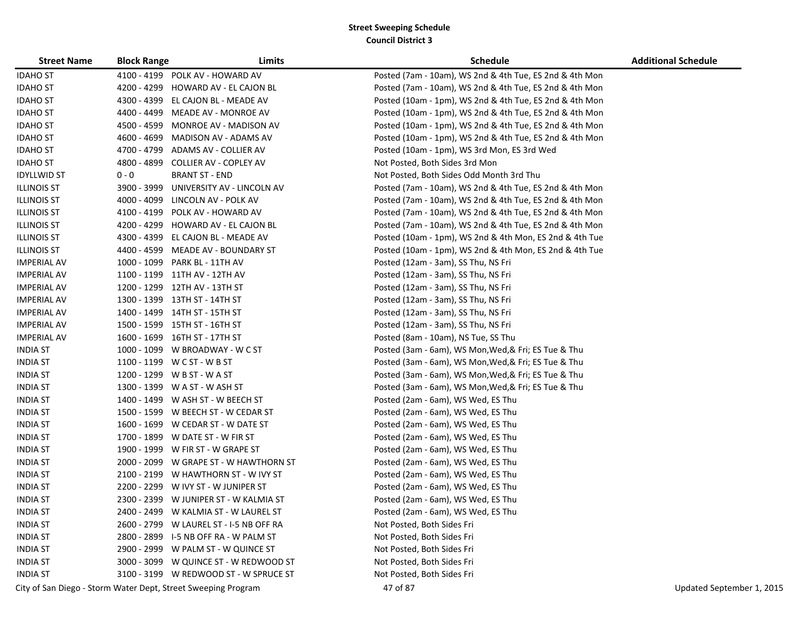| <b>Street Name</b> | <b>Block Range</b> | Limits                                  | <b>Schedule</b>                                         | <b>Additional Schedule</b> |
|--------------------|--------------------|-----------------------------------------|---------------------------------------------------------|----------------------------|
| <b>IDAHO ST</b>    |                    | 4100 - 4199 POLK AV - HOWARD AV         | Posted (7am - 10am), WS 2nd & 4th Tue, ES 2nd & 4th Mon |                            |
| <b>IDAHO ST</b>    |                    | 4200 - 4299 HOWARD AV - EL CAJON BL     | Posted (7am - 10am), WS 2nd & 4th Tue, ES 2nd & 4th Mon |                            |
| <b>IDAHO ST</b>    |                    | 4300 - 4399 EL CAJON BL - MEADE AV      | Posted (10am - 1pm), WS 2nd & 4th Tue, ES 2nd & 4th Mon |                            |
| <b>IDAHO ST</b>    |                    | 4400 - 4499 MEADE AV - MONROE AV        | Posted (10am - 1pm), WS 2nd & 4th Tue, ES 2nd & 4th Mon |                            |
| <b>IDAHO ST</b>    |                    | 4500 - 4599 MONROE AV - MADISON AV      | Posted (10am - 1pm), WS 2nd & 4th Tue, ES 2nd & 4th Mon |                            |
| <b>IDAHO ST</b>    |                    | 4600 - 4699 MADISON AV - ADAMS AV       | Posted (10am - 1pm), WS 2nd & 4th Tue, ES 2nd & 4th Mon |                            |
| <b>IDAHO ST</b>    |                    | 4700 - 4799 ADAMS AV - COLLIER AV       | Posted (10am - 1pm), WS 3rd Mon, ES 3rd Wed             |                            |
| <b>IDAHO ST</b>    |                    | 4800 - 4899 COLLIER AV - COPLEY AV      | Not Posted, Both Sides 3rd Mon                          |                            |
| <b>IDYLLWID ST</b> | $0 - 0$            | <b>BRANT ST - END</b>                   | Not Posted, Both Sides Odd Month 3rd Thu                |                            |
| <b>ILLINOIS ST</b> | 3900 - 3999        | UNIVERSITY AV - LINCOLN AV              | Posted (7am - 10am), WS 2nd & 4th Tue, ES 2nd & 4th Mon |                            |
| <b>ILLINOIS ST</b> |                    | 4000 - 4099 LINCOLN AV - POLK AV        | Posted (7am - 10am), WS 2nd & 4th Tue, ES 2nd & 4th Mon |                            |
| <b>ILLINOIS ST</b> |                    | 4100 - 4199 POLK AV - HOWARD AV         | Posted (7am - 10am), WS 2nd & 4th Tue, ES 2nd & 4th Mon |                            |
| <b>ILLINOIS ST</b> |                    | 4200 - 4299 HOWARD AV - EL CAJON BL     | Posted (7am - 10am), WS 2nd & 4th Tue, ES 2nd & 4th Mon |                            |
| <b>ILLINOIS ST</b> |                    | 4300 - 4399 EL CAJON BL - MEADE AV      | Posted (10am - 1pm), WS 2nd & 4th Mon, ES 2nd & 4th Tue |                            |
| <b>ILLINOIS ST</b> |                    | 4400 - 4599 MEADE AV - BOUNDARY ST      | Posted (10am - 1pm), WS 2nd & 4th Mon, ES 2nd & 4th Tue |                            |
| <b>IMPERIAL AV</b> |                    | 1000 - 1099 PARK BL - 11TH AV           | Posted (12am - 3am), SS Thu, NS Fri                     |                            |
| <b>IMPERIAL AV</b> |                    | 1100 - 1199 11TH AV - 12TH AV           | Posted (12am - 3am), SS Thu, NS Fri                     |                            |
| <b>IMPERIAL AV</b> |                    | 1200 - 1299 12TH AV - 13TH ST           | Posted (12am - 3am), SS Thu, NS Fri                     |                            |
| <b>IMPERIAL AV</b> |                    | 1300 - 1399 13TH ST - 14TH ST           | Posted (12am - 3am), SS Thu, NS Fri                     |                            |
| <b>IMPERIAL AV</b> |                    | 1400 - 1499 14TH ST - 15TH ST           | Posted (12am - 3am), SS Thu, NS Fri                     |                            |
| <b>IMPERIAL AV</b> |                    | 1500 - 1599 15TH ST - 16TH ST           | Posted (12am - 3am), SS Thu, NS Fri                     |                            |
| <b>IMPERIAL AV</b> |                    | 1600 - 1699 16TH ST - 17TH ST           | Posted (8am - 10am), NS Tue, SS Thu                     |                            |
| <b>INDIA ST</b>    |                    | 1000 - 1099 W BROADWAY - W C ST         | Posted (3am - 6am), WS Mon, Wed, & Fri; ES Tue & Thu    |                            |
| <b>INDIA ST</b>    |                    | 1100 - 1199 W C ST - W B ST             | Posted (3am - 6am), WS Mon, Wed, & Fri; ES Tue & Thu    |                            |
| <b>INDIA ST</b>    |                    | 1200 - 1299 W B ST - W A ST             | Posted (3am - 6am), WS Mon, Wed, & Fri; ES Tue & Thu    |                            |
| <b>INDIA ST</b>    |                    | 1300 - 1399 W A ST - W ASH ST           | Posted (3am - 6am), WS Mon, Wed, & Fri; ES Tue & Thu    |                            |
| <b>INDIA ST</b>    |                    | 1400 - 1499 W ASH ST - W BEECH ST       | Posted (2am - 6am), WS Wed, ES Thu                      |                            |
| <b>INDIA ST</b>    |                    | 1500 - 1599 W BEECH ST - W CEDAR ST     | Posted (2am - 6am), WS Wed, ES Thu                      |                            |
| <b>INDIA ST</b>    |                    | 1600 - 1699 W CEDAR ST - W DATE ST      | Posted (2am - 6am), WS Wed, ES Thu                      |                            |
| <b>INDIA ST</b>    |                    | 1700 - 1899 W DATE ST - W FIR ST        | Posted (2am - 6am), WS Wed, ES Thu                      |                            |
| <b>INDIA ST</b>    |                    | 1900 - 1999 W FIR ST - W GRAPE ST       | Posted (2am - 6am), WS Wed, ES Thu                      |                            |
| <b>INDIA ST</b>    |                    | 2000 - 2099 W GRAPE ST - W HAWTHORN ST  | Posted (2am - 6am), WS Wed, ES Thu                      |                            |
| <b>INDIA ST</b>    |                    | 2100 - 2199 W HAWTHORN ST - W IVY ST    | Posted (2am - 6am), WS Wed, ES Thu                      |                            |
| <b>INDIA ST</b>    |                    | 2200 - 2299 W IVY ST - W JUNIPER ST     | Posted (2am - 6am), WS Wed, ES Thu                      |                            |
| <b>INDIA ST</b>    |                    | 2300 - 2399 W JUNIPER ST - W KALMIA ST  | Posted (2am - 6am), WS Wed, ES Thu                      |                            |
| <b>INDIA ST</b>    |                    | 2400 - 2499 W KALMIA ST - W LAUREL ST   | Posted (2am - 6am), WS Wed, ES Thu                      |                            |
| <b>INDIA ST</b>    |                    | 2600 - 2799 W LAUREL ST - I-5 NB OFF RA | Not Posted, Both Sides Fri                              |                            |
| <b>INDIA ST</b>    |                    | 2800 - 2899 I-5 NB OFF RA - W PALM ST   | Not Posted, Both Sides Fri                              |                            |
| <b>INDIA ST</b>    |                    | 2900 - 2999 W PALM ST - W QUINCE ST     | Not Posted, Both Sides Fri                              |                            |
| <b>INDIA ST</b>    |                    | 3000 - 3099 W QUINCE ST - W REDWOOD ST  | Not Posted, Both Sides Fri                              |                            |
| <b>INDIA ST</b>    |                    | 3100 - 3199 W REDWOOD ST - W SPRUCE ST  | Not Posted, Both Sides Fri                              |                            |

City of San Diego - Storm Water Dept, Street Sweeping Program 47 of 87 City of San Diego - Storm Water Dept, Street Sweeping Program 47 of 87 City of San Diego - Storm Water Dept, Street Sweeping Program 47 of 87 City of S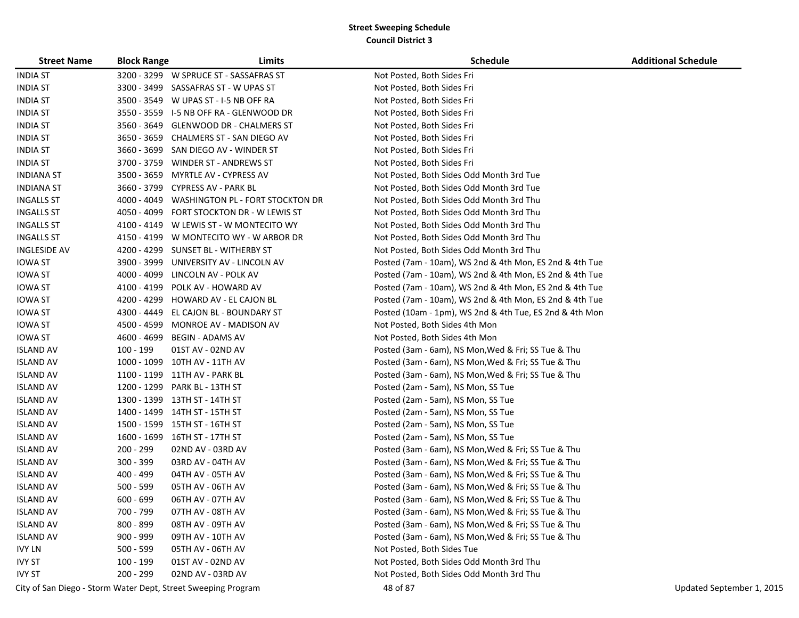| <b>Street Name</b>  | <b>Block Range</b> | Limits                                       | <b>Schedule</b>                                         | <b>Additional Schedule</b> |
|---------------------|--------------------|----------------------------------------------|---------------------------------------------------------|----------------------------|
| <b>INDIA ST</b>     |                    | 3200 - 3299 W SPRUCE ST - SASSAFRAS ST       | Not Posted, Both Sides Fri                              |                            |
| <b>INDIA ST</b>     |                    | 3300 - 3499 SASSAFRAS ST - W UPAS ST         | Not Posted, Both Sides Fri                              |                            |
| <b>INDIA ST</b>     |                    | 3500 - 3549 W UPAS ST - I-5 NB OFF RA        | Not Posted, Both Sides Fri                              |                            |
| <b>INDIA ST</b>     |                    | 3550 - 3559    I-5 NB OFF RA - GLENWOOD DR   | Not Posted, Both Sides Fri                              |                            |
| <b>INDIA ST</b>     |                    | 3560 - 3649 GLENWOOD DR - CHALMERS ST        | Not Posted, Both Sides Fri                              |                            |
| <b>INDIA ST</b>     |                    | 3650 - 3659 CHALMERS ST - SAN DIEGO AV       | Not Posted, Both Sides Fri                              |                            |
| <b>INDIA ST</b>     |                    | 3660 - 3699 SAN DIEGO AV - WINDER ST         | Not Posted, Both Sides Fri                              |                            |
| <b>INDIA ST</b>     |                    | 3700 - 3759 WINDER ST - ANDREWS ST           | Not Posted, Both Sides Fri                              |                            |
| <b>INDIANA ST</b>   |                    | 3500 - 3659 MYRTLE AV - CYPRESS AV           | Not Posted, Both Sides Odd Month 3rd Tue                |                            |
| <b>INDIANA ST</b>   |                    | 3660 - 3799 CYPRESS AV - PARK BL             | Not Posted, Both Sides Odd Month 3rd Tue                |                            |
| <b>INGALLS ST</b>   |                    | 4000 - 4049 WASHINGTON PL - FORT STOCKTON DR | Not Posted, Both Sides Odd Month 3rd Thu                |                            |
| <b>INGALLS ST</b>   |                    | 4050 - 4099 FORT STOCKTON DR - W LEWIS ST    | Not Posted, Both Sides Odd Month 3rd Thu                |                            |
| <b>INGALLS ST</b>   |                    | 4100 - 4149 W LEWIS ST - W MONTECITO WY      | Not Posted, Both Sides Odd Month 3rd Thu                |                            |
| <b>INGALLS ST</b>   |                    | 4150 - 4199 W MONTECITO WY - W ARBOR DR      | Not Posted, Both Sides Odd Month 3rd Thu                |                            |
| <b>INGLESIDE AV</b> |                    | 4200 - 4299 SUNSET BL - WITHERBY ST          | Not Posted, Both Sides Odd Month 3rd Thu                |                            |
| <b>IOWA ST</b>      |                    | 3900 - 3999 UNIVERSITY AV - LINCOLN AV       | Posted (7am - 10am), WS 2nd & 4th Mon, ES 2nd & 4th Tue |                            |
| <b>IOWA ST</b>      |                    | 4000 - 4099 LINCOLN AV - POLK AV             | Posted (7am - 10am), WS 2nd & 4th Mon, ES 2nd & 4th Tue |                            |
| <b>IOWA ST</b>      |                    | 4100 - 4199 POLK AV - HOWARD AV              | Posted (7am - 10am), WS 2nd & 4th Mon, ES 2nd & 4th Tue |                            |
| <b>IOWA ST</b>      |                    | 4200 - 4299 HOWARD AV - EL CAJON BL          | Posted (7am - 10am), WS 2nd & 4th Mon, ES 2nd & 4th Tue |                            |
| <b>IOWA ST</b>      |                    | 4300 - 4449 EL CAJON BL - BOUNDARY ST        | Posted (10am - 1pm), WS 2nd & 4th Tue, ES 2nd & 4th Mon |                            |
| <b>IOWA ST</b>      |                    | 4500 - 4599 MONROE AV - MADISON AV           | Not Posted, Both Sides 4th Mon                          |                            |
| <b>IOWA ST</b>      |                    | 4600 - 4699 BEGIN - ADAMS AV                 | Not Posted, Both Sides 4th Mon                          |                            |
| <b>ISLAND AV</b>    | 100 - 199          | 01ST AV - 02ND AV                            | Posted (3am - 6am), NS Mon, Wed & Fri; SS Tue & Thu     |                            |
| <b>ISLAND AV</b>    |                    | 1000 - 1099 10TH AV - 11TH AV                | Posted (3am - 6am), NS Mon, Wed & Fri; SS Tue & Thu     |                            |
| <b>ISLAND AV</b>    |                    | 1100 - 1199 11TH AV - PARK BL                | Posted (3am - 6am), NS Mon, Wed & Fri; SS Tue & Thu     |                            |
| <b>ISLAND AV</b>    |                    | 1200 - 1299 PARK BL - 13TH ST                | Posted (2am - 5am), NS Mon, SS Tue                      |                            |
| <b>ISLAND AV</b>    |                    | 1300 - 1399 13TH ST - 14TH ST                | Posted (2am - 5am), NS Mon, SS Tue                      |                            |
| <b>ISLAND AV</b>    |                    | 1400 - 1499 14TH ST - 15TH ST                | Posted (2am - 5am), NS Mon, SS Tue                      |                            |
| <b>ISLAND AV</b>    |                    | 1500 - 1599 15TH ST - 16TH ST                | Posted (2am - 5am), NS Mon, SS Tue                      |                            |
| <b>ISLAND AV</b>    |                    | 1600 - 1699 16TH ST - 17TH ST                | Posted (2am - 5am), NS Mon, SS Tue                      |                            |
| <b>ISLAND AV</b>    | 200 - 299          | 02ND AV - 03RD AV                            | Posted (3am - 6am), NS Mon, Wed & Fri; SS Tue & Thu     |                            |
| <b>ISLAND AV</b>    | 300 - 399          | 03RD AV - 04TH AV                            | Posted (3am - 6am), NS Mon, Wed & Fri; SS Tue & Thu     |                            |
| <b>ISLAND AV</b>    | 400 - 499          | 04TH AV - 05TH AV                            | Posted (3am - 6am), NS Mon, Wed & Fri; SS Tue & Thu     |                            |
| <b>ISLAND AV</b>    | $500 - 599$        | 05TH AV - 06TH AV                            | Posted (3am - 6am), NS Mon, Wed & Fri; SS Tue & Thu     |                            |
| <b>ISLAND AV</b>    | $600 - 699$        | 06TH AV - 07TH AV                            | Posted (3am - 6am), NS Mon, Wed & Fri; SS Tue & Thu     |                            |
| <b>ISLAND AV</b>    | 700 - 799          | 07TH AV - 08TH AV                            | Posted (3am - 6am), NS Mon, Wed & Fri; SS Tue & Thu     |                            |
| <b>ISLAND AV</b>    | 800 - 899          | 08TH AV - 09TH AV                            | Posted (3am - 6am), NS Mon, Wed & Fri; SS Tue & Thu     |                            |
| <b>ISLAND AV</b>    | 900 - 999          | 09TH AV - 10TH AV                            | Posted (3am - 6am), NS Mon, Wed & Fri; SS Tue & Thu     |                            |
| <b>IVY LN</b>       | $500 - 599$        | 05TH AV - 06TH AV                            | Not Posted, Both Sides Tue                              |                            |
| <b>IVY ST</b>       | 100 - 199          | 01ST AV - 02ND AV                            | Not Posted, Both Sides Odd Month 3rd Thu                |                            |
| <b>IVY ST</b>       | 200 - 299          | 02ND AV - 03RD AV                            | Not Posted, Both Sides Odd Month 3rd Thu                |                            |

City of San Diego - Storm Water Dept, Street Sweeping Program 48 of 87 Updated September 1, 2015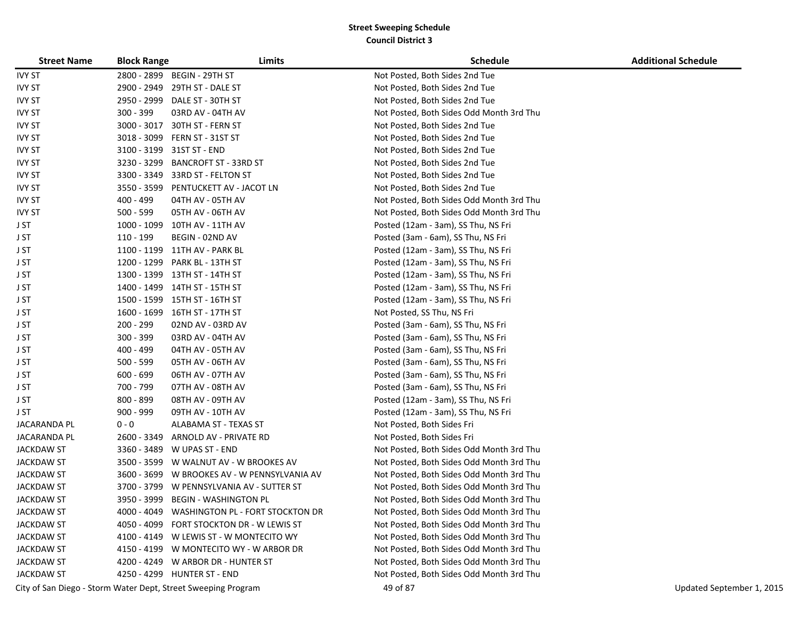| <b>Street Name</b> | <b>Block Range</b> | Limits                                                        | <b>Schedule</b>                          | <b>Additional Schedule</b> |
|--------------------|--------------------|---------------------------------------------------------------|------------------------------------------|----------------------------|
| <b>IVY ST</b>      |                    | 2800 - 2899 BEGIN - 29TH ST                                   | Not Posted, Both Sides 2nd Tue           |                            |
| <b>IVY ST</b>      |                    | 2900 - 2949 29TH ST - DALE ST                                 | Not Posted, Both Sides 2nd Tue           |                            |
| <b>IVY ST</b>      |                    | 2950 - 2999 DALE ST - 30TH ST                                 | Not Posted, Both Sides 2nd Tue           |                            |
| <b>IVY ST</b>      | 300 - 399          | 03RD AV - 04TH AV                                             | Not Posted, Both Sides Odd Month 3rd Thu |                            |
| <b>IVY ST</b>      | 3000 - 3017        | 30TH ST - FERN ST                                             | Not Posted, Both Sides 2nd Tue           |                            |
| <b>IVY ST</b>      |                    | 3018 - 3099 FERN ST - 31ST ST                                 | Not Posted, Both Sides 2nd Tue           |                            |
| <b>IVY ST</b>      |                    | 3100 - 3199 31ST ST - END                                     | Not Posted, Both Sides 2nd Tue           |                            |
| <b>IVY ST</b>      | 3230 - 3299        | <b>BANCROFT ST - 33RD ST</b>                                  | Not Posted, Both Sides 2nd Tue           |                            |
| <b>IVY ST</b>      | 3300 - 3349        | 33RD ST - FELTON ST                                           | Not Posted, Both Sides 2nd Tue           |                            |
| <b>IVY ST</b>      | 3550 - 3599        | PENTUCKETT AV - JACOT LN                                      | Not Posted, Both Sides 2nd Tue           |                            |
| <b>IVY ST</b>      | 400 - 499          | 04TH AV - 05TH AV                                             | Not Posted, Both Sides Odd Month 3rd Thu |                            |
| <b>IVY ST</b>      | 500 - 599          | 05TH AV - 06TH AV                                             | Not Posted, Both Sides Odd Month 3rd Thu |                            |
| J ST               | 1000 - 1099        | 10TH AV - 11TH AV                                             | Posted (12am - 3am), SS Thu, NS Fri      |                            |
| J ST               | 110 - 199          | BEGIN - 02ND AV                                               | Posted (3am - 6am), SS Thu, NS Fri       |                            |
| J ST               |                    | 1100 - 1199 11TH AV - PARK BL                                 | Posted (12am - 3am), SS Thu, NS Fri      |                            |
| J ST               | 1200 - 1299        | PARK BL - 13TH ST                                             | Posted (12am - 3am), SS Thu, NS Fri      |                            |
| J ST               |                    | 1300 - 1399 13TH ST - 14TH ST                                 | Posted (12am - 3am), SS Thu, NS Fri      |                            |
| J ST               |                    | 1400 - 1499 14TH ST - 15TH ST                                 | Posted (12am - 3am), SS Thu, NS Fri      |                            |
| J ST               |                    | 1500 - 1599 15TH ST - 16TH ST                                 | Posted (12am - 3am), SS Thu, NS Fri      |                            |
| J ST               |                    | 1600 - 1699 16TH ST - 17TH ST                                 | Not Posted, SS Thu, NS Fri               |                            |
| J ST               | 200 - 299          | 02ND AV - 03RD AV                                             | Posted (3am - 6am), SS Thu, NS Fri       |                            |
| J ST               | 300 - 399          | 03RD AV - 04TH AV                                             | Posted (3am - 6am), SS Thu, NS Fri       |                            |
| J ST               | 400 - 499          | 04TH AV - 05TH AV                                             | Posted (3am - 6am), SS Thu, NS Fri       |                            |
| J ST               | 500 - 599          | 05TH AV - 06TH AV                                             | Posted (3am - 6am), SS Thu, NS Fri       |                            |
| J ST               | $600 - 699$        | 06TH AV - 07TH AV                                             | Posted (3am - 6am), SS Thu, NS Fri       |                            |
| J ST               | 700 - 799          | 07TH AV - 08TH AV                                             | Posted (3am - 6am), SS Thu, NS Fri       |                            |
| J ST               | 800 - 899          | 08TH AV - 09TH AV                                             | Posted (12am - 3am), SS Thu, NS Fri      |                            |
| J ST               | 900 - 999          | 09TH AV - 10TH AV                                             | Posted (12am - 3am), SS Thu, NS Fri      |                            |
| JACARANDA PL       | $0 - 0$            | ALABAMA ST - TEXAS ST                                         | Not Posted, Both Sides Fri               |                            |
| JACARANDA PL       | 2600 - 3349        | ARNOLD AV - PRIVATE RD                                        | Not Posted, Both Sides Fri               |                            |
| <b>JACKDAW ST</b>  |                    | 3360 - 3489 W UPAS ST - END                                   | Not Posted, Both Sides Odd Month 3rd Thu |                            |
| <b>JACKDAW ST</b>  | 3500 - 3599        | W WALNUT AV - W BROOKES AV                                    | Not Posted, Both Sides Odd Month 3rd Thu |                            |
| <b>JACKDAW ST</b>  | 3600 - 3699        | W BROOKES AV - W PENNSYLVANIA AV                              | Not Posted, Both Sides Odd Month 3rd Thu |                            |
| <b>JACKDAW ST</b>  | 3700 - 3799        | W PENNSYLVANIA AV - SUTTER ST                                 | Not Posted, Both Sides Odd Month 3rd Thu |                            |
| JACKDAW ST         | 3950 - 3999        | <b>BEGIN - WASHINGTON PL</b>                                  | Not Posted, Both Sides Odd Month 3rd Thu |                            |
| <b>JACKDAW ST</b>  |                    | 4000 - 4049 WASHINGTON PL - FORT STOCKTON DR                  | Not Posted, Both Sides Odd Month 3rd Thu |                            |
| <b>JACKDAW ST</b>  |                    | 4050 - 4099 FORT STOCKTON DR - W LEWIS ST                     | Not Posted, Both Sides Odd Month 3rd Thu |                            |
| <b>JACKDAW ST</b>  |                    | 4100 - 4149 W LEWIS ST - W MONTECITO WY                       | Not Posted, Both Sides Odd Month 3rd Thu |                            |
| <b>JACKDAW ST</b>  |                    | 4150 - 4199 W MONTECITO WY - W ARBOR DR                       | Not Posted, Both Sides Odd Month 3rd Thu |                            |
| <b>JACKDAW ST</b>  |                    | 4200 - 4249 W ARBOR DR - HUNTER ST                            | Not Posted, Both Sides Odd Month 3rd Thu |                            |
| <b>JACKDAW ST</b>  |                    | 4250 - 4299 HUNTER ST - END                                   | Not Posted, Both Sides Odd Month 3rd Thu |                            |
|                    |                    | City of San Diego - Storm Water Dept, Street Sweeping Program | 49 of 87                                 | Updated September 1, 2015  |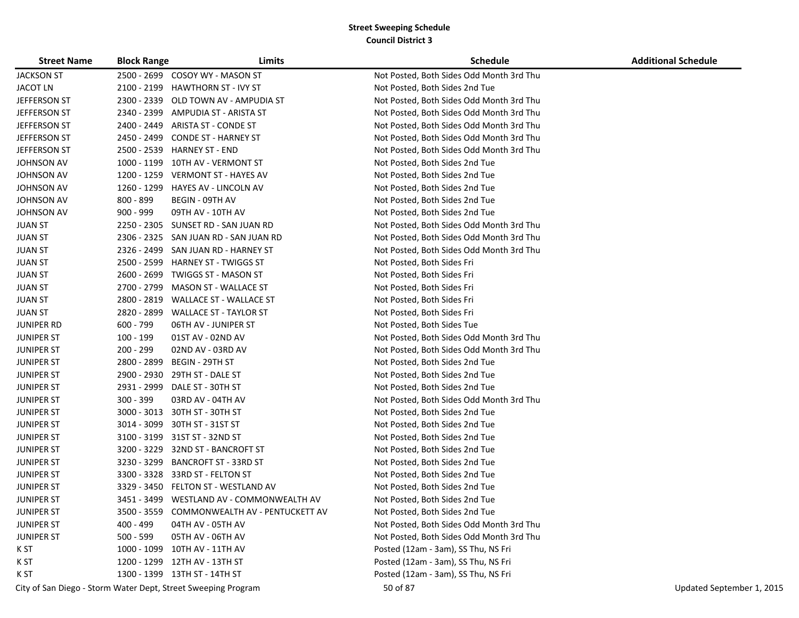| <b>Street Name</b> | <b>Block Range</b> | Limits                                                        | <b>Schedule</b>                          | <b>Additional Schedule</b> |
|--------------------|--------------------|---------------------------------------------------------------|------------------------------------------|----------------------------|
| <b>JACKSON ST</b>  |                    | 2500 - 2699 COSOY WY - MASON ST                               | Not Posted, Both Sides Odd Month 3rd Thu |                            |
| <b>JACOT LN</b>    | 2100 - 2199        | <b>HAWTHORN ST - IVY ST</b>                                   | Not Posted, Both Sides 2nd Tue           |                            |
| JEFFERSON ST       | 2300 - 2339        | OLD TOWN AV - AMPUDIA ST                                      | Not Posted, Both Sides Odd Month 3rd Thu |                            |
| JEFFERSON ST       |                    | 2340 - 2399 AMPUDIA ST - ARISTA ST                            | Not Posted, Both Sides Odd Month 3rd Thu |                            |
| JEFFERSON ST       | 2400 - 2449        | ARISTA ST - CONDE ST                                          | Not Posted, Both Sides Odd Month 3rd Thu |                            |
| JEFFERSON ST       | 2450 - 2499        | CONDE ST - HARNEY ST                                          | Not Posted, Both Sides Odd Month 3rd Thu |                            |
| JEFFERSON ST       | 2500 - 2539        | <b>HARNEY ST - END</b>                                        | Not Posted, Both Sides Odd Month 3rd Thu |                            |
| JOHNSON AV         | 1000 - 1199        | 10TH AV - VERMONT ST                                          | Not Posted, Both Sides 2nd Tue           |                            |
| JOHNSON AV         | 1200 - 1259        | <b>VERMONT ST - HAYES AV</b>                                  | Not Posted, Both Sides 2nd Tue           |                            |
| JOHNSON AV         | 1260 - 1299        | <b>HAYES AV - LINCOLN AV</b>                                  | Not Posted, Both Sides 2nd Tue           |                            |
| <b>JOHNSON AV</b>  | 800 - 899          | BEGIN - 09TH AV                                               | Not Posted, Both Sides 2nd Tue           |                            |
| <b>JOHNSON AV</b>  | $900 - 999$        | 09TH AV - 10TH AV                                             | Not Posted, Both Sides 2nd Tue           |                            |
| <b>JUAN ST</b>     | 2250 - 2305        | SUNSET RD - SAN JUAN RD                                       | Not Posted, Both Sides Odd Month 3rd Thu |                            |
| JUAN ST            | 2306 - 2325        | SAN JUAN RD - SAN JUAN RD                                     | Not Posted, Both Sides Odd Month 3rd Thu |                            |
| <b>JUAN ST</b>     | 2326 - 2499        | SAN JUAN RD - HARNEY ST                                       | Not Posted, Both Sides Odd Month 3rd Thu |                            |
| <b>JUAN ST</b>     | 2500 - 2599        | <b>HARNEY ST - TWIGGS ST</b>                                  | Not Posted, Both Sides Fri               |                            |
| <b>JUAN ST</b>     | 2600 - 2699        | TWIGGS ST - MASON ST                                          | Not Posted, Both Sides Fri               |                            |
| <b>JUAN ST</b>     | 2700 - 2799        | MASON ST - WALLACE ST                                         | Not Posted, Both Sides Fri               |                            |
| <b>JUAN ST</b>     | 2800 - 2819        | <b>WALLACE ST - WALLACE ST</b>                                | Not Posted, Both Sides Fri               |                            |
| <b>JUAN ST</b>     |                    | 2820 - 2899 WALLACE ST - TAYLOR ST                            | Not Posted, Both Sides Fri               |                            |
| <b>JUNIPER RD</b>  | $600 - 799$        | 06TH AV - JUNIPER ST                                          | Not Posted, Both Sides Tue               |                            |
| <b>JUNIPER ST</b>  | 100 - 199          | 01ST AV - 02ND AV                                             | Not Posted, Both Sides Odd Month 3rd Thu |                            |
| <b>JUNIPER ST</b>  | 200 - 299          | 02ND AV - 03RD AV                                             | Not Posted, Both Sides Odd Month 3rd Thu |                            |
| <b>JUNIPER ST</b>  | 2800 - 2899        | BEGIN - 29TH ST                                               | Not Posted, Both Sides 2nd Tue           |                            |
| <b>JUNIPER ST</b>  | 2900 - 2930        | 29TH ST - DALE ST                                             | Not Posted, Both Sides 2nd Tue           |                            |
| <b>JUNIPER ST</b>  | 2931 - 2999        | DALE ST - 30TH ST                                             | Not Posted, Both Sides 2nd Tue           |                            |
| <b>JUNIPER ST</b>  | $300 - 399$        | 03RD AV - 04TH AV                                             | Not Posted, Both Sides Odd Month 3rd Thu |                            |
| <b>JUNIPER ST</b>  | 3000 - 3013        | 30TH ST - 30TH ST                                             | Not Posted, Both Sides 2nd Tue           |                            |
| <b>JUNIPER ST</b>  | 3014 - 3099        | 30TH ST - 31ST ST                                             | Not Posted, Both Sides 2nd Tue           |                            |
| <b>JUNIPER ST</b>  |                    | 3100 - 3199 31ST ST - 32ND ST                                 | Not Posted, Both Sides 2nd Tue           |                            |
| <b>JUNIPER ST</b>  | 3200 - 3229        | 32ND ST - BANCROFT ST                                         | Not Posted, Both Sides 2nd Tue           |                            |
| <b>JUNIPER ST</b>  | 3230 - 3299        | <b>BANCROFT ST - 33RD ST</b>                                  | Not Posted, Both Sides 2nd Tue           |                            |
| <b>JUNIPER ST</b>  | 3300 - 3328        | 33RD ST - FELTON ST                                           | Not Posted, Both Sides 2nd Tue           |                            |
| <b>JUNIPER ST</b>  | 3329 - 3450        | FELTON ST - WESTLAND AV                                       | Not Posted, Both Sides 2nd Tue           |                            |
| <b>JUNIPER ST</b>  | 3451 - 3499        | WESTLAND AV - COMMONWEALTH AV                                 | Not Posted, Both Sides 2nd Tue           |                            |
| <b>JUNIPER ST</b>  |                    | 3500 - 3559 COMMONWEALTH AV - PENTUCKETT AV                   | Not Posted, Both Sides 2nd Tue           |                            |
| <b>JUNIPER ST</b>  | 400 - 499          | 04TH AV - 05TH AV                                             | Not Posted, Both Sides Odd Month 3rd Thu |                            |
| <b>JUNIPER ST</b>  | $500 - 599$        | 05TH AV - 06TH AV                                             | Not Posted, Both Sides Odd Month 3rd Thu |                            |
| K ST               |                    | 1000 - 1099 10TH AV - 11TH AV                                 | Posted (12am - 3am), SS Thu, NS Fri      |                            |
| K ST               |                    | 1200 - 1299 12TH AV - 13TH ST                                 | Posted (12am - 3am), SS Thu, NS Fri      |                            |
| K ST               |                    | 1300 - 1399 13TH ST - 14TH ST                                 | Posted (12am - 3am), SS Thu, NS Fri      |                            |
|                    |                    | City of San Diego - Storm Water Dept, Street Sweeping Program | 50 of 87                                 | Updated September 1, 2015  |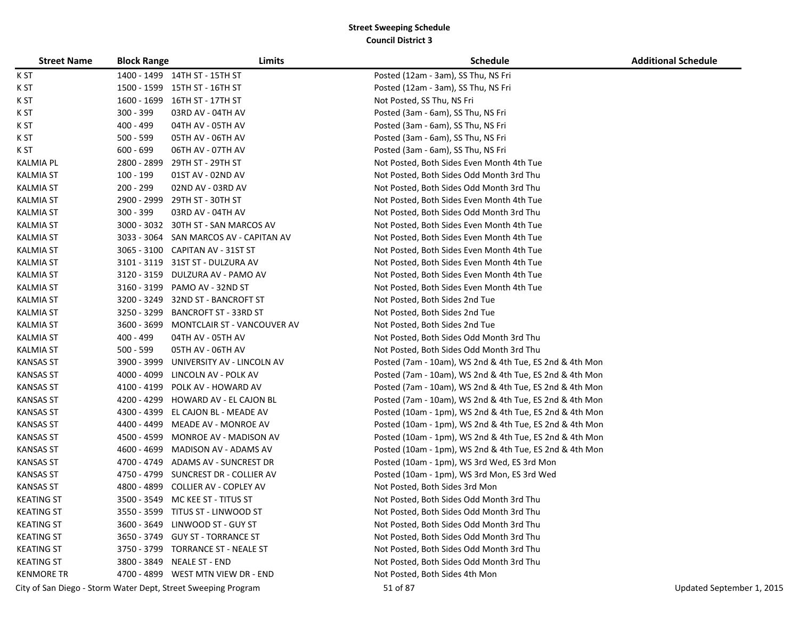| <b>Street Name</b> | <b>Block Range</b> | Limits                                                        | <b>Schedule</b>                                         | <b>Additional Schedule</b> |
|--------------------|--------------------|---------------------------------------------------------------|---------------------------------------------------------|----------------------------|
| K ST               |                    | 1400 - 1499 14TH ST - 15TH ST                                 | Posted (12am - 3am), SS Thu, NS Fri                     |                            |
| K ST               |                    | 1500 - 1599 15TH ST - 16TH ST                                 | Posted (12am - 3am), SS Thu, NS Fri                     |                            |
| K ST               | 1600 - 1699        | 16TH ST - 17TH ST                                             | Not Posted, SS Thu, NS Fri                              |                            |
| K ST               | $300 - 399$        | 03RD AV - 04TH AV                                             | Posted (3am - 6am), SS Thu, NS Fri                      |                            |
| K ST               | 400 - 499          | 04TH AV - 05TH AV                                             | Posted (3am - 6am), SS Thu, NS Fri                      |                            |
| K ST               | 500 - 599          | 05TH AV - 06TH AV                                             | Posted (3am - 6am), SS Thu, NS Fri                      |                            |
| K ST               | $600 - 699$        | 06TH AV - 07TH AV                                             | Posted (3am - 6am), SS Thu, NS Fri                      |                            |
| <b>KALMIA PL</b>   | 2800 - 2899        | 29TH ST - 29TH ST                                             | Not Posted, Both Sides Even Month 4th Tue               |                            |
| <b>KALMIA ST</b>   | 100 - 199          | 01ST AV - 02ND AV                                             | Not Posted, Both Sides Odd Month 3rd Thu                |                            |
| <b>KALMIA ST</b>   | 200 - 299          | 02ND AV - 03RD AV                                             | Not Posted, Both Sides Odd Month 3rd Thu                |                            |
| <b>KALMIA ST</b>   | 2900 - 2999        | 29TH ST - 30TH ST                                             | Not Posted, Both Sides Even Month 4th Tue               |                            |
| <b>KALMIA ST</b>   | $300 - 399$        | 03RD AV - 04TH AV                                             | Not Posted, Both Sides Odd Month 3rd Thu                |                            |
| <b>KALMIA ST</b>   |                    | 3000 - 3032 30TH ST - SAN MARCOS AV                           | Not Posted, Both Sides Even Month 4th Tue               |                            |
| <b>KALMIA ST</b>   |                    | 3033 - 3064 SAN MARCOS AV - CAPITAN AV                        | Not Posted, Both Sides Even Month 4th Tue               |                            |
| <b>KALMIA ST</b>   | 3065 - 3100        | CAPITAN AV - 31ST ST                                          | Not Posted, Both Sides Even Month 4th Tue               |                            |
| <b>KALMIA ST</b>   | 3101 - 3119        | 31ST ST - DULZURA AV                                          | Not Posted, Both Sides Even Month 4th Tue               |                            |
| <b>KALMIA ST</b>   | 3120 - 3159        | DULZURA AV - PAMO AV                                          | Not Posted, Both Sides Even Month 4th Tue               |                            |
| <b>KALMIA ST</b>   | 3160 - 3199        | PAMO AV - 32ND ST                                             | Not Posted, Both Sides Even Month 4th Tue               |                            |
| <b>KALMIA ST</b>   | 3200 - 3249        | 32ND ST - BANCROFT ST                                         | Not Posted, Both Sides 2nd Tue                          |                            |
| <b>KALMIA ST</b>   | 3250 - 3299        | <b>BANCROFT ST - 33RD ST</b>                                  | Not Posted, Both Sides 2nd Tue                          |                            |
| <b>KALMIA ST</b>   |                    | 3600 - 3699 MONTCLAIR ST - VANCOUVER AV                       | Not Posted, Both Sides 2nd Tue                          |                            |
| <b>KALMIA ST</b>   | 400 - 499          | 04TH AV - 05TH AV                                             | Not Posted, Both Sides Odd Month 3rd Thu                |                            |
| <b>KALMIA ST</b>   | $500 - 599$        | 05TH AV - 06TH AV                                             | Not Posted, Both Sides Odd Month 3rd Thu                |                            |
| <b>KANSAS ST</b>   | 3900 - 3999        | UNIVERSITY AV - LINCOLN AV                                    | Posted (7am - 10am), WS 2nd & 4th Tue, ES 2nd & 4th Mon |                            |
| <b>KANSAS ST</b>   | 4000 - 4099        | LINCOLN AV - POLK AV                                          | Posted (7am - 10am), WS 2nd & 4th Tue, ES 2nd & 4th Mon |                            |
| <b>KANSAS ST</b>   | 4100 - 4199        | POLK AV - HOWARD AV                                           | Posted (7am - 10am), WS 2nd & 4th Tue, ES 2nd & 4th Mon |                            |
| <b>KANSAS ST</b>   | 4200 - 4299        | HOWARD AV - EL CAJON BL                                       | Posted (7am - 10am), WS 2nd & 4th Tue, ES 2nd & 4th Mon |                            |
| <b>KANSAS ST</b>   | 4300 - 4399        | EL CAJON BL - MEADE AV                                        | Posted (10am - 1pm), WS 2nd & 4th Tue, ES 2nd & 4th Mon |                            |
| <b>KANSAS ST</b>   | 4400 - 4499        | MEADE AV - MONROE AV                                          | Posted (10am - 1pm), WS 2nd & 4th Tue, ES 2nd & 4th Mon |                            |
| <b>KANSAS ST</b>   | 4500 - 4599        | MONROE AV - MADISON AV                                        | Posted (10am - 1pm), WS 2nd & 4th Tue, ES 2nd & 4th Mon |                            |
| <b>KANSAS ST</b>   | 4600 - 4699        | MADISON AV - ADAMS AV                                         | Posted (10am - 1pm), WS 2nd & 4th Tue, ES 2nd & 4th Mon |                            |
| <b>KANSAS ST</b>   | 4700 - 4749        | ADAMS AV - SUNCREST DR                                        | Posted (10am - 1pm), WS 3rd Wed, ES 3rd Mon             |                            |
| <b>KANSAS ST</b>   | 4750 - 4799        | SUNCREST DR - COLLIER AV                                      | Posted (10am - 1pm), WS 3rd Mon, ES 3rd Wed             |                            |
| <b>KANSAS ST</b>   | 4800 - 4899        | COLLIER AV - COPLEY AV                                        | Not Posted, Both Sides 3rd Mon                          |                            |
| <b>KEATING ST</b>  | 3500 - 3549        | MC KEE ST - TITUS ST                                          | Not Posted, Both Sides Odd Month 3rd Thu                |                            |
| <b>KEATING ST</b>  |                    | 3550 - 3599    TITUS ST - LINWOOD ST                          | Not Posted, Both Sides Odd Month 3rd Thu                |                            |
| <b>KEATING ST</b>  |                    | 3600 - 3649 LINWOOD ST - GUY ST                               | Not Posted, Both Sides Odd Month 3rd Thu                |                            |
| <b>KEATING ST</b>  |                    | 3650 - 3749 GUY ST - TORRANCE ST                              | Not Posted, Both Sides Odd Month 3rd Thu                |                            |
| <b>KEATING ST</b>  |                    | 3750 - 3799 TORRANCE ST - NEALE ST                            | Not Posted, Both Sides Odd Month 3rd Thu                |                            |
| <b>KEATING ST</b>  |                    | 3800 - 3849 NEALE ST - END                                    | Not Posted, Both Sides Odd Month 3rd Thu                |                            |
| <b>KENMORE TR</b>  |                    | 4700 - 4899 WEST MTN VIEW DR - END                            | Not Posted, Both Sides 4th Mon                          |                            |
|                    |                    | City of San Diego - Storm Water Dept, Street Sweeping Program | 51 of 87                                                | Updated September 1, 2015  |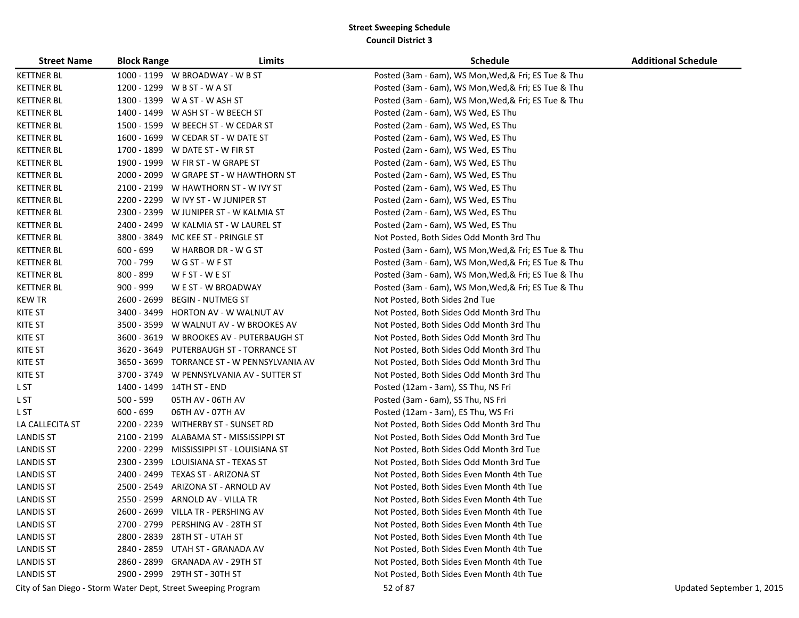| <b>Street Name</b> | <b>Block Range</b> | Limits                                                        | <b>Schedule</b>                                      | <b>Additional Schedule</b> |
|--------------------|--------------------|---------------------------------------------------------------|------------------------------------------------------|----------------------------|
| <b>KETTNER BL</b>  |                    | 1000 - 1199 W BROADWAY - W B ST                               | Posted (3am - 6am), WS Mon, Wed, & Fri; ES Tue & Thu |                            |
| <b>KETTNER BL</b>  |                    | 1200 - 1299 W B ST - W A ST                                   | Posted (3am - 6am), WS Mon, Wed, & Fri; ES Tue & Thu |                            |
| <b>KETTNER BL</b>  |                    | 1300 - 1399 W A ST - W ASH ST                                 | Posted (3am - 6am), WS Mon, Wed, & Fri; ES Tue & Thu |                            |
| <b>KETTNER BL</b>  |                    | 1400 - 1499 W ASH ST - W BEECH ST                             | Posted (2am - 6am), WS Wed, ES Thu                   |                            |
| <b>KETTNER BL</b>  |                    | 1500 - 1599 W BEECH ST - W CEDAR ST                           | Posted (2am - 6am), WS Wed, ES Thu                   |                            |
| <b>KETTNER BL</b>  |                    | 1600 - 1699 W CEDAR ST - W DATE ST                            | Posted (2am - 6am), WS Wed, ES Thu                   |                            |
| <b>KETTNER BL</b>  |                    | 1700 - 1899 W DATE ST - W FIR ST                              | Posted (2am - 6am), WS Wed, ES Thu                   |                            |
| <b>KETTNER BL</b>  |                    | 1900 - 1999 W FIR ST - W GRAPE ST                             | Posted (2am - 6am), WS Wed, ES Thu                   |                            |
| <b>KETTNER BL</b>  |                    | 2000 - 2099 W GRAPE ST - W HAWTHORN ST                        | Posted (2am - 6am), WS Wed, ES Thu                   |                            |
| <b>KETTNER BL</b>  |                    | 2100 - 2199 W HAWTHORN ST - W IVY ST                          | Posted (2am - 6am), WS Wed, ES Thu                   |                            |
| <b>KETTNER BL</b>  |                    | 2200 - 2299 W IVY ST - W JUNIPER ST                           | Posted (2am - 6am), WS Wed, ES Thu                   |                            |
| <b>KETTNER BL</b>  |                    | 2300 - 2399 W JUNIPER ST - W KALMIA ST                        | Posted (2am - 6am), WS Wed, ES Thu                   |                            |
| <b>KETTNER BL</b>  |                    | 2400 - 2499 W KALMIA ST - W LAUREL ST                         | Posted (2am - 6am), WS Wed, ES Thu                   |                            |
| <b>KETTNER BL</b>  | 3800 - 3849        | MC KEE ST - PRINGLE ST                                        | Not Posted, Both Sides Odd Month 3rd Thu             |                            |
| <b>KETTNER BL</b>  | $600 - 699$        | W HARBOR DR - W G ST                                          | Posted (3am - 6am), WS Mon, Wed, & Fri; ES Tue & Thu |                            |
| <b>KETTNER BL</b>  | 700 - 799          | W G ST - W F ST                                               | Posted (3am - 6am), WS Mon, Wed, & Fri; ES Tue & Thu |                            |
| <b>KETTNER BL</b>  | 800 - 899          | WFST-WEST                                                     | Posted (3am - 6am), WS Mon, Wed, & Fri; ES Tue & Thu |                            |
| <b>KETTNER BL</b>  | $900 - 999$        | W E ST - W BROADWAY                                           | Posted (3am - 6am), WS Mon, Wed, & Fri; ES Tue & Thu |                            |
| <b>KEW TR</b>      | 2600 - 2699        | <b>BEGIN - NUTMEG ST</b>                                      | Not Posted, Both Sides 2nd Tue                       |                            |
| KITE ST            | 3400 - 3499        | HORTON AV - W WALNUT AV                                       | Not Posted, Both Sides Odd Month 3rd Thu             |                            |
| KITE ST            |                    | 3500 - 3599 W WALNUT AV - W BROOKES AV                        | Not Posted, Both Sides Odd Month 3rd Thu             |                            |
| <b>KITE ST</b>     |                    | 3600 - 3619 W BROOKES AV - PUTERBAUGH ST                      | Not Posted, Both Sides Odd Month 3rd Thu             |                            |
| <b>KITE ST</b>     | 3620 - 3649        | PUTERBAUGH ST - TORRANCE ST                                   | Not Posted, Both Sides Odd Month 3rd Thu             |                            |
| KITE ST            |                    | 3650 - 3699 TORRANCE ST - W PENNSYLVANIA AV                   | Not Posted, Both Sides Odd Month 3rd Thu             |                            |
| KITE ST            |                    | 3700 - 3749 W PENNSYLVANIA AV - SUTTER ST                     | Not Posted, Both Sides Odd Month 3rd Thu             |                            |
| L ST               |                    | 1400 - 1499 14TH ST - END                                     | Posted (12am - 3am), SS Thu, NS Fri                  |                            |
| L ST               | $500 - 599$        | 05TH AV - 06TH AV                                             | Posted (3am - 6am), SS Thu, NS Fri                   |                            |
| L ST               | $600 - 699$        | 06TH AV - 07TH AV                                             | Posted (12am - 3am), ES Thu, WS Fri                  |                            |
| LA CALLECITA ST    |                    | 2200 - 2239 WITHERBY ST - SUNSET RD                           | Not Posted, Both Sides Odd Month 3rd Thu             |                            |
| <b>LANDIS ST</b>   |                    | 2100 - 2199 ALABAMA ST - MISSISSIPPI ST                       | Not Posted, Both Sides Odd Month 3rd Tue             |                            |
| <b>LANDIS ST</b>   | 2200 - 2299        | MISSISSIPPI ST - LOUISIANA ST                                 | Not Posted, Both Sides Odd Month 3rd Tue             |                            |
| <b>LANDIS ST</b>   | 2300 - 2399        | LOUISIANA ST - TEXAS ST                                       | Not Posted, Both Sides Odd Month 3rd Tue             |                            |
| <b>LANDIS ST</b>   |                    | 2400 - 2499 TEXAS ST - ARIZONA ST                             | Not Posted, Both Sides Even Month 4th Tue            |                            |
| <b>LANDIS ST</b>   | 2500 - 2549        | ARIZONA ST - ARNOLD AV                                        | Not Posted, Both Sides Even Month 4th Tue            |                            |
| <b>LANDIS ST</b>   |                    | 2550 - 2599 ARNOLD AV - VILLA TR                              | Not Posted, Both Sides Even Month 4th Tue            |                            |
| <b>LANDIS ST</b>   |                    | 2600 - 2699 VILLA TR - PERSHING AV                            | Not Posted, Both Sides Even Month 4th Tue            |                            |
| <b>LANDIS ST</b>   | 2700 - 2799        | PERSHING AV - 28TH ST                                         | Not Posted, Both Sides Even Month 4th Tue            |                            |
| <b>LANDIS ST</b>   |                    | 2800 - 2839 28TH ST - UTAH ST                                 | Not Posted, Both Sides Even Month 4th Tue            |                            |
| <b>LANDIS ST</b>   |                    | 2840 - 2859 UTAH ST - GRANADA AV                              | Not Posted, Both Sides Even Month 4th Tue            |                            |
| <b>LANDIS ST</b>   |                    | 2860 - 2899 GRANADA AV - 29TH ST                              | Not Posted, Both Sides Even Month 4th Tue            |                            |
| <b>LANDIS ST</b>   |                    | 2900 - 2999 29TH ST - 30TH ST                                 | Not Posted, Both Sides Even Month 4th Tue            |                            |
|                    |                    | City of San Diego - Storm Water Dept, Street Sweeping Program | 52 of 87                                             | Updated September 1, 2015  |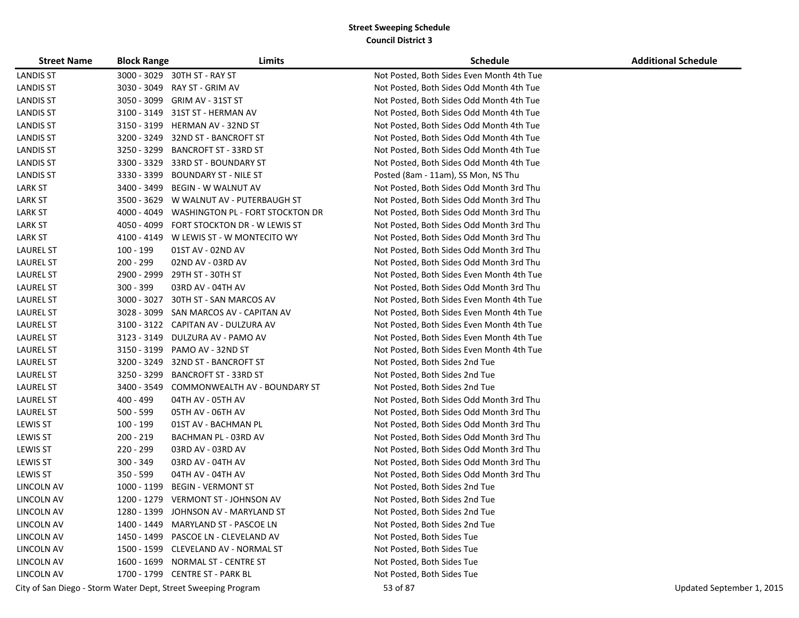| <b>Street Name</b> | <b>Block Range</b> | Limits                                                        | <b>Schedule</b>                           | <b>Additional Schedule</b> |
|--------------------|--------------------|---------------------------------------------------------------|-------------------------------------------|----------------------------|
| <b>LANDIS ST</b>   | 3000 - 3029        | 30TH ST - RAY ST                                              | Not Posted, Both Sides Even Month 4th Tue |                            |
| <b>LANDIS ST</b>   | 3030 - 3049        | RAY ST - GRIM AV                                              | Not Posted, Both Sides Odd Month 4th Tue  |                            |
| <b>LANDIS ST</b>   | 3050 - 3099        | GRIM AV - 31ST ST                                             | Not Posted, Both Sides Odd Month 4th Tue  |                            |
| <b>LANDIS ST</b>   | 3100 - 3149        | 31ST ST - HERMAN AV                                           | Not Posted, Both Sides Odd Month 4th Tue  |                            |
| <b>LANDIS ST</b>   | 3150 - 3199        | HERMAN AV - 32ND ST                                           | Not Posted, Both Sides Odd Month 4th Tue  |                            |
| <b>LANDIS ST</b>   | 3200 - 3249        | 32ND ST - BANCROFT ST                                         | Not Posted, Both Sides Odd Month 4th Tue  |                            |
| <b>LANDIS ST</b>   | 3250 - 3299        | <b>BANCROFT ST - 33RD ST</b>                                  | Not Posted, Both Sides Odd Month 4th Tue  |                            |
| <b>LANDIS ST</b>   | 3300 - 3329        | 33RD ST - BOUNDARY ST                                         | Not Posted, Both Sides Odd Month 4th Tue  |                            |
| <b>LANDIS ST</b>   | 3330 - 3399        | BOUNDARY ST - NILE ST                                         | Posted (8am - 11am), SS Mon, NS Thu       |                            |
| <b>LARK ST</b>     | 3400 - 3499        | BEGIN - W WALNUT AV                                           | Not Posted, Both Sides Odd Month 3rd Thu  |                            |
| <b>LARK ST</b>     | 3500 - 3629        | W WALNUT AV - PUTERBAUGH ST                                   | Not Posted, Both Sides Odd Month 3rd Thu  |                            |
| <b>LARK ST</b>     | 4000 - 4049        | WASHINGTON PL - FORT STOCKTON DR                              | Not Posted, Both Sides Odd Month 3rd Thu  |                            |
| <b>LARK ST</b>     | 4050 - 4099        | FORT STOCKTON DR - W LEWIS ST                                 | Not Posted, Both Sides Odd Month 3rd Thu  |                            |
| <b>LARK ST</b>     | 4100 - 4149        | W LEWIS ST - W MONTECITO WY                                   | Not Posted, Both Sides Odd Month 3rd Thu  |                            |
| <b>LAUREL ST</b>   | 100 - 199          | 01ST AV - 02ND AV                                             | Not Posted, Both Sides Odd Month 3rd Thu  |                            |
| <b>LAUREL ST</b>   | 200 - 299          | 02ND AV - 03RD AV                                             | Not Posted, Both Sides Odd Month 3rd Thu  |                            |
| <b>LAUREL ST</b>   | 2900 - 2999        | 29TH ST - 30TH ST                                             | Not Posted, Both Sides Even Month 4th Tue |                            |
| <b>LAUREL ST</b>   | $300 - 399$        | 03RD AV - 04TH AV                                             | Not Posted, Both Sides Odd Month 3rd Thu  |                            |
| <b>LAUREL ST</b>   | 3000 - 3027        | 30TH ST - SAN MARCOS AV                                       | Not Posted, Both Sides Even Month 4th Tue |                            |
| <b>LAUREL ST</b>   | 3028 - 3099        | SAN MARCOS AV - CAPITAN AV                                    | Not Posted, Both Sides Even Month 4th Tue |                            |
| <b>LAUREL ST</b>   |                    | 3100 - 3122 CAPITAN AV - DULZURA AV                           | Not Posted, Both Sides Even Month 4th Tue |                            |
| <b>LAUREL ST</b>   | 3123 - 3149        | DULZURA AV - PAMO AV                                          | Not Posted, Both Sides Even Month 4th Tue |                            |
| <b>LAUREL ST</b>   | 3150 - 3199        | PAMO AV - 32ND ST                                             | Not Posted, Both Sides Even Month 4th Tue |                            |
| <b>LAUREL ST</b>   | 3200 - 3249        | 32ND ST - BANCROFT ST                                         | Not Posted, Both Sides 2nd Tue            |                            |
| <b>LAUREL ST</b>   | 3250 - 3299        | <b>BANCROFT ST - 33RD ST</b>                                  | Not Posted, Both Sides 2nd Tue            |                            |
| <b>LAUREL ST</b>   | 3400 - 3549        | COMMONWEALTH AV - BOUNDARY ST                                 | Not Posted, Both Sides 2nd Tue            |                            |
| <b>LAUREL ST</b>   | 400 - 499          | 04TH AV - 05TH AV                                             | Not Posted, Both Sides Odd Month 3rd Thu  |                            |
| <b>LAUREL ST</b>   | $500 - 599$        | 05TH AV - 06TH AV                                             | Not Posted, Both Sides Odd Month 3rd Thu  |                            |
| <b>LEWIS ST</b>    | 100 - 199          | 01ST AV - BACHMAN PL                                          | Not Posted, Both Sides Odd Month 3rd Thu  |                            |
| <b>LEWIS ST</b>    | 200 - 219          | BACHMAN PL - 03RD AV                                          | Not Posted, Both Sides Odd Month 3rd Thu  |                            |
| <b>LEWIS ST</b>    | 220 - 299          | 03RD AV - 03RD AV                                             | Not Posted, Both Sides Odd Month 3rd Thu  |                            |
| LEWIS ST           | 300 - 349          | 03RD AV - 04TH AV                                             | Not Posted, Both Sides Odd Month 3rd Thu  |                            |
| <b>LEWIS ST</b>    | $350 - 599$        | 04TH AV - 04TH AV                                             | Not Posted, Both Sides Odd Month 3rd Thu  |                            |
| LINCOLN AV         | 1000 - 1199        | <b>BEGIN - VERMONT ST</b>                                     | Not Posted, Both Sides 2nd Tue            |                            |
| <b>LINCOLN AV</b>  | 1200 - 1279        | <b>VERMONT ST - JOHNSON AV</b>                                | Not Posted, Both Sides 2nd Tue            |                            |
| LINCOLN AV         |                    | 1280 - 1399 JOHNSON AV - MARYLAND ST                          | Not Posted, Both Sides 2nd Tue            |                            |
| LINCOLN AV         | 1400 - 1449        | <b>MARYLAND ST - PASCOE LN</b>                                | Not Posted, Both Sides 2nd Tue            |                            |
| LINCOLN AV         |                    | 1450 - 1499 PASCOE LN - CLEVELAND AV                          | Not Posted, Both Sides Tue                |                            |
| LINCOLN AV         |                    | 1500 - 1599 CLEVELAND AV - NORMAL ST                          | Not Posted, Both Sides Tue                |                            |
| LINCOLN AV         | 1600 - 1699        | NORMAL ST - CENTRE ST                                         | Not Posted, Both Sides Tue                |                            |
| LINCOLN AV         |                    | 1700 - 1799 CENTRE ST - PARK BL                               | Not Posted, Both Sides Tue                |                            |
|                    |                    | City of San Diego - Storm Water Dept, Street Sweeping Program | 53 of 87                                  | Updated September 1, 2015  |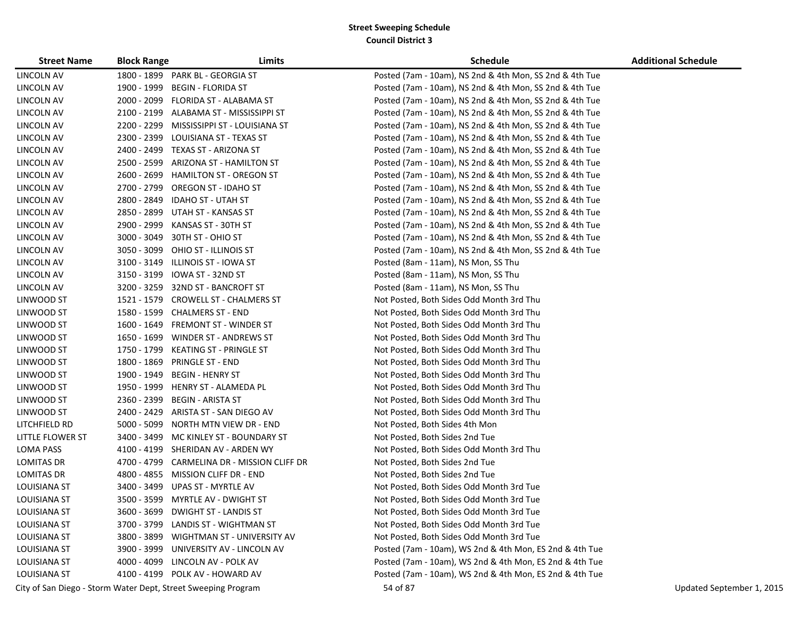| <b>Street Name</b>                                            | <b>Block Range</b> | Limits                                  | <b>Schedule</b>                                         | <b>Additional Schedule</b> |
|---------------------------------------------------------------|--------------------|-----------------------------------------|---------------------------------------------------------|----------------------------|
| LINCOLN AV                                                    |                    | 1800 - 1899 PARK BL - GEORGIA ST        | Posted (7am - 10am), NS 2nd & 4th Mon, SS 2nd & 4th Tue |                            |
| LINCOLN AV                                                    | 1900 - 1999        | <b>BEGIN - FLORIDA ST</b>               | Posted (7am - 10am), NS 2nd & 4th Mon, SS 2nd & 4th Tue |                            |
| LINCOLN AV                                                    | 2000 - 2099        | FLORIDA ST - ALABAMA ST                 | Posted (7am - 10am), NS 2nd & 4th Mon, SS 2nd & 4th Tue |                            |
| LINCOLN AV                                                    |                    | 2100 - 2199 ALABAMA ST - MISSISSIPPI ST | Posted (7am - 10am), NS 2nd & 4th Mon, SS 2nd & 4th Tue |                            |
| LINCOLN AV                                                    | 2200 - 2299        | MISSISSIPPI ST - LOUISIANA ST           | Posted (7am - 10am), NS 2nd & 4th Mon, SS 2nd & 4th Tue |                            |
| LINCOLN AV                                                    | 2300 - 2399        | LOUISIANA ST - TEXAS ST                 | Posted (7am - 10am), NS 2nd & 4th Mon, SS 2nd & 4th Tue |                            |
| LINCOLN AV                                                    |                    | 2400 - 2499 TEXAS ST - ARIZONA ST       | Posted (7am - 10am), NS 2nd & 4th Mon, SS 2nd & 4th Tue |                            |
| LINCOLN AV                                                    | 2500 - 2599        | ARIZONA ST - HAMILTON ST                | Posted (7am - 10am), NS 2nd & 4th Mon, SS 2nd & 4th Tue |                            |
| LINCOLN AV                                                    | 2600 - 2699        | HAMILTON ST - OREGON ST                 | Posted (7am - 10am), NS 2nd & 4th Mon, SS 2nd & 4th Tue |                            |
| LINCOLN AV                                                    | 2700 - 2799        | <b>OREGON ST - IDAHO ST</b>             | Posted (7am - 10am), NS 2nd & 4th Mon, SS 2nd & 4th Tue |                            |
| LINCOLN AV                                                    | 2800 - 2849        | <b>IDAHO ST - UTAH ST</b>               | Posted (7am - 10am), NS 2nd & 4th Mon, SS 2nd & 4th Tue |                            |
| LINCOLN AV                                                    | 2850 - 2899        | UTAH ST - KANSAS ST                     | Posted (7am - 10am), NS 2nd & 4th Mon, SS 2nd & 4th Tue |                            |
| LINCOLN AV                                                    | 2900 - 2999        | KANSAS ST - 30TH ST                     | Posted (7am - 10am), NS 2nd & 4th Mon, SS 2nd & 4th Tue |                            |
| LINCOLN AV                                                    | 3000 - 3049        | 30TH ST - OHIO ST                       | Posted (7am - 10am), NS 2nd & 4th Mon, SS 2nd & 4th Tue |                            |
| LINCOLN AV                                                    | 3050 - 3099        | OHIO ST - ILLINOIS ST                   | Posted (7am - 10am), NS 2nd & 4th Mon, SS 2nd & 4th Tue |                            |
| LINCOLN AV                                                    | 3100 - 3149        | ILLINOIS ST - IOWA ST                   | Posted (8am - 11am), NS Mon, SS Thu                     |                            |
| LINCOLN AV                                                    | 3150 - 3199        | IOWA ST - 32ND ST                       | Posted (8am - 11am), NS Mon, SS Thu                     |                            |
| LINCOLN AV                                                    |                    | 3200 - 3259 32ND ST - BANCROFT ST       | Posted (8am - 11am), NS Mon, SS Thu                     |                            |
| LINWOOD ST                                                    | 1521 - 1579        | <b>CROWELL ST - CHALMERS ST</b>         | Not Posted, Both Sides Odd Month 3rd Thu                |                            |
| LINWOOD ST                                                    |                    | 1580 - 1599 CHALMERS ST - END           | Not Posted, Both Sides Odd Month 3rd Thu                |                            |
| LINWOOD ST                                                    | 1600 - 1649        | <b>FREMONT ST - WINDER ST</b>           | Not Posted, Both Sides Odd Month 3rd Thu                |                            |
| LINWOOD ST                                                    | 1650 - 1699        | WINDER ST - ANDREWS ST                  | Not Posted, Both Sides Odd Month 3rd Thu                |                            |
| LINWOOD ST                                                    | 1750 - 1799        | KEATING ST - PRINGLE ST                 | Not Posted, Both Sides Odd Month 3rd Thu                |                            |
| LINWOOD ST                                                    | 1800 - 1869        | <b>PRINGLE ST - END</b>                 | Not Posted, Both Sides Odd Month 3rd Thu                |                            |
| LINWOOD ST                                                    | 1900 - 1949        | <b>BEGIN - HENRY ST</b>                 | Not Posted, Both Sides Odd Month 3rd Thu                |                            |
| LINWOOD ST                                                    | 1950 - 1999        | HENRY ST - ALAMEDA PL                   | Not Posted, Both Sides Odd Month 3rd Thu                |                            |
| LINWOOD ST                                                    | 2360 - 2399        | <b>BEGIN - ARISTA ST</b>                | Not Posted, Both Sides Odd Month 3rd Thu                |                            |
| LINWOOD ST                                                    | 2400 - 2429        | ARISTA ST - SAN DIEGO AV                | Not Posted, Both Sides Odd Month 3rd Thu                |                            |
| LITCHFIELD RD                                                 | 5000 - 5099        | NORTH MTN VIEW DR - END                 | Not Posted, Both Sides 4th Mon                          |                            |
| LITTLE FLOWER ST                                              | 3400 - 3499        | MC KINLEY ST - BOUNDARY ST              | Not Posted, Both Sides 2nd Tue                          |                            |
| LOMA PASS                                                     |                    | 4100 - 4199 SHERIDAN AV - ARDEN WY      | Not Posted, Both Sides Odd Month 3rd Thu                |                            |
| <b>LOMITAS DR</b>                                             | 4700 - 4799        | CARMELINA DR - MISSION CLIFF DR         | Not Posted, Both Sides 2nd Tue                          |                            |
| <b>LOMITAS DR</b>                                             | 4800 - 4855        | MISSION CLIFF DR - END                  | Not Posted, Both Sides 2nd Tue                          |                            |
| LOUISIANA ST                                                  | 3400 - 3499        | UPAS ST - MYRTLE AV                     | Not Posted, Both Sides Odd Month 3rd Tue                |                            |
| LOUISIANA ST                                                  |                    | 3500 - 3599 MYRTLE AV - DWIGHT ST       | Not Posted, Both Sides Odd Month 3rd Tue                |                            |
| <b>LOUISIANA ST</b>                                           | 3600 - 3699        | <b>DWIGHT ST - LANDIS ST</b>            | Not Posted, Both Sides Odd Month 3rd Tue                |                            |
| <b>LOUISIANA ST</b>                                           |                    | 3700 - 3799 LANDIS ST - WIGHTMAN ST     | Not Posted, Both Sides Odd Month 3rd Tue                |                            |
| LOUISIANA ST                                                  |                    | 3800 - 3899 WIGHTMAN ST - UNIVERSITY AV | Not Posted, Both Sides Odd Month 3rd Tue                |                            |
| LOUISIANA ST                                                  |                    | 3900 - 3999 UNIVERSITY AV - LINCOLN AV  | Posted (7am - 10am), WS 2nd & 4th Mon, ES 2nd & 4th Tue |                            |
| <b>LOUISIANA ST</b>                                           |                    | 4000 - 4099 LINCOLN AV - POLK AV        | Posted (7am - 10am), WS 2nd & 4th Mon, ES 2nd & 4th Tue |                            |
| <b>LOUISIANA ST</b>                                           |                    | 4100 - 4199 POLK AV - HOWARD AV         | Posted (7am - 10am), WS 2nd & 4th Mon, ES 2nd & 4th Tue |                            |
| City of San Diego - Storm Water Dept, Street Sweeping Program |                    |                                         | 54 of 87                                                | Updated September 1, 2015  |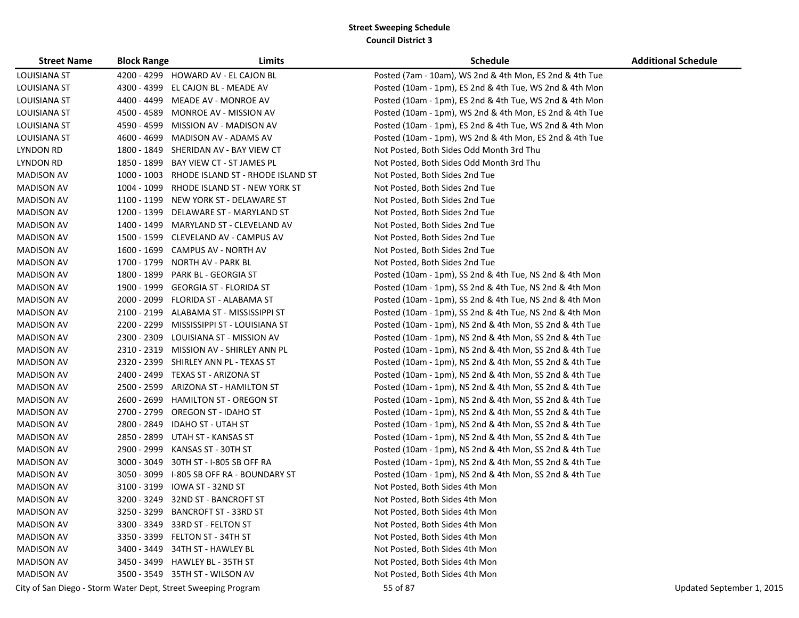| <b>Street Name</b>  | <b>Block Range</b> | Limits                                                        | <b>Schedule</b>                                         | <b>Additional Schedule</b> |
|---------------------|--------------------|---------------------------------------------------------------|---------------------------------------------------------|----------------------------|
| <b>LOUISIANA ST</b> |                    | 4200 - 4299 HOWARD AV - EL CAJON BL                           | Posted (7am - 10am), WS 2nd & 4th Mon, ES 2nd & 4th Tue |                            |
| LOUISIANA ST        |                    | 4300 - 4399 EL CAJON BL - MEADE AV                            | Posted (10am - 1pm), ES 2nd & 4th Tue, WS 2nd & 4th Mon |                            |
| LOUISIANA ST        |                    | 4400 - 4499 MEADE AV - MONROE AV                              | Posted (10am - 1pm), ES 2nd & 4th Tue, WS 2nd & 4th Mon |                            |
| LOUISIANA ST        |                    | 4500 - 4589 MONROE AV - MISSION AV                            | Posted (10am - 1pm), WS 2nd & 4th Mon, ES 2nd & 4th Tue |                            |
| <b>LOUISIANA ST</b> |                    | 4590 - 4599 MISSION AV - MADISON AV                           | Posted (10am - 1pm), ES 2nd & 4th Tue, WS 2nd & 4th Mon |                            |
| <b>LOUISIANA ST</b> |                    | 4600 - 4699 MADISON AV - ADAMS AV                             | Posted (10am - 1pm), WS 2nd & 4th Mon, ES 2nd & 4th Tue |                            |
| <b>LYNDON RD</b>    |                    | 1800 - 1849 SHERIDAN AV - BAY VIEW CT                         | Not Posted, Both Sides Odd Month 3rd Thu                |                            |
| LYNDON RD           |                    | 1850 - 1899 BAY VIEW CT - ST JAMES PL                         | Not Posted, Both Sides Odd Month 3rd Thu                |                            |
| <b>MADISON AV</b>   |                    | 1000 - 1003 RHODE ISLAND ST - RHODE ISLAND ST                 | Not Posted, Both Sides 2nd Tue                          |                            |
| <b>MADISON AV</b>   |                    | 1004 - 1099 RHODE ISLAND ST - NEW YORK ST                     | Not Posted, Both Sides 2nd Tue                          |                            |
| <b>MADISON AV</b>   |                    | 1100 - 1199 NEW YORK ST - DELAWARE ST                         | Not Posted, Both Sides 2nd Tue                          |                            |
| <b>MADISON AV</b>   |                    | 1200 - 1399 DELAWARE ST - MARYLAND ST                         | Not Posted, Both Sides 2nd Tue                          |                            |
| <b>MADISON AV</b>   |                    | 1400 - 1499 MARYLAND ST - CLEVELAND AV                        | Not Posted, Both Sides 2nd Tue                          |                            |
| <b>MADISON AV</b>   |                    | 1500 - 1599 CLEVELAND AV - CAMPUS AV                          | Not Posted, Both Sides 2nd Tue                          |                            |
| <b>MADISON AV</b>   |                    | 1600 - 1699 CAMPUS AV - NORTH AV                              | Not Posted, Both Sides 2nd Tue                          |                            |
| <b>MADISON AV</b>   |                    | 1700 - 1799 NORTH AV - PARK BL                                | Not Posted, Both Sides 2nd Tue                          |                            |
| <b>MADISON AV</b>   |                    | 1800 - 1899 PARK BL - GEORGIA ST                              | Posted (10am - 1pm), SS 2nd & 4th Tue, NS 2nd & 4th Mon |                            |
| <b>MADISON AV</b>   |                    | 1900 - 1999 GEORGIA ST - FLORIDA ST                           | Posted (10am - 1pm), SS 2nd & 4th Tue, NS 2nd & 4th Mon |                            |
| <b>MADISON AV</b>   |                    | 2000 - 2099 FLORIDA ST - ALABAMA ST                           | Posted (10am - 1pm), SS 2nd & 4th Tue, NS 2nd & 4th Mon |                            |
| <b>MADISON AV</b>   |                    | 2100 - 2199 ALABAMA ST - MISSISSIPPI ST                       | Posted (10am - 1pm), SS 2nd & 4th Tue, NS 2nd & 4th Mon |                            |
| <b>MADISON AV</b>   |                    | 2200 - 2299 MISSISSIPPI ST - LOUISIANA ST                     | Posted (10am - 1pm), NS 2nd & 4th Mon, SS 2nd & 4th Tue |                            |
| <b>MADISON AV</b>   |                    | 2300 - 2309 LOUISIANA ST - MISSION AV                         | Posted (10am - 1pm), NS 2nd & 4th Mon, SS 2nd & 4th Tue |                            |
| MADISON AV          |                    | 2310 - 2319 MISSION AV - SHIRLEY ANN PL                       | Posted (10am - 1pm), NS 2nd & 4th Mon, SS 2nd & 4th Tue |                            |
| <b>MADISON AV</b>   |                    | 2320 - 2399 SHIRLEY ANN PL - TEXAS ST                         | Posted (10am - 1pm), NS 2nd & 4th Mon, SS 2nd & 4th Tue |                            |
| <b>MADISON AV</b>   |                    | 2400 - 2499 TEXAS ST - ARIZONA ST                             | Posted (10am - 1pm), NS 2nd & 4th Mon, SS 2nd & 4th Tue |                            |
| <b>MADISON AV</b>   |                    | 2500 - 2599 ARIZONA ST - HAMILTON ST                          | Posted (10am - 1pm), NS 2nd & 4th Mon, SS 2nd & 4th Tue |                            |
| <b>MADISON AV</b>   |                    | 2600 - 2699 HAMILTON ST - OREGON ST                           | Posted (10am - 1pm), NS 2nd & 4th Mon, SS 2nd & 4th Tue |                            |
| <b>MADISON AV</b>   |                    | 2700 - 2799 OREGON ST - IDAHO ST                              | Posted (10am - 1pm), NS 2nd & 4th Mon, SS 2nd & 4th Tue |                            |
| <b>MADISON AV</b>   |                    | 2800 - 2849 IDAHO ST - UTAH ST                                | Posted (10am - 1pm), NS 2nd & 4th Mon, SS 2nd & 4th Tue |                            |
| <b>MADISON AV</b>   |                    | 2850 - 2899 UTAH ST - KANSAS ST                               | Posted (10am - 1pm), NS 2nd & 4th Mon, SS 2nd & 4th Tue |                            |
| <b>MADISON AV</b>   |                    | 2900 - 2999 KANSAS ST - 30TH ST                               | Posted (10am - 1pm), NS 2nd & 4th Mon, SS 2nd & 4th Tue |                            |
| <b>MADISON AV</b>   |                    | 3000 - 3049 30TH ST - I-805 SB OFF RA                         | Posted (10am - 1pm), NS 2nd & 4th Mon, SS 2nd & 4th Tue |                            |
| <b>MADISON AV</b>   |                    | 3050 - 3099 I-805 SB OFF RA - BOUNDARY ST                     | Posted (10am - 1pm), NS 2nd & 4th Mon, SS 2nd & 4th Tue |                            |
| <b>MADISON AV</b>   |                    | 3100 - 3199 IOWA ST - 32ND ST                                 | Not Posted, Both Sides 4th Mon                          |                            |
| <b>MADISON AV</b>   |                    | 3200 - 3249 32ND ST - BANCROFT ST                             | Not Posted, Both Sides 4th Mon                          |                            |
| <b>MADISON AV</b>   |                    | 3250 - 3299 BANCROFT ST - 33RD ST                             | Not Posted, Both Sides 4th Mon                          |                            |
| <b>MADISON AV</b>   |                    | 3300 - 3349 33RD ST - FELTON ST                               | Not Posted, Both Sides 4th Mon                          |                            |
| <b>MADISON AV</b>   |                    | 3350 - 3399 FELTON ST - 34TH ST                               | Not Posted, Both Sides 4th Mon                          |                            |
| <b>MADISON AV</b>   |                    | 3400 - 3449 34TH ST - HAWLEY BL                               | Not Posted, Both Sides 4th Mon                          |                            |
| <b>MADISON AV</b>   |                    | 3450 - 3499 HAWLEY BL - 35TH ST                               | Not Posted, Both Sides 4th Mon                          |                            |
| <b>MADISON AV</b>   |                    | 3500 - 3549 35TH ST - WILSON AV                               | Not Posted, Both Sides 4th Mon                          |                            |
|                     |                    | City of San Diego - Storm Water Dept, Street Sweeping Program | 55 of 87                                                | Updated September 1, 2015  |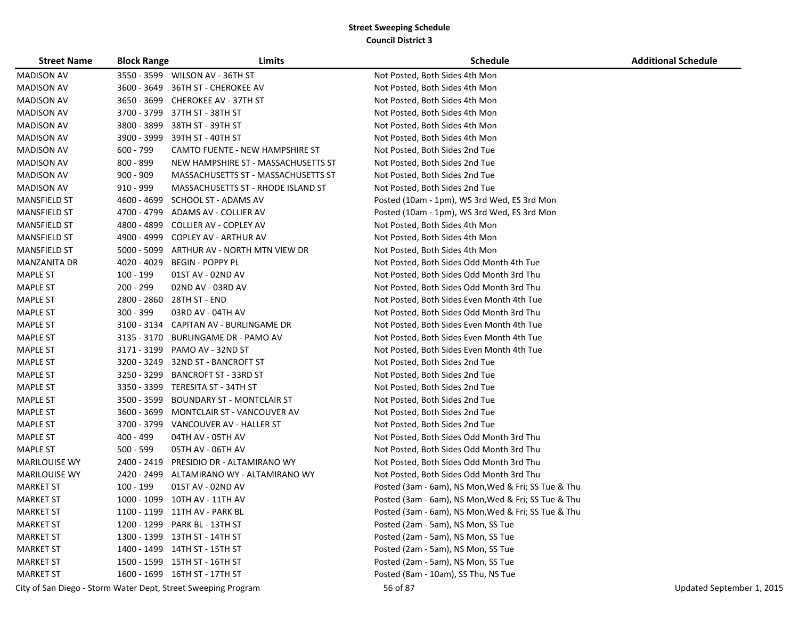| <b>Street Name</b>   | <b>Block Range</b> | Limits                                  | <b>Schedule</b>                                     | <b>Additional Schedule</b> |
|----------------------|--------------------|-----------------------------------------|-----------------------------------------------------|----------------------------|
| <b>MADISON AV</b>    |                    | 3550 - 3599 WILSON AV - 36TH ST         | Not Posted, Both Sides 4th Mon                      |                            |
| <b>MADISON AV</b>    |                    | 3600 - 3649 36TH ST - CHEROKEE AV       | Not Posted, Both Sides 4th Mon                      |                            |
| MADISON AV           |                    | 3650 - 3699 CHEROKEE AV - 37TH ST       | Not Posted, Both Sides 4th Mon                      |                            |
| <b>MADISON AV</b>    |                    | 3700 - 3799 37TH ST - 38TH ST           | Not Posted, Both Sides 4th Mon                      |                            |
| MADISON AV           | 3800 - 3899        | 38TH ST - 39TH ST                       | Not Posted, Both Sides 4th Mon                      |                            |
| <b>MADISON AV</b>    | 3900 - 3999        | 39TH ST - 40TH ST                       | Not Posted, Both Sides 4th Mon                      |                            |
| <b>MADISON AV</b>    | 600 - 799          | CAMTO FUENTE - NEW HAMPSHIRE ST         | Not Posted, Both Sides 2nd Tue                      |                            |
| <b>MADISON AV</b>    | 800 - 899          | NEW HAMPSHIRE ST - MASSACHUSETTS ST     | Not Posted, Both Sides 2nd Tue                      |                            |
| <b>MADISON AV</b>    | 900 - 909          | MASSACHUSETTS ST - MASSACHUSETTS ST     | Not Posted, Both Sides 2nd Tue                      |                            |
| <b>MADISON AV</b>    | 910 - 999          | MASSACHUSETTS ST - RHODE ISLAND ST      | Not Posted, Both Sides 2nd Tue                      |                            |
| <b>MANSFIELD ST</b>  | 4600 - 4699        | SCHOOL ST - ADAMS AV                    | Posted (10am - 1pm), WS 3rd Wed, ES 3rd Mon         |                            |
| <b>MANSFIELD ST</b>  | 4700 - 4799        | ADAMS AV - COLLIER AV                   | Posted (10am - 1pm), WS 3rd Wed, ES 3rd Mon         |                            |
| <b>MANSFIELD ST</b>  | 4800 - 4899        | COLLIER AV - COPLEY AV                  | Not Posted, Both Sides 4th Mon                      |                            |
| <b>MANSFIELD ST</b>  | 4900 - 4999        | <b>COPLEY AV - ARTHUR AV</b>            | Not Posted, Both Sides 4th Mon                      |                            |
| MANSFIELD ST         | 5000 - 5099        | ARTHUR AV - NORTH MTN VIEW DR           | Not Posted, Both Sides 4th Mon                      |                            |
| <b>MANZANITA DR</b>  | 4020 - 4029        | BEGIN - POPPY PL                        | Not Posted, Both Sides Odd Month 4th Tue            |                            |
| <b>MAPLE ST</b>      | 100 - 199          | 01ST AV - 02ND AV                       | Not Posted, Both Sides Odd Month 3rd Thu            |                            |
| <b>MAPLE ST</b>      | 200 - 299          | 02ND AV - 03RD AV                       | Not Posted, Both Sides Odd Month 3rd Thu            |                            |
| <b>MAPLE ST</b>      | 2800 - 2860        | 28TH ST - END                           | Not Posted, Both Sides Even Month 4th Tue           |                            |
| <b>MAPLE ST</b>      | $300 - 399$        | 03RD AV - 04TH AV                       | Not Posted, Both Sides Odd Month 3rd Thu            |                            |
| <b>MAPLE ST</b>      |                    | 3100 - 3134 CAPITAN AV - BURLINGAME DR  | Not Posted, Both Sides Even Month 4th Tue           |                            |
| <b>MAPLE ST</b>      |                    | 3135 - 3170 BURLINGAME DR - PAMO AV     | Not Posted, Both Sides Even Month 4th Tue           |                            |
| <b>MAPLE ST</b>      |                    | 3171 - 3199 PAMO AV - 32ND ST           | Not Posted, Both Sides Even Month 4th Tue           |                            |
| <b>MAPLE ST</b>      |                    | 3200 - 3249 32ND ST - BANCROFT ST       | Not Posted, Both Sides 2nd Tue                      |                            |
| <b>MAPLE ST</b>      | 3250 - 3299        | <b>BANCROFT ST - 33RD ST</b>            | Not Posted, Both Sides 2nd Tue                      |                            |
| <b>MAPLE ST</b>      | 3350 - 3399        | TERESITA ST - 34TH ST                   | Not Posted, Both Sides 2nd Tue                      |                            |
| <b>MAPLE ST</b>      | 3500 - 3599        | <b>BOUNDARY ST - MONTCLAIR ST</b>       | Not Posted, Both Sides 2nd Tue                      |                            |
| <b>MAPLE ST</b>      | 3600 - 3699        | MONTCLAIR ST - VANCOUVER AV             | Not Posted, Both Sides 2nd Tue                      |                            |
| <b>MAPLE ST</b>      |                    | 3700 - 3799    VANCOUVER AV - HALLER ST | Not Posted, Both Sides 2nd Tue                      |                            |
| <b>MAPLE ST</b>      | 400 - 499          | 04TH AV - 05TH AV                       | Not Posted, Both Sides Odd Month 3rd Thu            |                            |
| <b>MAPLE ST</b>      | 500 - 599          | 05TH AV - 06TH AV                       | Not Posted, Both Sides Odd Month 3rd Thu            |                            |
| <b>MARILOUISE WY</b> | 2400 - 2419        | PRESIDIO DR - ALTAMIRANO WY             | Not Posted, Both Sides Odd Month 3rd Thu            |                            |
| <b>MARILOUISE WY</b> | 2420 - 2499        | ALTAMIRANO WY - ALTAMIRANO WY           | Not Posted, Both Sides Odd Month 3rd Thu            |                            |
| <b>MARKET ST</b>     | 100 - 199          | 01ST AV - 02ND AV                       | Posted (3am - 6am), NS Mon, Wed & Fri; SS Tue & Thu |                            |
| <b>MARKET ST</b>     |                    | 1000 - 1099 10TH AV - 11TH AV           | Posted (3am - 6am), NS Mon, Wed & Fri; SS Tue & Thu |                            |
| <b>MARKET ST</b>     |                    | 1100 - 1199 11TH AV - PARK BL           | Posted (3am - 6am), NS Mon, Wed & Fri; SS Tue & Thu |                            |
| <b>MARKET ST</b>     |                    | 1200 - 1299 PARK BL - 13TH ST           | Posted (2am - 5am), NS Mon, SS Tue                  |                            |
| <b>MARKET ST</b>     |                    | 1300 - 1399 13TH ST - 14TH ST           | Posted (2am - 5am), NS Mon, SS Tue                  |                            |
| <b>MARKET ST</b>     |                    | 1400 - 1499 14TH ST - 15TH ST           | Posted (2am - 5am), NS Mon, SS Tue                  |                            |
| <b>MARKET ST</b>     |                    | 1500 - 1599 15TH ST - 16TH ST           | Posted (2am - 5am), NS Mon, SS Tue                  |                            |
| <b>MARKET ST</b>     |                    | 1600 - 1699 16TH ST - 17TH ST           | Posted (8am - 10am), SS Thu, NS Tue                 |                            |

City of San Diego - Storm Water Dept, Street Sweeping Program 56 of 87 Updated September 1, 2015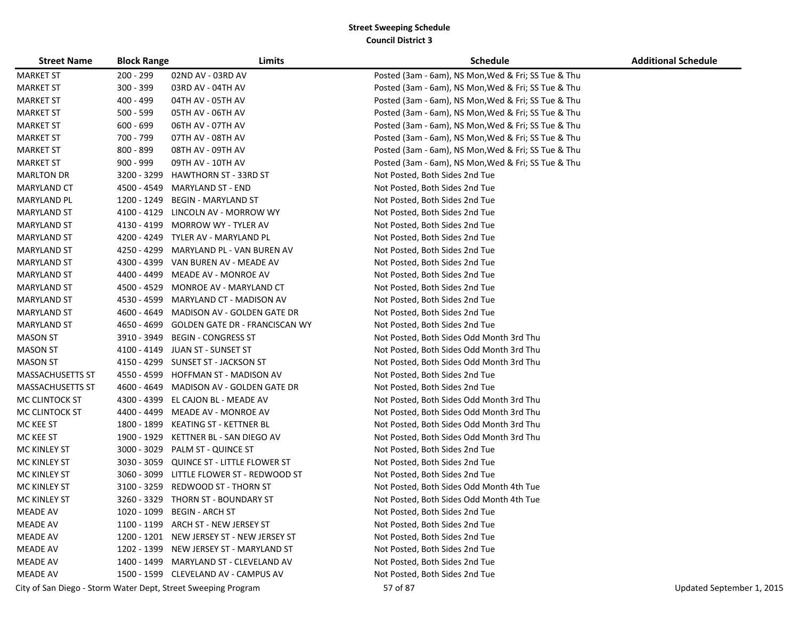| <b>Street Name</b>      | <b>Block Range</b> | Limits                                                        | <b>Schedule</b>                                     | <b>Additional Schedule</b> |
|-------------------------|--------------------|---------------------------------------------------------------|-----------------------------------------------------|----------------------------|
| <b>MARKET ST</b>        | 200 - 299          | 02ND AV - 03RD AV                                             | Posted (3am - 6am), NS Mon, Wed & Fri; SS Tue & Thu |                            |
| <b>MARKET ST</b>        | 300 - 399          | 03RD AV - 04TH AV                                             | Posted (3am - 6am), NS Mon, Wed & Fri; SS Tue & Thu |                            |
| <b>MARKET ST</b>        | 400 - 499          | 04TH AV - 05TH AV                                             | Posted (3am - 6am), NS Mon, Wed & Fri; SS Tue & Thu |                            |
| <b>MARKET ST</b>        | 500 - 599          | 05TH AV - 06TH AV                                             | Posted (3am - 6am), NS Mon, Wed & Fri; SS Tue & Thu |                            |
| <b>MARKET ST</b>        | $600 - 699$        | 06TH AV - 07TH AV                                             | Posted (3am - 6am), NS Mon, Wed & Fri; SS Tue & Thu |                            |
| <b>MARKET ST</b>        | 700 - 799          | 07TH AV - 08TH AV                                             | Posted (3am - 6am), NS Mon, Wed & Fri; SS Tue & Thu |                            |
| <b>MARKET ST</b>        | 800 - 899          | 08TH AV - 09TH AV                                             | Posted (3am - 6am), NS Mon, Wed & Fri; SS Tue & Thu |                            |
| <b>MARKET ST</b>        | $900 - 999$        | 09TH AV - 10TH AV                                             | Posted (3am - 6am), NS Mon, Wed & Fri; SS Tue & Thu |                            |
| <b>MARLTON DR</b>       | 3200 - 3299        | <b>HAWTHORN ST - 33RD ST</b>                                  | Not Posted, Both Sides 2nd Tue                      |                            |
| <b>MARYLAND CT</b>      | 4500 - 4549        | MARYLAND ST - END                                             | Not Posted, Both Sides 2nd Tue                      |                            |
| MARYLAND PL             | 1200 - 1249        | <b>BEGIN - MARYLAND ST</b>                                    | Not Posted, Both Sides 2nd Tue                      |                            |
| MARYLAND ST             | 4100 - 4129        | LINCOLN AV - MORROW WY                                        | Not Posted, Both Sides 2nd Tue                      |                            |
| MARYLAND ST             | 4130 - 4199        | <b>MORROW WY - TYLER AV</b>                                   | Not Posted, Both Sides 2nd Tue                      |                            |
| MARYLAND ST             |                    | 4200 - 4249 TYLER AV - MARYLAND PL                            | Not Posted, Both Sides 2nd Tue                      |                            |
| <b>MARYLAND ST</b>      | 4250 - 4299        | MARYLAND PL - VAN BUREN AV                                    | Not Posted, Both Sides 2nd Tue                      |                            |
| MARYLAND ST             | 4300 - 4399        | VAN BUREN AV - MEADE AV                                       | Not Posted, Both Sides 2nd Tue                      |                            |
| MARYLAND ST             | 4400 - 4499        | <b>MEADE AV - MONROE AV</b>                                   | Not Posted, Both Sides 2nd Tue                      |                            |
| MARYLAND ST             | 4500 - 4529        | MONROE AV - MARYLAND CT                                       | Not Posted, Both Sides 2nd Tue                      |                            |
| <b>MARYLAND ST</b>      | 4530 - 4599        | MARYLAND CT - MADISON AV                                      | Not Posted, Both Sides 2nd Tue                      |                            |
| <b>MARYLAND ST</b>      | 4600 - 4649        | MADISON AV - GOLDEN GATE DR                                   | Not Posted, Both Sides 2nd Tue                      |                            |
| <b>MARYLAND ST</b>      | 4650 - 4699        | <b>GOLDEN GATE DR - FRANCISCAN WY</b>                         | Not Posted, Both Sides 2nd Tue                      |                            |
| <b>MASON ST</b>         |                    | 3910 - 3949 BEGIN - CONGRESS ST                               | Not Posted, Both Sides Odd Month 3rd Thu            |                            |
| <b>MASON ST</b>         |                    | 4100 - 4149 JUAN ST - SUNSET ST                               | Not Posted, Both Sides Odd Month 3rd Thu            |                            |
| <b>MASON ST</b>         |                    | 4150 - 4299 SUNSET ST - JACKSON ST                            | Not Posted, Both Sides Odd Month 3rd Thu            |                            |
| <b>MASSACHUSETTS ST</b> | 4550 - 4599        | HOFFMAN ST - MADISON AV                                       | Not Posted, Both Sides 2nd Tue                      |                            |
| <b>MASSACHUSETTS ST</b> | 4600 - 4649        | MADISON AV - GOLDEN GATE DR                                   | Not Posted, Both Sides 2nd Tue                      |                            |
| MC CLINTOCK ST          | 4300 - 4399        | EL CAJON BL - MEADE AV                                        | Not Posted, Both Sides Odd Month 3rd Thu            |                            |
| MC CLINTOCK ST          | 4400 - 4499        | MEADE AV - MONROE AV                                          | Not Posted, Both Sides Odd Month 3rd Thu            |                            |
| MC KEE ST               | 1800 - 1899        | KEATING ST - KETTNER BL                                       | Not Posted, Both Sides Odd Month 3rd Thu            |                            |
| MC KEE ST               | 1900 - 1929        | KETTNER BL - SAN DIEGO AV                                     | Not Posted, Both Sides Odd Month 3rd Thu            |                            |
| MC KINLEY ST            | 3000 - 3029        | PALM ST - QUINCE ST                                           | Not Posted, Both Sides 2nd Tue                      |                            |
| MC KINLEY ST            | 3030 - 3059        | QUINCE ST - LITTLE FLOWER ST                                  | Not Posted, Both Sides 2nd Tue                      |                            |
| MC KINLEY ST            | 3060 - 3099        | LITTLE FLOWER ST - REDWOOD ST                                 | Not Posted, Both Sides 2nd Tue                      |                            |
| MC KINLEY ST            | 3100 - 3259        | REDWOOD ST - THORN ST                                         | Not Posted, Both Sides Odd Month 4th Tue            |                            |
| MC KINLEY ST            |                    | 3260 - 3329 THORN ST - BOUNDARY ST                            | Not Posted, Both Sides Odd Month 4th Tue            |                            |
| <b>MEADE AV</b>         |                    | 1020 - 1099 BEGIN - ARCH ST                                   | Not Posted, Both Sides 2nd Tue                      |                            |
| <b>MEADE AV</b>         |                    | 1100 - 1199 ARCH ST - NEW JERSEY ST                           | Not Posted, Both Sides 2nd Tue                      |                            |
| <b>MEADE AV</b>         |                    | 1200 - 1201 NEW JERSEY ST - NEW JERSEY ST                     | Not Posted, Both Sides 2nd Tue                      |                            |
| <b>MEADE AV</b>         |                    | 1202 - 1399 NEW JERSEY ST - MARYLAND ST                       | Not Posted, Both Sides 2nd Tue                      |                            |
| <b>MEADE AV</b>         |                    | 1400 - 1499 MARYLAND ST - CLEVELAND AV                        | Not Posted, Both Sides 2nd Tue                      |                            |
| <b>MEADE AV</b>         |                    | 1500 - 1599 CLEVELAND AV - CAMPUS AV                          | Not Posted, Both Sides 2nd Tue                      |                            |
|                         |                    | City of San Diego - Storm Water Dept, Street Sweeping Program | 57 of 87                                            | Updated September 1, 2015  |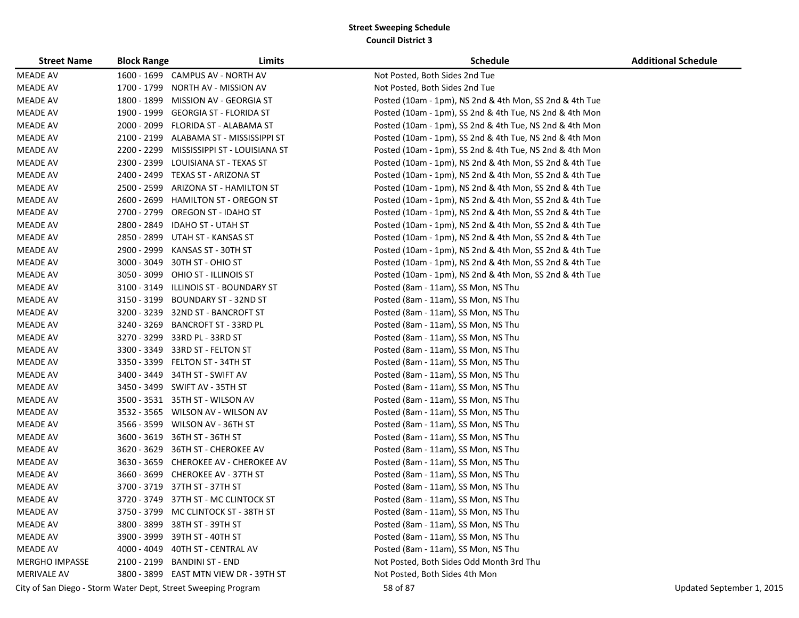| <b>Street Name</b>    | <b>Block Range</b> | Limits                                                        | <b>Schedule</b>                                         | <b>Additional Schedule</b> |
|-----------------------|--------------------|---------------------------------------------------------------|---------------------------------------------------------|----------------------------|
| <b>MEADE AV</b>       |                    | 1600 - 1699 CAMPUS AV - NORTH AV                              | Not Posted, Both Sides 2nd Tue                          |                            |
| <b>MEADE AV</b>       |                    | 1700 - 1799 NORTH AV - MISSION AV                             | Not Posted, Both Sides 2nd Tue                          |                            |
| <b>MEADE AV</b>       |                    | 1800 - 1899 MISSION AV - GEORGIA ST                           | Posted (10am - 1pm), NS 2nd & 4th Mon, SS 2nd & 4th Tue |                            |
| <b>MEADE AV</b>       |                    | 1900 - 1999 GEORGIA ST - FLORIDA ST                           | Posted (10am - 1pm), SS 2nd & 4th Tue, NS 2nd & 4th Mon |                            |
| <b>MEADE AV</b>       |                    | 2000 - 2099 FLORIDA ST - ALABAMA ST                           | Posted (10am - 1pm), SS 2nd & 4th Tue, NS 2nd & 4th Mon |                            |
| <b>MEADE AV</b>       |                    | 2100 - 2199 ALABAMA ST - MISSISSIPPI ST                       | Posted (10am - 1pm), SS 2nd & 4th Tue, NS 2nd & 4th Mon |                            |
| <b>MEADE AV</b>       |                    | 2200 - 2299 MISSISSIPPI ST - LOUISIANA ST                     | Posted (10am - 1pm), SS 2nd & 4th Tue, NS 2nd & 4th Mon |                            |
| <b>MEADE AV</b>       |                    | 2300 - 2399 LOUISIANA ST - TEXAS ST                           | Posted (10am - 1pm), NS 2nd & 4th Mon, SS 2nd & 4th Tue |                            |
| <b>MEADE AV</b>       |                    | 2400 - 2499 TEXAS ST - ARIZONA ST                             | Posted (10am - 1pm), NS 2nd & 4th Mon, SS 2nd & 4th Tue |                            |
| <b>MEADE AV</b>       | 2500 - 2599        | ARIZONA ST - HAMILTON ST                                      | Posted (10am - 1pm), NS 2nd & 4th Mon, SS 2nd & 4th Tue |                            |
| <b>MEADE AV</b>       |                    | 2600 - 2699 HAMILTON ST - OREGON ST                           | Posted (10am - 1pm), NS 2nd & 4th Mon, SS 2nd & 4th Tue |                            |
| <b>MEADE AV</b>       |                    | 2700 - 2799 OREGON ST - IDAHO ST                              | Posted (10am - 1pm), NS 2nd & 4th Mon, SS 2nd & 4th Tue |                            |
| <b>MEADE AV</b>       | 2800 - 2849        | <b>IDAHO ST - UTAH ST</b>                                     | Posted (10am - 1pm), NS 2nd & 4th Mon, SS 2nd & 4th Tue |                            |
| <b>MEADE AV</b>       |                    | 2850 - 2899 UTAH ST - KANSAS ST                               | Posted (10am - 1pm), NS 2nd & 4th Mon, SS 2nd & 4th Tue |                            |
| <b>MEADE AV</b>       |                    | 2900 - 2999 KANSAS ST - 30TH ST                               | Posted (10am - 1pm), NS 2nd & 4th Mon, SS 2nd & 4th Tue |                            |
| <b>MEADE AV</b>       |                    | 3000 - 3049 30TH ST - OHIO ST                                 | Posted (10am - 1pm), NS 2nd & 4th Mon, SS 2nd & 4th Tue |                            |
| <b>MEADE AV</b>       |                    | 3050 - 3099 OHIO ST - ILLINOIS ST                             | Posted (10am - 1pm), NS 2nd & 4th Mon, SS 2nd & 4th Tue |                            |
| <b>MEADE AV</b>       | 3100 - 3149        | ILLINOIS ST - BOUNDARY ST                                     | Posted (8am - 11am), SS Mon, NS Thu                     |                            |
| <b>MEADE AV</b>       | 3150 - 3199        | <b>BOUNDARY ST - 32ND ST</b>                                  | Posted (8am - 11am), SS Mon, NS Thu                     |                            |
| <b>MEADE AV</b>       |                    | 3200 - 3239 32ND ST - BANCROFT ST                             | Posted (8am - 11am), SS Mon, NS Thu                     |                            |
| <b>MEADE AV</b>       | 3240 - 3269        | <b>BANCROFT ST - 33RD PL</b>                                  | Posted (8am - 11am), SS Mon, NS Thu                     |                            |
| <b>MEADE AV</b>       |                    | 3270 - 3299 33RD PL - 33RD ST                                 | Posted (8am - 11am), SS Mon, NS Thu                     |                            |
| <b>MEADE AV</b>       |                    | 3300 - 3349 33RD ST - FELTON ST                               | Posted (8am - 11am), SS Mon, NS Thu                     |                            |
| <b>MEADE AV</b>       |                    | 3350 - 3399 FELTON ST - 34TH ST                               | Posted (8am - 11am), SS Mon, NS Thu                     |                            |
| <b>MEADE AV</b>       |                    | 3400 - 3449 34TH ST - SWIFT AV                                | Posted (8am - 11am), SS Mon, NS Thu                     |                            |
| <b>MEADE AV</b>       |                    | 3450 - 3499 SWIFT AV - 35TH ST                                | Posted (8am - 11am), SS Mon, NS Thu                     |                            |
| <b>MEADE AV</b>       |                    | 3500 - 3531 35TH ST - WILSON AV                               | Posted (8am - 11am), SS Mon, NS Thu                     |                            |
| <b>MEADE AV</b>       |                    | 3532 - 3565 WILSON AV - WILSON AV                             | Posted (8am - 11am), SS Mon, NS Thu                     |                            |
| <b>MEADE AV</b>       |                    | 3566 - 3599 WILSON AV - 36TH ST                               | Posted (8am - 11am), SS Mon, NS Thu                     |                            |
| <b>MEADE AV</b>       |                    | 3600 - 3619 36TH ST - 36TH ST                                 | Posted (8am - 11am), SS Mon, NS Thu                     |                            |
| <b>MEADE AV</b>       |                    | 3620 - 3629 36TH ST - CHEROKEE AV                             | Posted (8am - 11am), SS Mon, NS Thu                     |                            |
| <b>MEADE AV</b>       |                    | 3630 - 3659 CHEROKEE AV - CHEROKEE AV                         | Posted (8am - 11am), SS Mon, NS Thu                     |                            |
| MEADE AV              |                    | 3660 - 3699 CHEROKEE AV - 37TH ST                             | Posted (8am - 11am), SS Mon, NS Thu                     |                            |
| <b>MEADE AV</b>       |                    | 3700 - 3719 37TH ST - 37TH ST                                 | Posted (8am - 11am), SS Mon, NS Thu                     |                            |
| <b>MEADE AV</b>       |                    | 3720 - 3749 37TH ST - MC CLINTOCK ST                          | Posted (8am - 11am), SS Mon, NS Thu                     |                            |
| <b>MEADE AV</b>       |                    | 3750 - 3799 MC CLINTOCK ST - 38TH ST                          | Posted (8am - 11am), SS Mon, NS Thu                     |                            |
| <b>MEADE AV</b>       |                    | 3800 - 3899 38TH ST - 39TH ST                                 | Posted (8am - 11am), SS Mon, NS Thu                     |                            |
| <b>MEADE AV</b>       |                    | 3900 - 3999 39TH ST - 40TH ST                                 | Posted (8am - 11am), SS Mon, NS Thu                     |                            |
| <b>MEADE AV</b>       |                    | 4000 - 4049 40TH ST - CENTRAL AV                              | Posted (8am - 11am), SS Mon, NS Thu                     |                            |
| <b>MERGHO IMPASSE</b> |                    | 2100 - 2199 BANDINI ST - END                                  | Not Posted, Both Sides Odd Month 3rd Thu                |                            |
| <b>MERIVALE AV</b>    |                    | 3800 - 3899 EAST MTN VIEW DR - 39TH ST                        | Not Posted, Both Sides 4th Mon                          |                            |
|                       |                    | City of San Diego - Storm Water Dept, Street Sweeping Program | 58 of 87                                                | Updated September 1, 2015  |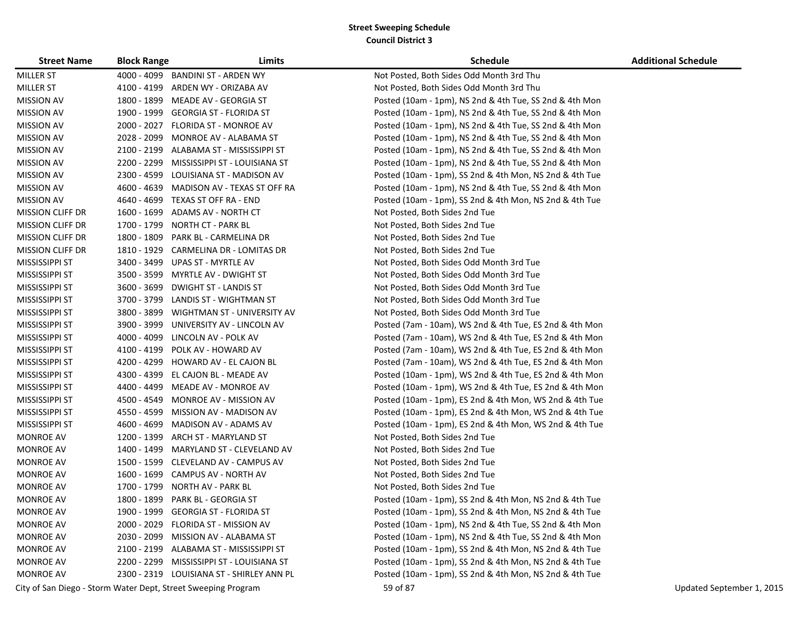| <b>Street Name</b>      | <b>Block Range</b> | Limits                                                        | <b>Schedule</b>                                         | <b>Additional Schedule</b> |
|-------------------------|--------------------|---------------------------------------------------------------|---------------------------------------------------------|----------------------------|
| <b>MILLER ST</b>        | 4000 - 4099        | BANDINI ST - ARDEN WY                                         | Not Posted, Both Sides Odd Month 3rd Thu                |                            |
| <b>MILLER ST</b>        | 4100 - 4199        | ARDEN WY - ORIZABA AV                                         | Not Posted, Both Sides Odd Month 3rd Thu                |                            |
| <b>MISSION AV</b>       | 1800 - 1899        | MEADE AV - GEORGIA ST                                         | Posted (10am - 1pm), NS 2nd & 4th Tue, SS 2nd & 4th Mon |                            |
| <b>MISSION AV</b>       | 1900 - 1999        | GEORGIA ST - FLORIDA ST                                       | Posted (10am - 1pm), NS 2nd & 4th Tue, SS 2nd & 4th Mon |                            |
| <b>MISSION AV</b>       | 2000 - 2027        | FLORIDA ST - MONROE AV                                        | Posted (10am - 1pm), NS 2nd & 4th Tue, SS 2nd & 4th Mon |                            |
| <b>MISSION AV</b>       | 2028 - 2099        | MONROE AV - ALABAMA ST                                        | Posted (10am - 1pm), NS 2nd & 4th Tue, SS 2nd & 4th Mon |                            |
| <b>MISSION AV</b>       |                    | 2100 - 2199 ALABAMA ST - MISSISSIPPI ST                       | Posted (10am - 1pm), NS 2nd & 4th Tue, SS 2nd & 4th Mon |                            |
| <b>MISSION AV</b>       | 2200 - 2299        | MISSISSIPPI ST - LOUISIANA ST                                 | Posted (10am - 1pm), NS 2nd & 4th Tue, SS 2nd & 4th Mon |                            |
| <b>MISSION AV</b>       | 2300 - 4599        | LOUISIANA ST - MADISON AV                                     | Posted (10am - 1pm), SS 2nd & 4th Mon, NS 2nd & 4th Tue |                            |
| <b>MISSION AV</b>       | 4600 - 4639        | MADISON AV - TEXAS ST OFF RA                                  | Posted (10am - 1pm), NS 2nd & 4th Tue, SS 2nd & 4th Mon |                            |
| <b>MISSION AV</b>       |                    | 4640 - 4699 TEXAS ST OFF RA - END                             | Posted (10am - 1pm), SS 2nd & 4th Mon, NS 2nd & 4th Tue |                            |
| <b>MISSION CLIFF DR</b> | 1600 - 1699        | ADAMS AV - NORTH CT                                           | Not Posted, Both Sides 2nd Tue                          |                            |
| <b>MISSION CLIFF DR</b> | 1700 - 1799        | <b>NORTH CT - PARK BL</b>                                     | Not Posted, Both Sides 2nd Tue                          |                            |
| <b>MISSION CLIFF DR</b> | 1800 - 1809        | PARK BL - CARMELINA DR                                        | Not Posted, Both Sides 2nd Tue                          |                            |
| <b>MISSION CLIFF DR</b> |                    | 1810 - 1929 CARMELINA DR - LOMITAS DR                         | Not Posted, Both Sides 2nd Tue                          |                            |
| MISSISSIPPI ST          | 3400 - 3499        | UPAS ST - MYRTLE AV                                           | Not Posted, Both Sides Odd Month 3rd Tue                |                            |
| MISSISSIPPI ST          | 3500 - 3599        | MYRTLE AV - DWIGHT ST                                         | Not Posted, Both Sides Odd Month 3rd Tue                |                            |
| MISSISSIPPI ST          | 3600 - 3699        | <b>DWIGHT ST - LANDIS ST</b>                                  | Not Posted, Both Sides Odd Month 3rd Tue                |                            |
| MISSISSIPPI ST          | 3700 - 3799        | LANDIS ST - WIGHTMAN ST                                       | Not Posted, Both Sides Odd Month 3rd Tue                |                            |
| MISSISSIPPI ST          | 3800 - 3899        | WIGHTMAN ST - UNIVERSITY AV                                   | Not Posted, Both Sides Odd Month 3rd Tue                |                            |
| MISSISSIPPI ST          | 3900 - 3999        | UNIVERSITY AV - LINCOLN AV                                    | Posted (7am - 10am), WS 2nd & 4th Tue, ES 2nd & 4th Mon |                            |
| MISSISSIPPI ST          |                    | 4000 - 4099 LINCOLN AV - POLK AV                              | Posted (7am - 10am), WS 2nd & 4th Tue, ES 2nd & 4th Mon |                            |
| MISSISSIPPI ST          | 4100 - 4199        | POLK AV - HOWARD AV                                           | Posted (7am - 10am), WS 2nd & 4th Tue, ES 2nd & 4th Mon |                            |
| MISSISSIPPI ST          | 4200 - 4299        | HOWARD AV - EL CAJON BL                                       | Posted (7am - 10am), WS 2nd & 4th Tue, ES 2nd & 4th Mon |                            |
| MISSISSIPPI ST          | 4300 - 4399        | EL CAJON BL - MEADE AV                                        | Posted (10am - 1pm), WS 2nd & 4th Tue, ES 2nd & 4th Mon |                            |
| MISSISSIPPI ST          | 4400 - 4499        | MEADE AV - MONROE AV                                          | Posted (10am - 1pm), WS 2nd & 4th Tue, ES 2nd & 4th Mon |                            |
| MISSISSIPPI ST          | 4500 - 4549        | MONROE AV - MISSION AV                                        | Posted (10am - 1pm), ES 2nd & 4th Mon, WS 2nd & 4th Tue |                            |
| MISSISSIPPI ST          | 4550 - 4599        | MISSION AV - MADISON AV                                       | Posted (10am - 1pm), ES 2nd & 4th Mon, WS 2nd & 4th Tue |                            |
| MISSISSIPPI ST          | 4600 - 4699        | MADISON AV - ADAMS AV                                         | Posted (10am - 1pm), ES 2nd & 4th Mon, WS 2nd & 4th Tue |                            |
| <b>MONROE AV</b>        | 1200 - 1399        | ARCH ST - MARYLAND ST                                         | Not Posted, Both Sides 2nd Tue                          |                            |
| <b>MONROE AV</b>        | 1400 - 1499        | MARYLAND ST - CLEVELAND AV                                    | Not Posted, Both Sides 2nd Tue                          |                            |
| <b>MONROE AV</b>        |                    | 1500 - 1599 CLEVELAND AV - CAMPUS AV                          | Not Posted, Both Sides 2nd Tue                          |                            |
| MONROE AV               |                    | 1600 - 1699 CAMPUS AV - NORTH AV                              | Not Posted, Both Sides 2nd Tue                          |                            |
| <b>MONROE AV</b>        | 1700 - 1799        | NORTH AV - PARK BL                                            | Not Posted, Both Sides 2nd Tue                          |                            |
| <b>MONROE AV</b>        | 1800 - 1899        | PARK BL - GEORGIA ST                                          | Posted (10am - 1pm), SS 2nd & 4th Mon, NS 2nd & 4th Tue |                            |
| <b>MONROE AV</b>        |                    | 1900 - 1999 GEORGIA ST - FLORIDA ST                           | Posted (10am - 1pm), SS 2nd & 4th Mon, NS 2nd & 4th Tue |                            |
| <b>MONROE AV</b>        | 2000 - 2029        | <b>FLORIDA ST - MISSION AV</b>                                | Posted (10am - 1pm), NS 2nd & 4th Tue, SS 2nd & 4th Mon |                            |
| <b>MONROE AV</b>        |                    | 2030 - 2099 MISSION AV - ALABAMA ST                           | Posted (10am - 1pm), NS 2nd & 4th Tue, SS 2nd & 4th Mon |                            |
| <b>MONROE AV</b>        |                    | 2100 - 2199 ALABAMA ST - MISSISSIPPI ST                       | Posted (10am - 1pm), SS 2nd & 4th Mon, NS 2nd & 4th Tue |                            |
| <b>MONROE AV</b>        | 2200 - 2299        | MISSISSIPPI ST - LOUISIANA ST                                 | Posted (10am - 1pm), SS 2nd & 4th Mon, NS 2nd & 4th Tue |                            |
| <b>MONROE AV</b>        |                    | 2300 - 2319 LOUISIANA ST - SHIRLEY ANN PL                     | Posted (10am - 1pm), SS 2nd & 4th Mon, NS 2nd & 4th Tue |                            |
|                         |                    | City of San Diego - Storm Water Dept, Street Sweeping Program | 59 of 87                                                | Updated September 1, 2015  |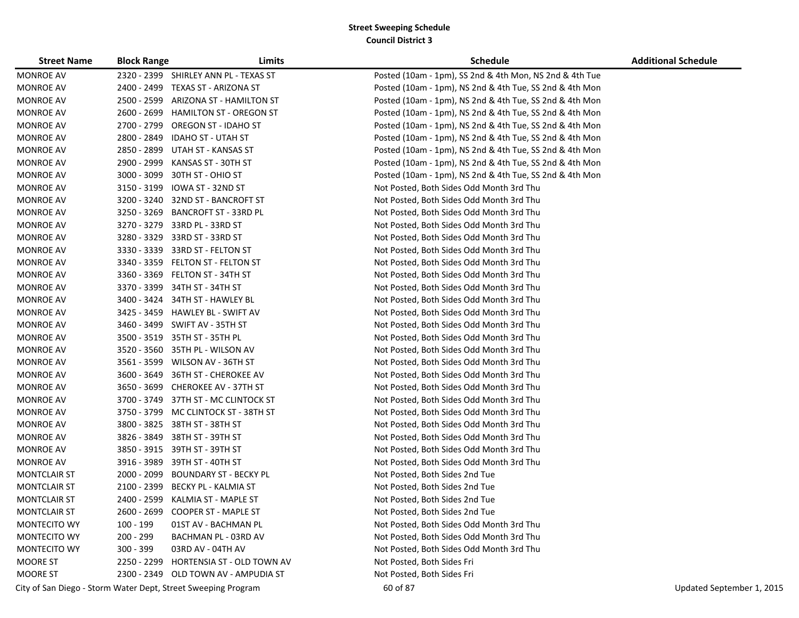| <b>Street Name</b>  | <b>Block Range</b> | Limits                                                        | Schedule                                                | <b>Additional Schedule</b> |
|---------------------|--------------------|---------------------------------------------------------------|---------------------------------------------------------|----------------------------|
| <b>MONROE AV</b>    |                    | 2320 - 2399 SHIRLEY ANN PL - TEXAS ST                         | Posted (10am - 1pm), SS 2nd & 4th Mon, NS 2nd & 4th Tue |                            |
| <b>MONROE AV</b>    |                    | 2400 - 2499 TEXAS ST - ARIZONA ST                             | Posted (10am - 1pm), NS 2nd & 4th Tue, SS 2nd & 4th Mon |                            |
| <b>MONROE AV</b>    | 2500 - 2599        | ARIZONA ST - HAMILTON ST                                      | Posted (10am - 1pm), NS 2nd & 4th Tue, SS 2nd & 4th Mon |                            |
| <b>MONROE AV</b>    | 2600 - 2699        | <b>HAMILTON ST - OREGON ST</b>                                | Posted (10am - 1pm), NS 2nd & 4th Tue, SS 2nd & 4th Mon |                            |
| <b>MONROE AV</b>    | 2700 - 2799        | <b>OREGON ST - IDAHO ST</b>                                   | Posted (10am - 1pm), NS 2nd & 4th Tue, SS 2nd & 4th Mon |                            |
| <b>MONROE AV</b>    | 2800 - 2849        | <b>IDAHO ST - UTAH ST</b>                                     | Posted (10am - 1pm), NS 2nd & 4th Tue, SS 2nd & 4th Mon |                            |
| <b>MONROE AV</b>    | 2850 - 2899        | UTAH ST - KANSAS ST                                           | Posted (10am - 1pm), NS 2nd & 4th Tue, SS 2nd & 4th Mon |                            |
| <b>MONROE AV</b>    | 2900 - 2999        | KANSAS ST - 30TH ST                                           | Posted (10am - 1pm), NS 2nd & 4th Tue, SS 2nd & 4th Mon |                            |
| <b>MONROE AV</b>    | 3000 - 3099        | 30TH ST - OHIO ST                                             | Posted (10am - 1pm), NS 2nd & 4th Tue, SS 2nd & 4th Mon |                            |
| <b>MONROE AV</b>    | 3150 - 3199        | IOWA ST - 32ND ST                                             | Not Posted, Both Sides Odd Month 3rd Thu                |                            |
| <b>MONROE AV</b>    |                    | 3200 - 3240 32ND ST - BANCROFT ST                             | Not Posted, Both Sides Odd Month 3rd Thu                |                            |
| <b>MONROE AV</b>    | 3250 - 3269        | <b>BANCROFT ST - 33RD PL</b>                                  | Not Posted, Both Sides Odd Month 3rd Thu                |                            |
| <b>MONROE AV</b>    |                    | 3270 - 3279 33RD PL - 33RD ST                                 | Not Posted, Both Sides Odd Month 3rd Thu                |                            |
| <b>MONROE AV</b>    | 3280 - 3329        | 33RD ST - 33RD ST                                             | Not Posted, Both Sides Odd Month 3rd Thu                |                            |
| <b>MONROE AV</b>    |                    | 3330 - 3339 33RD ST - FELTON ST                               | Not Posted, Both Sides Odd Month 3rd Thu                |                            |
| <b>MONROE AV</b>    |                    | 3340 - 3359 FELTON ST - FELTON ST                             | Not Posted, Both Sides Odd Month 3rd Thu                |                            |
| <b>MONROE AV</b>    |                    | 3360 - 3369 FELTON ST - 34TH ST                               | Not Posted, Both Sides Odd Month 3rd Thu                |                            |
| <b>MONROE AV</b>    |                    | 3370 - 3399 34TH ST - 34TH ST                                 | Not Posted, Both Sides Odd Month 3rd Thu                |                            |
| <b>MONROE AV</b>    |                    | 3400 - 3424 34TH ST - HAWLEY BL                               | Not Posted, Both Sides Odd Month 3rd Thu                |                            |
| <b>MONROE AV</b>    |                    | 3425 - 3459 HAWLEY BL - SWIFT AV                              | Not Posted, Both Sides Odd Month 3rd Thu                |                            |
| <b>MONROE AV</b>    |                    | 3460 - 3499 SWIFT AV - 35TH ST                                | Not Posted, Both Sides Odd Month 3rd Thu                |                            |
| <b>MONROE AV</b>    |                    | 3500 - 3519 35TH ST - 35TH PL                                 | Not Posted, Both Sides Odd Month 3rd Thu                |                            |
| <b>MONROE AV</b>    |                    | 3520 - 3560 35TH PL - WILSON AV                               | Not Posted, Both Sides Odd Month 3rd Thu                |                            |
| <b>MONROE AV</b>    |                    | 3561 - 3599 WILSON AV - 36TH ST                               | Not Posted, Both Sides Odd Month 3rd Thu                |                            |
| <b>MONROE AV</b>    |                    | 3600 - 3649 36TH ST - CHEROKEE AV                             | Not Posted, Both Sides Odd Month 3rd Thu                |                            |
| <b>MONROE AV</b>    |                    | 3650 - 3699 CHEROKEE AV - 37TH ST                             | Not Posted, Both Sides Odd Month 3rd Thu                |                            |
| <b>MONROE AV</b>    |                    | 3700 - 3749 37TH ST - MC CLINTOCK ST                          | Not Posted, Both Sides Odd Month 3rd Thu                |                            |
| <b>MONROE AV</b>    |                    | 3750 - 3799 MC CLINTOCK ST - 38TH ST                          | Not Posted, Both Sides Odd Month 3rd Thu                |                            |
| <b>MONROE AV</b>    |                    | 3800 - 3825 38TH ST - 38TH ST                                 | Not Posted, Both Sides Odd Month 3rd Thu                |                            |
| <b>MONROE AV</b>    |                    | 3826 - 3849 38TH ST - 39TH ST                                 | Not Posted, Both Sides Odd Month 3rd Thu                |                            |
| <b>MONROE AV</b>    |                    | 3850 - 3915 39TH ST - 39TH ST                                 | Not Posted, Both Sides Odd Month 3rd Thu                |                            |
| <b>MONROE AV</b>    |                    | 3916 - 3989 39TH ST - 40TH ST                                 | Not Posted, Both Sides Odd Month 3rd Thu                |                            |
| <b>MONTCLAIR ST</b> | 2000 - 2099        | <b>BOUNDARY ST - BECKY PL</b>                                 | Not Posted, Both Sides 2nd Tue                          |                            |
| <b>MONTCLAIR ST</b> | 2100 - 2399        | <b>BECKY PL - KALMIA ST</b>                                   | Not Posted, Both Sides 2nd Tue                          |                            |
| <b>MONTCLAIR ST</b> |                    | 2400 - 2599 KALMIA ST - MAPLE ST                              | Not Posted, Both Sides 2nd Tue                          |                            |
| <b>MONTCLAIR ST</b> | 2600 - 2699        | <b>COOPER ST - MAPLE ST</b>                                   | Not Posted, Both Sides 2nd Tue                          |                            |
| MONTECITO WY        | 100 - 199          | 01ST AV - BACHMAN PL                                          | Not Posted, Both Sides Odd Month 3rd Thu                |                            |
| MONTECITO WY        | 200 - 299          | BACHMAN PL - 03RD AV                                          | Not Posted, Both Sides Odd Month 3rd Thu                |                            |
| MONTECITO WY        | $300 - 399$        | 03RD AV - 04TH AV                                             | Not Posted, Both Sides Odd Month 3rd Thu                |                            |
| <b>MOORE ST</b>     |                    | 2250 - 2299 HORTENSIA ST - OLD TOWN AV                        | Not Posted, Both Sides Fri                              |                            |
| MOORE ST            |                    | 2300 - 2349 OLD TOWN AV - AMPUDIA ST                          | Not Posted, Both Sides Fri                              |                            |
|                     |                    | City of San Diego - Storm Water Dept, Street Sweeping Program | 60 of 87                                                | Updated September 1, 2015  |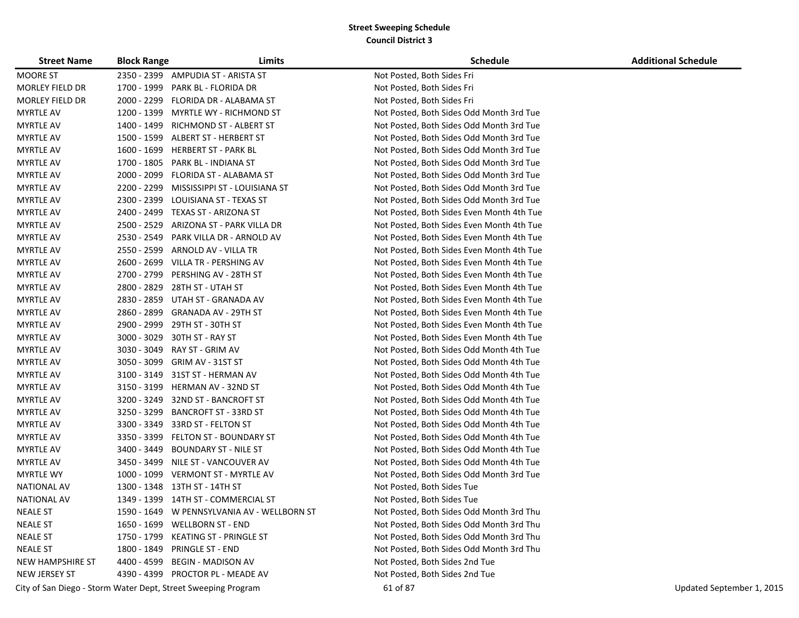| <b>Street Name</b>   | <b>Block Range</b> | Limits                                                        | <b>Schedule</b>                           | <b>Additional Schedule</b> |
|----------------------|--------------------|---------------------------------------------------------------|-------------------------------------------|----------------------------|
| <b>MOORE ST</b>      |                    | 2350 - 2399 AMPUDIA ST - ARISTA ST                            | Not Posted, Both Sides Fri                |                            |
| MORLEY FIELD DR      | 1700 - 1999        | PARK BL - FLORIDA DR                                          | Not Posted, Both Sides Fri                |                            |
| MORLEY FIELD DR      | 2000 - 2299        | FLORIDA DR - ALABAMA ST                                       | Not Posted, Both Sides Fri                |                            |
| <b>MYRTLE AV</b>     |                    | 1200 - 1399 MYRTLE WY - RICHMOND ST                           | Not Posted, Both Sides Odd Month 3rd Tue  |                            |
| <b>MYRTLE AV</b>     |                    | 1400 - 1499 RICHMOND ST - ALBERT ST                           | Not Posted, Both Sides Odd Month 3rd Tue  |                            |
| <b>MYRTLE AV</b>     |                    | 1500 - 1599 ALBERT ST - HERBERT ST                            | Not Posted, Both Sides Odd Month 3rd Tue  |                            |
| <b>MYRTLE AV</b>     | 1600 - 1699        | <b>HERBERT ST - PARK BL</b>                                   | Not Posted, Both Sides Odd Month 3rd Tue  |                            |
| <b>MYRTLE AV</b>     | 1700 - 1805        | PARK BL - INDIANA ST                                          | Not Posted, Both Sides Odd Month 3rd Tue  |                            |
| <b>MYRTLE AV</b>     | 2000 - 2099        | FLORIDA ST - ALABAMA ST                                       | Not Posted, Both Sides Odd Month 3rd Tue  |                            |
| <b>MYRTLE AV</b>     | 2200 - 2299        | MISSISSIPPI ST - LOUISIANA ST                                 | Not Posted, Both Sides Odd Month 3rd Tue  |                            |
| <b>MYRTLE AV</b>     | 2300 - 2399        | LOUISIANA ST - TEXAS ST                                       | Not Posted, Both Sides Odd Month 3rd Tue  |                            |
| <b>MYRTLE AV</b>     | 2400 - 2499        | TEXAS ST - ARIZONA ST                                         | Not Posted, Both Sides Even Month 4th Tue |                            |
| <b>MYRTLE AV</b>     | 2500 - 2529        | ARIZONA ST - PARK VILLA DR                                    | Not Posted, Both Sides Even Month 4th Tue |                            |
| <b>MYRTLE AV</b>     | 2530 - 2549        | PARK VILLA DR - ARNOLD AV                                     | Not Posted, Both Sides Even Month 4th Tue |                            |
| <b>MYRTLE AV</b>     | 2550 - 2599        | ARNOLD AV - VILLA TR                                          | Not Posted, Both Sides Even Month 4th Tue |                            |
| <b>MYRTLE AV</b>     | 2600 - 2699        | VILLA TR - PERSHING AV                                        | Not Posted, Both Sides Even Month 4th Tue |                            |
| <b>MYRTLE AV</b>     | 2700 - 2799        | PERSHING AV - 28TH ST                                         | Not Posted, Both Sides Even Month 4th Tue |                            |
| <b>MYRTLE AV</b>     | 2800 - 2829        | 28TH ST - UTAH ST                                             | Not Posted, Both Sides Even Month 4th Tue |                            |
| <b>MYRTLE AV</b>     | 2830 - 2859        | UTAH ST - GRANADA AV                                          | Not Posted, Both Sides Even Month 4th Tue |                            |
| <b>MYRTLE AV</b>     | 2860 - 2899        | GRANADA AV - 29TH ST                                          | Not Posted, Both Sides Even Month 4th Tue |                            |
| <b>MYRTLE AV</b>     | 2900 - 2999        | 29TH ST - 30TH ST                                             | Not Posted, Both Sides Even Month 4th Tue |                            |
| <b>MYRTLE AV</b>     | $3000 - 3029$      | 30TH ST - RAY ST                                              | Not Posted, Both Sides Even Month 4th Tue |                            |
| <b>MYRTLE AV</b>     | 3030 - 3049        | RAY ST - GRIM AV                                              | Not Posted, Both Sides Odd Month 4th Tue  |                            |
| <b>MYRTLE AV</b>     | 3050 - 3099        | GRIM AV - 31ST ST                                             | Not Posted, Both Sides Odd Month 4th Tue  |                            |
| <b>MYRTLE AV</b>     |                    | 3100 - 3149 31ST ST - HERMAN AV                               | Not Posted, Both Sides Odd Month 4th Tue  |                            |
| <b>MYRTLE AV</b>     | 3150 - 3199        | HERMAN AV - 32ND ST                                           | Not Posted, Both Sides Odd Month 4th Tue  |                            |
| <b>MYRTLE AV</b>     | 3200 - 3249        | 32ND ST - BANCROFT ST                                         | Not Posted, Both Sides Odd Month 4th Tue  |                            |
| <b>MYRTLE AV</b>     | 3250 - 3299        | BANCROFT ST - 33RD ST                                         | Not Posted, Both Sides Odd Month 4th Tue  |                            |
| <b>MYRTLE AV</b>     | 3300 - 3349        | 33RD ST - FELTON ST                                           | Not Posted, Both Sides Odd Month 4th Tue  |                            |
| <b>MYRTLE AV</b>     | 3350 - 3399        | FELTON ST - BOUNDARY ST                                       | Not Posted, Both Sides Odd Month 4th Tue  |                            |
| <b>MYRTLE AV</b>     | 3400 - 3449        | BOUNDARY ST - NILE ST                                         | Not Posted, Both Sides Odd Month 4th Tue  |                            |
| <b>MYRTLE AV</b>     | 3450 - 3499        | NILE ST - VANCOUVER AV                                        | Not Posted, Both Sides Odd Month 4th Tue  |                            |
| <b>MYRTLE WY</b>     | 1000 - 1099        | VERMONT ST - MYRTLE AV                                        | Not Posted, Both Sides Odd Month 3rd Tue  |                            |
| <b>NATIONAL AV</b>   | 1300 - 1348        | 13TH ST - 14TH ST                                             | Not Posted, Both Sides Tue                |                            |
| <b>NATIONAL AV</b>   |                    | 1349 - 1399 14TH ST - COMMERCIAL ST                           | Not Posted, Both Sides Tue                |                            |
| <b>NEALE ST</b>      |                    | 1590 - 1649 W PENNSYLVANIA AV - WELLBORN ST                   | Not Posted, Both Sides Odd Month 3rd Thu  |                            |
| <b>NEALE ST</b>      |                    | 1650 - 1699 WELLBORN ST - END                                 | Not Posted, Both Sides Odd Month 3rd Thu  |                            |
| <b>NEALE ST</b>      |                    | 1750 - 1799 KEATING ST - PRINGLE ST                           | Not Posted, Both Sides Odd Month 3rd Thu  |                            |
| <b>NEALE ST</b>      |                    | 1800 - 1849 PRINGLE ST - END                                  | Not Posted, Both Sides Odd Month 3rd Thu  |                            |
| NEW HAMPSHIRE ST     |                    | 4400 - 4599 BEGIN - MADISON AV                                | Not Posted, Both Sides 2nd Tue            |                            |
| <b>NEW JERSEY ST</b> |                    | 4390 - 4399 PROCTOR PL - MEADE AV                             | Not Posted, Both Sides 2nd Tue            |                            |
|                      |                    | City of San Diego - Storm Water Dept, Street Sweeping Program | 61 of 87                                  | Updated September 1, 2015  |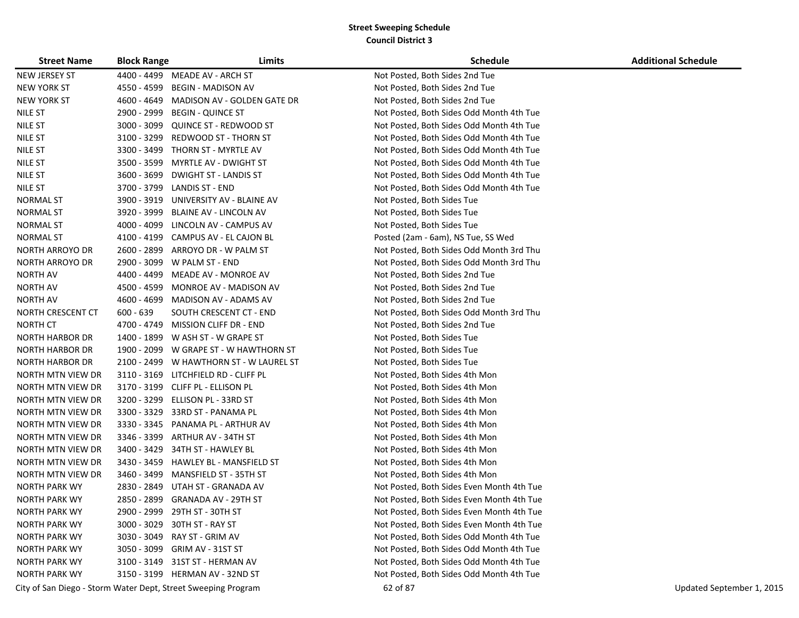| <b>Street Name</b>     | <b>Block Range</b> | Limits                                                        | <b>Schedule</b>                           | <b>Additional Schedule</b> |
|------------------------|--------------------|---------------------------------------------------------------|-------------------------------------------|----------------------------|
| NEW JERSEY ST          |                    | 4400 - 4499 MEADE AV - ARCH ST                                | Not Posted, Both Sides 2nd Tue            |                            |
| <b>NEW YORK ST</b>     |                    | 4550 - 4599 BEGIN - MADISON AV                                | Not Posted, Both Sides 2nd Tue            |                            |
| <b>NEW YORK ST</b>     |                    | 4600 - 4649 MADISON AV - GOLDEN GATE DR                       | Not Posted, Both Sides 2nd Tue            |                            |
| NILE ST                | 2900 - 2999        | <b>BEGIN - QUINCE ST</b>                                      | Not Posted, Both Sides Odd Month 4th Tue  |                            |
| <b>NILE ST</b>         | 3000 - 3099        | QUINCE ST - REDWOOD ST                                        | Not Posted, Both Sides Odd Month 4th Tue  |                            |
| <b>NILE ST</b>         | 3100 - 3299        | REDWOOD ST - THORN ST                                         | Not Posted, Both Sides Odd Month 4th Tue  |                            |
| NILE ST                | 3300 - 3499        | THORN ST - MYRTLE AV                                          | Not Posted, Both Sides Odd Month 4th Tue  |                            |
| NILE ST                | 3500 - 3599        | MYRTLE AV - DWIGHT ST                                         | Not Posted, Both Sides Odd Month 4th Tue  |                            |
| NILE ST                | 3600 - 3699        | DWIGHT ST - LANDIS ST                                         | Not Posted, Both Sides Odd Month 4th Tue  |                            |
| <b>NILE ST</b>         | 3700 - 3799        | LANDIS ST - END                                               | Not Posted, Both Sides Odd Month 4th Tue  |                            |
| NORMAL ST              | 3900 - 3919        | UNIVERSITY AV - BLAINE AV                                     | Not Posted, Both Sides Tue                |                            |
| NORMAL ST              | 3920 - 3999        | BLAINE AV - LINCOLN AV                                        | Not Posted, Both Sides Tue                |                            |
| NORMAL ST              | 4000 - 4099        | LINCOLN AV - CAMPUS AV                                        | Not Posted, Both Sides Tue                |                            |
| NORMAL ST              | 4100 - 4199        | CAMPUS AV - EL CAJON BL                                       | Posted (2am - 6am), NS Tue, SS Wed        |                            |
| <b>NORTH ARROYO DR</b> | 2600 - 2899        | ARROYO DR - W PALM ST                                         | Not Posted, Both Sides Odd Month 3rd Thu  |                            |
| <b>NORTH ARROYO DR</b> | 2900 - 3099        | W PALM ST - END                                               | Not Posted, Both Sides Odd Month 3rd Thu  |                            |
| <b>NORTH AV</b>        |                    | 4400 - 4499 MEADE AV - MONROE AV                              | Not Posted, Both Sides 2nd Tue            |                            |
| <b>NORTH AV</b>        |                    | 4500 - 4599 MONROE AV - MADISON AV                            | Not Posted, Both Sides 2nd Tue            |                            |
| <b>NORTH AV</b>        |                    | 4600 - 4699 MADISON AV - ADAMS AV                             | Not Posted, Both Sides 2nd Tue            |                            |
| NORTH CRESCENT CT      | $600 - 639$        | SOUTH CRESCENT CT - END                                       | Not Posted, Both Sides Odd Month 3rd Thu  |                            |
| <b>NORTH CT</b>        |                    | 4700 - 4749 MISSION CLIFF DR - END                            | Not Posted, Both Sides 2nd Tue            |                            |
| <b>NORTH HARBOR DR</b> |                    | 1400 - 1899 W ASH ST - W GRAPE ST                             | Not Posted, Both Sides Tue                |                            |
| NORTH HARBOR DR        |                    | 1900 - 2099 W GRAPE ST - W HAWTHORN ST                        | Not Posted, Both Sides Tue                |                            |
| NORTH HARBOR DR        | 2100 - 2499        | W HAWTHORN ST - W LAUREL ST                                   | Not Posted, Both Sides Tue                |                            |
| NORTH MTN VIEW DR      |                    | 3110 - 3169 LITCHFIELD RD - CLIFF PL                          | Not Posted, Both Sides 4th Mon            |                            |
| NORTH MTN VIEW DR      |                    | 3170 - 3199 CLIFF PL - ELLISON PL                             | Not Posted, Both Sides 4th Mon            |                            |
| NORTH MTN VIEW DR      |                    | 3200 - 3299 ELLISON PL - 33RD ST                              | Not Posted, Both Sides 4th Mon            |                            |
| NORTH MTN VIEW DR      |                    | 3300 - 3329 33RD ST - PANAMA PL                               | Not Posted, Both Sides 4th Mon            |                            |
| NORTH MTN VIEW DR      |                    | 3330 - 3345 PANAMA PL - ARTHUR AV                             | Not Posted, Both Sides 4th Mon            |                            |
| NORTH MTN VIEW DR      | 3346 - 3399        | ARTHUR AV - 34TH ST                                           | Not Posted, Both Sides 4th Mon            |                            |
| NORTH MTN VIEW DR      | 3400 - 3429        | 34TH ST - HAWLEY BL                                           | Not Posted, Both Sides 4th Mon            |                            |
| NORTH MTN VIEW DR      | 3430 - 3459        | HAWLEY BL - MANSFIELD ST                                      | Not Posted, Both Sides 4th Mon            |                            |
| NORTH MTN VIEW DR      | 3460 - 3499        | MANSFIELD ST - 35TH ST                                        | Not Posted, Both Sides 4th Mon            |                            |
| NORTH PARK WY          | 2830 - 2849        | UTAH ST - GRANADA AV                                          | Not Posted, Both Sides Even Month 4th Tue |                            |
| <b>NORTH PARK WY</b>   |                    | 2850 - 2899 GRANADA AV - 29TH ST                              | Not Posted, Both Sides Even Month 4th Tue |                            |
| <b>NORTH PARK WY</b>   |                    | 2900 - 2999 29TH ST - 30TH ST                                 | Not Posted, Both Sides Even Month 4th Tue |                            |
| <b>NORTH PARK WY</b>   |                    | 3000 - 3029 30TH ST - RAY ST                                  | Not Posted, Both Sides Even Month 4th Tue |                            |
| <b>NORTH PARK WY</b>   |                    | 3030 - 3049 RAY ST - GRIM AV                                  | Not Posted, Both Sides Odd Month 4th Tue  |                            |
| <b>NORTH PARK WY</b>   |                    | 3050 - 3099 GRIM AV - 31ST ST                                 | Not Posted, Both Sides Odd Month 4th Tue  |                            |
| <b>NORTH PARK WY</b>   |                    | 3100 - 3149 31ST ST - HERMAN AV                               | Not Posted, Both Sides Odd Month 4th Tue  |                            |
| <b>NORTH PARK WY</b>   |                    | 3150 - 3199 HERMAN AV - 32ND ST                               | Not Posted, Both Sides Odd Month 4th Tue  |                            |
|                        |                    | City of San Diego - Storm Water Dept, Street Sweeping Program | 62 of 87                                  | Updated September 1, 2015  |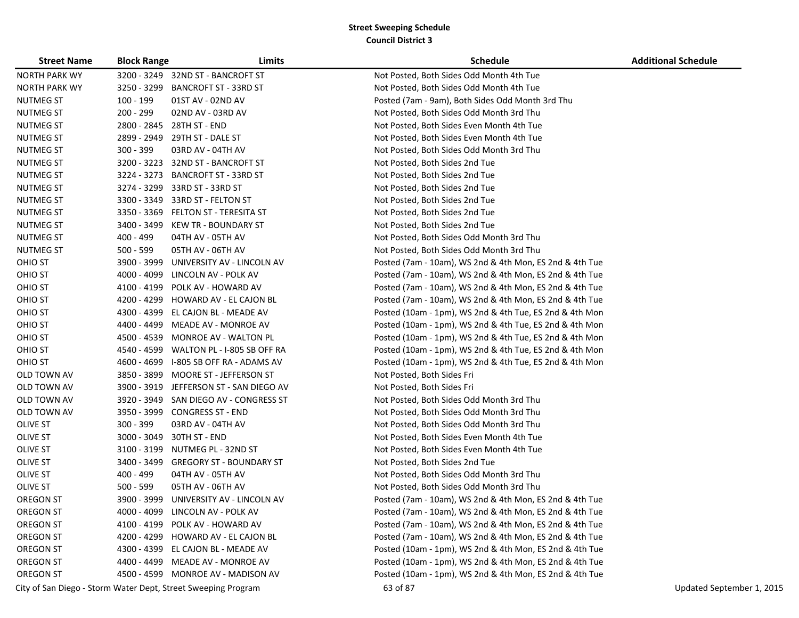| <b>Street Name</b>   | <b>Block Range</b> | Limits                                                        | Schedule                                                | <b>Additional Schedule</b> |
|----------------------|--------------------|---------------------------------------------------------------|---------------------------------------------------------|----------------------------|
| <b>NORTH PARK WY</b> |                    | 3200 - 3249 32ND ST - BANCROFT ST                             | Not Posted, Both Sides Odd Month 4th Tue                |                            |
| <b>NORTH PARK WY</b> |                    | 3250 - 3299 BANCROFT ST - 33RD ST                             | Not Posted, Both Sides Odd Month 4th Tue                |                            |
| <b>NUTMEG ST</b>     | 100 - 199          | 01ST AV - 02ND AV                                             | Posted (7am - 9am), Both Sides Odd Month 3rd Thu        |                            |
| NUTMEG ST            | 200 - 299          | 02ND AV - 03RD AV                                             | Not Posted, Both Sides Odd Month 3rd Thu                |                            |
| <b>NUTMEG ST</b>     | 2800 - 2845        | 28TH ST - END                                                 | Not Posted, Both Sides Even Month 4th Tue               |                            |
| <b>NUTMEG ST</b>     |                    | 2899 - 2949 29TH ST - DALE ST                                 | Not Posted, Both Sides Even Month 4th Tue               |                            |
| <b>NUTMEG ST</b>     | 300 - 399          | 03RD AV - 04TH AV                                             | Not Posted, Both Sides Odd Month 3rd Thu                |                            |
| <b>NUTMEG ST</b>     | 3200 - 3223        | 32ND ST - BANCROFT ST                                         | Not Posted, Both Sides 2nd Tue                          |                            |
| <b>NUTMEG ST</b>     | 3224 - 3273        | <b>BANCROFT ST - 33RD ST</b>                                  | Not Posted, Both Sides 2nd Tue                          |                            |
| <b>NUTMEG ST</b>     | 3274 - 3299        | 33RD ST - 33RD ST                                             | Not Posted, Both Sides 2nd Tue                          |                            |
| <b>NUTMEG ST</b>     |                    | 3300 - 3349 33RD ST - FELTON ST                               | Not Posted, Both Sides 2nd Tue                          |                            |
| <b>NUTMEG ST</b>     | 3350 - 3369        | FELTON ST - TERESITA ST                                       | Not Posted, Both Sides 2nd Tue                          |                            |
| <b>NUTMEG ST</b>     | 3400 - 3499        | KEW TR - BOUNDARY ST                                          | Not Posted, Both Sides 2nd Tue                          |                            |
| <b>NUTMEG ST</b>     | 400 - 499          | 04TH AV - 05TH AV                                             | Not Posted, Both Sides Odd Month 3rd Thu                |                            |
| <b>NUTMEG ST</b>     | $500 - 599$        | 05TH AV - 06TH AV                                             | Not Posted, Both Sides Odd Month 3rd Thu                |                            |
| OHIO ST              |                    | 3900 - 3999 UNIVERSITY AV - LINCOLN AV                        | Posted (7am - 10am), WS 2nd & 4th Mon, ES 2nd & 4th Tue |                            |
| OHIO ST              | 4000 - 4099        | LINCOLN AV - POLK AV                                          | Posted (7am - 10am), WS 2nd & 4th Mon, ES 2nd & 4th Tue |                            |
| OHIO ST              | 4100 - 4199        | POLK AV - HOWARD AV                                           | Posted (7am - 10am), WS 2nd & 4th Mon, ES 2nd & 4th Tue |                            |
| OHIO ST              |                    | 4200 - 4299 HOWARD AV - EL CAJON BL                           | Posted (7am - 10am), WS 2nd & 4th Mon, ES 2nd & 4th Tue |                            |
| OHIO ST              |                    | 4300 - 4399 EL CAJON BL - MEADE AV                            | Posted (10am - 1pm), WS 2nd & 4th Tue, ES 2nd & 4th Mon |                            |
| OHIO ST              |                    | 4400 - 4499 MEADE AV - MONROE AV                              | Posted (10am - 1pm), WS 2nd & 4th Tue, ES 2nd & 4th Mon |                            |
| OHIO ST              | 4500 - 4539        | MONROE AV - WALTON PL                                         | Posted (10am - 1pm), WS 2nd & 4th Tue, ES 2nd & 4th Mon |                            |
| OHIO ST              |                    | 4540 - 4599 WALTON PL - I-805 SB OFF RA                       | Posted (10am - 1pm), WS 2nd & 4th Tue, ES 2nd & 4th Mon |                            |
| OHIO ST              | 4600 - 4699        | I-805 SB OFF RA - ADAMS AV                                    | Posted (10am - 1pm), WS 2nd & 4th Tue, ES 2nd & 4th Mon |                            |
| OLD TOWN AV          | 3850 - 3899        | MOORE ST - JEFFERSON ST                                       | Not Posted, Both Sides Fri                              |                            |
| OLD TOWN AV          | 3900 - 3919        | JEFFERSON ST - SAN DIEGO AV                                   | Not Posted, Both Sides Fri                              |                            |
| OLD TOWN AV          |                    | 3920 - 3949 SAN DIEGO AV - CONGRESS ST                        | Not Posted, Both Sides Odd Month 3rd Thu                |                            |
| OLD TOWN AV          |                    | 3950 - 3999 CONGRESS ST - END                                 | Not Posted, Both Sides Odd Month 3rd Thu                |                            |
| <b>OLIVE ST</b>      | $300 - 399$        | 03RD AV - 04TH AV                                             | Not Posted, Both Sides Odd Month 3rd Thu                |                            |
| <b>OLIVE ST</b>      | 3000 - 3049        | 30TH ST - END                                                 | Not Posted, Both Sides Even Month 4th Tue               |                            |
| OLIVE ST             | 3100 - 3199        | NUTMEG PL - 32ND ST                                           | Not Posted, Both Sides Even Month 4th Tue               |                            |
| OLIVE ST             |                    | 3400 - 3499 GREGORY ST - BOUNDARY ST                          | Not Posted, Both Sides 2nd Tue                          |                            |
| OLIVE ST             | 400 - 499          | 04TH AV - 05TH AV                                             | Not Posted, Both Sides Odd Month 3rd Thu                |                            |
| <b>OLIVE ST</b>      | $500 - 599$        | 05TH AV - 06TH AV                                             | Not Posted, Both Sides Odd Month 3rd Thu                |                            |
| OREGON ST            |                    | 3900 - 3999 UNIVERSITY AV - LINCOLN AV                        | Posted (7am - 10am), WS 2nd & 4th Mon, ES 2nd & 4th Tue |                            |
| OREGON ST            |                    | 4000 - 4099 LINCOLN AV - POLK AV                              | Posted (7am - 10am), WS 2nd & 4th Mon, ES 2nd & 4th Tue |                            |
| OREGON ST            |                    | 4100 - 4199 POLK AV - HOWARD AV                               | Posted (7am - 10am), WS 2nd & 4th Mon, ES 2nd & 4th Tue |                            |
| OREGON ST            |                    | 4200 - 4299 HOWARD AV - EL CAJON BL                           | Posted (7am - 10am), WS 2nd & 4th Mon, ES 2nd & 4th Tue |                            |
| OREGON ST            |                    | 4300 - 4399 EL CAJON BL - MEADE AV                            | Posted (10am - 1pm), WS 2nd & 4th Mon, ES 2nd & 4th Tue |                            |
| OREGON ST            |                    | 4400 - 4499 MEADE AV - MONROE AV                              | Posted (10am - 1pm), WS 2nd & 4th Mon, ES 2nd & 4th Tue |                            |
| OREGON ST            |                    | 4500 - 4599 MONROE AV - MADISON AV                            | Posted (10am - 1pm), WS 2nd & 4th Mon, ES 2nd & 4th Tue |                            |
|                      |                    | City of San Diego - Storm Water Dept, Street Sweeping Program | 63 of 87                                                | Updated September 1, 2015  |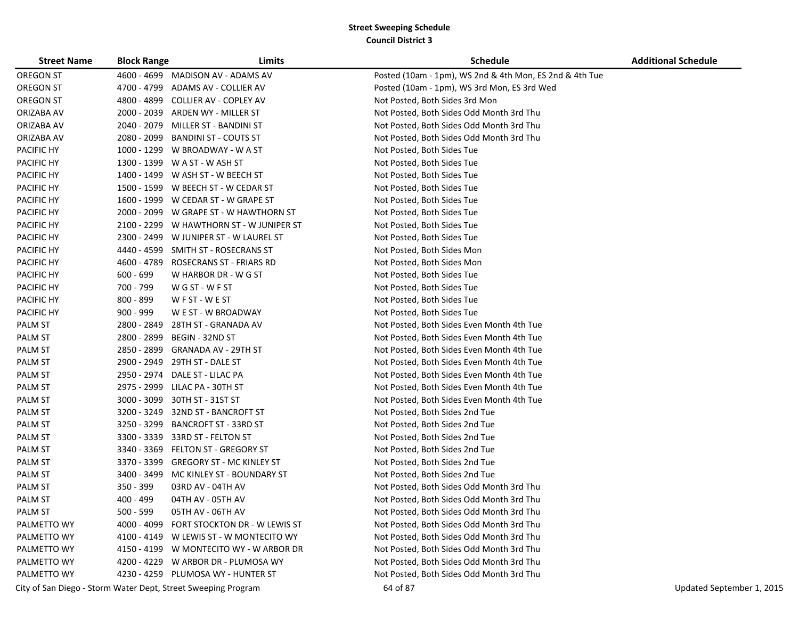| <b>Street Name</b> | <b>Block Range</b> | Limits                                                        | <b>Schedule</b>                                         | <b>Additional Schedule</b> |
|--------------------|--------------------|---------------------------------------------------------------|---------------------------------------------------------|----------------------------|
| OREGON ST          |                    | 4600 - 4699 MADISON AV - ADAMS AV                             | Posted (10am - 1pm), WS 2nd & 4th Mon, ES 2nd & 4th Tue |                            |
| OREGON ST          | 4700 - 4799        | ADAMS AV - COLLIER AV                                         | Posted (10am - 1pm), WS 3rd Mon, ES 3rd Wed             |                            |
| OREGON ST          | 4800 - 4899        | COLLIER AV - COPLEY AV                                        | Not Posted, Both Sides 3rd Mon                          |                            |
| ORIZABA AV         | 2000 - 2039        | ARDEN WY - MILLER ST                                          | Not Posted, Both Sides Odd Month 3rd Thu                |                            |
| ORIZABA AV         | 2040 - 2079        | MILLER ST - BANDINI ST                                        | Not Posted, Both Sides Odd Month 3rd Thu                |                            |
| ORIZABA AV         | 2080 - 2099        | <b>BANDINI ST - COUTS ST</b>                                  | Not Posted, Both Sides Odd Month 3rd Thu                |                            |
| PACIFIC HY         |                    | 1000 - 1299 W BROADWAY - W A ST                               | Not Posted, Both Sides Tue                              |                            |
| PACIFIC HY         |                    | 1300 - 1399 W A ST - W ASH ST                                 | Not Posted, Both Sides Tue                              |                            |
| PACIFIC HY         |                    | 1400 - 1499 W ASH ST - W BEECH ST                             | Not Posted, Both Sides Tue                              |                            |
| PACIFIC HY         |                    | 1500 - 1599 W BEECH ST - W CEDAR ST                           | Not Posted, Both Sides Tue                              |                            |
| PACIFIC HY         | 1600 - 1999        | W CEDAR ST - W GRAPE ST                                       | Not Posted, Both Sides Tue                              |                            |
| PACIFIC HY         | 2000 - 2099        | W GRAPE ST - W HAWTHORN ST                                    | Not Posted, Both Sides Tue                              |                            |
| PACIFIC HY         | 2100 - 2299        | W HAWTHORN ST - W JUNIPER ST                                  | Not Posted, Both Sides Tue                              |                            |
| PACIFIC HY         | 2300 - 2499        | W JUNIPER ST - W LAUREL ST                                    | Not Posted, Both Sides Tue                              |                            |
| PACIFIC HY         | 4440 - 4599        | SMITH ST - ROSECRANS ST                                       | Not Posted, Both Sides Mon                              |                            |
| PACIFIC HY         | 4600 - 4789        | <b>ROSECRANS ST - FRIARS RD</b>                               | Not Posted, Both Sides Mon                              |                            |
| PACIFIC HY         | $600 - 699$        | W HARBOR DR - W G ST                                          | Not Posted, Both Sides Tue                              |                            |
| PACIFIC HY         | 700 - 799          | W G ST - W F ST                                               | Not Posted, Both Sides Tue                              |                            |
| PACIFIC HY         | 800 - 899          | WFST-WEST                                                     | Not Posted, Both Sides Tue                              |                            |
| PACIFIC HY         | $900 - 999$        | W E ST - W BROADWAY                                           | Not Posted, Both Sides Tue                              |                            |
| PALM ST            | 2800 - 2849        | 28TH ST - GRANADA AV                                          | Not Posted, Both Sides Even Month 4th Tue               |                            |
| <b>PALM ST</b>     | 2800 - 2899        | BEGIN - 32ND ST                                               | Not Posted, Both Sides Even Month 4th Tue               |                            |
| <b>PALM ST</b>     | 2850 - 2899        | GRANADA AV - 29TH ST                                          | Not Posted, Both Sides Even Month 4th Tue               |                            |
| <b>PALM ST</b>     | 2900 - 2949        | 29TH ST - DALE ST                                             | Not Posted, Both Sides Even Month 4th Tue               |                            |
| <b>PALM ST</b>     | 2950 - 2974        | DALE ST - LILAC PA                                            | Not Posted, Both Sides Even Month 4th Tue               |                            |
| <b>PALM ST</b>     | 2975 - 2999        | LILAC PA - 30TH ST                                            | Not Posted, Both Sides Even Month 4th Tue               |                            |
| <b>PALM ST</b>     | 3000 - 3099        | 30TH ST - 31ST ST                                             | Not Posted, Both Sides Even Month 4th Tue               |                            |
| <b>PALM ST</b>     | 3200 - 3249        | 32ND ST - BANCROFT ST                                         | Not Posted, Both Sides 2nd Tue                          |                            |
| PALM ST            | 3250 - 3299        | BANCROFT ST - 33RD ST                                         | Not Posted, Both Sides 2nd Tue                          |                            |
| <b>PALM ST</b>     | 3300 - 3339        | 33RD ST - FELTON ST                                           | Not Posted, Both Sides 2nd Tue                          |                            |
| <b>PALM ST</b>     |                    | 3340 - 3369 FELTON ST - GREGORY ST                            | Not Posted, Both Sides 2nd Tue                          |                            |
| PALM ST            | 3370 - 3399        | GREGORY ST - MC KINLEY ST                                     | Not Posted, Both Sides 2nd Tue                          |                            |
| <b>PALM ST</b>     | 3400 - 3499        | MC KINLEY ST - BOUNDARY ST                                    | Not Posted, Both Sides 2nd Tue                          |                            |
| <b>PALM ST</b>     | 350 - 399          | 03RD AV - 04TH AV                                             | Not Posted, Both Sides Odd Month 3rd Thu                |                            |
| <b>PALM ST</b>     | 400 - 499          | 04TH AV - 05TH AV                                             | Not Posted, Both Sides Odd Month 3rd Thu                |                            |
| <b>PALM ST</b>     | 500 - 599          | 05TH AV - 06TH AV                                             | Not Posted, Both Sides Odd Month 3rd Thu                |                            |
| PALMETTO WY        |                    | 4000 - 4099 FORT STOCKTON DR - W LEWIS ST                     | Not Posted, Both Sides Odd Month 3rd Thu                |                            |
| PALMETTO WY        |                    | 4100 - 4149 W LEWIS ST - W MONTECITO WY                       | Not Posted, Both Sides Odd Month 3rd Thu                |                            |
| PALMETTO WY        |                    | 4150 - 4199 W MONTECITO WY - W ARBOR DR                       | Not Posted, Both Sides Odd Month 3rd Thu                |                            |
| PALMETTO WY        |                    | 4200 - 4229 W ARBOR DR - PLUMOSA WY                           | Not Posted, Both Sides Odd Month 3rd Thu                |                            |
| PALMETTO WY        |                    | 4230 - 4259 PLUMOSA WY - HUNTER ST                            | Not Posted, Both Sides Odd Month 3rd Thu                |                            |
|                    |                    | City of San Diego - Storm Water Dept, Street Sweeping Program | 64 of 87                                                | Updated September 1, 2015  |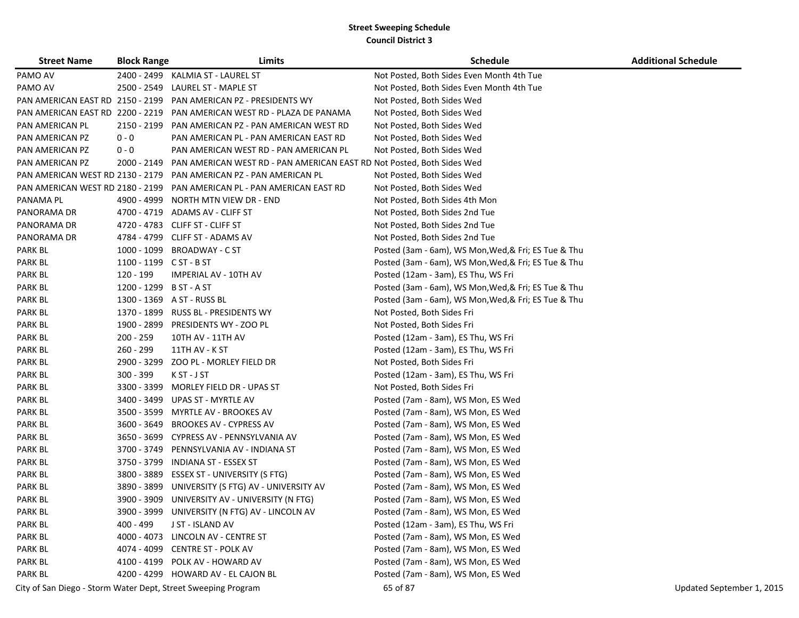| <b>Street Name</b>                                            | <b>Block Range</b>      | Limits                                                                                | <b>Schedule</b>                                      | <b>Additional Schedule</b> |
|---------------------------------------------------------------|-------------------------|---------------------------------------------------------------------------------------|------------------------------------------------------|----------------------------|
| PAMO AV                                                       |                         | 2400 - 2499 KALMIA ST - LAUREL ST                                                     | Not Posted, Both Sides Even Month 4th Tue            |                            |
| PAMO AV                                                       | 2500 - 2549             | LAUREL ST - MAPLE ST                                                                  | Not Posted, Both Sides Even Month 4th Tue            |                            |
| PAN AMERICAN EAST RD 2150 - 2199                              |                         | PAN AMERICAN PZ - PRESIDENTS WY                                                       | Not Posted, Both Sides Wed                           |                            |
| PAN AMERICAN EAST RD 2200 - 2219                              |                         | PAN AMERICAN WEST RD - PLAZA DE PANAMA                                                | Not Posted, Both Sides Wed                           |                            |
| PAN AMERICAN PL                                               | 2150 - 2199             | PAN AMERICAN PZ - PAN AMERICAN WEST RD                                                | Not Posted, Both Sides Wed                           |                            |
| PAN AMERICAN PZ                                               | $0 - 0$                 | PAN AMERICAN PL - PAN AMERICAN EAST RD                                                | Not Posted, Both Sides Wed                           |                            |
| PAN AMERICAN PZ                                               | $0 - 0$                 | PAN AMERICAN WEST RD - PAN AMERICAN PL                                                | Not Posted, Both Sides Wed                           |                            |
| PAN AMERICAN PZ                                               |                         | 2000 - 2149    PAN AMERICAN WEST RD - PAN AMERICAN EAST RD Not Posted, Both Sides Wed |                                                      |                            |
|                                                               |                         | PAN AMERICAN WEST RD 2130 - 2179 PAN AMERICAN PZ - PAN AMERICAN PL                    | Not Posted, Both Sides Wed                           |                            |
|                                                               |                         | PAN AMERICAN WEST RD 2180 - 2199 PAN AMERICAN PL - PAN AMERICAN EAST RD               | Not Posted, Both Sides Wed                           |                            |
| PANAMA PL                                                     | 4900 - 4999             | NORTH MTN VIEW DR - END                                                               | Not Posted, Both Sides 4th Mon                       |                            |
| PANORAMA DR                                                   | 4700 - 4719             | ADAMS AV - CLIFF ST                                                                   | Not Posted, Both Sides 2nd Tue                       |                            |
| PANORAMA DR                                                   |                         | 4720 - 4783 CLIFF ST - CLIFF ST                                                       | Not Posted, Both Sides 2nd Tue                       |                            |
| PANORAMA DR                                                   |                         | 4784 - 4799 CLIFF ST - ADAMS AV                                                       | Not Posted, Both Sides 2nd Tue                       |                            |
| <b>PARK BL</b>                                                |                         | 1000 - 1099 BROADWAY - C ST                                                           | Posted (3am - 6am), WS Mon, Wed, & Fri; ES Tue & Thu |                            |
| <b>PARK BL</b>                                                | 1100 - 1199 C ST - B ST |                                                                                       | Posted (3am - 6am), WS Mon, Wed, & Fri; ES Tue & Thu |                            |
| PARK BL                                                       | 120 - 199               | <b>IMPERIAL AV - 10TH AV</b>                                                          | Posted (12am - 3am), ES Thu, WS Fri                  |                            |
| PARK BL                                                       | 1200 - 1299             | B ST - A ST                                                                           | Posted (3am - 6am), WS Mon, Wed, & Fri; ES Tue & Thu |                            |
| <b>PARK BL</b>                                                |                         | 1300 - 1369 A ST - RUSS BL                                                            | Posted (3am - 6am), WS Mon, Wed, & Fri; ES Tue & Thu |                            |
| PARK BL                                                       | 1370 - 1899             | <b>RUSS BL - PRESIDENTS WY</b>                                                        | Not Posted, Both Sides Fri                           |                            |
| PARK BL                                                       | 1900 - 2899             | PRESIDENTS WY - ZOO PL                                                                | Not Posted, Both Sides Fri                           |                            |
| PARK BL                                                       | $200 - 259$             | 10TH AV - 11TH AV                                                                     | Posted (12am - 3am), ES Thu, WS Fri                  |                            |
| PARK BL                                                       | 260 - 299               | 11TH AV - K ST                                                                        | Posted (12am - 3am), ES Thu, WS Fri                  |                            |
| <b>PARK BL</b>                                                |                         | 2900 - 3299 ZOO PL - MORLEY FIELD DR                                                  | Not Posted, Both Sides Fri                           |                            |
| PARK BL                                                       | $300 - 399$             | K ST - J ST                                                                           | Posted (12am - 3am), ES Thu, WS Fri                  |                            |
| PARK BL                                                       | 3300 - 3399             | MORLEY FIELD DR - UPAS ST                                                             | Not Posted, Both Sides Fri                           |                            |
| <b>PARK BL</b>                                                | 3400 - 3499             | UPAS ST - MYRTLE AV                                                                   | Posted (7am - 8am), WS Mon, ES Wed                   |                            |
| PARK BL                                                       | 3500 - 3599             | MYRTLE AV - BROOKES AV                                                                | Posted (7am - 8am), WS Mon, ES Wed                   |                            |
| <b>PARK BL</b>                                                | 3600 - 3649             | BROOKES AV - CYPRESS AV                                                               | Posted (7am - 8am), WS Mon, ES Wed                   |                            |
| PARK BL                                                       | 3650 - 3699             | CYPRESS AV - PENNSYLVANIA AV                                                          | Posted (7am - 8am), WS Mon, ES Wed                   |                            |
| PARK BL                                                       | 3700 - 3749             | PENNSYLVANIA AV - INDIANA ST                                                          | Posted (7am - 8am), WS Mon, ES Wed                   |                            |
| <b>PARK BL</b>                                                | 3750 - 3799             | INDIANA ST - ESSEX ST                                                                 | Posted (7am - 8am), WS Mon, ES Wed                   |                            |
| PARK BL                                                       | 3800 - 3889             | ESSEX ST - UNIVERSITY (S FTG)                                                         | Posted (7am - 8am), WS Mon, ES Wed                   |                            |
| <b>PARK BL</b>                                                | 3890 - 3899             | UNIVERSITY (S FTG) AV - UNIVERSITY AV                                                 | Posted (7am - 8am), WS Mon, ES Wed                   |                            |
| <b>PARK BL</b>                                                | 3900 - 3909             | UNIVERSITY AV - UNIVERSITY (N FTG)                                                    | Posted (7am - 8am), WS Mon, ES Wed                   |                            |
| PARK BL                                                       |                         | 3900 - 3999 UNIVERSITY (N FTG) AV - LINCOLN AV                                        | Posted (7am - 8am), WS Mon, ES Wed                   |                            |
| <b>PARK BL</b>                                                | 400 - 499               | J ST - ISLAND AV                                                                      | Posted (12am - 3am), ES Thu, WS Fri                  |                            |
| PARK BL                                                       |                         | 4000 - 4073 LINCOLN AV - CENTRE ST                                                    | Posted (7am - 8am), WS Mon, ES Wed                   |                            |
| PARK BL                                                       |                         | 4074 - 4099 CENTRE ST - POLK AV                                                       | Posted (7am - 8am), WS Mon, ES Wed                   |                            |
| PARK BL                                                       |                         | 4100 - 4199 POLK AV - HOWARD AV                                                       | Posted (7am - 8am), WS Mon, ES Wed                   |                            |
| PARK BL                                                       |                         | 4200 - 4299 HOWARD AV - EL CAJON BL                                                   | Posted (7am - 8am), WS Mon, ES Wed                   |                            |
| City of San Diego - Storm Water Dept, Street Sweeping Program |                         |                                                                                       | 65 of 87                                             | Updated September 1, 2015  |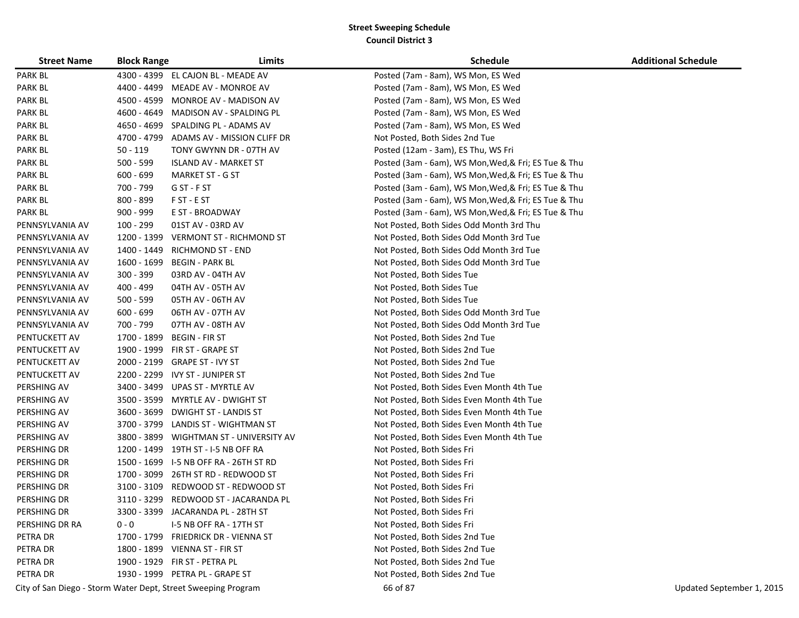| <b>Street Name</b> | <b>Block Range</b> | Limits                                                        | <b>Schedule</b>                                      | <b>Additional Schedule</b> |
|--------------------|--------------------|---------------------------------------------------------------|------------------------------------------------------|----------------------------|
| <b>PARK BL</b>     |                    | 4300 - 4399 EL CAJON BL - MEADE AV                            | Posted (7am - 8am), WS Mon, ES Wed                   |                            |
| <b>PARK BL</b>     |                    | 4400 - 4499 MEADE AV - MONROE AV                              | Posted (7am - 8am), WS Mon, ES Wed                   |                            |
| <b>PARK BL</b>     |                    | 4500 - 4599 MONROE AV - MADISON AV                            | Posted (7am - 8am), WS Mon, ES Wed                   |                            |
| PARK BL            |                    | 4600 - 4649 MADISON AV - SPALDING PL                          | Posted (7am - 8am), WS Mon, ES Wed                   |                            |
| PARK BL            |                    | 4650 - 4699 SPALDING PL - ADAMS AV                            | Posted (7am - 8am), WS Mon, ES Wed                   |                            |
| PARK BL            |                    | 4700 - 4799 ADAMS AV - MISSION CLIFF DR                       | Not Posted, Both Sides 2nd Tue                       |                            |
| PARK BL            | $50 - 119$         | TONY GWYNN DR - 07TH AV                                       | Posted (12am - 3am), ES Thu, WS Fri                  |                            |
| PARK BL            | 500 - 599          | <b>ISLAND AV - MARKET ST</b>                                  | Posted (3am - 6am), WS Mon, Wed, & Fri; ES Tue & Thu |                            |
| <b>PARK BL</b>     | $600 - 699$        | <b>MARKET ST - G ST</b>                                       | Posted (3am - 6am), WS Mon, Wed, & Fri; ES Tue & Thu |                            |
| <b>PARK BL</b>     | 700 - 799          | G ST - F ST                                                   | Posted (3am - 6am), WS Mon, Wed, & Fri; ES Tue & Thu |                            |
| PARK BL            | 800 - 899          | F ST - E ST                                                   | Posted (3am - 6am), WS Mon, Wed, & Fri; ES Tue & Thu |                            |
| <b>PARK BL</b>     | 900 - 999          | E ST - BROADWAY                                               | Posted (3am - 6am), WS Mon, Wed, & Fri; ES Tue & Thu |                            |
| PENNSYLVANIA AV    | 100 - 299          | 01ST AV - 03RD AV                                             | Not Posted, Both Sides Odd Month 3rd Thu             |                            |
| PENNSYLVANIA AV    | 1200 - 1399        | <b>VERMONT ST - RICHMOND ST</b>                               | Not Posted, Both Sides Odd Month 3rd Tue             |                            |
| PENNSYLVANIA AV    | 1400 - 1449        | <b>RICHMOND ST - END</b>                                      | Not Posted, Both Sides Odd Month 3rd Tue             |                            |
| PENNSYLVANIA AV    | 1600 - 1699        | <b>BEGIN - PARK BL</b>                                        | Not Posted, Both Sides Odd Month 3rd Tue             |                            |
| PENNSYLVANIA AV    | 300 - 399          | 03RD AV - 04TH AV                                             | Not Posted, Both Sides Tue                           |                            |
| PENNSYLVANIA AV    | 400 - 499          | 04TH AV - 05TH AV                                             | Not Posted, Both Sides Tue                           |                            |
| PENNSYLVANIA AV    | $500 - 599$        | 05TH AV - 06TH AV                                             | Not Posted, Both Sides Tue                           |                            |
| PENNSYLVANIA AV    | $600 - 699$        | 06TH AV - 07TH AV                                             | Not Posted, Both Sides Odd Month 3rd Tue             |                            |
| PENNSYLVANIA AV    | 700 - 799          | 07TH AV - 08TH AV                                             | Not Posted, Both Sides Odd Month 3rd Tue             |                            |
| PENTUCKETT AV      | 1700 - 1899        | <b>BEGIN - FIR ST</b>                                         | Not Posted, Both Sides 2nd Tue                       |                            |
| PENTUCKETT AV      |                    | 1900 - 1999 FIR ST - GRAPE ST                                 | Not Posted, Both Sides 2nd Tue                       |                            |
| PENTUCKETT AV      |                    | 2000 - 2199 GRAPE ST - IVY ST                                 | Not Posted, Both Sides 2nd Tue                       |                            |
| PENTUCKETT AV      |                    | 2200 - 2299 IVY ST - JUNIPER ST                               | Not Posted, Both Sides 2nd Tue                       |                            |
| PERSHING AV        | 3400 - 3499        | UPAS ST - MYRTLE AV                                           | Not Posted, Both Sides Even Month 4th Tue            |                            |
| PERSHING AV        |                    | 3500 - 3599 MYRTLE AV - DWIGHT ST                             | Not Posted, Both Sides Even Month 4th Tue            |                            |
| PERSHING AV        |                    | 3600 - 3699 DWIGHT ST - LANDIS ST                             | Not Posted, Both Sides Even Month 4th Tue            |                            |
| PERSHING AV        |                    | 3700 - 3799 LANDIS ST - WIGHTMAN ST                           | Not Posted, Both Sides Even Month 4th Tue            |                            |
| PERSHING AV        |                    | 3800 - 3899 WIGHTMAN ST - UNIVERSITY AV                       | Not Posted, Both Sides Even Month 4th Tue            |                            |
| PERSHING DR        |                    | 1200 - 1499 19TH ST - I-5 NB OFF RA                           | Not Posted, Both Sides Fri                           |                            |
| PERSHING DR        | 1500 - 1699        | I-5 NB OFF RA - 26TH ST RD                                    | Not Posted, Both Sides Fri                           |                            |
| PERSHING DR        | 1700 - 3099        | 26TH ST RD - REDWOOD ST                                       | Not Posted, Both Sides Fri                           |                            |
| PERSHING DR        | 3100 - 3109        | REDWOOD ST - REDWOOD ST                                       | Not Posted, Both Sides Fri                           |                            |
| PERSHING DR        |                    | 3110 - 3299 REDWOOD ST - JACARANDA PL                         | Not Posted, Both Sides Fri                           |                            |
| PERSHING DR        |                    | 3300 - 3399 JACARANDA PL - 28TH ST                            | Not Posted, Both Sides Fri                           |                            |
| PERSHING DR RA     | $0 - 0$            | I-5 NB OFF RA - 17TH ST                                       | Not Posted, Both Sides Fri                           |                            |
| PETRA DR           |                    | 1700 - 1799 FRIEDRICK DR - VIENNA ST                          | Not Posted, Both Sides 2nd Tue                       |                            |
| PETRA DR           |                    | 1800 - 1899 VIENNA ST - FIR ST                                | Not Posted, Both Sides 2nd Tue                       |                            |
| PETRA DR           |                    | 1900 - 1929 FIR ST - PETRA PL                                 | Not Posted, Both Sides 2nd Tue                       |                            |
| PETRA DR           |                    | 1930 - 1999 PETRA PL - GRAPE ST                               | Not Posted, Both Sides 2nd Tue                       |                            |
|                    |                    | City of San Diego - Storm Water Dept, Street Sweeping Program | 66 of 87                                             | Updated September 1, 2015  |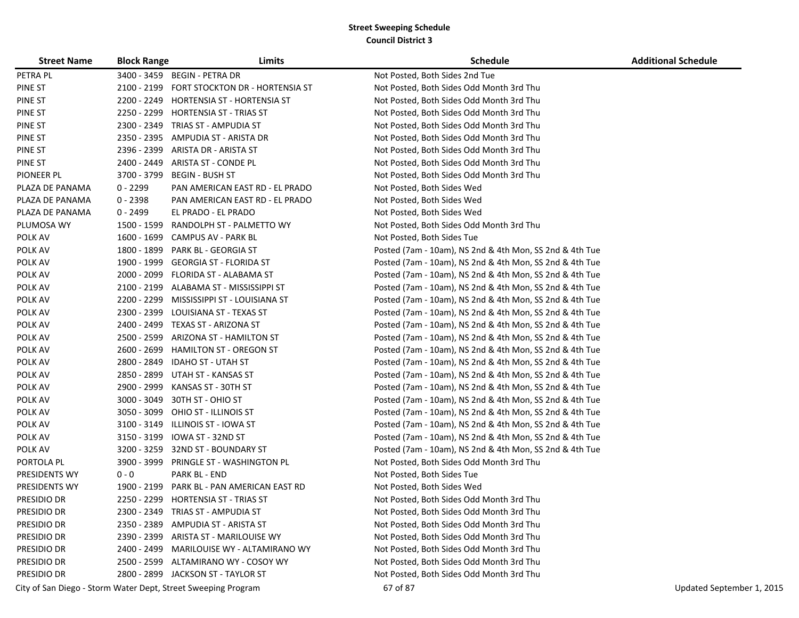| <b>Street Name</b>   | <b>Block Range</b> | Limits                                                        | Schedule                                                | <b>Additional Schedule</b> |
|----------------------|--------------------|---------------------------------------------------------------|---------------------------------------------------------|----------------------------|
| PETRA PL             |                    | 3400 - 3459 BEGIN - PETRA DR                                  | Not Posted, Both Sides 2nd Tue                          |                            |
| PINE ST              | 2100 - 2199        | FORT STOCKTON DR - HORTENSIA ST                               | Not Posted, Both Sides Odd Month 3rd Thu                |                            |
| PINE ST              | 2200 - 2249        | HORTENSIA ST - HORTENSIA ST                                   | Not Posted, Both Sides Odd Month 3rd Thu                |                            |
| PINE ST              | 2250 - 2299        | HORTENSIA ST - TRIAS ST                                       | Not Posted, Both Sides Odd Month 3rd Thu                |                            |
| PINE ST              | 2300 - 2349        | TRIAS ST - AMPUDIA ST                                         | Not Posted, Both Sides Odd Month 3rd Thu                |                            |
| <b>PINE ST</b>       | 2350 - 2395        | AMPUDIA ST - ARISTA DR                                        | Not Posted, Both Sides Odd Month 3rd Thu                |                            |
| <b>PINE ST</b>       | 2396 - 2399        | ARISTA DR - ARISTA ST                                         | Not Posted, Both Sides Odd Month 3rd Thu                |                            |
| <b>PINE ST</b>       | 2400 - 2449        | ARISTA ST - CONDE PL                                          | Not Posted, Both Sides Odd Month 3rd Thu                |                            |
| PIONEER PL           | 3700 - 3799        | <b>BEGIN - BUSH ST</b>                                        | Not Posted, Both Sides Odd Month 3rd Thu                |                            |
| PLAZA DE PANAMA      | $0 - 2299$         | PAN AMERICAN EAST RD - EL PRADO                               | Not Posted, Both Sides Wed                              |                            |
| PLAZA DE PANAMA      | $0 - 2398$         | PAN AMERICAN EAST RD - EL PRADO                               | Not Posted, Both Sides Wed                              |                            |
| PLAZA DE PANAMA      | $0 - 2499$         | EL PRADO - EL PRADO                                           | Not Posted, Both Sides Wed                              |                            |
| PLUMOSA WY           | 1500 - 1599        | RANDOLPH ST - PALMETTO WY                                     | Not Posted, Both Sides Odd Month 3rd Thu                |                            |
| POLK AV              |                    | 1600 - 1699 CAMPUS AV - PARK BL                               | Not Posted, Both Sides Tue                              |                            |
| POLK AV              | 1800 - 1899        | PARK BL - GEORGIA ST                                          | Posted (7am - 10am), NS 2nd & 4th Mon, SS 2nd & 4th Tue |                            |
| POLK AV              | 1900 - 1999        | GEORGIA ST - FLORIDA ST                                       | Posted (7am - 10am), NS 2nd & 4th Mon, SS 2nd & 4th Tue |                            |
| POLK AV              | 2000 - 2099        | FLORIDA ST - ALABAMA ST                                       | Posted (7am - 10am), NS 2nd & 4th Mon, SS 2nd & 4th Tue |                            |
| POLK AV              | 2100 - 2199        | ALABAMA ST - MISSISSIPPI ST                                   | Posted (7am - 10am), NS 2nd & 4th Mon, SS 2nd & 4th Tue |                            |
| POLK AV              | 2200 - 2299        | MISSISSIPPI ST - LOUISIANA ST                                 | Posted (7am - 10am), NS 2nd & 4th Mon, SS 2nd & 4th Tue |                            |
| POLK AV              | 2300 - 2399        | LOUISIANA ST - TEXAS ST                                       | Posted (7am - 10am), NS 2nd & 4th Mon, SS 2nd & 4th Tue |                            |
| POLK AV              | 2400 - 2499        | TEXAS ST - ARIZONA ST                                         | Posted (7am - 10am), NS 2nd & 4th Mon, SS 2nd & 4th Tue |                            |
| POLK AV              | 2500 - 2599        | ARIZONA ST - HAMILTON ST                                      | Posted (7am - 10am), NS 2nd & 4th Mon, SS 2nd & 4th Tue |                            |
| POLK AV              | 2600 - 2699        | <b>HAMILTON ST - OREGON ST</b>                                | Posted (7am - 10am), NS 2nd & 4th Mon, SS 2nd & 4th Tue |                            |
| POLK AV              |                    | 2800 - 2849 IDAHO ST - UTAH ST                                | Posted (7am - 10am), NS 2nd & 4th Mon, SS 2nd & 4th Tue |                            |
| POLK AV              | 2850 - 2899        | UTAH ST - KANSAS ST                                           | Posted (7am - 10am), NS 2nd & 4th Mon, SS 2nd & 4th Tue |                            |
| POLK AV              | 2900 - 2999        | KANSAS ST - 30TH ST                                           | Posted (7am - 10am), NS 2nd & 4th Mon, SS 2nd & 4th Tue |                            |
| POLK AV              | 3000 - 3049        | 30TH ST - OHIO ST                                             | Posted (7am - 10am), NS 2nd & 4th Mon, SS 2nd & 4th Tue |                            |
| POLK AV              | 3050 - 3099        | OHIO ST - ILLINOIS ST                                         | Posted (7am - 10am), NS 2nd & 4th Mon, SS 2nd & 4th Tue |                            |
| POLK AV              | 3100 - 3149        | ILLINOIS ST - IOWA ST                                         | Posted (7am - 10am), NS 2nd & 4th Mon, SS 2nd & 4th Tue |                            |
| POLK AV              | 3150 - 3199        | IOWA ST - 32ND ST                                             | Posted (7am - 10am), NS 2nd & 4th Mon, SS 2nd & 4th Tue |                            |
| POLK AV              |                    | 3200 - 3259 32ND ST - BOUNDARY ST                             | Posted (7am - 10am), NS 2nd & 4th Mon, SS 2nd & 4th Tue |                            |
| PORTOLA PL           | 3900 - 3999        | PRINGLE ST - WASHINGTON PL                                    | Not Posted, Both Sides Odd Month 3rd Thu                |                            |
| PRESIDENTS WY        | $0 - 0$            | PARK BL - END                                                 | Not Posted, Both Sides Tue                              |                            |
| <b>PRESIDENTS WY</b> | 1900 - 2199        | PARK BL - PAN AMERICAN EAST RD                                | Not Posted, Both Sides Wed                              |                            |
| PRESIDIO DR          |                    | 2250 - 2299 HORTENSIA ST - TRIAS ST                           | Not Posted, Both Sides Odd Month 3rd Thu                |                            |
| PRESIDIO DR          |                    | 2300 - 2349 TRIAS ST - AMPUDIA ST                             | Not Posted, Both Sides Odd Month 3rd Thu                |                            |
| PRESIDIO DR          |                    | 2350 - 2389 AMPUDIA ST - ARISTA ST                            | Not Posted, Both Sides Odd Month 3rd Thu                |                            |
| PRESIDIO DR          |                    | 2390 - 2399 ARISTA ST - MARILOUISE WY                         | Not Posted, Both Sides Odd Month 3rd Thu                |                            |
| PRESIDIO DR          |                    | 2400 - 2499 MARILOUISE WY - ALTAMIRANO WY                     | Not Posted, Both Sides Odd Month 3rd Thu                |                            |
| PRESIDIO DR          |                    | 2500 - 2599 ALTAMIRANO WY - COSOY WY                          | Not Posted, Both Sides Odd Month 3rd Thu                |                            |
| PRESIDIO DR          |                    | 2800 - 2899 JACKSON ST - TAYLOR ST                            | Not Posted, Both Sides Odd Month 3rd Thu                |                            |
|                      |                    | City of San Diego - Storm Water Dept, Street Sweeping Program | 67 of 87                                                | Updated September 1, 2015  |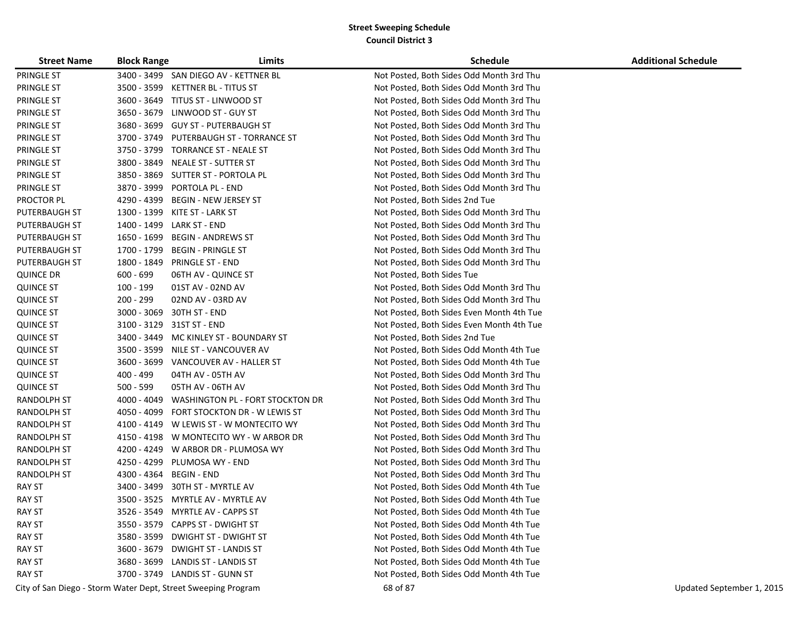| <b>Street Name</b> | <b>Block Range</b> | Limits                                                        | <b>Schedule</b>                           | <b>Additional Schedule</b> |
|--------------------|--------------------|---------------------------------------------------------------|-------------------------------------------|----------------------------|
| PRINGLE ST         |                    | 3400 - 3499 SAN DIEGO AV - KETTNER BL                         | Not Posted, Both Sides Odd Month 3rd Thu  |                            |
| PRINGLE ST         |                    | 3500 - 3599 KETTNER BL - TITUS ST                             | Not Posted, Both Sides Odd Month 3rd Thu  |                            |
| PRINGLE ST         |                    | 3600 - 3649 TITUS ST - LINWOOD ST                             | Not Posted, Both Sides Odd Month 3rd Thu  |                            |
| PRINGLE ST         |                    | 3650 - 3679 LINWOOD ST - GUY ST                               | Not Posted, Both Sides Odd Month 3rd Thu  |                            |
| PRINGLE ST         |                    | 3680 - 3699 GUY ST - PUTERBAUGH ST                            | Not Posted, Both Sides Odd Month 3rd Thu  |                            |
| PRINGLE ST         |                    | 3700 - 3749 PUTERBAUGH ST - TORRANCE ST                       | Not Posted, Both Sides Odd Month 3rd Thu  |                            |
| PRINGLE ST         |                    | 3750 - 3799 TORRANCE ST - NEALE ST                            | Not Posted, Both Sides Odd Month 3rd Thu  |                            |
| PRINGLE ST         | 3800 - 3849        | NEALE ST - SUTTER ST                                          | Not Posted, Both Sides Odd Month 3rd Thu  |                            |
| PRINGLE ST         |                    | 3850 - 3869 SUTTER ST - PORTOLA PL                            | Not Posted, Both Sides Odd Month 3rd Thu  |                            |
| PRINGLE ST         |                    | 3870 - 3999 PORTOLA PL - END                                  | Not Posted, Both Sides Odd Month 3rd Thu  |                            |
| PROCTOR PL         | 4290 - 4399        | <b>BEGIN - NEW JERSEY ST</b>                                  | Not Posted, Both Sides 2nd Tue            |                            |
| PUTERBAUGH ST      |                    | 1300 - 1399 KITE ST - LARK ST                                 | Not Posted, Both Sides Odd Month 3rd Thu  |                            |
| PUTERBAUGH ST      |                    | 1400 - 1499 LARK ST - END                                     | Not Posted, Both Sides Odd Month 3rd Thu  |                            |
| PUTERBAUGH ST      | 1650 - 1699        | <b>BEGIN - ANDREWS ST</b>                                     | Not Posted, Both Sides Odd Month 3rd Thu  |                            |
| PUTERBAUGH ST      | 1700 - 1799        | <b>BEGIN - PRINGLE ST</b>                                     | Not Posted, Both Sides Odd Month 3rd Thu  |                            |
| PUTERBAUGH ST      | 1800 - 1849        | <b>PRINGLE ST - END</b>                                       | Not Posted, Both Sides Odd Month 3rd Thu  |                            |
| <b>QUINCE DR</b>   | $600 - 699$        | 06TH AV - QUINCE ST                                           | Not Posted, Both Sides Tue                |                            |
| <b>QUINCE ST</b>   | 100 - 199          | 01ST AV - 02ND AV                                             | Not Posted, Both Sides Odd Month 3rd Thu  |                            |
| <b>QUINCE ST</b>   | 200 - 299          | 02ND AV - 03RD AV                                             | Not Posted, Both Sides Odd Month 3rd Thu  |                            |
| <b>QUINCE ST</b>   |                    | 3000 - 3069 30TH ST - END                                     | Not Posted, Both Sides Even Month 4th Tue |                            |
| <b>QUINCE ST</b>   |                    | 3100 - 3129 31ST ST - END                                     | Not Posted, Both Sides Even Month 4th Tue |                            |
| <b>QUINCE ST</b>   |                    | 3400 - 3449 MC KINLEY ST - BOUNDARY ST                        | Not Posted, Both Sides 2nd Tue            |                            |
| <b>QUINCE ST</b>   |                    | 3500 - 3599 NILE ST - VANCOUVER AV                            | Not Posted, Both Sides Odd Month 4th Tue  |                            |
| <b>QUINCE ST</b>   |                    | 3600 - 3699 VANCOUVER AV - HALLER ST                          | Not Posted, Both Sides Odd Month 4th Tue  |                            |
| <b>QUINCE ST</b>   | 400 - 499          | 04TH AV - 05TH AV                                             | Not Posted, Both Sides Odd Month 3rd Thu  |                            |
| <b>QUINCE ST</b>   | $500 - 599$        | 05TH AV - 06TH AV                                             | Not Posted, Both Sides Odd Month 3rd Thu  |                            |
| RANDOLPH ST        | 4000 - 4049        | WASHINGTON PL - FORT STOCKTON DR                              | Not Posted, Both Sides Odd Month 3rd Thu  |                            |
| RANDOLPH ST        |                    | 4050 - 4099 FORT STOCKTON DR - W LEWIS ST                     | Not Posted, Both Sides Odd Month 3rd Thu  |                            |
| RANDOLPH ST        |                    | 4100 - 4149 W LEWIS ST - W MONTECITO WY                       | Not Posted, Both Sides Odd Month 3rd Thu  |                            |
| RANDOLPH ST        |                    | 4150 - 4198 W MONTECITO WY - W ARBOR DR                       | Not Posted, Both Sides Odd Month 3rd Thu  |                            |
| RANDOLPH ST        |                    | 4200 - 4249 W ARBOR DR - PLUMOSA WY                           | Not Posted, Both Sides Odd Month 3rd Thu  |                            |
| RANDOLPH ST        |                    | 4250 - 4299 PLUMOSA WY - END                                  | Not Posted, Both Sides Odd Month 3rd Thu  |                            |
| RANDOLPH ST        | 4300 - 4364        | <b>BEGIN - END</b>                                            | Not Posted, Both Sides Odd Month 3rd Thu  |                            |
| RAY ST             | 3400 - 3499        | 30TH ST - MYRTLE AV                                           | Not Posted, Both Sides Odd Month 4th Tue  |                            |
| <b>RAY ST</b>      |                    | 3500 - 3525 MYRTLE AV - MYRTLE AV                             | Not Posted, Both Sides Odd Month 4th Tue  |                            |
| <b>RAY ST</b>      |                    | 3526 - 3549 MYRTLE AV - CAPPS ST                              | Not Posted, Both Sides Odd Month 4th Tue  |                            |
| <b>RAY ST</b>      |                    | 3550 - 3579 CAPPS ST - DWIGHT ST                              | Not Posted, Both Sides Odd Month 4th Tue  |                            |
| <b>RAY ST</b>      |                    | 3580 - 3599 DWIGHT ST - DWIGHT ST                             | Not Posted, Both Sides Odd Month 4th Tue  |                            |
| <b>RAY ST</b>      |                    | 3600 - 3679 DWIGHT ST - LANDIS ST                             | Not Posted, Both Sides Odd Month 4th Tue  |                            |
| <b>RAY ST</b>      |                    | 3680 - 3699 LANDIS ST - LANDIS ST                             | Not Posted, Both Sides Odd Month 4th Tue  |                            |
| <b>RAY ST</b>      |                    | 3700 - 3749 LANDIS ST - GUNN ST                               | Not Posted, Both Sides Odd Month 4th Tue  |                            |
|                    |                    | City of San Diego - Storm Water Dept, Street Sweeping Program | 68 of 87                                  | Updated September 1, 2015  |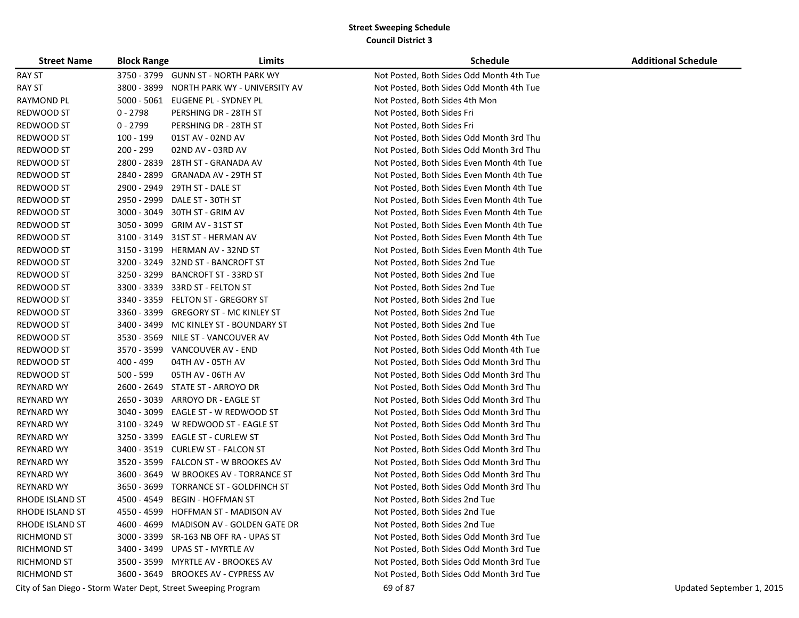| <b>Street Name</b> | <b>Block Range</b> | Limits                                                        | <b>Schedule</b>                           | <b>Additional Schedule</b> |
|--------------------|--------------------|---------------------------------------------------------------|-------------------------------------------|----------------------------|
| <b>RAY ST</b>      |                    | 3750 - 3799 GUNN ST - NORTH PARK WY                           | Not Posted, Both Sides Odd Month 4th Tue  |                            |
| <b>RAY ST</b>      | 3800 - 3899        | NORTH PARK WY - UNIVERSITY AV                                 | Not Posted, Both Sides Odd Month 4th Tue  |                            |
| <b>RAYMOND PL</b>  | $5000 - 5061$      | EUGENE PL - SYDNEY PL                                         | Not Posted, Both Sides 4th Mon            |                            |
| REDWOOD ST         | $0 - 2798$         | PERSHING DR - 28TH ST                                         | Not Posted, Both Sides Fri                |                            |
| REDWOOD ST         | $0 - 2799$         | PERSHING DR - 28TH ST                                         | Not Posted, Both Sides Fri                |                            |
| REDWOOD ST         | 100 - 199          | 01ST AV - 02ND AV                                             | Not Posted, Both Sides Odd Month 3rd Thu  |                            |
| REDWOOD ST         | 200 - 299          | 02ND AV - 03RD AV                                             | Not Posted, Both Sides Odd Month 3rd Thu  |                            |
| REDWOOD ST         | 2800 - 2839        | 28TH ST - GRANADA AV                                          | Not Posted, Both Sides Even Month 4th Tue |                            |
| REDWOOD ST         | 2840 - 2899        | GRANADA AV - 29TH ST                                          | Not Posted, Both Sides Even Month 4th Tue |                            |
| REDWOOD ST         | 2900 - 2949        | 29TH ST - DALE ST                                             | Not Posted, Both Sides Even Month 4th Tue |                            |
| REDWOOD ST         | 2950 - 2999        | DALE ST - 30TH ST                                             | Not Posted, Both Sides Even Month 4th Tue |                            |
| REDWOOD ST         | 3000 - 3049        | 30TH ST - GRIM AV                                             | Not Posted, Both Sides Even Month 4th Tue |                            |
| REDWOOD ST         | 3050 - 3099        | GRIM AV - 31ST ST                                             | Not Posted, Both Sides Even Month 4th Tue |                            |
| REDWOOD ST         | 3100 - 3149        | 31ST ST - HERMAN AV                                           | Not Posted, Both Sides Even Month 4th Tue |                            |
| REDWOOD ST         | 3150 - 3199        | HERMAN AV - 32ND ST                                           | Not Posted, Both Sides Even Month 4th Tue |                            |
| REDWOOD ST         | 3200 - 3249        | 32ND ST - BANCROFT ST                                         | Not Posted, Both Sides 2nd Tue            |                            |
| REDWOOD ST         | 3250 - 3299        | <b>BANCROFT ST - 33RD ST</b>                                  | Not Posted, Both Sides 2nd Tue            |                            |
| REDWOOD ST         | 3300 - 3339        | 33RD ST - FELTON ST                                           | Not Posted, Both Sides 2nd Tue            |                            |
| REDWOOD ST         | 3340 - 3359        | FELTON ST - GREGORY ST                                        | Not Posted, Both Sides 2nd Tue            |                            |
| REDWOOD ST         | 3360 - 3399        | <b>GREGORY ST - MC KINLEY ST</b>                              | Not Posted, Both Sides 2nd Tue            |                            |
| REDWOOD ST         | 3400 - 3499        | MC KINLEY ST - BOUNDARY ST                                    | Not Posted, Both Sides 2nd Tue            |                            |
| REDWOOD ST         | 3530 - 3569        | NILE ST - VANCOUVER AV                                        | Not Posted, Both Sides Odd Month 4th Tue  |                            |
| REDWOOD ST         |                    | 3570 - 3599 VANCOUVER AV - END                                | Not Posted, Both Sides Odd Month 4th Tue  |                            |
| REDWOOD ST         | 400 - 499          | 04TH AV - 05TH AV                                             | Not Posted, Both Sides Odd Month 3rd Thu  |                            |
| REDWOOD ST         | 500 - 599          | 05TH AV - 06TH AV                                             | Not Posted, Both Sides Odd Month 3rd Thu  |                            |
| <b>REYNARD WY</b>  | 2600 - 2649        | STATE ST - ARROYO DR                                          | Not Posted, Both Sides Odd Month 3rd Thu  |                            |
| <b>REYNARD WY</b>  | 2650 - 3039        | ARROYO DR - EAGLE ST                                          | Not Posted, Both Sides Odd Month 3rd Thu  |                            |
| <b>REYNARD WY</b>  | 3040 - 3099        | EAGLE ST - W REDWOOD ST                                       | Not Posted, Both Sides Odd Month 3rd Thu  |                            |
| REYNARD WY         | 3100 - 3249        | W REDWOOD ST - EAGLE ST                                       | Not Posted, Both Sides Odd Month 3rd Thu  |                            |
| REYNARD WY         | 3250 - 3399        | <b>EAGLE ST - CURLEW ST</b>                                   | Not Posted, Both Sides Odd Month 3rd Thu  |                            |
| REYNARD WY         | 3400 - 3519        | <b>CURLEW ST - FALCON ST</b>                                  | Not Posted, Both Sides Odd Month 3rd Thu  |                            |
| REYNARD WY         | 3520 - 3599        | <b>FALCON ST - W BROOKES AV</b>                               | Not Posted, Both Sides Odd Month 3rd Thu  |                            |
| <b>REYNARD WY</b>  |                    | 3600 - 3649 W BROOKES AV - TORRANCE ST                        | Not Posted, Both Sides Odd Month 3rd Thu  |                            |
| REYNARD WY         | 3650 - 3699        | TORRANCE ST - GOLDFINCH ST                                    | Not Posted, Both Sides Odd Month 3rd Thu  |                            |
| RHODE ISLAND ST    | 4500 - 4549        | <b>BEGIN - HOFFMAN ST</b>                                     | Not Posted, Both Sides 2nd Tue            |                            |
| RHODE ISLAND ST    |                    | 4550 - 4599 HOFFMAN ST - MADISON AV                           | Not Posted, Both Sides 2nd Tue            |                            |
| RHODE ISLAND ST    |                    | 4600 - 4699 MADISON AV - GOLDEN GATE DR                       | Not Posted, Both Sides 2nd Tue            |                            |
| <b>RICHMOND ST</b> |                    | 3000 - 3399 SR-163 NB OFF RA - UPAS ST                        | Not Posted, Both Sides Odd Month 3rd Tue  |                            |
| <b>RICHMOND ST</b> |                    | 3400 - 3499 UPAS ST - MYRTLE AV                               | Not Posted, Both Sides Odd Month 3rd Tue  |                            |
| <b>RICHMOND ST</b> |                    | 3500 - 3599 MYRTLE AV - BROOKES AV                            | Not Posted, Both Sides Odd Month 3rd Tue  |                            |
| <b>RICHMOND ST</b> |                    | 3600 - 3649 BROOKES AV - CYPRESS AV                           | Not Posted, Both Sides Odd Month 3rd Tue  |                            |
|                    |                    | City of San Diego - Storm Water Dept, Street Sweeping Program | 69 of 87                                  | Updated September 1, 2015  |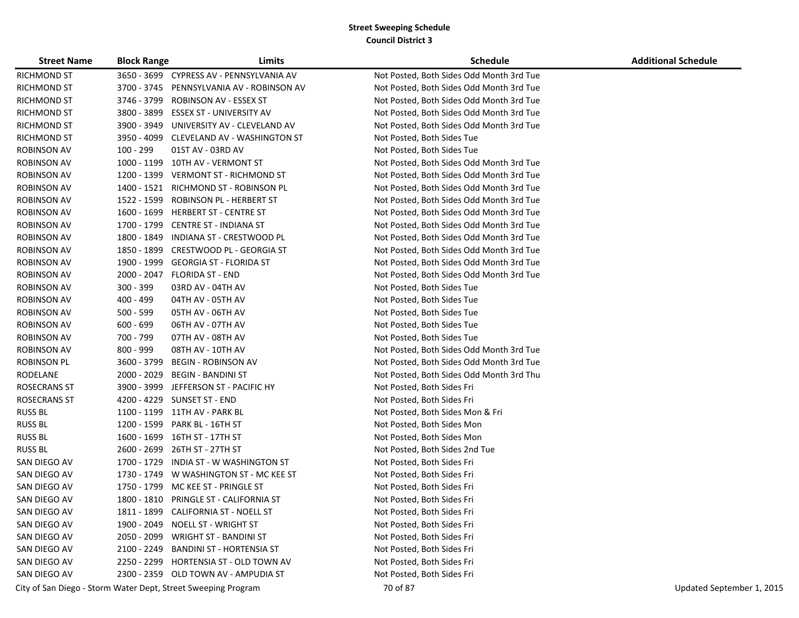| <b>Street Name</b>  | <b>Block Range</b> | Limits                                                        | <b>Schedule</b>                          | <b>Additional Schedule</b> |
|---------------------|--------------------|---------------------------------------------------------------|------------------------------------------|----------------------------|
| <b>RICHMOND ST</b>  |                    | 3650 - 3699 CYPRESS AV - PENNSYLVANIA AV                      | Not Posted, Both Sides Odd Month 3rd Tue |                            |
| <b>RICHMOND ST</b>  | 3700 - 3745        | PENNSYLVANIA AV - ROBINSON AV                                 | Not Posted, Both Sides Odd Month 3rd Tue |                            |
| RICHMOND ST         | 3746 - 3799        | ROBINSON AV - ESSEX ST                                        | Not Posted, Both Sides Odd Month 3rd Tue |                            |
| <b>RICHMOND ST</b>  | 3800 - 3899        | ESSEX ST - UNIVERSITY AV                                      | Not Posted, Both Sides Odd Month 3rd Tue |                            |
| <b>RICHMOND ST</b>  |                    | 3900 - 3949 UNIVERSITY AV - CLEVELAND AV                      | Not Posted, Both Sides Odd Month 3rd Tue |                            |
| RICHMOND ST         |                    | 3950 - 4099 CLEVELAND AV - WASHINGTON ST                      | Not Posted, Both Sides Tue               |                            |
| <b>ROBINSON AV</b>  | 100 - 299          | 01ST AV - 03RD AV                                             | Not Posted, Both Sides Tue               |                            |
| <b>ROBINSON AV</b>  |                    | 1000 - 1199 10TH AV - VERMONT ST                              | Not Posted, Both Sides Odd Month 3rd Tue |                            |
| ROBINSON AV         |                    | 1200 - 1399 VERMONT ST - RICHMOND ST                          | Not Posted, Both Sides Odd Month 3rd Tue |                            |
| <b>ROBINSON AV</b>  |                    | 1400 - 1521 RICHMOND ST - ROBINSON PL                         | Not Posted, Both Sides Odd Month 3rd Tue |                            |
| <b>ROBINSON AV</b>  | 1522 - 1599        | ROBINSON PL - HERBERT ST                                      | Not Posted, Both Sides Odd Month 3rd Tue |                            |
| <b>ROBINSON AV</b>  | 1600 - 1699        | <b>HERBERT ST - CENTRE ST</b>                                 | Not Posted, Both Sides Odd Month 3rd Tue |                            |
| <b>ROBINSON AV</b>  |                    | 1700 - 1799 CENTRE ST - INDIANA ST                            | Not Posted, Both Sides Odd Month 3rd Tue |                            |
| ROBINSON AV         | 1800 - 1849        | INDIANA ST - CRESTWOOD PL                                     | Not Posted, Both Sides Odd Month 3rd Tue |                            |
| <b>ROBINSON AV</b>  | 1850 - 1899        | CRESTWOOD PL - GEORGIA ST                                     | Not Posted, Both Sides Odd Month 3rd Tue |                            |
| <b>ROBINSON AV</b>  | 1900 - 1999        | <b>GEORGIA ST - FLORIDA ST</b>                                | Not Posted, Both Sides Odd Month 3rd Tue |                            |
| <b>ROBINSON AV</b>  | 2000 - 2047        | <b>FLORIDA ST - END</b>                                       | Not Posted, Both Sides Odd Month 3rd Tue |                            |
| <b>ROBINSON AV</b>  | 300 - 399          | 03RD AV - 04TH AV                                             | Not Posted, Both Sides Tue               |                            |
| <b>ROBINSON AV</b>  | 400 - 499          | 04TH AV - 05TH AV                                             | Not Posted, Both Sides Tue               |                            |
| <b>ROBINSON AV</b>  | $500 - 599$        | 05TH AV - 06TH AV                                             | Not Posted, Both Sides Tue               |                            |
| <b>ROBINSON AV</b>  | $600 - 699$        | 06TH AV - 07TH AV                                             | Not Posted, Both Sides Tue               |                            |
| <b>ROBINSON AV</b>  | 700 - 799          | 07TH AV - 08TH AV                                             | Not Posted, Both Sides Tue               |                            |
| <b>ROBINSON AV</b>  | $800 - 999$        | 08TH AV - 10TH AV                                             | Not Posted, Both Sides Odd Month 3rd Tue |                            |
| ROBINSON PL         | 3600 - 3799        | <b>BEGIN - ROBINSON AV</b>                                    | Not Posted, Both Sides Odd Month 3rd Tue |                            |
| RODELANE            | 2000 - 2029        | <b>BEGIN - BANDINI ST</b>                                     | Not Posted, Both Sides Odd Month 3rd Thu |                            |
| <b>ROSECRANS ST</b> | 3900 - 3999        | JEFFERSON ST - PACIFIC HY                                     | Not Posted, Both Sides Fri               |                            |
| <b>ROSECRANS ST</b> |                    | 4200 - 4229 SUNSET ST - END                                   | Not Posted, Both Sides Fri               |                            |
| <b>RUSS BL</b>      |                    | 1100 - 1199 11TH AV - PARK BL                                 | Not Posted, Both Sides Mon & Fri         |                            |
| <b>RUSS BL</b>      |                    | 1200 - 1599 PARK BL - 16TH ST                                 | Not Posted, Both Sides Mon               |                            |
| <b>RUSS BL</b>      |                    | 1600 - 1699 16TH ST - 17TH ST                                 | Not Posted, Both Sides Mon               |                            |
| <b>RUSS BL</b>      |                    | 2600 - 2699 26TH ST - 27TH ST                                 | Not Posted, Both Sides 2nd Tue           |                            |
| SAN DIEGO AV        | 1700 - 1729        | INDIA ST - W WASHINGTON ST                                    | Not Posted, Both Sides Fri               |                            |
| SAN DIEGO AV        |                    | 1730 - 1749 W WASHINGTON ST - MC KEE ST                       | Not Posted, Both Sides Fri               |                            |
| SAN DIEGO AV        |                    | 1750 - 1799 MC KEE ST - PRINGLE ST                            | Not Posted, Both Sides Fri               |                            |
| SAN DIEGO AV        |                    | 1800 - 1810 PRINGLE ST - CALIFORNIA ST                        | Not Posted, Both Sides Fri               |                            |
| SAN DIEGO AV        |                    | 1811 - 1899 CALIFORNIA ST - NOELL ST                          | Not Posted, Both Sides Fri               |                            |
| SAN DIEGO AV        |                    | 1900 - 2049 NOELL ST - WRIGHT ST                              | Not Posted, Both Sides Fri               |                            |
| SAN DIEGO AV        |                    | 2050 - 2099 WRIGHT ST - BANDINI ST                            | Not Posted, Both Sides Fri               |                            |
| SAN DIEGO AV        |                    | 2100 - 2249 BANDINI ST - HORTENSIA ST                         | Not Posted, Both Sides Fri               |                            |
| SAN DIEGO AV        |                    | 2250 - 2299 HORTENSIA ST - OLD TOWN AV                        | Not Posted, Both Sides Fri               |                            |
| SAN DIEGO AV        |                    | 2300 - 2359 OLD TOWN AV - AMPUDIA ST                          | Not Posted, Both Sides Fri               |                            |
|                     |                    | City of San Diego - Storm Water Dept, Street Sweeping Program | 70 of 87                                 | Updated September 1, 2015  |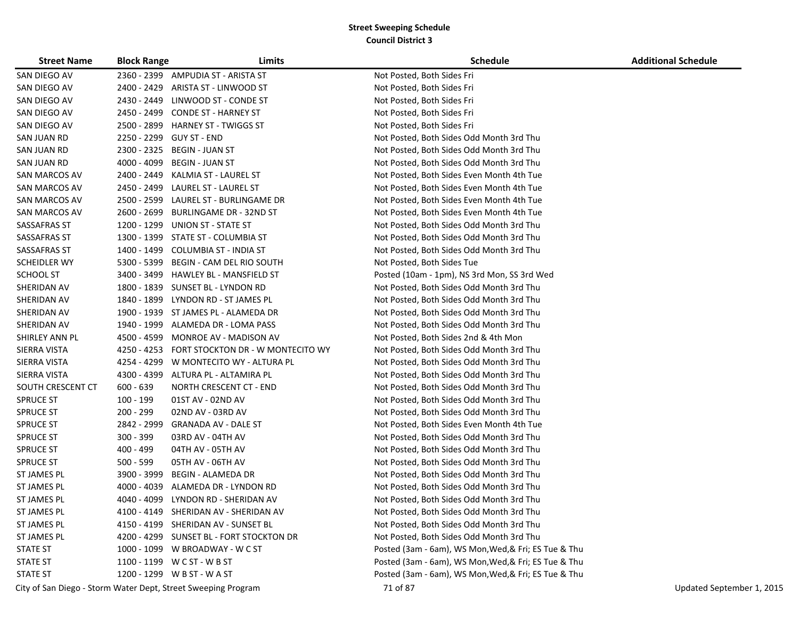| <b>Street Name</b>  | <b>Block Range</b> | Limits                                                        | <b>Schedule</b>                                      | <b>Additional Schedule</b> |
|---------------------|--------------------|---------------------------------------------------------------|------------------------------------------------------|----------------------------|
| SAN DIEGO AV        |                    | 2360 - 2399 AMPUDIA ST - ARISTA ST                            | Not Posted, Both Sides Fri                           |                            |
| SAN DIEGO AV        | 2400 - 2429        | ARISTA ST - LINWOOD ST                                        | Not Posted, Both Sides Fri                           |                            |
| SAN DIEGO AV        | 2430 - 2449        | LINWOOD ST - CONDE ST                                         | Not Posted, Both Sides Fri                           |                            |
| SAN DIEGO AV        |                    | 2450 - 2499 CONDE ST - HARNEY ST                              | Not Posted, Both Sides Fri                           |                            |
| SAN DIEGO AV        |                    | 2500 - 2899 HARNEY ST - TWIGGS ST                             | Not Posted, Both Sides Fri                           |                            |
| SAN JUAN RD         |                    | 2250 - 2299 GUY ST - END                                      | Not Posted, Both Sides Odd Month 3rd Thu             |                            |
| SAN JUAN RD         | 2300 - 2325        | BEGIN - JUAN ST                                               | Not Posted, Both Sides Odd Month 3rd Thu             |                            |
| SAN JUAN RD         | 4000 - 4099        | <b>BEGIN - JUAN ST</b>                                        | Not Posted, Both Sides Odd Month 3rd Thu             |                            |
| SAN MARCOS AV       |                    | 2400 - 2449 KALMIA ST - LAUREL ST                             | Not Posted, Both Sides Even Month 4th Tue            |                            |
| SAN MARCOS AV       | 2450 - 2499        | LAUREL ST - LAUREL ST                                         | Not Posted, Both Sides Even Month 4th Tue            |                            |
| SAN MARCOS AV       | 2500 - 2599        | LAUREL ST - BURLINGAME DR                                     | Not Posted, Both Sides Even Month 4th Tue            |                            |
| SAN MARCOS AV       | 2600 - 2699        | BURLINGAME DR - 32ND ST                                       | Not Posted, Both Sides Even Month 4th Tue            |                            |
| SASSAFRAS ST        |                    | 1200 - 1299 UNION ST - STATE ST                               | Not Posted, Both Sides Odd Month 3rd Thu             |                            |
| SASSAFRAS ST        |                    | 1300 - 1399 STATE ST - COLUMBIA ST                            | Not Posted, Both Sides Odd Month 3rd Thu             |                            |
| SASSAFRAS ST        | 1400 - 1499        | <b>COLUMBIA ST - INDIA ST</b>                                 | Not Posted, Both Sides Odd Month 3rd Thu             |                            |
| <b>SCHEIDLER WY</b> | 5300 - 5399        | BEGIN - CAM DEL RIO SOUTH                                     | Not Posted, Both Sides Tue                           |                            |
| <b>SCHOOL ST</b>    | 3400 - 3499        | <b>HAWLEY BL - MANSFIELD ST</b>                               | Posted (10am - 1pm), NS 3rd Mon, SS 3rd Wed          |                            |
| SHERIDAN AV         | 1800 - 1839        | SUNSET BL - LYNDON RD                                         | Not Posted, Both Sides Odd Month 3rd Thu             |                            |
| SHERIDAN AV         |                    | 1840 - 1899 LYNDON RD - ST JAMES PL                           | Not Posted, Both Sides Odd Month 3rd Thu             |                            |
| SHERIDAN AV         |                    | 1900 - 1939 ST JAMES PL - ALAMEDA DR                          | Not Posted, Both Sides Odd Month 3rd Thu             |                            |
| SHERIDAN AV         |                    | 1940 - 1999 ALAMEDA DR - LOMA PASS                            | Not Posted, Both Sides Odd Month 3rd Thu             |                            |
| SHIRLEY ANN PL      |                    | 4500 - 4599 MONROE AV - MADISON AV                            | Not Posted, Both Sides 2nd & 4th Mon                 |                            |
| SIERRA VISTA        |                    | 4250 - 4253 FORT STOCKTON DR - W MONTECITO WY                 | Not Posted, Both Sides Odd Month 3rd Thu             |                            |
| SIERRA VISTA        |                    | 4254 - 4299 W MONTECITO WY - ALTURA PL                        | Not Posted, Both Sides Odd Month 3rd Thu             |                            |
| SIERRA VISTA        |                    | 4300 - 4399 ALTURA PL - ALTAMIRA PL                           | Not Posted, Both Sides Odd Month 3rd Thu             |                            |
| SOUTH CRESCENT CT   | $600 - 639$        | NORTH CRESCENT CT - END                                       | Not Posted, Both Sides Odd Month 3rd Thu             |                            |
| <b>SPRUCE ST</b>    | 100 - 199          | 01ST AV - 02ND AV                                             | Not Posted, Both Sides Odd Month 3rd Thu             |                            |
| <b>SPRUCE ST</b>    | 200 - 299          | 02ND AV - 03RD AV                                             | Not Posted, Both Sides Odd Month 3rd Thu             |                            |
| <b>SPRUCE ST</b>    | 2842 - 2999        | GRANADA AV - DALE ST                                          | Not Posted, Both Sides Even Month 4th Tue            |                            |
| <b>SPRUCE ST</b>    | $300 - 399$        | 03RD AV - 04TH AV                                             | Not Posted, Both Sides Odd Month 3rd Thu             |                            |
| <b>SPRUCE ST</b>    | 400 - 499          | 04TH AV - 05TH AV                                             | Not Posted, Both Sides Odd Month 3rd Thu             |                            |
| <b>SPRUCE ST</b>    | 500 - 599          | 05TH AV - 06TH AV                                             | Not Posted, Both Sides Odd Month 3rd Thu             |                            |
| ST JAMES PL         | 3900 - 3999        | <b>BEGIN - ALAMEDA DR</b>                                     | Not Posted, Both Sides Odd Month 3rd Thu             |                            |
| ST JAMES PL         | 4000 - 4039        | ALAMEDA DR - LYNDON RD                                        | Not Posted, Both Sides Odd Month 3rd Thu             |                            |
| ST JAMES PL         | 4040 - 4099        | LYNDON RD - SHERIDAN AV                                       | Not Posted, Both Sides Odd Month 3rd Thu             |                            |
| ST JAMES PL         |                    | 4100 - 4149 SHERIDAN AV - SHERIDAN AV                         | Not Posted, Both Sides Odd Month 3rd Thu             |                            |
| ST JAMES PL         |                    | 4150 - 4199 SHERIDAN AV - SUNSET BL                           | Not Posted, Both Sides Odd Month 3rd Thu             |                            |
| ST JAMES PL         |                    | 4200 - 4299 SUNSET BL - FORT STOCKTON DR                      | Not Posted, Both Sides Odd Month 3rd Thu             |                            |
| <b>STATE ST</b>     |                    | 1000 - 1099 W BROADWAY - W C ST                               | Posted (3am - 6am), WS Mon, Wed, & Fri; ES Tue & Thu |                            |
| <b>STATE ST</b>     |                    | 1100 - 1199 W C ST - W B ST                                   | Posted (3am - 6am), WS Mon, Wed, & Fri; ES Tue & Thu |                            |
| <b>STATE ST</b>     |                    | 1200 - 1299 W B ST - W A ST                                   | Posted (3am - 6am), WS Mon, Wed, & Fri; ES Tue & Thu |                            |
|                     |                    | City of San Diego - Storm Water Dept, Street Sweeping Program | 71 of 87                                             | Updated September 1, 2015  |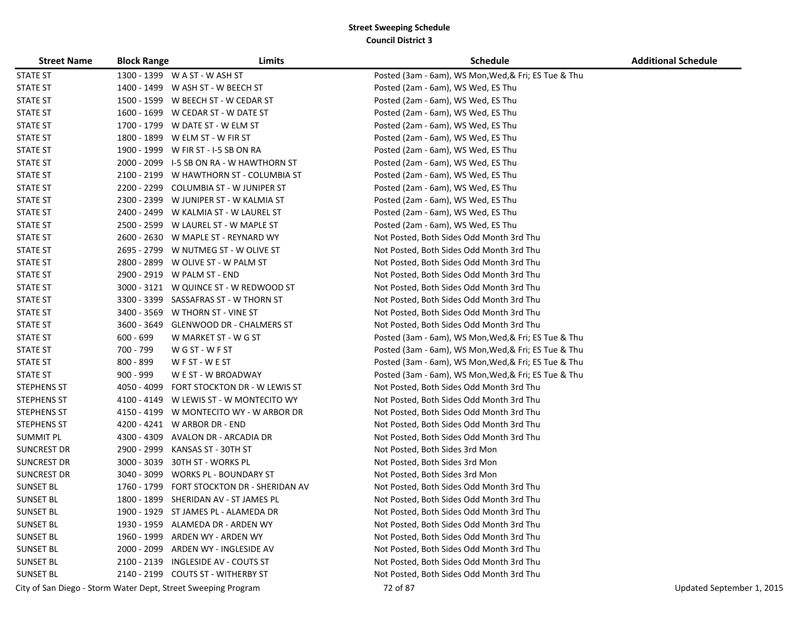| <b>Street Name</b> | <b>Block Range</b> | Limits                                                        | <b>Schedule</b>                                      | <b>Additional Schedule</b> |
|--------------------|--------------------|---------------------------------------------------------------|------------------------------------------------------|----------------------------|
| <b>STATE ST</b>    |                    | 1300 - 1399 W A ST - W ASH ST                                 | Posted (3am - 6am), WS Mon, Wed, & Fri; ES Tue & Thu |                            |
| <b>STATE ST</b>    |                    | 1400 - 1499 W ASH ST - W BEECH ST                             | Posted (2am - 6am), WS Wed, ES Thu                   |                            |
| <b>STATE ST</b>    |                    | 1500 - 1599 W BEECH ST - W CEDAR ST                           | Posted (2am - 6am), WS Wed, ES Thu                   |                            |
| <b>STATE ST</b>    |                    | 1600 - 1699 W CEDAR ST - W DATE ST                            | Posted (2am - 6am), WS Wed, ES Thu                   |                            |
| <b>STATE ST</b>    |                    | 1700 - 1799 W DATE ST - W ELM ST                              | Posted (2am - 6am), WS Wed, ES Thu                   |                            |
| <b>STATE ST</b>    |                    | 1800 - 1899 W ELM ST - W FIR ST                               | Posted (2am - 6am), WS Wed, ES Thu                   |                            |
| <b>STATE ST</b>    |                    | 1900 - 1999 W FIR ST - I-5 SB ON RA                           | Posted (2am - 6am), WS Wed, ES Thu                   |                            |
| <b>STATE ST</b>    |                    | 2000 - 2099 I-5 SB ON RA - W HAWTHORN ST                      | Posted (2am - 6am), WS Wed, ES Thu                   |                            |
| <b>STATE ST</b>    |                    | 2100 - 2199 W HAWTHORN ST - COLUMBIA ST                       | Posted (2am - 6am), WS Wed, ES Thu                   |                            |
| <b>STATE ST</b>    |                    | 2200 - 2299 COLUMBIA ST - W JUNIPER ST                        | Posted (2am - 6am), WS Wed, ES Thu                   |                            |
| <b>STATE ST</b>    |                    | 2300 - 2399 W JUNIPER ST - W KALMIA ST                        | Posted (2am - 6am), WS Wed, ES Thu                   |                            |
| <b>STATE ST</b>    |                    | 2400 - 2499 W KALMIA ST - W LAUREL ST                         | Posted (2am - 6am), WS Wed, ES Thu                   |                            |
| <b>STATE ST</b>    |                    | 2500 - 2599 W LAUREL ST - W MAPLE ST                          | Posted (2am - 6am), WS Wed, ES Thu                   |                            |
| <b>STATE ST</b>    |                    | 2600 - 2630 W MAPLE ST - REYNARD WY                           | Not Posted, Both Sides Odd Month 3rd Thu             |                            |
| <b>STATE ST</b>    |                    | 2695 - 2799 W NUTMEG ST - W OLIVE ST                          | Not Posted, Both Sides Odd Month 3rd Thu             |                            |
| <b>STATE ST</b>    |                    | 2800 - 2899 W OLIVE ST - W PALM ST                            | Not Posted, Both Sides Odd Month 3rd Thu             |                            |
| <b>STATE ST</b>    |                    | 2900 - 2919 W PALM ST - END                                   | Not Posted, Both Sides Odd Month 3rd Thu             |                            |
| <b>STATE ST</b>    | $3000 - 3121$      | W QUINCE ST - W REDWOOD ST                                    | Not Posted, Both Sides Odd Month 3rd Thu             |                            |
| <b>STATE ST</b>    |                    | 3300 - 3399 SASSAFRAS ST - W THORN ST                         | Not Posted, Both Sides Odd Month 3rd Thu             |                            |
| <b>STATE ST</b>    |                    | 3400 - 3569 W THORN ST - VINE ST                              | Not Posted, Both Sides Odd Month 3rd Thu             |                            |
| <b>STATE ST</b>    |                    | 3600 - 3649 GLENWOOD DR - CHALMERS ST                         | Not Posted, Both Sides Odd Month 3rd Thu             |                            |
| <b>STATE ST</b>    | $600 - 699$        | W MARKET ST - W G ST                                          | Posted (3am - 6am), WS Mon, Wed, & Fri; ES Tue & Thu |                            |
| <b>STATE ST</b>    | 700 - 799          | WG ST - WF ST                                                 | Posted (3am - 6am), WS Mon, Wed, & Fri; ES Tue & Thu |                            |
| <b>STATE ST</b>    | 800 - 899          | W F ST - W E ST                                               | Posted (3am - 6am), WS Mon, Wed, & Fri; ES Tue & Thu |                            |
| <b>STATE ST</b>    | $900 - 999$        | W E ST - W BROADWAY                                           | Posted (3am - 6am), WS Mon, Wed, & Fri; ES Tue & Thu |                            |
| <b>STEPHENS ST</b> |                    | 4050 - 4099 FORT STOCKTON DR - W LEWIS ST                     | Not Posted, Both Sides Odd Month 3rd Thu             |                            |
| <b>STEPHENS ST</b> |                    | 4100 - 4149 W LEWIS ST - W MONTECITO WY                       | Not Posted, Both Sides Odd Month 3rd Thu             |                            |
| <b>STEPHENS ST</b> |                    | 4150 - 4199 W MONTECITO WY - W ARBOR DR                       | Not Posted, Both Sides Odd Month 3rd Thu             |                            |
| <b>STEPHENS ST</b> |                    | 4200 - 4241 W ARBOR DR - END                                  | Not Posted, Both Sides Odd Month 3rd Thu             |                            |
| <b>SUMMIT PL</b>   |                    | 4300 - 4309 AVALON DR - ARCADIA DR                            | Not Posted, Both Sides Odd Month 3rd Thu             |                            |
| <b>SUNCREST DR</b> | 2900 - 2999        | KANSAS ST - 30TH ST                                           | Not Posted, Both Sides 3rd Mon                       |                            |
| <b>SUNCREST DR</b> |                    | 3000 - 3039 30TH ST - WORKS PL                                | Not Posted, Both Sides 3rd Mon                       |                            |
| <b>SUNCREST DR</b> |                    | 3040 - 3099 WORKS PL - BOUNDARY ST                            | Not Posted, Both Sides 3rd Mon                       |                            |
| <b>SUNSET BL</b>   |                    | 1760 - 1799 FORT STOCKTON DR - SHERIDAN AV                    | Not Posted, Both Sides Odd Month 3rd Thu             |                            |
| <b>SUNSET BL</b>   |                    | 1800 - 1899 SHERIDAN AV - ST JAMES PL                         | Not Posted, Both Sides Odd Month 3rd Thu             |                            |
| <b>SUNSET BL</b>   |                    | 1900 - 1929 ST JAMES PL - ALAMEDA DR                          | Not Posted, Both Sides Odd Month 3rd Thu             |                            |
| <b>SUNSET BL</b>   |                    | 1930 - 1959 ALAMEDA DR - ARDEN WY                             | Not Posted, Both Sides Odd Month 3rd Thu             |                            |
| <b>SUNSET BL</b>   |                    | 1960 - 1999 ARDEN WY - ARDEN WY                               | Not Posted, Both Sides Odd Month 3rd Thu             |                            |
| <b>SUNSET BL</b>   |                    | 2000 - 2099 ARDEN WY - INGLESIDE AV                           | Not Posted, Both Sides Odd Month 3rd Thu             |                            |
| <b>SUNSET BL</b>   |                    | 2100 - 2139 INGLESIDE AV - COUTS ST                           | Not Posted, Both Sides Odd Month 3rd Thu             |                            |
| <b>SUNSET BL</b>   |                    | 2140 - 2199 COUTS ST - WITHERBY ST                            | Not Posted, Both Sides Odd Month 3rd Thu             |                            |
|                    |                    | City of San Diego - Storm Water Dept, Street Sweeping Program | 72 of 87                                             | Updated September 1, 2015  |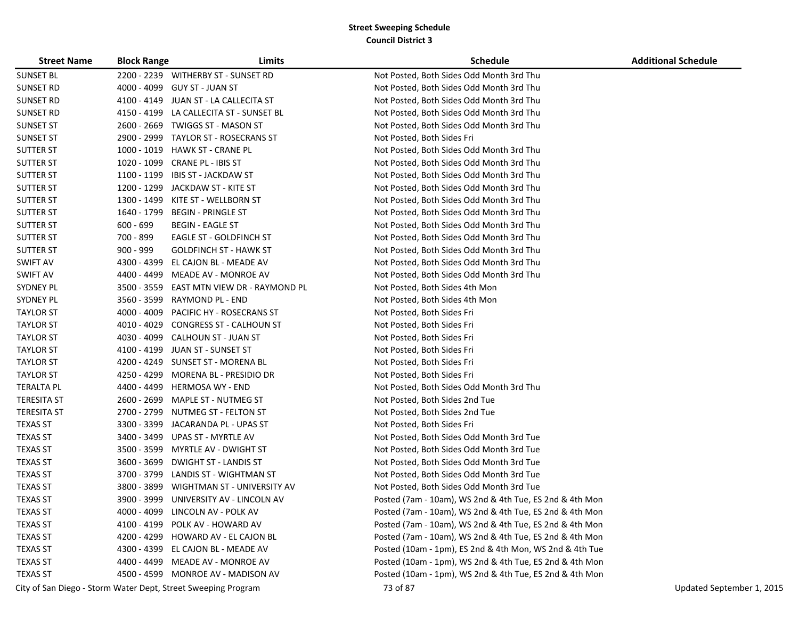| <b>Street Name</b> | <b>Block Range</b> | Limits                                                        | <b>Schedule</b>                                         | <b>Additional Schedule</b> |
|--------------------|--------------------|---------------------------------------------------------------|---------------------------------------------------------|----------------------------|
| <b>SUNSET BL</b>   |                    | 2200 - 2239 WITHERBY ST - SUNSET RD                           | Not Posted, Both Sides Odd Month 3rd Thu                |                            |
| SUNSET RD          | 4000 - 4099        | GUY ST - JUAN ST                                              | Not Posted, Both Sides Odd Month 3rd Thu                |                            |
| SUNSET RD          | 4100 - 4149        | JUAN ST - LA CALLECITA ST                                     | Not Posted, Both Sides Odd Month 3rd Thu                |                            |
| SUNSET RD          | 4150 - 4199        | LA CALLECITA ST - SUNSET BL                                   | Not Posted, Both Sides Odd Month 3rd Thu                |                            |
| <b>SUNSET ST</b>   | 2600 - 2669        | TWIGGS ST - MASON ST                                          | Not Posted, Both Sides Odd Month 3rd Thu                |                            |
| <b>SUNSET ST</b>   | 2900 - 2999        | TAYLOR ST - ROSECRANS ST                                      | Not Posted, Both Sides Fri                              |                            |
| <b>SUTTER ST</b>   | 1000 - 1019        | HAWK ST - CRANE PL                                            | Not Posted, Both Sides Odd Month 3rd Thu                |                            |
| <b>SUTTER ST</b>   | 1020 - 1099        | <b>CRANE PL - IBIS ST</b>                                     | Not Posted, Both Sides Odd Month 3rd Thu                |                            |
| <b>SUTTER ST</b>   | 1100 - 1199        | <b>IBIS ST - JACKDAW ST</b>                                   | Not Posted, Both Sides Odd Month 3rd Thu                |                            |
| <b>SUTTER ST</b>   | 1200 - 1299        | JACKDAW ST - KITE ST                                          | Not Posted, Both Sides Odd Month 3rd Thu                |                            |
| <b>SUTTER ST</b>   | 1300 - 1499        | KITE ST - WELLBORN ST                                         | Not Posted, Both Sides Odd Month 3rd Thu                |                            |
| <b>SUTTER ST</b>   | 1640 - 1799        | <b>BEGIN - PRINGLE ST</b>                                     | Not Posted, Both Sides Odd Month 3rd Thu                |                            |
| <b>SUTTER ST</b>   | $600 - 699$        | <b>BEGIN - EAGLE ST</b>                                       | Not Posted, Both Sides Odd Month 3rd Thu                |                            |
| <b>SUTTER ST</b>   | 700 - 899          | EAGLE ST - GOLDFINCH ST                                       | Not Posted, Both Sides Odd Month 3rd Thu                |                            |
| <b>SUTTER ST</b>   | $900 - 999$        | <b>GOLDFINCH ST - HAWK ST</b>                                 | Not Posted, Both Sides Odd Month 3rd Thu                |                            |
| <b>SWIFT AV</b>    | 4300 - 4399        | EL CAJON BL - MEADE AV                                        | Not Posted, Both Sides Odd Month 3rd Thu                |                            |
| <b>SWIFT AV</b>    | 4400 - 4499        | MEADE AV - MONROE AV                                          | Not Posted, Both Sides Odd Month 3rd Thu                |                            |
| <b>SYDNEY PL</b>   | 3500 - 3559        | EAST MTN VIEW DR - RAYMOND PL                                 | Not Posted, Both Sides 4th Mon                          |                            |
| <b>SYDNEY PL</b>   | 3560 - 3599        | RAYMOND PL - END                                              | Not Posted, Both Sides 4th Mon                          |                            |
| <b>TAYLOR ST</b>   | 4000 - 4009        | PACIFIC HY - ROSECRANS ST                                     | Not Posted, Both Sides Fri                              |                            |
| <b>TAYLOR ST</b>   | 4010 - 4029        | <b>CONGRESS ST - CALHOUN ST</b>                               | Not Posted, Both Sides Fri                              |                            |
| <b>TAYLOR ST</b>   | 4030 - 4099        | CALHOUN ST - JUAN ST                                          | Not Posted, Both Sides Fri                              |                            |
| <b>TAYLOR ST</b>   | 4100 - 4199        | JUAN ST - SUNSET ST                                           | Not Posted, Both Sides Fri                              |                            |
| <b>TAYLOR ST</b>   | 4200 - 4249        | SUNSET ST - MORENA BL                                         | Not Posted, Both Sides Fri                              |                            |
| <b>TAYLOR ST</b>   | 4250 - 4299        | MORENA BL - PRESIDIO DR                                       | Not Posted, Both Sides Fri                              |                            |
| <b>TERALTA PL</b>  | 4400 - 4499        | <b>HERMOSA WY - END</b>                                       | Not Posted, Both Sides Odd Month 3rd Thu                |                            |
| <b>TERESITA ST</b> | 2600 - 2699        | MAPLE ST - NUTMEG ST                                          | Not Posted, Both Sides 2nd Tue                          |                            |
| <b>TERESITA ST</b> | 2700 - 2799        | NUTMEG ST - FELTON ST                                         | Not Posted, Both Sides 2nd Tue                          |                            |
| <b>TEXAS ST</b>    | 3300 - 3399        | JACARANDA PL - UPAS ST                                        | Not Posted, Both Sides Fri                              |                            |
| <b>TEXAS ST</b>    | 3400 - 3499        | UPAS ST - MYRTLE AV                                           | Not Posted, Both Sides Odd Month 3rd Tue                |                            |
| <b>TEXAS ST</b>    | 3500 - 3599        | MYRTLE AV - DWIGHT ST                                         | Not Posted, Both Sides Odd Month 3rd Tue                |                            |
| <b>TEXAS ST</b>    | 3600 - 3699        | <b>DWIGHT ST - LANDIS ST</b>                                  | Not Posted, Both Sides Odd Month 3rd Tue                |                            |
| <b>TEXAS ST</b>    | 3700 - 3799        | LANDIS ST - WIGHTMAN ST                                       | Not Posted, Both Sides Odd Month 3rd Tue                |                            |
| <b>TEXAS ST</b>    | 3800 - 3899        | WIGHTMAN ST - UNIVERSITY AV                                   | Not Posted, Both Sides Odd Month 3rd Tue                |                            |
| <b>TEXAS ST</b>    | 3900 - 3999        | UNIVERSITY AV - LINCOLN AV                                    | Posted (7am - 10am), WS 2nd & 4th Tue, ES 2nd & 4th Mon |                            |
| <b>TEXAS ST</b>    |                    | 4000 - 4099 LINCOLN AV - POLK AV                              | Posted (7am - 10am), WS 2nd & 4th Tue, ES 2nd & 4th Mon |                            |
| <b>TEXAS ST</b>    | 4100 - 4199        | POLK AV - HOWARD AV                                           | Posted (7am - 10am), WS 2nd & 4th Tue, ES 2nd & 4th Mon |                            |
| <b>TEXAS ST</b>    |                    | 4200 - 4299 HOWARD AV - EL CAJON BL                           | Posted (7am - 10am), WS 2nd & 4th Tue, ES 2nd & 4th Mon |                            |
| <b>TEXAS ST</b>    |                    | 4300 - 4399 EL CAJON BL - MEADE AV                            | Posted (10am - 1pm), ES 2nd & 4th Mon, WS 2nd & 4th Tue |                            |
| <b>TEXAS ST</b>    |                    | 4400 - 4499 MEADE AV - MONROE AV                              | Posted (10am - 1pm), WS 2nd & 4th Tue, ES 2nd & 4th Mon |                            |
| <b>TEXAS ST</b>    |                    | 4500 - 4599 MONROE AV - MADISON AV                            | Posted (10am - 1pm), WS 2nd & 4th Tue, ES 2nd & 4th Mon |                            |
|                    |                    | City of San Diego - Storm Water Dept, Street Sweeping Program | 73 of 87                                                | Updated September 1, 2015  |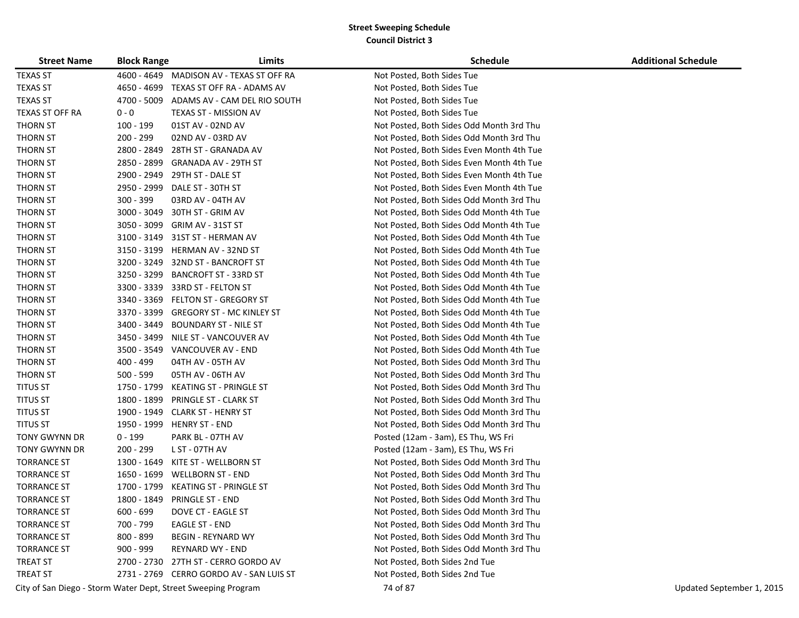| <b>Street Name</b> | <b>Block Range</b> | Limits                                                        | <b>Schedule</b>                           | <b>Additional Schedule</b> |
|--------------------|--------------------|---------------------------------------------------------------|-------------------------------------------|----------------------------|
| <b>TEXAS ST</b>    | 4600 - 4649        | MADISON AV - TEXAS ST OFF RA                                  | Not Posted, Both Sides Tue                |                            |
| <b>TEXAS ST</b>    | 4650 - 4699        | TEXAS ST OFF RA - ADAMS AV                                    | Not Posted, Both Sides Tue                |                            |
| <b>TEXAS ST</b>    | 4700 - 5009        | ADAMS AV - CAM DEL RIO SOUTH                                  | Not Posted, Both Sides Tue                |                            |
| TEXAS ST OFF RA    | $0 - 0$            | TEXAS ST - MISSION AV                                         | Not Posted, Both Sides Tue                |                            |
| <b>THORN ST</b>    | 100 - 199          | 01ST AV - 02ND AV                                             | Not Posted, Both Sides Odd Month 3rd Thu  |                            |
| <b>THORN ST</b>    | 200 - 299          | 02ND AV - 03RD AV                                             | Not Posted, Both Sides Odd Month 3rd Thu  |                            |
| <b>THORN ST</b>    | 2800 - 2849        | 28TH ST - GRANADA AV                                          | Not Posted, Both Sides Even Month 4th Tue |                            |
| <b>THORN ST</b>    | 2850 - 2899        | GRANADA AV - 29TH ST                                          | Not Posted, Both Sides Even Month 4th Tue |                            |
| <b>THORN ST</b>    | 2900 - 2949        | 29TH ST - DALE ST                                             | Not Posted, Both Sides Even Month 4th Tue |                            |
| <b>THORN ST</b>    | 2950 - 2999        | DALE ST - 30TH ST                                             | Not Posted, Both Sides Even Month 4th Tue |                            |
| <b>THORN ST</b>    | $300 - 399$        | 03RD AV - 04TH AV                                             | Not Posted, Both Sides Odd Month 3rd Thu  |                            |
| <b>THORN ST</b>    | 3000 - 3049        | 30TH ST - GRIM AV                                             | Not Posted, Both Sides Odd Month 4th Tue  |                            |
| <b>THORN ST</b>    | 3050 - 3099        | GRIM AV - 31ST ST                                             | Not Posted, Both Sides Odd Month 4th Tue  |                            |
| <b>THORN ST</b>    | 3100 - 3149        | 31ST ST - HERMAN AV                                           | Not Posted, Both Sides Odd Month 4th Tue  |                            |
| <b>THORN ST</b>    | 3150 - 3199        | HERMAN AV - 32ND ST                                           | Not Posted, Both Sides Odd Month 4th Tue  |                            |
| <b>THORN ST</b>    | 3200 - 3249        | 32ND ST - BANCROFT ST                                         | Not Posted, Both Sides Odd Month 4th Tue  |                            |
| <b>THORN ST</b>    | 3250 - 3299        | BANCROFT ST - 33RD ST                                         | Not Posted, Both Sides Odd Month 4th Tue  |                            |
| <b>THORN ST</b>    | 3300 - 3339        | 33RD ST - FELTON ST                                           | Not Posted, Both Sides Odd Month 4th Tue  |                            |
| <b>THORN ST</b>    | 3340 - 3369        | <b>FELTON ST - GREGORY ST</b>                                 | Not Posted, Both Sides Odd Month 4th Tue  |                            |
| <b>THORN ST</b>    | 3370 - 3399        | <b>GREGORY ST - MC KINLEY ST</b>                              | Not Posted, Both Sides Odd Month 4th Tue  |                            |
| <b>THORN ST</b>    | 3400 - 3449        | <b>BOUNDARY ST - NILE ST</b>                                  | Not Posted, Both Sides Odd Month 4th Tue  |                            |
| <b>THORN ST</b>    | 3450 - 3499        | NILE ST - VANCOUVER AV                                        | Not Posted, Both Sides Odd Month 4th Tue  |                            |
| <b>THORN ST</b>    | 3500 - 3549        | VANCOUVER AV - END                                            | Not Posted, Both Sides Odd Month 4th Tue  |                            |
| <b>THORN ST</b>    | 400 - 499          | 04TH AV - 05TH AV                                             | Not Posted, Both Sides Odd Month 3rd Thu  |                            |
| <b>THORN ST</b>    | 500 - 599          | 05TH AV - 06TH AV                                             | Not Posted, Both Sides Odd Month 3rd Thu  |                            |
| <b>TITUS ST</b>    | 1750 - 1799        | KEATING ST - PRINGLE ST                                       | Not Posted, Both Sides Odd Month 3rd Thu  |                            |
| <b>TITUS ST</b>    | 1800 - 1899        | PRINGLE ST - CLARK ST                                         | Not Posted, Both Sides Odd Month 3rd Thu  |                            |
| <b>TITUS ST</b>    | 1900 - 1949        | CLARK ST - HENRY ST                                           | Not Posted, Both Sides Odd Month 3rd Thu  |                            |
| <b>TITUS ST</b>    | 1950 - 1999        | <b>HENRY ST - END</b>                                         | Not Posted, Both Sides Odd Month 3rd Thu  |                            |
| TONY GWYNN DR      | $0 - 199$          | PARK BL - 07TH AV                                             | Posted (12am - 3am), ES Thu, WS Fri       |                            |
| TONY GWYNN DR      | 200 - 299          | L ST - 07TH AV                                                | Posted (12am - 3am), ES Thu, WS Fri       |                            |
| <b>TORRANCE ST</b> | 1300 - 1649        | KITE ST - WELLBORN ST                                         | Not Posted, Both Sides Odd Month 3rd Thu  |                            |
| <b>TORRANCE ST</b> | 1650 - 1699        | <b>WELLBORN ST - END</b>                                      | Not Posted, Both Sides Odd Month 3rd Thu  |                            |
| <b>TORRANCE ST</b> | 1700 - 1799        | <b>KEATING ST - PRINGLE ST</b>                                | Not Posted, Both Sides Odd Month 3rd Thu  |                            |
| <b>TORRANCE ST</b> | 1800 - 1849        | <b>PRINGLE ST - END</b>                                       | Not Posted, Both Sides Odd Month 3rd Thu  |                            |
| <b>TORRANCE ST</b> | $600 - 699$        | DOVE CT - EAGLE ST                                            | Not Posted, Both Sides Odd Month 3rd Thu  |                            |
| <b>TORRANCE ST</b> | 700 - 799          | <b>EAGLE ST - END</b>                                         | Not Posted, Both Sides Odd Month 3rd Thu  |                            |
| <b>TORRANCE ST</b> | 800 - 899          | <b>BEGIN - REYNARD WY</b>                                     | Not Posted, Both Sides Odd Month 3rd Thu  |                            |
| <b>TORRANCE ST</b> | $900 - 999$        | REYNARD WY - END                                              | Not Posted, Both Sides Odd Month 3rd Thu  |                            |
| <b>TREAT ST</b>    |                    | 2700 - 2730 27TH ST - CERRO GORDO AV                          | Not Posted, Both Sides 2nd Tue            |                            |
| <b>TREAT ST</b>    |                    | 2731 - 2769 CERRO GORDO AV - SAN LUIS ST                      | Not Posted, Both Sides 2nd Tue            |                            |
|                    |                    | City of San Diego - Storm Water Dept, Street Sweeping Program | 74 of 87                                  | Updated September 1, 2015  |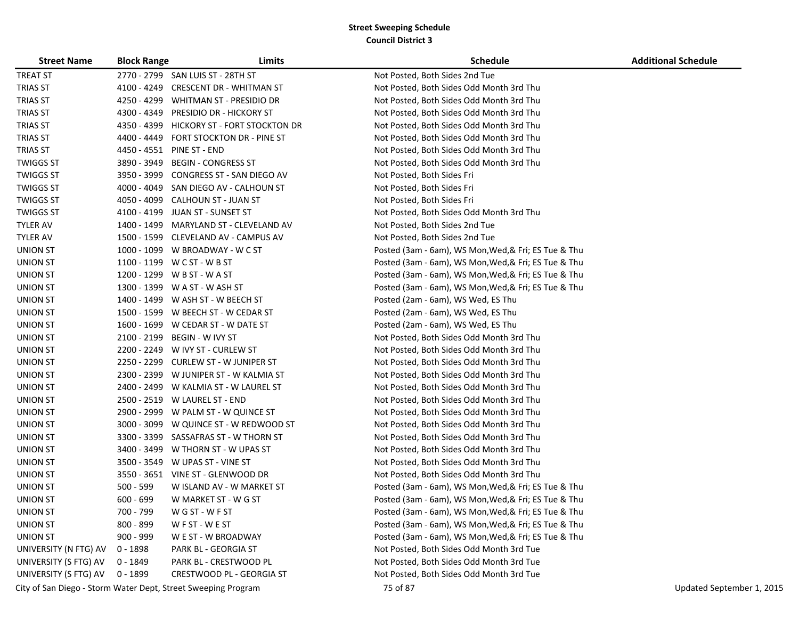| <b>Street Name</b>                                            | <b>Block Range</b> | Limits                                 | <b>Schedule</b>                                      | <b>Additional Schedule</b> |
|---------------------------------------------------------------|--------------------|----------------------------------------|------------------------------------------------------|----------------------------|
| <b>TREAT ST</b>                                               |                    | 2770 - 2799 SAN LUIS ST - 28TH ST      | Not Posted, Both Sides 2nd Tue                       |                            |
| <b>TRIAS ST</b>                                               | 4100 - 4249        | <b>CRESCENT DR - WHITMAN ST</b>        | Not Posted, Both Sides Odd Month 3rd Thu             |                            |
| <b>TRIAS ST</b>                                               | 4250 - 4299        | WHITMAN ST - PRESIDIO DR               | Not Posted, Both Sides Odd Month 3rd Thu             |                            |
| <b>TRIAS ST</b>                                               | 4300 - 4349        | PRESIDIO DR - HICKORY ST               | Not Posted, Both Sides Odd Month 3rd Thu             |                            |
| <b>TRIAS ST</b>                                               | 4350 - 4399        | HICKORY ST - FORT STOCKTON DR          | Not Posted, Both Sides Odd Month 3rd Thu             |                            |
| <b>TRIAS ST</b>                                               | 4400 - 4449        | FORT STOCKTON DR - PINE ST             | Not Posted, Both Sides Odd Month 3rd Thu             |                            |
| TRIAS ST                                                      |                    | 4450 - 4551 PINE ST - END              | Not Posted, Both Sides Odd Month 3rd Thu             |                            |
| <b>TWIGGS ST</b>                                              | 3890 - 3949        | <b>BEGIN - CONGRESS ST</b>             | Not Posted, Both Sides Odd Month 3rd Thu             |                            |
| <b>TWIGGS ST</b>                                              | 3950 - 3999        | CONGRESS ST - SAN DIEGO AV             | Not Posted, Both Sides Fri                           |                            |
| <b>TWIGGS ST</b>                                              |                    | 4000 - 4049 SAN DIEGO AV - CALHOUN ST  | Not Posted, Both Sides Fri                           |                            |
| <b>TWIGGS ST</b>                                              |                    | 4050 - 4099 CALHOUN ST - JUAN ST       | Not Posted, Both Sides Fri                           |                            |
| <b>TWIGGS ST</b>                                              | 4100 - 4199        | JUAN ST - SUNSET ST                    | Not Posted, Both Sides Odd Month 3rd Thu             |                            |
| <b>TYLER AV</b>                                               | 1400 - 1499        | MARYLAND ST - CLEVELAND AV             | Not Posted, Both Sides 2nd Tue                       |                            |
| <b>TYLER AV</b>                                               |                    | 1500 - 1599 CLEVELAND AV - CAMPUS AV   | Not Posted, Both Sides 2nd Tue                       |                            |
| <b>UNION ST</b>                                               |                    | 1000 - 1099 W BROADWAY - W C ST        | Posted (3am - 6am), WS Mon, Wed, & Fri; ES Tue & Thu |                            |
| <b>UNION ST</b>                                               |                    | 1100 - 1199 W C ST - W B ST            | Posted (3am - 6am), WS Mon, Wed, & Fri; ES Tue & Thu |                            |
| <b>UNION ST</b>                                               |                    | 1200 - 1299 W B ST - W A ST            | Posted (3am - 6am), WS Mon, Wed, & Fri; ES Tue & Thu |                            |
| <b>UNION ST</b>                                               |                    | 1300 - 1399 W A ST - W ASH ST          | Posted (3am - 6am), WS Mon, Wed, & Fri; ES Tue & Thu |                            |
| <b>UNION ST</b>                                               |                    | 1400 - 1499 W ASH ST - W BEECH ST      | Posted (2am - 6am), WS Wed, ES Thu                   |                            |
| <b>UNION ST</b>                                               |                    | 1500 - 1599 W BEECH ST - W CEDAR ST    | Posted (2am - 6am), WS Wed, ES Thu                   |                            |
| <b>UNION ST</b>                                               |                    | 1600 - 1699 W CEDAR ST - W DATE ST     | Posted (2am - 6am), WS Wed, ES Thu                   |                            |
| <b>UNION ST</b>                                               | 2100 - 2199        | BEGIN - W IVY ST                       | Not Posted, Both Sides Odd Month 3rd Thu             |                            |
| <b>UNION ST</b>                                               |                    | 2200 - 2249 W IVY ST - CURLEW ST       | Not Posted, Both Sides Odd Month 3rd Thu             |                            |
| <b>UNION ST</b>                                               |                    | 2250 - 2299 CURLEW ST - W JUNIPER ST   | Not Posted, Both Sides Odd Month 3rd Thu             |                            |
| <b>UNION ST</b>                                               |                    | 2300 - 2399 W JUNIPER ST - W KALMIA ST | Not Posted, Both Sides Odd Month 3rd Thu             |                            |
| <b>UNION ST</b>                                               |                    | 2400 - 2499 W KALMIA ST - W LAUREL ST  | Not Posted, Both Sides Odd Month 3rd Thu             |                            |
| <b>UNION ST</b>                                               |                    | 2500 - 2519 W LAUREL ST - END          | Not Posted, Both Sides Odd Month 3rd Thu             |                            |
| UNION ST                                                      |                    | 2900 - 2999 W PALM ST - W QUINCE ST    | Not Posted, Both Sides Odd Month 3rd Thu             |                            |
| <b>UNION ST</b>                                               | 3000 - 3099        | W QUINCE ST - W REDWOOD ST             | Not Posted, Both Sides Odd Month 3rd Thu             |                            |
| <b>UNION ST</b>                                               | 3300 - 3399        | SASSAFRAS ST - W THORN ST              | Not Posted, Both Sides Odd Month 3rd Thu             |                            |
| <b>UNION ST</b>                                               |                    | 3400 - 3499 W THORN ST - W UPAS ST     | Not Posted, Both Sides Odd Month 3rd Thu             |                            |
| <b>UNION ST</b>                                               |                    | 3500 - 3549 W UPAS ST - VINE ST        | Not Posted, Both Sides Odd Month 3rd Thu             |                            |
| <b>UNION ST</b>                                               |                    | 3550 - 3651 VINE ST - GLENWOOD DR      | Not Posted, Both Sides Odd Month 3rd Thu             |                            |
| <b>UNION ST</b>                                               | $500 - 599$        | W ISLAND AV - W MARKET ST              | Posted (3am - 6am), WS Mon, Wed, & Fri; ES Tue & Thu |                            |
| <b>UNION ST</b>                                               | $600 - 699$        | W MARKET ST - W G ST                   | Posted (3am - 6am), WS Mon, Wed, & Fri; ES Tue & Thu |                            |
| <b>UNION ST</b>                                               | 700 - 799          | WG ST - WF ST                          | Posted (3am - 6am), WS Mon, Wed, & Fri; ES Tue & Thu |                            |
| <b>UNION ST</b>                                               | 800 - 899          | WFST-WEST                              | Posted (3am - 6am), WS Mon, Wed, & Fri; ES Tue & Thu |                            |
| <b>UNION ST</b>                                               | $900 - 999$        | W E ST - W BROADWAY                    | Posted (3am - 6am), WS Mon, Wed, & Fri; ES Tue & Thu |                            |
| UNIVERSITY (N FTG) AV                                         | 0 - 1898           | PARK BL - GEORGIA ST                   | Not Posted, Both Sides Odd Month 3rd Tue             |                            |
| UNIVERSITY (S FTG) AV                                         | 0 - 1849           | PARK BL - CRESTWOOD PL                 | Not Posted, Both Sides Odd Month 3rd Tue             |                            |
| UNIVERSITY (S FTG) AV                                         | 0 - 1899           | CRESTWOOD PL - GEORGIA ST              | Not Posted, Both Sides Odd Month 3rd Tue             |                            |
| City of San Diego - Storm Water Dept, Street Sweeping Program |                    |                                        | 75 of 87                                             | Updated September 1, 2015  |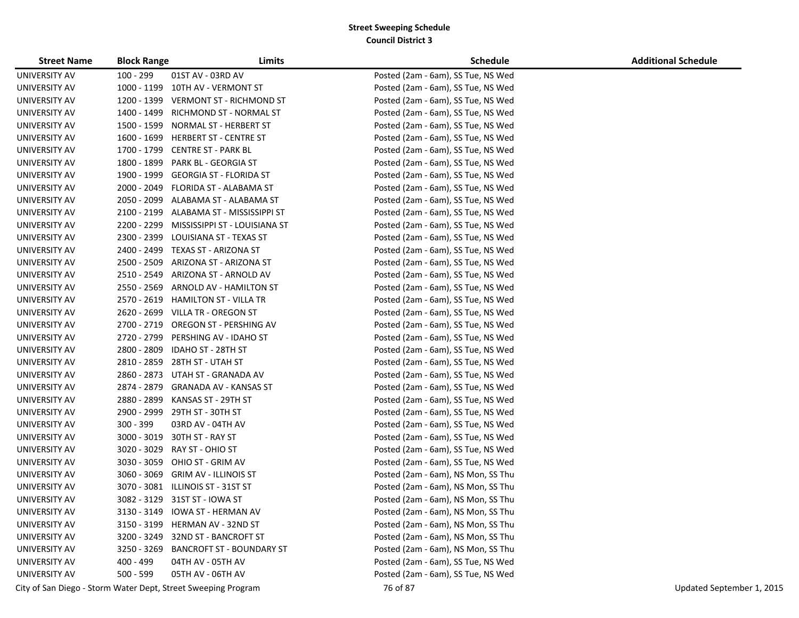| <b>Street Name</b> | <b>Block Range</b> | Limits                                                        | <b>Schedule</b>                    | <b>Additional Schedule</b> |
|--------------------|--------------------|---------------------------------------------------------------|------------------------------------|----------------------------|
| UNIVERSITY AV      | $100 - 299$        | 01ST AV - 03RD AV                                             | Posted (2am - 6am), SS Tue, NS Wed |                            |
| UNIVERSITY AV      |                    | 1000 - 1199 10TH AV - VERMONT ST                              | Posted (2am - 6am), SS Tue, NS Wed |                            |
| UNIVERSITY AV      |                    | 1200 - 1399 VERMONT ST - RICHMOND ST                          | Posted (2am - 6am), SS Tue, NS Wed |                            |
| UNIVERSITY AV      |                    | 1400 - 1499 RICHMOND ST - NORMAL ST                           | Posted (2am - 6am), SS Tue, NS Wed |                            |
| UNIVERSITY AV      |                    | 1500 - 1599 NORMAL ST - HERBERT ST                            | Posted (2am - 6am), SS Tue, NS Wed |                            |
| UNIVERSITY AV      |                    | 1600 - 1699 HERBERT ST - CENTRE ST                            | Posted (2am - 6am), SS Tue, NS Wed |                            |
| UNIVERSITY AV      |                    | 1700 - 1799 CENTRE ST - PARK BL                               | Posted (2am - 6am), SS Tue, NS Wed |                            |
| UNIVERSITY AV      |                    | 1800 - 1899 PARK BL - GEORGIA ST                              | Posted (2am - 6am), SS Tue, NS Wed |                            |
| UNIVERSITY AV      |                    | 1900 - 1999 GEORGIA ST - FLORIDA ST                           | Posted (2am - 6am), SS Tue, NS Wed |                            |
| UNIVERSITY AV      |                    | 2000 - 2049 FLORIDA ST - ALABAMA ST                           | Posted (2am - 6am), SS Tue, NS Wed |                            |
| UNIVERSITY AV      |                    | 2050 - 2099 ALABAMA ST - ALABAMA ST                           | Posted (2am - 6am), SS Tue, NS Wed |                            |
| UNIVERSITY AV      |                    | 2100 - 2199 ALABAMA ST - MISSISSIPPI ST                       | Posted (2am - 6am), SS Tue, NS Wed |                            |
| UNIVERSITY AV      |                    | 2200 - 2299 MISSISSIPPI ST - LOUISIANA ST                     | Posted (2am - 6am), SS Tue, NS Wed |                            |
| UNIVERSITY AV      |                    | 2300 - 2399 LOUISIANA ST - TEXAS ST                           | Posted (2am - 6am), SS Tue, NS Wed |                            |
| UNIVERSITY AV      |                    | 2400 - 2499 TEXAS ST - ARIZONA ST                             | Posted (2am - 6am), SS Tue, NS Wed |                            |
| UNIVERSITY AV      | 2500 - 2509        | ARIZONA ST - ARIZONA ST                                       | Posted (2am - 6am), SS Tue, NS Wed |                            |
| UNIVERSITY AV      |                    | 2510 - 2549 ARIZONA ST - ARNOLD AV                            | Posted (2am - 6am), SS Tue, NS Wed |                            |
| UNIVERSITY AV      |                    | 2550 - 2569 ARNOLD AV - HAMILTON ST                           | Posted (2am - 6am), SS Tue, NS Wed |                            |
| UNIVERSITY AV      |                    | 2570 - 2619 HAMILTON ST - VILLA TR                            | Posted (2am - 6am), SS Tue, NS Wed |                            |
| UNIVERSITY AV      |                    | 2620 - 2699 VILLA TR - OREGON ST                              | Posted (2am - 6am), SS Tue, NS Wed |                            |
| UNIVERSITY AV      |                    | 2700 - 2719 OREGON ST - PERSHING AV                           | Posted (2am - 6am), SS Tue, NS Wed |                            |
| UNIVERSITY AV      |                    | 2720 - 2799 PERSHING AV - IDAHO ST                            | Posted (2am - 6am), SS Tue, NS Wed |                            |
| UNIVERSITY AV      | 2800 - 2809        | IDAHO ST - 28TH ST                                            | Posted (2am - 6am), SS Tue, NS Wed |                            |
| UNIVERSITY AV      |                    | 2810 - 2859 28TH ST - UTAH ST                                 | Posted (2am - 6am), SS Tue, NS Wed |                            |
| UNIVERSITY AV      |                    | 2860 - 2873 UTAH ST - GRANADA AV                              | Posted (2am - 6am), SS Tue, NS Wed |                            |
| UNIVERSITY AV      |                    | 2874 - 2879 GRANADA AV - KANSAS ST                            | Posted (2am - 6am), SS Tue, NS Wed |                            |
| UNIVERSITY AV      |                    | 2880 - 2899 KANSAS ST - 29TH ST                               | Posted (2am - 6am), SS Tue, NS Wed |                            |
| UNIVERSITY AV      |                    | 2900 - 2999 29TH ST - 30TH ST                                 | Posted (2am - 6am), SS Tue, NS Wed |                            |
| UNIVERSITY AV      | 300 - 399          | 03RD AV - 04TH AV                                             | Posted (2am - 6am), SS Tue, NS Wed |                            |
| UNIVERSITY AV      |                    | 3000 - 3019 30TH ST - RAY ST                                  | Posted (2am - 6am), SS Tue, NS Wed |                            |
| UNIVERSITY AV      | 3020 - 3029        | RAY ST - OHIO ST                                              | Posted (2am - 6am), SS Tue, NS Wed |                            |
| UNIVERSITY AV      | 3030 - 3059        | OHIO ST - GRIM AV                                             | Posted (2am - 6am), SS Tue, NS Wed |                            |
| UNIVERSITY AV      | $3060 - 3069$      | <b>GRIM AV - ILLINOIS ST</b>                                  | Posted (2am - 6am), NS Mon, SS Thu |                            |
| UNIVERSITY AV      | 3070 - 3081        | ILLINOIS ST - 31ST ST                                         | Posted (2am - 6am), NS Mon, SS Thu |                            |
| UNIVERSITY AV      |                    | 3082 - 3129 31ST ST - IOWA ST                                 | Posted (2am - 6am), NS Mon, SS Thu |                            |
| UNIVERSITY AV      |                    | 3130 - 3149 IOWA ST - HERMAN AV                               | Posted (2am - 6am), NS Mon, SS Thu |                            |
| UNIVERSITY AV      |                    | 3150 - 3199 HERMAN AV - 32ND ST                               | Posted (2am - 6am), NS Mon, SS Thu |                            |
| UNIVERSITY AV      |                    | 3200 - 3249 32ND ST - BANCROFT ST                             | Posted (2am - 6am), NS Mon, SS Thu |                            |
| UNIVERSITY AV      |                    | 3250 - 3269 BANCROFT ST - BOUNDARY ST                         | Posted (2am - 6am), NS Mon, SS Thu |                            |
| UNIVERSITY AV      | 400 - 499          | 04TH AV - 05TH AV                                             | Posted (2am - 6am), SS Tue, NS Wed |                            |
| UNIVERSITY AV      | 500 - 599          | 05TH AV - 06TH AV                                             | Posted (2am - 6am), SS Tue, NS Wed |                            |
|                    |                    | City of San Diego - Storm Water Dept, Street Sweeping Program | 76 of 87                           | Updated September 1, 2015  |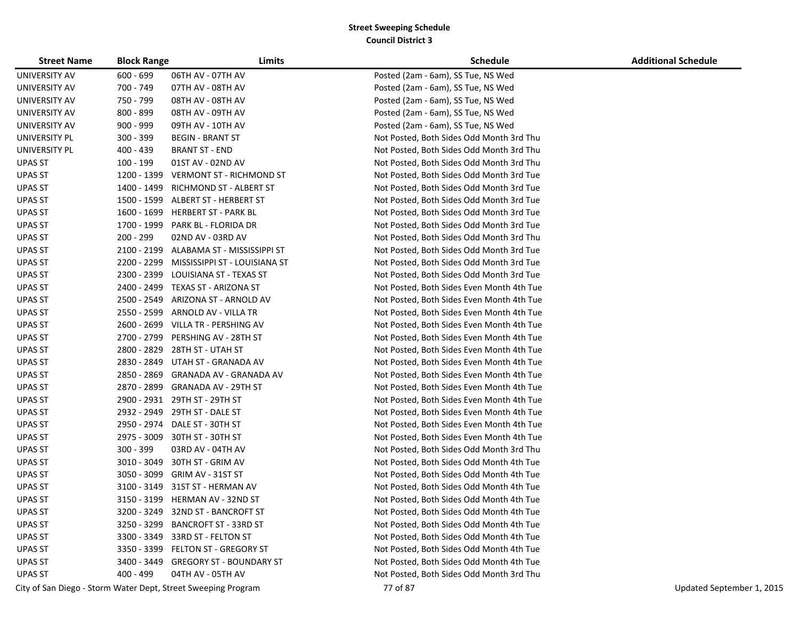| <b>Street Name</b> | <b>Block Range</b> | Limits                                                        | <b>Schedule</b>                           | <b>Additional Schedule</b> |
|--------------------|--------------------|---------------------------------------------------------------|-------------------------------------------|----------------------------|
| UNIVERSITY AV      | $600 - 699$        | 06TH AV - 07TH AV                                             | Posted (2am - 6am), SS Tue, NS Wed        |                            |
| UNIVERSITY AV      | 700 - 749          | 07TH AV - 08TH AV                                             | Posted (2am - 6am), SS Tue, NS Wed        |                            |
| UNIVERSITY AV      | 750 - 799          | 08TH AV - 08TH AV                                             | Posted (2am - 6am), SS Tue, NS Wed        |                            |
| UNIVERSITY AV      | 800 - 899          | 08TH AV - 09TH AV                                             | Posted (2am - 6am), SS Tue, NS Wed        |                            |
| UNIVERSITY AV      | $900 - 999$        | 09TH AV - 10TH AV                                             | Posted (2am - 6am), SS Tue, NS Wed        |                            |
| UNIVERSITY PL      | 300 - 399          | <b>BEGIN - BRANT ST</b>                                       | Not Posted, Both Sides Odd Month 3rd Thu  |                            |
| UNIVERSITY PL      | 400 - 439          | <b>BRANT ST - END</b>                                         | Not Posted, Both Sides Odd Month 3rd Thu  |                            |
| <b>UPAS ST</b>     | 100 - 199          | 01ST AV - 02ND AV                                             | Not Posted, Both Sides Odd Month 3rd Thu  |                            |
| <b>UPAS ST</b>     | 1200 - 1399        | VERMONT ST - RICHMOND ST                                      | Not Posted, Both Sides Odd Month 3rd Tue  |                            |
| <b>UPAS ST</b>     | 1400 - 1499        | RICHMOND ST - ALBERT ST                                       | Not Posted, Both Sides Odd Month 3rd Tue  |                            |
| <b>UPAS ST</b>     |                    | 1500 - 1599 ALBERT ST - HERBERT ST                            | Not Posted, Both Sides Odd Month 3rd Tue  |                            |
| <b>UPAS ST</b>     |                    | 1600 - 1699 HERBERT ST - PARK BL                              | Not Posted, Both Sides Odd Month 3rd Tue  |                            |
| <b>UPAS ST</b>     | 1700 - 1999        | PARK BL - FLORIDA DR                                          | Not Posted, Both Sides Odd Month 3rd Tue  |                            |
| <b>UPAS ST</b>     | 200 - 299          | 02ND AV - 03RD AV                                             | Not Posted, Both Sides Odd Month 3rd Thu  |                            |
| <b>UPAS ST</b>     |                    | 2100 - 2199 ALABAMA ST - MISSISSIPPI ST                       | Not Posted, Both Sides Odd Month 3rd Tue  |                            |
| <b>UPAS ST</b>     | 2200 - 2299        | MISSISSIPPI ST - LOUISIANA ST                                 | Not Posted, Both Sides Odd Month 3rd Tue  |                            |
| <b>UPAS ST</b>     | 2300 - 2399        | LOUISIANA ST - TEXAS ST                                       | Not Posted, Both Sides Odd Month 3rd Tue  |                            |
| UPAS ST            |                    | 2400 - 2499 TEXAS ST - ARIZONA ST                             | Not Posted, Both Sides Even Month 4th Tue |                            |
| <b>UPAS ST</b>     |                    | 2500 - 2549 ARIZONA ST - ARNOLD AV                            | Not Posted, Both Sides Even Month 4th Tue |                            |
| UPAS ST            | 2550 - 2599        | ARNOLD AV - VILLA TR                                          | Not Posted, Both Sides Even Month 4th Tue |                            |
| UPAS ST            |                    | 2600 - 2699 VILLA TR - PERSHING AV                            | Not Posted, Both Sides Even Month 4th Tue |                            |
| UPAS ST            |                    | 2700 - 2799 PERSHING AV - 28TH ST                             | Not Posted, Both Sides Even Month 4th Tue |                            |
| UPAS ST            | 2800 - 2829        | 28TH ST - UTAH ST                                             | Not Posted, Both Sides Even Month 4th Tue |                            |
| UPAS ST            | 2830 - 2849        | UTAH ST - GRANADA AV                                          | Not Posted, Both Sides Even Month 4th Tue |                            |
| <b>UPAS ST</b>     | 2850 - 2869        | GRANADA AV - GRANADA AV                                       | Not Posted, Both Sides Even Month 4th Tue |                            |
| <b>UPAS ST</b>     |                    | 2870 - 2899 GRANADA AV - 29TH ST                              | Not Posted, Both Sides Even Month 4th Tue |                            |
| <b>UPAS ST</b>     |                    | 2900 - 2931 29TH ST - 29TH ST                                 | Not Posted, Both Sides Even Month 4th Tue |                            |
| UPAS ST            |                    | 2932 - 2949 29TH ST - DALE ST                                 | Not Posted, Both Sides Even Month 4th Tue |                            |
| <b>UPAS ST</b>     |                    | 2950 - 2974 DALE ST - 30TH ST                                 | Not Posted, Both Sides Even Month 4th Tue |                            |
| <b>UPAS ST</b>     | 2975 - 3009        | 30TH ST - 30TH ST                                             | Not Posted, Both Sides Even Month 4th Tue |                            |
| UPAS ST            | 300 - 399          | 03RD AV - 04TH AV                                             | Not Posted, Both Sides Odd Month 3rd Thu  |                            |
| UPAS ST            | 3010 - 3049        | 30TH ST - GRIM AV                                             | Not Posted, Both Sides Odd Month 4th Tue  |                            |
| UPAS ST            | 3050 - 3099        | GRIM AV - 31ST ST                                             | Not Posted, Both Sides Odd Month 4th Tue  |                            |
| <b>UPAS ST</b>     |                    | 3100 - 3149 31ST ST - HERMAN AV                               | Not Posted, Both Sides Odd Month 4th Tue  |                            |
| <b>UPAS ST</b>     |                    | 3150 - 3199 HERMAN AV - 32ND ST                               | Not Posted, Both Sides Odd Month 4th Tue  |                            |
| <b>UPAS ST</b>     |                    | 3200 - 3249 32ND ST - BANCROFT ST                             | Not Posted, Both Sides Odd Month 4th Tue  |                            |
| <b>UPAS ST</b>     |                    | 3250 - 3299 BANCROFT ST - 33RD ST                             | Not Posted, Both Sides Odd Month 4th Tue  |                            |
| <b>UPAS ST</b>     |                    | 3300 - 3349 33RD ST - FELTON ST                               | Not Posted, Both Sides Odd Month 4th Tue  |                            |
| <b>UPAS ST</b>     |                    | 3350 - 3399 FELTON ST - GREGORY ST                            | Not Posted, Both Sides Odd Month 4th Tue  |                            |
| <b>UPAS ST</b>     |                    | 3400 - 3449 GREGORY ST - BOUNDARY ST                          | Not Posted, Both Sides Odd Month 4th Tue  |                            |
| <b>UPAS ST</b>     | 400 - 499          | 04TH AV - 05TH AV                                             | Not Posted, Both Sides Odd Month 3rd Thu  |                            |
|                    |                    | City of San Diego - Storm Water Dept, Street Sweeping Program | 77 of 87                                  | Updated September 1, 2015  |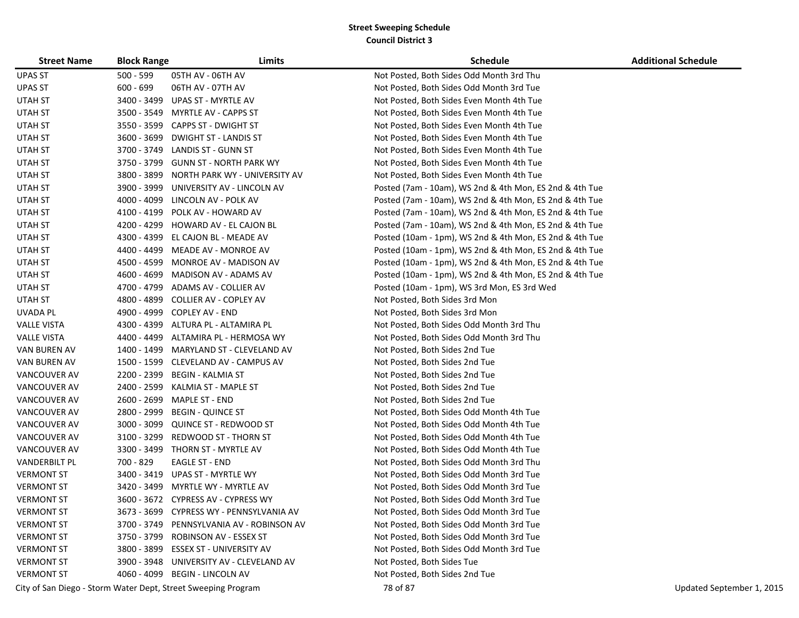| <b>Street Name</b>   | <b>Block Range</b> | Limits                                                        | <b>Schedule</b>                                         | <b>Additional Schedule</b> |
|----------------------|--------------------|---------------------------------------------------------------|---------------------------------------------------------|----------------------------|
| <b>UPAS ST</b>       | $500 - 599$        | 05TH AV - 06TH AV                                             | Not Posted, Both Sides Odd Month 3rd Thu                |                            |
| <b>UPAS ST</b>       | $600 - 699$        | 06TH AV - 07TH AV                                             | Not Posted, Both Sides Odd Month 3rd Tue                |                            |
| UTAH ST              |                    | 3400 - 3499 UPAS ST - MYRTLE AV                               | Not Posted, Both Sides Even Month 4th Tue               |                            |
| UTAH ST              |                    | 3500 - 3549 MYRTLE AV - CAPPS ST                              | Not Posted, Both Sides Even Month 4th Tue               |                            |
| UTAH ST              |                    | 3550 - 3599 CAPPS ST - DWIGHT ST                              | Not Posted, Both Sides Even Month 4th Tue               |                            |
| UTAH ST              |                    | 3600 - 3699 DWIGHT ST - LANDIS ST                             | Not Posted, Both Sides Even Month 4th Tue               |                            |
| UTAH ST              |                    | 3700 - 3749 LANDIS ST - GUNN ST                               | Not Posted, Both Sides Even Month 4th Tue               |                            |
| UTAH ST              |                    | 3750 - 3799 GUNN ST - NORTH PARK WY                           | Not Posted, Both Sides Even Month 4th Tue               |                            |
| UTAH ST              |                    | 3800 - 3899 NORTH PARK WY - UNIVERSITY AV                     | Not Posted, Both Sides Even Month 4th Tue               |                            |
| UTAH ST              | 3900 - 3999        | UNIVERSITY AV - LINCOLN AV                                    | Posted (7am - 10am), WS 2nd & 4th Mon, ES 2nd & 4th Tue |                            |
| UTAH ST              |                    | 4000 - 4099 LINCOLN AV - POLK AV                              | Posted (7am - 10am), WS 2nd & 4th Mon, ES 2nd & 4th Tue |                            |
| UTAH ST              |                    | 4100 - 4199 POLK AV - HOWARD AV                               | Posted (7am - 10am), WS 2nd & 4th Mon, ES 2nd & 4th Tue |                            |
| UTAH ST              |                    | 4200 - 4299 HOWARD AV - EL CAJON BL                           | Posted (7am - 10am), WS 2nd & 4th Mon, ES 2nd & 4th Tue |                            |
| UTAH ST              |                    | 4300 - 4399 EL CAJON BL - MEADE AV                            | Posted (10am - 1pm), WS 2nd & 4th Mon, ES 2nd & 4th Tue |                            |
| UTAH ST              |                    | 4400 - 4499 MEADE AV - MONROE AV                              | Posted (10am - 1pm), WS 2nd & 4th Mon, ES 2nd & 4th Tue |                            |
| UTAH ST              |                    | 4500 - 4599 MONROE AV - MADISON AV                            | Posted (10am - 1pm), WS 2nd & 4th Mon, ES 2nd & 4th Tue |                            |
| UTAH ST              |                    | 4600 - 4699 MADISON AV - ADAMS AV                             | Posted (10am - 1pm), WS 2nd & 4th Mon, ES 2nd & 4th Tue |                            |
| UTAH ST              |                    | 4700 - 4799 ADAMS AV - COLLIER AV                             | Posted (10am - 1pm), WS 3rd Mon, ES 3rd Wed             |                            |
| UTAH ST              |                    | 4800 - 4899 COLLIER AV - COPLEY AV                            | Not Posted, Both Sides 3rd Mon                          |                            |
| UVADA PL             |                    | 4900 - 4999 COPLEY AV - END                                   | Not Posted, Both Sides 3rd Mon                          |                            |
| <b>VALLE VISTA</b>   |                    | 4300 - 4399 ALTURA PL - ALTAMIRA PL                           | Not Posted, Both Sides Odd Month 3rd Thu                |                            |
| <b>VALLE VISTA</b>   |                    | 4400 - 4499 ALTAMIRA PL - HERMOSA WY                          | Not Posted, Both Sides Odd Month 3rd Thu                |                            |
| VAN BUREN AV         |                    | 1400 - 1499 MARYLAND ST - CLEVELAND AV                        | Not Posted, Both Sides 2nd Tue                          |                            |
| VAN BUREN AV         |                    | 1500 - 1599 CLEVELAND AV - CAMPUS AV                          | Not Posted, Both Sides 2nd Tue                          |                            |
| VANCOUVER AV         |                    | 2200 - 2399 BEGIN - KALMIA ST                                 | Not Posted, Both Sides 2nd Tue                          |                            |
| VANCOUVER AV         |                    | 2400 - 2599 KALMIA ST - MAPLE ST                              | Not Posted, Both Sides 2nd Tue                          |                            |
| VANCOUVER AV         | 2600 - 2699        | MAPLE ST - END                                                | Not Posted, Both Sides 2nd Tue                          |                            |
| VANCOUVER AV         | 2800 - 2999        | <b>BEGIN - QUINCE ST</b>                                      | Not Posted, Both Sides Odd Month 4th Tue                |                            |
| VANCOUVER AV         |                    | 3000 - 3099 QUINCE ST - REDWOOD ST                            | Not Posted, Both Sides Odd Month 4th Tue                |                            |
| VANCOUVER AV         |                    | 3100 - 3299 REDWOOD ST - THORN ST                             | Not Posted, Both Sides Odd Month 4th Tue                |                            |
| VANCOUVER AV         |                    | 3300 - 3499 THORN ST - MYRTLE AV                              | Not Posted, Both Sides Odd Month 4th Tue                |                            |
| <b>VANDERBILT PL</b> | 700 - 829          | EAGLE ST - END                                                | Not Posted, Both Sides Odd Month 3rd Thu                |                            |
| <b>VERMONT ST</b>    |                    | 3400 - 3419 UPAS ST - MYRTLE WY                               | Not Posted, Both Sides Odd Month 3rd Tue                |                            |
| <b>VERMONT ST</b>    |                    | 3420 - 3499 MYRTLE WY - MYRTLE AV                             | Not Posted, Both Sides Odd Month 3rd Tue                |                            |
| <b>VERMONT ST</b>    |                    | 3600 - 3672 CYPRESS AV - CYPRESS WY                           | Not Posted, Both Sides Odd Month 3rd Tue                |                            |
| <b>VERMONT ST</b>    |                    | 3673 - 3699 CYPRESS WY - PENNSYLVANIA AV                      | Not Posted, Both Sides Odd Month 3rd Tue                |                            |
| <b>VERMONT ST</b>    |                    | 3700 - 3749 PENNSYLVANIA AV - ROBINSON AV                     | Not Posted, Both Sides Odd Month 3rd Tue                |                            |
| <b>VERMONT ST</b>    |                    | 3750 - 3799 ROBINSON AV - ESSEX ST                            | Not Posted, Both Sides Odd Month 3rd Tue                |                            |
| <b>VERMONT ST</b>    |                    | 3800 - 3899 ESSEX ST - UNIVERSITY AV                          | Not Posted, Both Sides Odd Month 3rd Tue                |                            |
| <b>VERMONT ST</b>    |                    | 3900 - 3948 UNIVERSITY AV - CLEVELAND AV                      | Not Posted, Both Sides Tue                              |                            |
| <b>VERMONT ST</b>    |                    | 4060 - 4099 BEGIN - LINCOLN AV                                | Not Posted, Both Sides 2nd Tue                          |                            |
|                      |                    | City of San Diego - Storm Water Dept, Street Sweeping Program | 78 of 87                                                | Updated September 1, 2015  |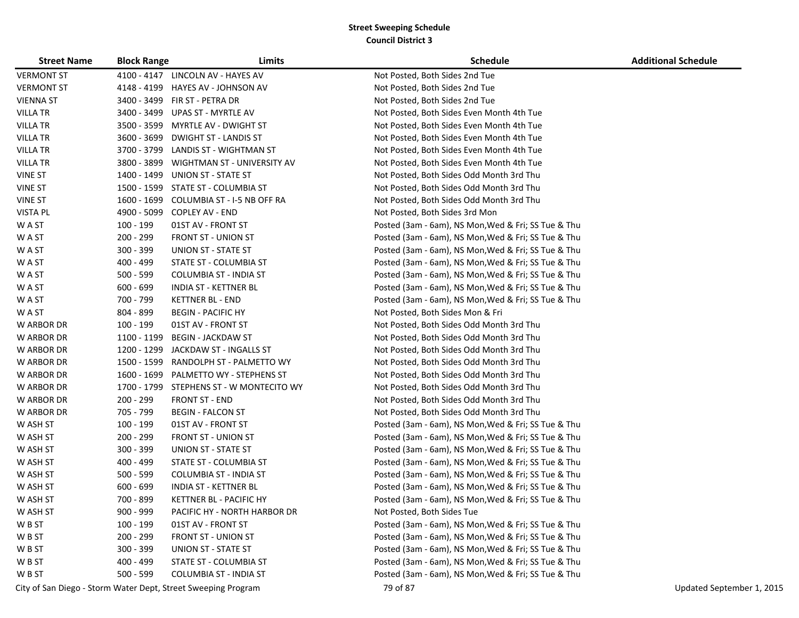| <b>Street Name</b> | <b>Block Range</b> | Limits                                                        | <b>Schedule</b>                                     | <b>Additional Schedule</b> |
|--------------------|--------------------|---------------------------------------------------------------|-----------------------------------------------------|----------------------------|
| <b>VERMONT ST</b>  |                    | 4100 - 4147 LINCOLN AV - HAYES AV                             | Not Posted, Both Sides 2nd Tue                      |                            |
| <b>VERMONT ST</b>  | 4148 - 4199        | HAYES AV - JOHNSON AV                                         | Not Posted, Both Sides 2nd Tue                      |                            |
| <b>VIENNA ST</b>   |                    | 3400 - 3499 FIR ST - PETRA DR                                 | Not Posted, Both Sides 2nd Tue                      |                            |
| <b>VILLA TR</b>    |                    | 3400 - 3499 UPAS ST - MYRTLE AV                               | Not Posted, Both Sides Even Month 4th Tue           |                            |
| <b>VILLA TR</b>    |                    | 3500 - 3599 MYRTLE AV - DWIGHT ST                             | Not Posted, Both Sides Even Month 4th Tue           |                            |
| <b>VILLA TR</b>    | 3600 - 3699        | <b>DWIGHT ST - LANDIS ST</b>                                  | Not Posted, Both Sides Even Month 4th Tue           |                            |
| <b>VILLA TR</b>    | 3700 - 3799        | LANDIS ST - WIGHTMAN ST                                       | Not Posted, Both Sides Even Month 4th Tue           |                            |
| <b>VILLA TR</b>    | 3800 - 3899        | WIGHTMAN ST - UNIVERSITY AV                                   | Not Posted, Both Sides Even Month 4th Tue           |                            |
| <b>VINE ST</b>     | 1400 - 1499        | UNION ST - STATE ST                                           | Not Posted, Both Sides Odd Month 3rd Thu            |                            |
| <b>VINE ST</b>     | 1500 - 1599        | STATE ST - COLUMBIA ST                                        | Not Posted, Both Sides Odd Month 3rd Thu            |                            |
| <b>VINE ST</b>     | 1600 - 1699        | COLUMBIA ST - I-5 NB OFF RA                                   | Not Posted, Both Sides Odd Month 3rd Thu            |                            |
| <b>VISTA PL</b>    | 4900 - 5099        | <b>COPLEY AV - END</b>                                        | Not Posted, Both Sides 3rd Mon                      |                            |
| W A ST             | 100 - 199          | 01ST AV - FRONT ST                                            | Posted (3am - 6am), NS Mon, Wed & Fri; SS Tue & Thu |                            |
| W A ST             | 200 - 299          | <b>FRONT ST - UNION ST</b>                                    | Posted (3am - 6am), NS Mon, Wed & Fri; SS Tue & Thu |                            |
| W A ST             | $300 - 399$        | <b>UNION ST - STATE ST</b>                                    | Posted (3am - 6am), NS Mon, Wed & Fri; SS Tue & Thu |                            |
| W A ST             | 400 - 499          | STATE ST - COLUMBIA ST                                        | Posted (3am - 6am), NS Mon, Wed & Fri; SS Tue & Thu |                            |
| W A ST             | $500 - 599$        | <b>COLUMBIA ST - INDIA ST</b>                                 | Posted (3am - 6am), NS Mon, Wed & Fri; SS Tue & Thu |                            |
| W A ST             | $600 - 699$        | INDIA ST - KETTNER BL                                         | Posted (3am - 6am), NS Mon, Wed & Fri; SS Tue & Thu |                            |
| W A ST             | 700 - 799          | <b>KETTNER BL - END</b>                                       | Posted (3am - 6am), NS Mon, Wed & Fri; SS Tue & Thu |                            |
| W A ST             | 804 - 899          | <b>BEGIN - PACIFIC HY</b>                                     | Not Posted, Both Sides Mon & Fri                    |                            |
| W ARBOR DR         | 100 - 199          | 01ST AV - FRONT ST                                            | Not Posted, Both Sides Odd Month 3rd Thu            |                            |
| W ARBOR DR         | 1100 - 1199        | <b>BEGIN - JACKDAW ST</b>                                     | Not Posted, Both Sides Odd Month 3rd Thu            |                            |
| W ARBOR DR         | 1200 - 1299        | JACKDAW ST - INGALLS ST                                       | Not Posted, Both Sides Odd Month 3rd Thu            |                            |
| W ARBOR DR         | 1500 - 1599        | RANDOLPH ST - PALMETTO WY                                     | Not Posted, Both Sides Odd Month 3rd Thu            |                            |
| W ARBOR DR         | 1600 - 1699        | PALMETTO WY - STEPHENS ST                                     | Not Posted, Both Sides Odd Month 3rd Thu            |                            |
| W ARBOR DR         | 1700 - 1799        | STEPHENS ST - W MONTECITO WY                                  | Not Posted, Both Sides Odd Month 3rd Thu            |                            |
| W ARBOR DR         | 200 - 299          | <b>FRONT ST - END</b>                                         | Not Posted, Both Sides Odd Month 3rd Thu            |                            |
| W ARBOR DR         | 705 - 799          | <b>BEGIN - FALCON ST</b>                                      | Not Posted, Both Sides Odd Month 3rd Thu            |                            |
| W ASH ST           | 100 - 199          | 01ST AV - FRONT ST                                            | Posted (3am - 6am), NS Mon, Wed & Fri; SS Tue & Thu |                            |
| W ASH ST           | 200 - 299          | <b>FRONT ST - UNION ST</b>                                    | Posted (3am - 6am), NS Mon, Wed & Fri; SS Tue & Thu |                            |
| W ASH ST           | 300 - 399          | UNION ST - STATE ST                                           | Posted (3am - 6am), NS Mon, Wed & Fri; SS Tue & Thu |                            |
| W ASH ST           | 400 - 499          | STATE ST - COLUMBIA ST                                        | Posted (3am - 6am), NS Mon, Wed & Fri; SS Tue & Thu |                            |
| W ASH ST           | $500 - 599$        | <b>COLUMBIA ST - INDIA ST</b>                                 | Posted (3am - 6am), NS Mon, Wed & Fri; SS Tue & Thu |                            |
| W ASH ST           | $600 - 699$        | INDIA ST - KETTNER BL                                         | Posted (3am - 6am), NS Mon, Wed & Fri; SS Tue & Thu |                            |
| W ASH ST           | 700 - 899          | KETTNER BL - PACIFIC HY                                       | Posted (3am - 6am), NS Mon, Wed & Fri; SS Tue & Thu |                            |
| W ASH ST           | $900 - 999$        | PACIFIC HY - NORTH HARBOR DR                                  | Not Posted, Both Sides Tue                          |                            |
| W B ST             | 100 - 199          | 01ST AV - FRONT ST                                            | Posted (3am - 6am), NS Mon, Wed & Fri; SS Tue & Thu |                            |
| W B ST             | 200 - 299          | <b>FRONT ST - UNION ST</b>                                    | Posted (3am - 6am), NS Mon, Wed & Fri; SS Tue & Thu |                            |
| W B ST             | $300 - 399$        | <b>UNION ST - STATE ST</b>                                    | Posted (3am - 6am), NS Mon, Wed & Fri; SS Tue & Thu |                            |
| W B ST             | 400 - 499          | STATE ST - COLUMBIA ST                                        | Posted (3am - 6am), NS Mon, Wed & Fri; SS Tue & Thu |                            |
| W B ST             | $500 - 599$        | <b>COLUMBIA ST - INDIA ST</b>                                 | Posted (3am - 6am), NS Mon, Wed & Fri; SS Tue & Thu |                            |
|                    |                    | City of San Diego - Storm Water Dept, Street Sweeping Program | 79 of 87                                            | Updated September 1, 2015  |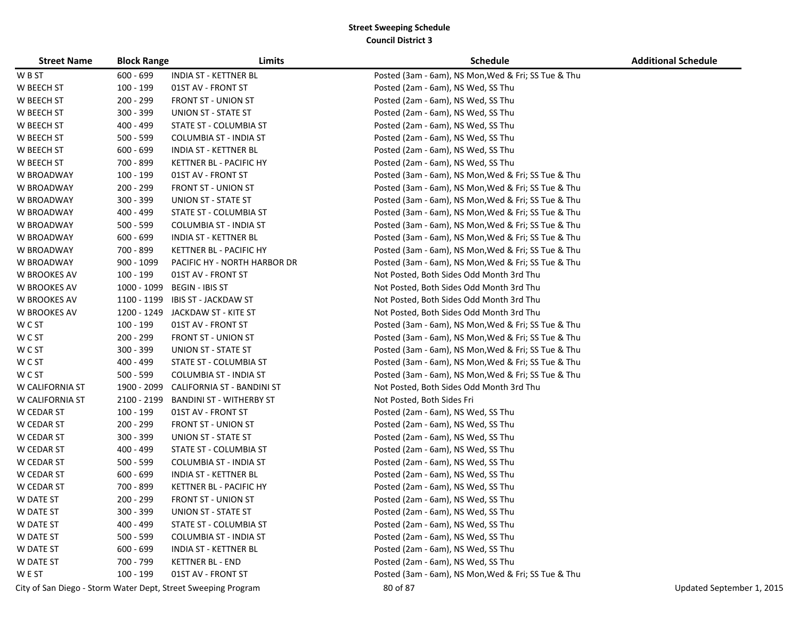| <b>Street Name</b>  | <b>Block Range</b> | Limits                                                        | <b>Schedule</b>                                     | <b>Additional Schedule</b> |
|---------------------|--------------------|---------------------------------------------------------------|-----------------------------------------------------|----------------------------|
| W B ST              | 600 - 699          | <b>INDIA ST - KETTNER BL</b>                                  | Posted (3am - 6am), NS Mon, Wed & Fri; SS Tue & Thu |                            |
| W BEECH ST          | 100 - 199          | 01ST AV - FRONT ST                                            | Posted (2am - 6am), NS Wed, SS Thu                  |                            |
| W BEECH ST          | 200 - 299          | <b>FRONT ST - UNION ST</b>                                    | Posted (2am - 6am), NS Wed, SS Thu                  |                            |
| W BEECH ST          | 300 - 399          | <b>UNION ST - STATE ST</b>                                    | Posted (2am - 6am), NS Wed, SS Thu                  |                            |
| W BEECH ST          | 400 - 499          | STATE ST - COLUMBIA ST                                        | Posted (2am - 6am), NS Wed, SS Thu                  |                            |
| W BEECH ST          | 500 - 599          | <b>COLUMBIA ST - INDIA ST</b>                                 | Posted (2am - 6am), NS Wed, SS Thu                  |                            |
| W BEECH ST          | $600 - 699$        | <b>INDIA ST - KETTNER BL</b>                                  | Posted (2am - 6am), NS Wed, SS Thu                  |                            |
| W BEECH ST          | 700 - 899          | KETTNER BL - PACIFIC HY                                       | Posted (2am - 6am), NS Wed, SS Thu                  |                            |
| W BROADWAY          | 100 - 199          | 01ST AV - FRONT ST                                            | Posted (3am - 6am), NS Mon, Wed & Fri; SS Tue & Thu |                            |
| W BROADWAY          | 200 - 299          | <b>FRONT ST - UNION ST</b>                                    | Posted (3am - 6am), NS Mon, Wed & Fri; SS Tue & Thu |                            |
| W BROADWAY          | 300 - 399          | UNION ST - STATE ST                                           | Posted (3am - 6am), NS Mon, Wed & Fri; SS Tue & Thu |                            |
| W BROADWAY          | 400 - 499          | STATE ST - COLUMBIA ST                                        | Posted (3am - 6am), NS Mon, Wed & Fri; SS Tue & Thu |                            |
| W BROADWAY          | 500 - 599          | <b>COLUMBIA ST - INDIA ST</b>                                 | Posted (3am - 6am), NS Mon, Wed & Fri; SS Tue & Thu |                            |
| W BROADWAY          | $600 - 699$        | <b>INDIA ST - KETTNER BL</b>                                  | Posted (3am - 6am), NS Mon, Wed & Fri; SS Tue & Thu |                            |
| W BROADWAY          | 700 - 899          | KETTNER BL - PACIFIC HY                                       | Posted (3am - 6am), NS Mon, Wed & Fri; SS Tue & Thu |                            |
| W BROADWAY          | 900 - 1099         | PACIFIC HY - NORTH HARBOR DR                                  | Posted (3am - 6am), NS Mon, Wed & Fri; SS Tue & Thu |                            |
| W BROOKES AV        | $100 - 199$        | 01ST AV - FRONT ST                                            | Not Posted, Both Sides Odd Month 3rd Thu            |                            |
| <b>W BROOKES AV</b> | 1000 - 1099        | <b>BEGIN - IBIS ST</b>                                        | Not Posted, Both Sides Odd Month 3rd Thu            |                            |
| <b>W BROOKES AV</b> | 1100 - 1199        | <b>IBIS ST - JACKDAW ST</b>                                   | Not Posted, Both Sides Odd Month 3rd Thu            |                            |
| W BROOKES AV        |                    | 1200 - 1249 JACKDAW ST - KITE ST                              | Not Posted, Both Sides Odd Month 3rd Thu            |                            |
| W C ST              | 100 - 199          | 01ST AV - FRONT ST                                            | Posted (3am - 6am), NS Mon, Wed & Fri; SS Tue & Thu |                            |
| W C ST              | 200 - 299          | <b>FRONT ST - UNION ST</b>                                    | Posted (3am - 6am), NS Mon, Wed & Fri; SS Tue & Thu |                            |
| W C ST              | 300 - 399          | <b>UNION ST - STATE ST</b>                                    | Posted (3am - 6am), NS Mon, Wed & Fri; SS Tue & Thu |                            |
| W C ST              | 400 - 499          | STATE ST - COLUMBIA ST                                        | Posted (3am - 6am), NS Mon, Wed & Fri; SS Tue & Thu |                            |
| W C ST              | $500 - 599$        | <b>COLUMBIA ST - INDIA ST</b>                                 | Posted (3am - 6am), NS Mon, Wed & Fri; SS Tue & Thu |                            |
| W CALIFORNIA ST     | 1900 - 2099        | <b>CALIFORNIA ST - BANDINI ST</b>                             | Not Posted, Both Sides Odd Month 3rd Thu            |                            |
| W CALIFORNIA ST     | 2100 - 2199        | <b>BANDINI ST - WITHERBY ST</b>                               | Not Posted, Both Sides Fri                          |                            |
| W CEDAR ST          | 100 - 199          | 01ST AV - FRONT ST                                            | Posted (2am - 6am), NS Wed, SS Thu                  |                            |
| W CEDAR ST          | 200 - 299          | <b>FRONT ST - UNION ST</b>                                    | Posted (2am - 6am), NS Wed, SS Thu                  |                            |
| W CEDAR ST          | 300 - 399          | UNION ST - STATE ST                                           | Posted (2am - 6am), NS Wed, SS Thu                  |                            |
| W CEDAR ST          | 400 - 499          | STATE ST - COLUMBIA ST                                        | Posted (2am - 6am), NS Wed, SS Thu                  |                            |
| W CEDAR ST          | 500 - 599          | <b>COLUMBIA ST - INDIA ST</b>                                 | Posted (2am - 6am), NS Wed, SS Thu                  |                            |
| W CEDAR ST          | $600 - 699$        | <b>INDIA ST - KETTNER BL</b>                                  | Posted (2am - 6am), NS Wed, SS Thu                  |                            |
| W CEDAR ST          | 700 - 899          | KETTNER BL - PACIFIC HY                                       | Posted (2am - 6am), NS Wed, SS Thu                  |                            |
| W DATE ST           | 200 - 299          | <b>FRONT ST - UNION ST</b>                                    | Posted (2am - 6am), NS Wed, SS Thu                  |                            |
| W DATE ST           | 300 - 399          | UNION ST - STATE ST                                           | Posted (2am - 6am), NS Wed, SS Thu                  |                            |
| W DATE ST           | 400 - 499          | STATE ST - COLUMBIA ST                                        | Posted (2am - 6am), NS Wed, SS Thu                  |                            |
| W DATE ST           | $500 - 599$        | <b>COLUMBIA ST - INDIA ST</b>                                 | Posted (2am - 6am), NS Wed, SS Thu                  |                            |
| W DATE ST           | $600 - 699$        | <b>INDIA ST - KETTNER BL</b>                                  | Posted (2am - 6am), NS Wed, SS Thu                  |                            |
| W DATE ST           | 700 - 799          | <b>KETTNER BL - END</b>                                       | Posted (2am - 6am), NS Wed, SS Thu                  |                            |
| W E ST              | 100 - 199          | 01ST AV - FRONT ST                                            | Posted (3am - 6am), NS Mon, Wed & Fri; SS Tue & Thu |                            |
|                     |                    | City of San Diego - Storm Water Dept, Street Sweeping Program | 80 of 87                                            | Updated September 1, 2015  |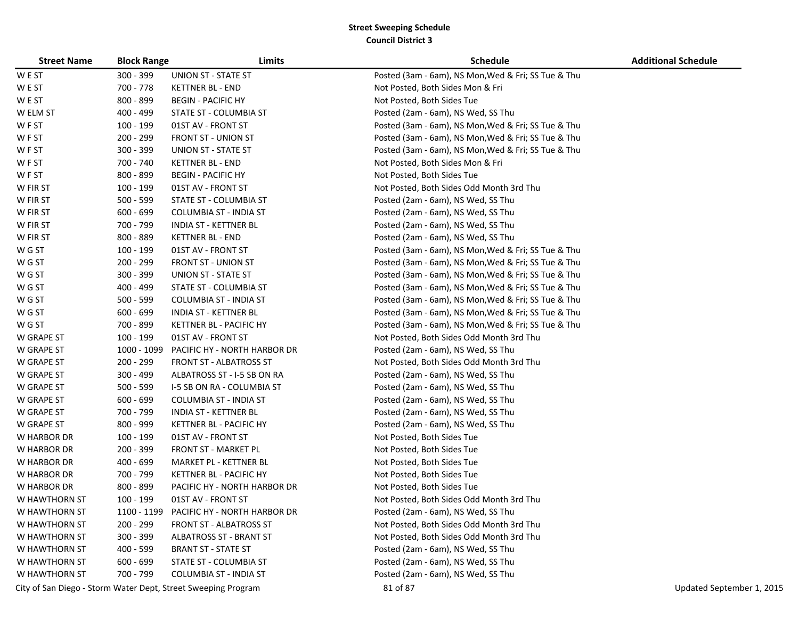| <b>Street Name</b> | <b>Block Range</b> | Limits                                                        | <b>Schedule</b>                                     | <b>Additional Schedule</b> |
|--------------------|--------------------|---------------------------------------------------------------|-----------------------------------------------------|----------------------------|
| W E ST             | 300 - 399          | UNION ST - STATE ST                                           | Posted (3am - 6am), NS Mon, Wed & Fri; SS Tue & Thu |                            |
| W E ST             | 700 - 778          | <b>KETTNER BL - END</b>                                       | Not Posted, Both Sides Mon & Fri                    |                            |
| W E ST             | 800 - 899          | <b>BEGIN - PACIFIC HY</b>                                     | Not Posted, Both Sides Tue                          |                            |
| W ELM ST           | 400 - 499          | STATE ST - COLUMBIA ST                                        | Posted (2am - 6am), NS Wed, SS Thu                  |                            |
| WF ST              | 100 - 199          | 01ST AV - FRONT ST                                            | Posted (3am - 6am), NS Mon, Wed & Fri; SS Tue & Thu |                            |
| WF ST              | 200 - 299          | <b>FRONT ST - UNION ST</b>                                    | Posted (3am - 6am), NS Mon, Wed & Fri; SS Tue & Thu |                            |
| WF ST              | $300 - 399$        | UNION ST - STATE ST                                           | Posted (3am - 6am), NS Mon, Wed & Fri; SS Tue & Thu |                            |
| W F ST             | 700 - 740          | <b>KETTNER BL - END</b>                                       | Not Posted, Both Sides Mon & Fri                    |                            |
| WF ST              | 800 - 899          | <b>BEGIN - PACIFIC HY</b>                                     | Not Posted, Both Sides Tue                          |                            |
| W FIR ST           | 100 - 199          | 01ST AV - FRONT ST                                            | Not Posted, Both Sides Odd Month 3rd Thu            |                            |
| W FIR ST           | $500 - 599$        | STATE ST - COLUMBIA ST                                        | Posted (2am - 6am), NS Wed, SS Thu                  |                            |
| W FIR ST           | $600 - 699$        | <b>COLUMBIA ST - INDIA ST</b>                                 | Posted (2am - 6am), NS Wed, SS Thu                  |                            |
| W FIR ST           | 700 - 799          | INDIA ST - KETTNER BL                                         | Posted (2am - 6am), NS Wed, SS Thu                  |                            |
| W FIR ST           | 800 - 889          | <b>KETTNER BL - END</b>                                       | Posted (2am - 6am), NS Wed, SS Thu                  |                            |
| W G ST             | 100 - 199          | 01ST AV - FRONT ST                                            | Posted (3am - 6am), NS Mon, Wed & Fri; SS Tue & Thu |                            |
| W G ST             | 200 - 299          | <b>FRONT ST - UNION ST</b>                                    | Posted (3am - 6am), NS Mon, Wed & Fri; SS Tue & Thu |                            |
| W G ST             | 300 - 399          | UNION ST - STATE ST                                           | Posted (3am - 6am), NS Mon, Wed & Fri; SS Tue & Thu |                            |
| W G ST             | 400 - 499          | STATE ST - COLUMBIA ST                                        | Posted (3am - 6am), NS Mon, Wed & Fri; SS Tue & Thu |                            |
| W G ST             | $500 - 599$        | <b>COLUMBIA ST - INDIA ST</b>                                 | Posted (3am - 6am), NS Mon, Wed & Fri; SS Tue & Thu |                            |
| W G ST             | $600 - 699$        | <b>INDIA ST - KETTNER BL</b>                                  | Posted (3am - 6am), NS Mon, Wed & Fri; SS Tue & Thu |                            |
| W G ST             | 700 - 899          | KETTNER BL - PACIFIC HY                                       | Posted (3am - 6am), NS Mon, Wed & Fri; SS Tue & Thu |                            |
| <b>W GRAPE ST</b>  | 100 - 199          | 01ST AV - FRONT ST                                            | Not Posted, Both Sides Odd Month 3rd Thu            |                            |
| W GRAPE ST         | 1000 - 1099        | PACIFIC HY - NORTH HARBOR DR                                  | Posted (2am - 6am), NS Wed, SS Thu                  |                            |
| W GRAPE ST         | 200 - 299          | <b>FRONT ST - ALBATROSS ST</b>                                | Not Posted, Both Sides Odd Month 3rd Thu            |                            |
| W GRAPE ST         | 300 - 499          | ALBATROSS ST - I-5 SB ON RA                                   | Posted (2am - 6am), NS Wed, SS Thu                  |                            |
| W GRAPE ST         | $500 - 599$        | 1-5 SB ON RA - COLUMBIA ST                                    | Posted (2am - 6am), NS Wed, SS Thu                  |                            |
| W GRAPE ST         | $600 - 699$        | <b>COLUMBIA ST - INDIA ST</b>                                 | Posted (2am - 6am), NS Wed, SS Thu                  |                            |
| W GRAPE ST         | 700 - 799          | INDIA ST - KETTNER BL                                         | Posted (2am - 6am), NS Wed, SS Thu                  |                            |
| W GRAPE ST         | 800 - 999          | KETTNER BL - PACIFIC HY                                       | Posted (2am - 6am), NS Wed, SS Thu                  |                            |
| W HARBOR DR        | 100 - 199          | 01ST AV - FRONT ST                                            | Not Posted, Both Sides Tue                          |                            |
| W HARBOR DR        | 200 - 399          | <b>FRONT ST - MARKET PL</b>                                   | Not Posted, Both Sides Tue                          |                            |
| W HARBOR DR        | $400 - 699$        | MARKET PL - KETTNER BL                                        | Not Posted, Both Sides Tue                          |                            |
| W HARBOR DR        | 700 - 799          | KETTNER BL - PACIFIC HY                                       | Not Posted, Both Sides Tue                          |                            |
| W HARBOR DR        | 800 - 899          | PACIFIC HY - NORTH HARBOR DR                                  | Not Posted, Both Sides Tue                          |                            |
| W HAWTHORN ST      | 100 - 199          | 01ST AV - FRONT ST                                            | Not Posted, Both Sides Odd Month 3rd Thu            |                            |
| W HAWTHORN ST      | 1100 - 1199        | PACIFIC HY - NORTH HARBOR DR                                  | Posted (2am - 6am), NS Wed, SS Thu                  |                            |
| W HAWTHORN ST      | $200 - 299$        | FRONT ST - ALBATROSS ST                                       | Not Posted, Both Sides Odd Month 3rd Thu            |                            |
| W HAWTHORN ST      | 300 - 399          | <b>ALBATROSS ST - BRANT ST</b>                                | Not Posted, Both Sides Odd Month 3rd Thu            |                            |
| W HAWTHORN ST      | $400 - 599$        | <b>BRANT ST - STATE ST</b>                                    | Posted (2am - 6am), NS Wed, SS Thu                  |                            |
| W HAWTHORN ST      | $600 - 699$        | STATE ST - COLUMBIA ST                                        | Posted (2am - 6am), NS Wed, SS Thu                  |                            |
| W HAWTHORN ST      | 700 - 799          | <b>COLUMBIA ST - INDIA ST</b>                                 | Posted (2am - 6am), NS Wed, SS Thu                  |                            |
|                    |                    | City of San Diego - Storm Water Dept, Street Sweeping Program | 81 of 87                                            | Updated September 1, 2015  |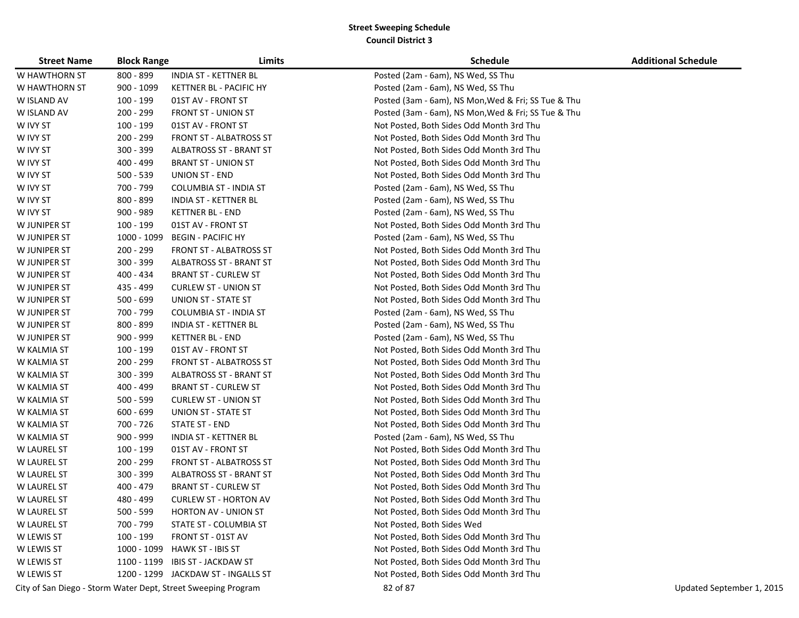| <b>Street Name</b> | <b>Block Range</b> | Limits                                                        | <b>Schedule</b>                                     | <b>Additional Schedule</b> |
|--------------------|--------------------|---------------------------------------------------------------|-----------------------------------------------------|----------------------------|
| W HAWTHORN ST      | 800 - 899          | INDIA ST - KETTNER BL                                         | Posted (2am - 6am), NS Wed, SS Thu                  |                            |
| W HAWTHORN ST      | 900 - 1099         | KETTNER BL - PACIFIC HY                                       | Posted (2am - 6am), NS Wed, SS Thu                  |                            |
| W ISLAND AV        | 100 - 199          | 01ST AV - FRONT ST                                            | Posted (3am - 6am), NS Mon, Wed & Fri; SS Tue & Thu |                            |
| W ISLAND AV        | 200 - 299          | <b>FRONT ST - UNION ST</b>                                    | Posted (3am - 6am), NS Mon, Wed & Fri; SS Tue & Thu |                            |
| W IVY ST           | 100 - 199          | 01ST AV - FRONT ST                                            | Not Posted, Both Sides Odd Month 3rd Thu            |                            |
| W IVY ST           | 200 - 299          | FRONT ST - ALBATROSS ST                                       | Not Posted, Both Sides Odd Month 3rd Thu            |                            |
| W IVY ST           | 300 - 399          | ALBATROSS ST - BRANT ST                                       | Not Posted, Both Sides Odd Month 3rd Thu            |                            |
| W IVY ST           | 400 - 499          | <b>BRANT ST - UNION ST</b>                                    | Not Posted, Both Sides Odd Month 3rd Thu            |                            |
| W IVY ST           | $500 - 539$        | <b>UNION ST - END</b>                                         | Not Posted, Both Sides Odd Month 3rd Thu            |                            |
| W IVY ST           | 700 - 799          | COLUMBIA ST - INDIA ST                                        | Posted (2am - 6am), NS Wed, SS Thu                  |                            |
| W IVY ST           | 800 - 899          | INDIA ST - KETTNER BL                                         | Posted (2am - 6am), NS Wed, SS Thu                  |                            |
| W IVY ST           | $900 - 989$        | <b>KETTNER BL - END</b>                                       | Posted (2am - 6am), NS Wed, SS Thu                  |                            |
| W JUNIPER ST       | 100 - 199          | 01ST AV - FRONT ST                                            | Not Posted, Both Sides Odd Month 3rd Thu            |                            |
| W JUNIPER ST       | 1000 - 1099        | <b>BEGIN - PACIFIC HY</b>                                     | Posted (2am - 6am), NS Wed, SS Thu                  |                            |
| W JUNIPER ST       | $200 - 299$        | <b>FRONT ST - ALBATROSS ST</b>                                | Not Posted, Both Sides Odd Month 3rd Thu            |                            |
| W JUNIPER ST       | $300 - 399$        | <b>ALBATROSS ST - BRANT ST</b>                                | Not Posted, Both Sides Odd Month 3rd Thu            |                            |
| W JUNIPER ST       | 400 - 434          | <b>BRANT ST - CURLEW ST</b>                                   | Not Posted, Both Sides Odd Month 3rd Thu            |                            |
| W JUNIPER ST       | 435 - 499          | <b>CURLEW ST - UNION ST</b>                                   | Not Posted, Both Sides Odd Month 3rd Thu            |                            |
| W JUNIPER ST       | $500 - 699$        | <b>UNION ST - STATE ST</b>                                    | Not Posted, Both Sides Odd Month 3rd Thu            |                            |
| W JUNIPER ST       | 700 - 799          | <b>COLUMBIA ST - INDIA ST</b>                                 | Posted (2am - 6am), NS Wed, SS Thu                  |                            |
| W JUNIPER ST       | 800 - 899          | INDIA ST - KETTNER BL                                         | Posted (2am - 6am), NS Wed, SS Thu                  |                            |
| W JUNIPER ST       | 900 - 999          | <b>KETTNER BL - END</b>                                       | Posted (2am - 6am), NS Wed, SS Thu                  |                            |
| W KALMIA ST        | 100 - 199          | 01ST AV - FRONT ST                                            | Not Posted, Both Sides Odd Month 3rd Thu            |                            |
| W KALMIA ST        | 200 - 299          | FRONT ST - ALBATROSS ST                                       | Not Posted, Both Sides Odd Month 3rd Thu            |                            |
| W KALMIA ST        | 300 - 399          | <b>ALBATROSS ST - BRANT ST</b>                                | Not Posted, Both Sides Odd Month 3rd Thu            |                            |
| W KALMIA ST        | 400 - 499          | <b>BRANT ST - CURLEW ST</b>                                   | Not Posted, Both Sides Odd Month 3rd Thu            |                            |
| W KALMIA ST        | $500 - 599$        | <b>CURLEW ST - UNION ST</b>                                   | Not Posted, Both Sides Odd Month 3rd Thu            |                            |
| W KALMIA ST        | $600 - 699$        | UNION ST - STATE ST                                           | Not Posted, Both Sides Odd Month 3rd Thu            |                            |
| W KALMIA ST        | 700 - 726          | STATE ST - END                                                | Not Posted, Both Sides Odd Month 3rd Thu            |                            |
| W KALMIA ST        | 900 - 999          | INDIA ST - KETTNER BL                                         | Posted (2am - 6am), NS Wed, SS Thu                  |                            |
| W LAUREL ST        | $100 - 199$        | 01ST AV - FRONT ST                                            | Not Posted, Both Sides Odd Month 3rd Thu            |                            |
| W LAUREL ST        | 200 - 299          | <b>FRONT ST - ALBATROSS ST</b>                                | Not Posted, Both Sides Odd Month 3rd Thu            |                            |
| W LAUREL ST        | 300 - 399          | <b>ALBATROSS ST - BRANT ST</b>                                | Not Posted, Both Sides Odd Month 3rd Thu            |                            |
| <b>W LAUREL ST</b> | 400 - 479          | <b>BRANT ST - CURLEW ST</b>                                   | Not Posted, Both Sides Odd Month 3rd Thu            |                            |
| <b>W LAUREL ST</b> | 480 - 499          | <b>CURLEW ST - HORTON AV</b>                                  | Not Posted, Both Sides Odd Month 3rd Thu            |                            |
| <b>W LAUREL ST</b> | $500 - 599$        | <b>HORTON AV - UNION ST</b>                                   | Not Posted, Both Sides Odd Month 3rd Thu            |                            |
| <b>W LAUREL ST</b> | 700 - 799          | STATE ST - COLUMBIA ST                                        | Not Posted, Both Sides Wed                          |                            |
| W LEWIS ST         | 100 - 199          | FRONT ST - 01ST AV                                            | Not Posted, Both Sides Odd Month 3rd Thu            |                            |
| W LEWIS ST         | 1000 - 1099        | HAWK ST - IBIS ST                                             | Not Posted, Both Sides Odd Month 3rd Thu            |                            |
| W LEWIS ST         |                    | 1100 - 1199 IBIS ST - JACKDAW ST                              | Not Posted, Both Sides Odd Month 3rd Thu            |                            |
| W LEWIS ST         |                    | 1200 - 1299 JACKDAW ST - INGALLS ST                           | Not Posted, Both Sides Odd Month 3rd Thu            |                            |
|                    |                    | City of San Diego - Storm Water Dept, Street Sweeping Program | 82 of 87                                            | Updated September 1, 2015  |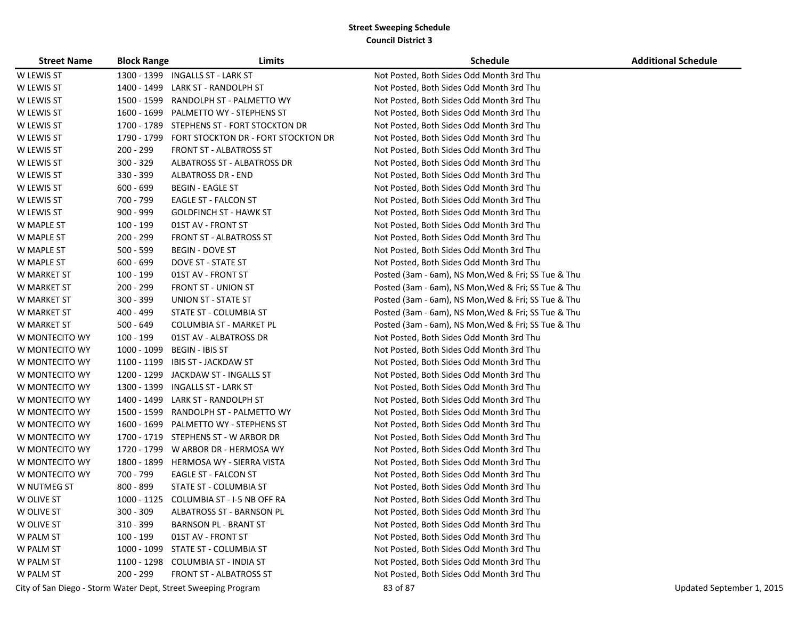| <b>Street Name</b> | <b>Block Range</b> | Limits                                                        | <b>Schedule</b>                                     | <b>Additional Schedule</b> |
|--------------------|--------------------|---------------------------------------------------------------|-----------------------------------------------------|----------------------------|
| W LEWIS ST         |                    | 1300 - 1399 INGALLS ST - LARK ST                              | Not Posted, Both Sides Odd Month 3rd Thu            |                            |
| W LEWIS ST         | 1400 - 1499        | LARK ST - RANDOLPH ST                                         | Not Posted, Both Sides Odd Month 3rd Thu            |                            |
| W LEWIS ST         | 1500 - 1599        | RANDOLPH ST - PALMETTO WY                                     | Not Posted, Both Sides Odd Month 3rd Thu            |                            |
| W LEWIS ST         | 1600 - 1699        | PALMETTO WY - STEPHENS ST                                     | Not Posted, Both Sides Odd Month 3rd Thu            |                            |
| W LEWIS ST         |                    | 1700 - 1789 STEPHENS ST - FORT STOCKTON DR                    | Not Posted, Both Sides Odd Month 3rd Thu            |                            |
| W LEWIS ST         | 1790 - 1799        | FORT STOCKTON DR - FORT STOCKTON DR                           | Not Posted, Both Sides Odd Month 3rd Thu            |                            |
| W LEWIS ST         | 200 - 299          | <b>FRONT ST - ALBATROSS ST</b>                                | Not Posted, Both Sides Odd Month 3rd Thu            |                            |
| W LEWIS ST         | $300 - 329$        | ALBATROSS ST - ALBATROSS DR                                   | Not Posted, Both Sides Odd Month 3rd Thu            |                            |
| W LEWIS ST         | 330 - 399          | <b>ALBATROSS DR - END</b>                                     | Not Posted, Both Sides Odd Month 3rd Thu            |                            |
| W LEWIS ST         | $600 - 699$        | <b>BEGIN - EAGLE ST</b>                                       | Not Posted, Both Sides Odd Month 3rd Thu            |                            |
| W LEWIS ST         | 700 - 799          | EAGLE ST - FALCON ST                                          | Not Posted, Both Sides Odd Month 3rd Thu            |                            |
| W LEWIS ST         | 900 - 999          | <b>GOLDFINCH ST - HAWK ST</b>                                 | Not Posted, Both Sides Odd Month 3rd Thu            |                            |
| W MAPLE ST         | 100 - 199          | 01ST AV - FRONT ST                                            | Not Posted, Both Sides Odd Month 3rd Thu            |                            |
| W MAPLE ST         | 200 - 299          | <b>FRONT ST - ALBATROSS ST</b>                                | Not Posted, Both Sides Odd Month 3rd Thu            |                            |
| W MAPLE ST         | 500 - 599          | <b>BEGIN - DOVE ST</b>                                        | Not Posted, Both Sides Odd Month 3rd Thu            |                            |
| W MAPLE ST         | $600 - 699$        | DOVE ST - STATE ST                                            | Not Posted, Both Sides Odd Month 3rd Thu            |                            |
| W MARKET ST        | 100 - 199          | 01ST AV - FRONT ST                                            | Posted (3am - 6am), NS Mon, Wed & Fri; SS Tue & Thu |                            |
| W MARKET ST        | 200 - 299          | <b>FRONT ST - UNION ST</b>                                    | Posted (3am - 6am), NS Mon, Wed & Fri; SS Tue & Thu |                            |
| W MARKET ST        | 300 - 399          | UNION ST - STATE ST                                           | Posted (3am - 6am), NS Mon, Wed & Fri; SS Tue & Thu |                            |
| W MARKET ST        | 400 - 499          | STATE ST - COLUMBIA ST                                        | Posted (3am - 6am), NS Mon, Wed & Fri; SS Tue & Thu |                            |
| W MARKET ST        | $500 - 649$        | COLUMBIA ST - MARKET PL                                       | Posted (3am - 6am), NS Mon, Wed & Fri; SS Tue & Thu |                            |
| W MONTECITO WY     | 100 - 199          | 01ST AV - ALBATROSS DR                                        | Not Posted, Both Sides Odd Month 3rd Thu            |                            |
| W MONTECITO WY     | 1000 - 1099        | BEGIN - IBIS ST                                               | Not Posted, Both Sides Odd Month 3rd Thu            |                            |
| W MONTECITO WY     | 1100 - 1199        | IBIS ST - JACKDAW ST                                          | Not Posted, Both Sides Odd Month 3rd Thu            |                            |
| W MONTECITO WY     |                    | 1200 - 1299 JACKDAW ST - INGALLS ST                           | Not Posted, Both Sides Odd Month 3rd Thu            |                            |
| W MONTECITO WY     |                    | 1300 - 1399 INGALLS ST - LARK ST                              | Not Posted, Both Sides Odd Month 3rd Thu            |                            |
| W MONTECITO WY     | 1400 - 1499        | LARK ST - RANDOLPH ST                                         | Not Posted, Both Sides Odd Month 3rd Thu            |                            |
| W MONTECITO WY     |                    | 1500 - 1599 RANDOLPH ST - PALMETTO WY                         | Not Posted, Both Sides Odd Month 3rd Thu            |                            |
| W MONTECITO WY     |                    | 1600 - 1699 PALMETTO WY - STEPHENS ST                         | Not Posted, Both Sides Odd Month 3rd Thu            |                            |
| W MONTECITO WY     |                    | 1700 - 1719 STEPHENS ST - W ARBOR DR                          | Not Posted, Both Sides Odd Month 3rd Thu            |                            |
| W MONTECITO WY     |                    | 1720 - 1799 W ARBOR DR - HERMOSA WY                           | Not Posted, Both Sides Odd Month 3rd Thu            |                            |
| W MONTECITO WY     | 1800 - 1899        | HERMOSA WY - SIERRA VISTA                                     | Not Posted, Both Sides Odd Month 3rd Thu            |                            |
| W MONTECITO WY     | 700 - 799          | EAGLE ST - FALCON ST                                          | Not Posted, Both Sides Odd Month 3rd Thu            |                            |
| W NUTMEG ST        | 800 - 899          | STATE ST - COLUMBIA ST                                        | Not Posted, Both Sides Odd Month 3rd Thu            |                            |
| W OLIVE ST         |                    | 1000 - 1125 COLUMBIA ST - I-5 NB OFF RA                       | Not Posted, Both Sides Odd Month 3rd Thu            |                            |
| W OLIVE ST         | $300 - 309$        | ALBATROSS ST - BARNSON PL                                     | Not Posted, Both Sides Odd Month 3rd Thu            |                            |
| W OLIVE ST         | 310 - 399          | <b>BARNSON PL - BRANT ST</b>                                  | Not Posted, Both Sides Odd Month 3rd Thu            |                            |
| W PALM ST          | 100 - 199          | 01ST AV - FRONT ST                                            | Not Posted, Both Sides Odd Month 3rd Thu            |                            |
| W PALM ST          |                    | 1000 - 1099 STATE ST - COLUMBIA ST                            | Not Posted, Both Sides Odd Month 3rd Thu            |                            |
| W PALM ST          |                    | 1100 - 1298 COLUMBIA ST - INDIA ST                            | Not Posted, Both Sides Odd Month 3rd Thu            |                            |
| W PALM ST          | 200 - 299          | <b>FRONT ST - ALBATROSS ST</b>                                | Not Posted, Both Sides Odd Month 3rd Thu            |                            |
|                    |                    | City of San Diego - Storm Water Dept, Street Sweeping Program | 83 of 87                                            | Updated September 1, 2015  |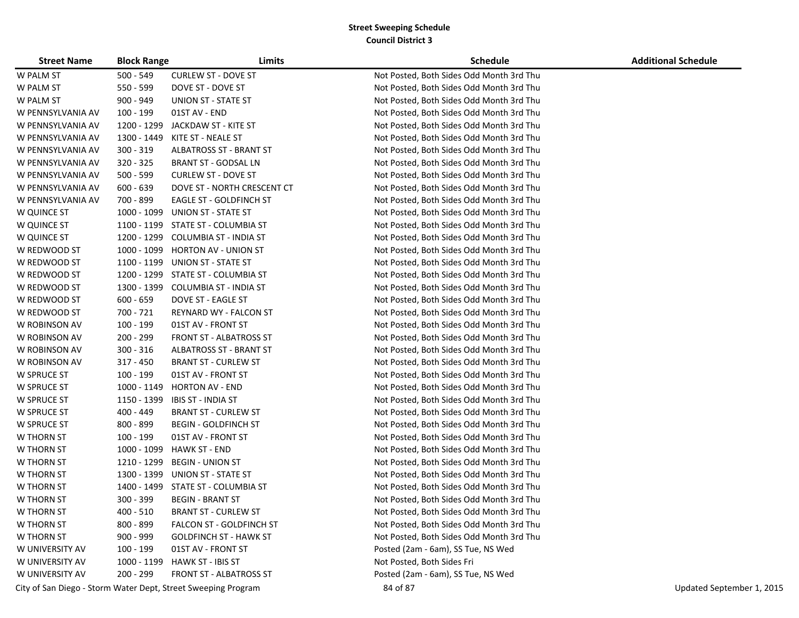| <b>Street Name</b> | <b>Block Range</b> | Limits                                                        | <b>Schedule</b>                          | <b>Additional Schedule</b> |
|--------------------|--------------------|---------------------------------------------------------------|------------------------------------------|----------------------------|
| W PALM ST          | $500 - 549$        | <b>CURLEW ST - DOVE ST</b>                                    | Not Posted, Both Sides Odd Month 3rd Thu |                            |
| W PALM ST          | 550 - 599          | DOVE ST - DOVE ST                                             | Not Posted, Both Sides Odd Month 3rd Thu |                            |
| W PALM ST          | 900 - 949          | UNION ST - STATE ST                                           | Not Posted, Both Sides Odd Month 3rd Thu |                            |
| W PENNSYLVANIA AV  | 100 - 199          | 01ST AV - END                                                 | Not Posted, Both Sides Odd Month 3rd Thu |                            |
| W PENNSYLVANIA AV  | 1200 - 1299        | JACKDAW ST - KITE ST                                          | Not Posted, Both Sides Odd Month 3rd Thu |                            |
| W PENNSYLVANIA AV  | 1300 - 1449        | KITE ST - NEALE ST                                            | Not Posted, Both Sides Odd Month 3rd Thu |                            |
| W PENNSYLVANIA AV  | $300 - 319$        | <b>ALBATROSS ST - BRANT ST</b>                                | Not Posted, Both Sides Odd Month 3rd Thu |                            |
| W PENNSYLVANIA AV  | 320 - 325          | <b>BRANT ST - GODSAL LN</b>                                   | Not Posted, Both Sides Odd Month 3rd Thu |                            |
| W PENNSYLVANIA AV  | 500 - 599          | <b>CURLEW ST - DOVE ST</b>                                    | Not Posted, Both Sides Odd Month 3rd Thu |                            |
| W PENNSYLVANIA AV  | $600 - 639$        | DOVE ST - NORTH CRESCENT CT                                   | Not Posted, Both Sides Odd Month 3rd Thu |                            |
| W PENNSYLVANIA AV  | 700 - 899          | EAGLE ST - GOLDFINCH ST                                       | Not Posted, Both Sides Odd Month 3rd Thu |                            |
| W QUINCE ST        | 1000 - 1099        | UNION ST - STATE ST                                           | Not Posted, Both Sides Odd Month 3rd Thu |                            |
| W QUINCE ST        |                    | 1100 - 1199 STATE ST - COLUMBIA ST                            | Not Posted, Both Sides Odd Month 3rd Thu |                            |
| W QUINCE ST        | 1200 - 1299        | COLUMBIA ST - INDIA ST                                        | Not Posted, Both Sides Odd Month 3rd Thu |                            |
| W REDWOOD ST       | 1000 - 1099        | <b>HORTON AV - UNION ST</b>                                   | Not Posted, Both Sides Odd Month 3rd Thu |                            |
| W REDWOOD ST       | 1100 - 1199        | UNION ST - STATE ST                                           | Not Posted, Both Sides Odd Month 3rd Thu |                            |
| W REDWOOD ST       | 1200 - 1299        | STATE ST - COLUMBIA ST                                        | Not Posted, Both Sides Odd Month 3rd Thu |                            |
| W REDWOOD ST       |                    | 1300 - 1399 COLUMBIA ST - INDIA ST                            | Not Posted, Both Sides Odd Month 3rd Thu |                            |
| W REDWOOD ST       | $600 - 659$        | DOVE ST - EAGLE ST                                            | Not Posted, Both Sides Odd Month 3rd Thu |                            |
| W REDWOOD ST       | 700 - 721          | REYNARD WY - FALCON ST                                        | Not Posted, Both Sides Odd Month 3rd Thu |                            |
| W ROBINSON AV      | 100 - 199          | 01ST AV - FRONT ST                                            | Not Posted, Both Sides Odd Month 3rd Thu |                            |
| W ROBINSON AV      | 200 - 299          | <b>FRONT ST - ALBATROSS ST</b>                                | Not Posted, Both Sides Odd Month 3rd Thu |                            |
| W ROBINSON AV      | $300 - 316$        | <b>ALBATROSS ST - BRANT ST</b>                                | Not Posted, Both Sides Odd Month 3rd Thu |                            |
| W ROBINSON AV      | 317 - 450          | <b>BRANT ST - CURLEW ST</b>                                   | Not Posted, Both Sides Odd Month 3rd Thu |                            |
| W SPRUCE ST        | 100 - 199          | 01ST AV - FRONT ST                                            | Not Posted, Both Sides Odd Month 3rd Thu |                            |
| W SPRUCE ST        | 1000 - 1149        | <b>HORTON AV - END</b>                                        | Not Posted, Both Sides Odd Month 3rd Thu |                            |
| W SPRUCE ST        | 1150 - 1399        | <b>IBIS ST - INDIA ST</b>                                     | Not Posted, Both Sides Odd Month 3rd Thu |                            |
| W SPRUCE ST        | 400 - 449          | <b>BRANT ST - CURLEW ST</b>                                   | Not Posted, Both Sides Odd Month 3rd Thu |                            |
| W SPRUCE ST        | $800 - 899$        | <b>BEGIN - GOLDFINCH ST</b>                                   | Not Posted, Both Sides Odd Month 3rd Thu |                            |
| W THORN ST         | 100 - 199          | 01ST AV - FRONT ST                                            | Not Posted, Both Sides Odd Month 3rd Thu |                            |
| W THORN ST         | 1000 - 1099        | <b>HAWK ST - END</b>                                          | Not Posted, Both Sides Odd Month 3rd Thu |                            |
| W THORN ST         | 1210 - 1299        | <b>BEGIN - UNION ST</b>                                       | Not Posted, Both Sides Odd Month 3rd Thu |                            |
| W THORN ST         | 1300 - 1399        | UNION ST - STATE ST                                           | Not Posted, Both Sides Odd Month 3rd Thu |                            |
| W THORN ST         | 1400 - 1499        | STATE ST - COLUMBIA ST                                        | Not Posted, Both Sides Odd Month 3rd Thu |                            |
| W THORN ST         | $300 - 399$        | <b>BEGIN - BRANT ST</b>                                       | Not Posted, Both Sides Odd Month 3rd Thu |                            |
| W THORN ST         | $400 - 510$        | <b>BRANT ST - CURLEW ST</b>                                   | Not Posted, Both Sides Odd Month 3rd Thu |                            |
| W THORN ST         | 800 - 899          | FALCON ST - GOLDFINCH ST                                      | Not Posted, Both Sides Odd Month 3rd Thu |                            |
| W THORN ST         | 900 - 999          | <b>GOLDFINCH ST - HAWK ST</b>                                 | Not Posted, Both Sides Odd Month 3rd Thu |                            |
| W UNIVERSITY AV    | 100 - 199          | 01ST AV - FRONT ST                                            | Posted (2am - 6am), SS Tue, NS Wed       |                            |
| W UNIVERSITY AV    | 1000 - 1199        | HAWK ST - IBIS ST                                             | Not Posted, Both Sides Fri               |                            |
| W UNIVERSITY AV    | 200 - 299          | <b>FRONT ST - ALBATROSS ST</b>                                | Posted (2am - 6am), SS Tue, NS Wed       |                            |
|                    |                    | City of San Diego - Storm Water Dept, Street Sweeping Program | 84 of 87                                 | Updated September 1, 2015  |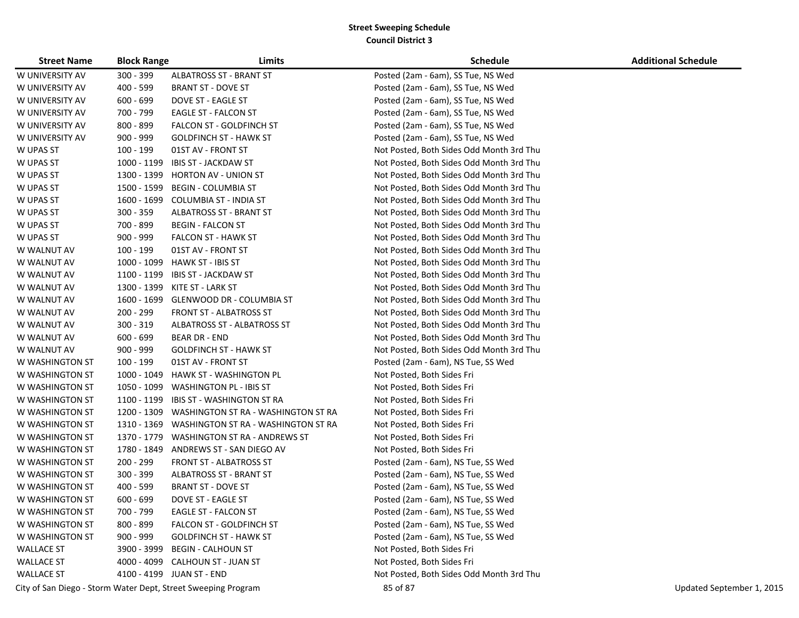| <b>Street Name</b>                                            | <b>Block Range</b> | Limits                              | <b>Schedule</b>                          | <b>Additional Schedule</b> |
|---------------------------------------------------------------|--------------------|-------------------------------------|------------------------------------------|----------------------------|
| W UNIVERSITY AV                                               | $300 - 399$        | <b>ALBATROSS ST - BRANT ST</b>      | Posted (2am - 6am), SS Tue, NS Wed       |                            |
| W UNIVERSITY AV                                               | 400 - 599          | BRANT ST - DOVE ST                  | Posted (2am - 6am), SS Tue, NS Wed       |                            |
| W UNIVERSITY AV                                               | 600 - 699          | DOVE ST - EAGLE ST                  | Posted (2am - 6am), SS Tue, NS Wed       |                            |
| W UNIVERSITY AV                                               | 700 - 799          | EAGLE ST - FALCON ST                | Posted (2am - 6am), SS Tue, NS Wed       |                            |
| W UNIVERSITY AV                                               | 800 - 899          | <b>FALCON ST - GOLDFINCH ST</b>     | Posted (2am - 6am), SS Tue, NS Wed       |                            |
| W UNIVERSITY AV                                               | 900 - 999          | <b>GOLDFINCH ST - HAWK ST</b>       | Posted (2am - 6am), SS Tue, NS Wed       |                            |
| W UPAS ST                                                     | 100 - 199          | 01ST AV - FRONT ST                  | Not Posted, Both Sides Odd Month 3rd Thu |                            |
| W UPAS ST                                                     | 1000 - 1199        | <b>IBIS ST - JACKDAW ST</b>         | Not Posted, Both Sides Odd Month 3rd Thu |                            |
| W UPAS ST                                                     | 1300 - 1399        | HORTON AV - UNION ST                | Not Posted, Both Sides Odd Month 3rd Thu |                            |
| W UPAS ST                                                     | 1500 - 1599        | <b>BEGIN - COLUMBIA ST</b>          | Not Posted, Both Sides Odd Month 3rd Thu |                            |
| W UPAS ST                                                     | 1600 - 1699        | COLUMBIA ST - INDIA ST              | Not Posted, Both Sides Odd Month 3rd Thu |                            |
| W UPAS ST                                                     | 300 - 359          | <b>ALBATROSS ST - BRANT ST</b>      | Not Posted, Both Sides Odd Month 3rd Thu |                            |
| W UPAS ST                                                     | 700 - 899          | <b>BEGIN - FALCON ST</b>            | Not Posted, Both Sides Odd Month 3rd Thu |                            |
| W UPAS ST                                                     | $900 - 999$        | <b>FALCON ST - HAWK ST</b>          | Not Posted, Both Sides Odd Month 3rd Thu |                            |
| W WALNUT AV                                                   | 100 - 199          | 01ST AV - FRONT ST                  | Not Posted, Both Sides Odd Month 3rd Thu |                            |
| W WALNUT AV                                                   | 1000 - 1099        | HAWK ST - IBIS ST                   | Not Posted, Both Sides Odd Month 3rd Thu |                            |
| W WALNUT AV                                                   | 1100 - 1199        | IBIS ST - JACKDAW ST                | Not Posted, Both Sides Odd Month 3rd Thu |                            |
| W WALNUT AV                                                   | 1300 - 1399        | KITE ST - LARK ST                   | Not Posted, Both Sides Odd Month 3rd Thu |                            |
| W WALNUT AV                                                   | 1600 - 1699        | <b>GLENWOOD DR - COLUMBIA ST</b>    | Not Posted, Both Sides Odd Month 3rd Thu |                            |
| W WALNUT AV                                                   | 200 - 299          | <b>FRONT ST - ALBATROSS ST</b>      | Not Posted, Both Sides Odd Month 3rd Thu |                            |
| W WALNUT AV                                                   | 300 - 319          | ALBATROSS ST - ALBATROSS ST         | Not Posted, Both Sides Odd Month 3rd Thu |                            |
| W WALNUT AV                                                   | $600 - 699$        | <b>BEAR DR - END</b>                | Not Posted, Both Sides Odd Month 3rd Thu |                            |
| W WALNUT AV                                                   | $900 - 999$        | <b>GOLDFINCH ST - HAWK ST</b>       | Not Posted, Both Sides Odd Month 3rd Thu |                            |
| W WASHINGTON ST                                               | 100 - 199          | 01ST AV - FRONT ST                  | Posted (2am - 6am), NS Tue, SS Wed       |                            |
| W WASHINGTON ST                                               | 1000 - 1049        | HAWK ST - WASHINGTON PL             | Not Posted, Both Sides Fri               |                            |
| W WASHINGTON ST                                               | 1050 - 1099        | <b>WASHINGTON PL - IBIS ST</b>      | Not Posted, Both Sides Fri               |                            |
| W WASHINGTON ST                                               | 1100 - 1199        | IBIS ST - WASHINGTON ST RA          | Not Posted, Both Sides Fri               |                            |
| W WASHINGTON ST                                               | 1200 - 1309        | WASHINGTON ST RA - WASHINGTON ST RA | Not Posted, Both Sides Fri               |                            |
| W WASHINGTON ST                                               | 1310 - 1369        | WASHINGTON ST RA - WASHINGTON ST RA | Not Posted, Both Sides Fri               |                            |
| W WASHINGTON ST                                               | 1370 - 1779        | WASHINGTON ST RA - ANDREWS ST       | Not Posted, Both Sides Fri               |                            |
| W WASHINGTON ST                                               | 1780 - 1849        | ANDREWS ST - SAN DIEGO AV           | Not Posted, Both Sides Fri               |                            |
| W WASHINGTON ST                                               | 200 - 299          | FRONT ST - ALBATROSS ST             | Posted (2am - 6am), NS Tue, SS Wed       |                            |
| W WASHINGTON ST                                               | 300 - 399          | <b>ALBATROSS ST - BRANT ST</b>      | Posted (2am - 6am), NS Tue, SS Wed       |                            |
| W WASHINGTON ST                                               | 400 - 599          | <b>BRANT ST - DOVE ST</b>           | Posted (2am - 6am), NS Tue, SS Wed       |                            |
| W WASHINGTON ST                                               | $600 - 699$        | DOVE ST - EAGLE ST                  | Posted (2am - 6am), NS Tue, SS Wed       |                            |
| W WASHINGTON ST                                               | 700 - 799          | <b>EAGLE ST - FALCON ST</b>         | Posted (2am - 6am), NS Tue, SS Wed       |                            |
| W WASHINGTON ST                                               | 800 - 899          | <b>FALCON ST - GOLDFINCH ST</b>     | Posted (2am - 6am), NS Tue, SS Wed       |                            |
| W WASHINGTON ST                                               | 900 - 999          | <b>GOLDFINCH ST - HAWK ST</b>       | Posted (2am - 6am), NS Tue, SS Wed       |                            |
| <b>WALLACE ST</b>                                             | 3900 - 3999        | <b>BEGIN - CALHOUN ST</b>           | Not Posted, Both Sides Fri               |                            |
| <b>WALLACE ST</b>                                             |                    | 4000 - 4099 CALHOUN ST - JUAN ST    | Not Posted, Both Sides Fri               |                            |
| <b>WALLACE ST</b>                                             |                    | 4100 - 4199 JUAN ST - END           | Not Posted, Both Sides Odd Month 3rd Thu |                            |
| City of San Diego - Storm Water Dept, Street Sweeping Program |                    |                                     | 85 of 87                                 | Updated September 1, 2015  |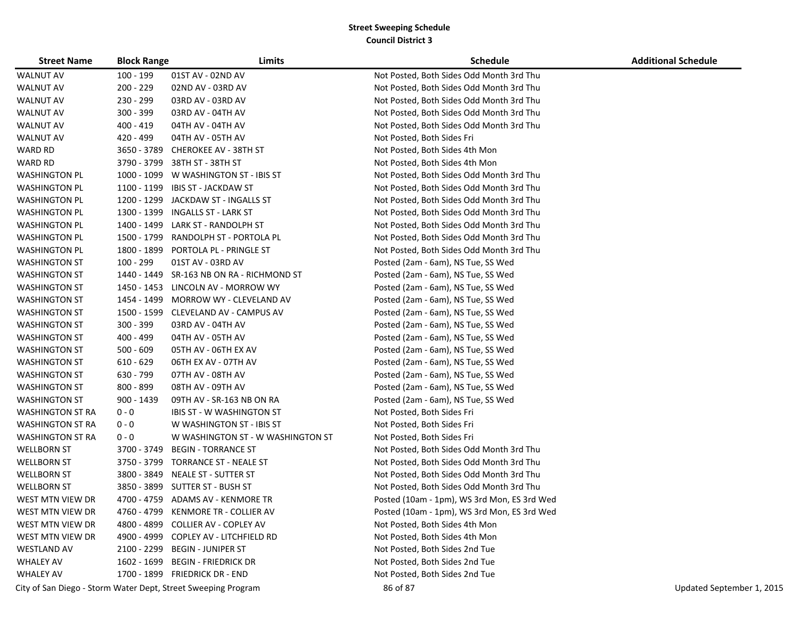| <b>Street Name</b>      | <b>Block Range</b> | Limits                                    | <b>Schedule</b>                             | <b>Additional Schedule</b> |
|-------------------------|--------------------|-------------------------------------------|---------------------------------------------|----------------------------|
| <b>WALNUT AV</b>        | 100 - 199          | 01ST AV - 02ND AV                         | Not Posted, Both Sides Odd Month 3rd Thu    |                            |
| <b>WALNUT AV</b>        | $200 - 229$        | 02ND AV - 03RD AV                         | Not Posted, Both Sides Odd Month 3rd Thu    |                            |
| <b>WALNUT AV</b>        | 230 - 299          | 03RD AV - 03RD AV                         | Not Posted, Both Sides Odd Month 3rd Thu    |                            |
| <b>WALNUT AV</b>        | 300 - 399          | 03RD AV - 04TH AV                         | Not Posted, Both Sides Odd Month 3rd Thu    |                            |
| <b>WALNUT AV</b>        | 400 - 419          | 04TH AV - 04TH AV                         | Not Posted, Both Sides Odd Month 3rd Thu    |                            |
| <b>WALNUT AV</b>        | 420 - 499          | 04TH AV - 05TH AV                         | Not Posted, Both Sides Fri                  |                            |
| WARD RD                 | 3650 - 3789        | <b>CHEROKEE AV - 38TH ST</b>              | Not Posted, Both Sides 4th Mon              |                            |
| WARD RD                 | 3790 - 3799        | 38TH ST - 38TH ST                         | Not Posted, Both Sides 4th Mon              |                            |
| <b>WASHINGTON PL</b>    |                    | 1000 - 1099 W WASHINGTON ST - IBIS ST     | Not Posted, Both Sides Odd Month 3rd Thu    |                            |
| <b>WASHINGTON PL</b>    |                    | 1100 - 1199 IBIS ST - JACKDAW ST          | Not Posted, Both Sides Odd Month 3rd Thu    |                            |
| WASHINGTON PL           |                    | 1200 - 1299 JACKDAW ST - INGALLS ST       | Not Posted, Both Sides Odd Month 3rd Thu    |                            |
| <b>WASHINGTON PL</b>    |                    | 1300 - 1399 INGALLS ST - LARK ST          | Not Posted, Both Sides Odd Month 3rd Thu    |                            |
| <b>WASHINGTON PL</b>    |                    | 1400 - 1499 LARK ST - RANDOLPH ST         | Not Posted, Both Sides Odd Month 3rd Thu    |                            |
| <b>WASHINGTON PL</b>    | 1500 - 1799        | RANDOLPH ST - PORTOLA PL                  | Not Posted, Both Sides Odd Month 3rd Thu    |                            |
| <b>WASHINGTON PL</b>    |                    | 1800 - 1899 PORTOLA PL - PRINGLE ST       | Not Posted, Both Sides Odd Month 3rd Thu    |                            |
| <b>WASHINGTON ST</b>    | 100 - 299          | 01ST AV - 03RD AV                         | Posted (2am - 6am), NS Tue, SS Wed          |                            |
| <b>WASHINGTON ST</b>    |                    | 1440 - 1449 SR-163 NB ON RA - RICHMOND ST | Posted (2am - 6am), NS Tue, SS Wed          |                            |
| <b>WASHINGTON ST</b>    |                    | 1450 - 1453 LINCOLN AV - MORROW WY        | Posted (2am - 6am), NS Tue, SS Wed          |                            |
| <b>WASHINGTON ST</b>    |                    | 1454 - 1499 MORROW WY - CLEVELAND AV      | Posted (2am - 6am), NS Tue, SS Wed          |                            |
| <b>WASHINGTON ST</b>    |                    | 1500 - 1599 CLEVELAND AV - CAMPUS AV      | Posted (2am - 6am), NS Tue, SS Wed          |                            |
| <b>WASHINGTON ST</b>    | 300 - 399          | 03RD AV - 04TH AV                         | Posted (2am - 6am), NS Tue, SS Wed          |                            |
| <b>WASHINGTON ST</b>    | 400 - 499          | 04TH AV - 05TH AV                         | Posted (2am - 6am), NS Tue, SS Wed          |                            |
| <b>WASHINGTON ST</b>    | $500 - 609$        | 05TH AV - 06TH EX AV                      | Posted (2am - 6am), NS Tue, SS Wed          |                            |
| <b>WASHINGTON ST</b>    | $610 - 629$        | 06TH EX AV - 07TH AV                      | Posted (2am - 6am), NS Tue, SS Wed          |                            |
| <b>WASHINGTON ST</b>    | 630 - 799          | 07TH AV - 08TH AV                         | Posted (2am - 6am), NS Tue, SS Wed          |                            |
| WASHINGTON ST           | 800 - 899          | 08TH AV - 09TH AV                         | Posted (2am - 6am), NS Tue, SS Wed          |                            |
| WASHINGTON ST           | 900 - 1439         | 09TH AV - SR-163 NB ON RA                 | Posted (2am - 6am), NS Tue, SS Wed          |                            |
| WASHINGTON ST RA        | $0 - 0$            | <b>IBIS ST - W WASHINGTON ST</b>          | Not Posted, Both Sides Fri                  |                            |
| WASHINGTON ST RA        | $0 - 0$            | W WASHINGTON ST - IBIS ST                 | Not Posted, Both Sides Fri                  |                            |
| <b>WASHINGTON ST RA</b> | $0 - 0$            | W WASHINGTON ST - W WASHINGTON ST         | Not Posted, Both Sides Fri                  |                            |
| <b>WELLBORN ST</b>      | 3700 - 3749        | <b>BEGIN - TORRANCE ST</b>                | Not Posted, Both Sides Odd Month 3rd Thu    |                            |
| <b>WELLBORN ST</b>      |                    | 3750 - 3799 TORRANCE ST - NEALE ST        | Not Posted, Both Sides Odd Month 3rd Thu    |                            |
| <b>WELLBORN ST</b>      |                    | 3800 - 3849 NEALE ST - SUTTER ST          | Not Posted, Both Sides Odd Month 3rd Thu    |                            |
| <b>WELLBORN ST</b>      |                    | 3850 - 3899 SUTTER ST - BUSH ST           | Not Posted, Both Sides Odd Month 3rd Thu    |                            |
| WEST MTN VIEW DR        |                    | 4700 - 4759 ADAMS AV - KENMORE TR         | Posted (10am - 1pm), WS 3rd Mon, ES 3rd Wed |                            |
| WEST MTN VIEW DR        |                    | 4760 - 4799 KENMORE TR - COLLIER AV       | Posted (10am - 1pm), WS 3rd Mon, ES 3rd Wed |                            |
| WEST MTN VIEW DR        | 4800 - 4899        | <b>COLLIER AV - COPLEY AV</b>             | Not Posted, Both Sides 4th Mon              |                            |
| WEST MTN VIEW DR        |                    | 4900 - 4999 COPLEY AV - LITCHFIELD RD     | Not Posted, Both Sides 4th Mon              |                            |
| <b>WESTLAND AV</b>      |                    | 2100 - 2299 BEGIN - JUNIPER ST            | Not Posted, Both Sides 2nd Tue              |                            |
| <b>WHALEY AV</b>        |                    | 1602 - 1699 BEGIN - FRIEDRICK DR          | Not Posted, Both Sides 2nd Tue              |                            |
| <b>WHALEY AV</b>        |                    | 1700 - 1899 FRIEDRICK DR - END            | Not Posted, Both Sides 2nd Tue              |                            |

City of San Diego - Storm Water Dept, Street Sweeping Program 86 of 87 Updated September 1, 2015